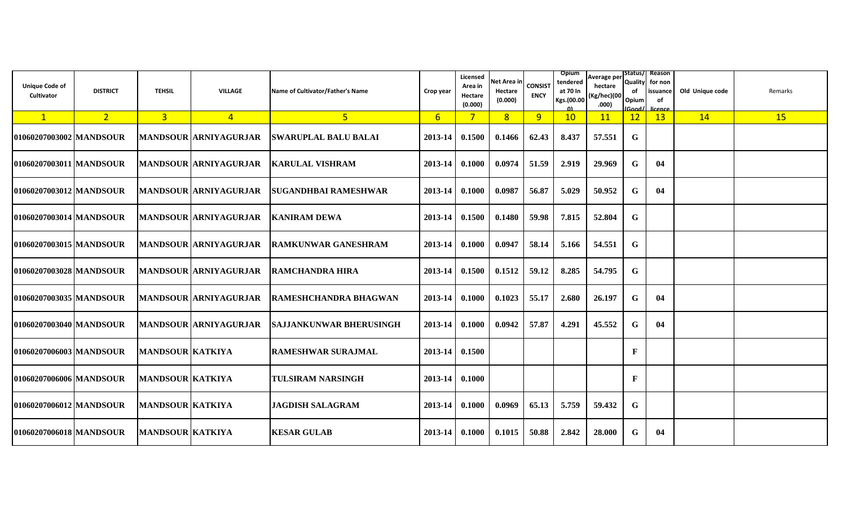| <b>Unique Code of</b><br>Cultivator | <b>DISTRICT</b> | <b>TEHSIL</b>           | <b>VILLAGE</b>               | Name of Cultivator/Father's Name | Crop year      | Licensed<br>Area in<br>Hectare<br>(0.000) | Net Area in<br>Hectare<br>(0.000) | <b>CONSIST</b><br><b>ENCY</b> | <b>Opium</b><br>tendered<br>at 70 In<br>Kgs.(00.00 | Average per<br>hectare<br>(Kg/hec)(00<br>.000) | Quality<br>of<br>Opium<br>Good/ | Status/  Reason<br>for non<br>issuance<br>of<br>licence | Old Unique code | Remarks |
|-------------------------------------|-----------------|-------------------------|------------------------------|----------------------------------|----------------|-------------------------------------------|-----------------------------------|-------------------------------|----------------------------------------------------|------------------------------------------------|---------------------------------|---------------------------------------------------------|-----------------|---------|
| $\sqrt{1}$                          | 2 <sup>2</sup>  | 3 <sup>7</sup>          | $\overline{4}$               | 5 <sub>o</sub>                   | 6 <sup>1</sup> | 7 <sup>1</sup>                            | 8                                 | 9                             | 10                                                 | 11                                             | 12                              | 13                                                      | 14              | 15      |
| 01060207003002 MANDSOUR             |                 |                         | <b>MANDSOUR ARNIYAGURJAR</b> | <b>SWARUPLAL BALU BALAI</b>      | 2013-14        | 0.1500                                    | 0.1466                            | 62.43                         | 8.437                                              | 57.551                                         | G                               |                                                         |                 |         |
| 01060207003011   MANDSOUR           |                 |                         | <b>MANDSOUR ARNIYAGURJAR</b> | <b>KARULAL VISHRAM</b>           | 2013-14        | 0.1000                                    | 0.0974                            | 51.59                         | 2.919                                              | 29.969                                         | G                               | 04                                                      |                 |         |
| 01060207003012 MANDSOUR             |                 |                         | <b>MANDSOUR ARNIYAGURJAR</b> | <b>SUGANDHBAI RAMESHWAR</b>      | $2013 - 14$    | $\, 0.1000 \,$                            | 0.0987                            | 56.87                         | 5.029                                              | 50.952                                         | G                               | 04                                                      |                 |         |
| 01060207003014   MANDSOUR           |                 |                         | <b>MANDSOUR ARNIYAGURJAR</b> | <b>IKANIRAM DEWA</b>             | $2013 - 14$    | 0.1500                                    | 0.1480                            | 59.98                         | 7.815                                              | 52.804                                         | G                               |                                                         |                 |         |
| 01060207003015   MANDSOUR           |                 |                         | MANDSOUR ARNIYAGURJAR        | <b>RAMKUNWAR GANESHRAM</b>       | 2013-14        | 0.1000                                    | 0.0947                            | 58.14                         | 5.166                                              | 54.551                                         | G                               |                                                         |                 |         |
| 01060207003028 MANDSOUR             |                 |                         | <b>MANDSOUR ARNIYAGURJAR</b> | <b>RAMCHANDRA HIRA</b>           | $2013 - 14$    | 0.1500                                    | 0.1512                            | 59.12                         | 8.285                                              | 54.795                                         | G                               |                                                         |                 |         |
| 01060207003035   MANDSOUR           |                 |                         | <b>MANDSOUR ARNIYAGURJAR</b> | <b>IRAMESHCHANDRA BHAGWAN</b>    | 2013-14        | 0.1000                                    | 0.1023                            | 55.17                         | 2.680                                              | 26.197                                         | G                               | 04                                                      |                 |         |
| 01060207003040 MANDSOUR             |                 |                         | <b>MANDSOUR ARNIYAGURJAR</b> | <b>SAJJANKUNWAR BHERUSINGH</b>   | 2013-14        | 0.1000                                    | 0.0942                            | 57.87                         | 4.291                                              | 45.552                                         | G                               | 04                                                      |                 |         |
| 01060207006003 MANDSOUR             |                 | <b>MANDSOUR KATKIYA</b> |                              | <b>RAMESHWAR SURAJMAL</b>        | $2013 - 14$    | 0.1500                                    |                                   |                               |                                                    |                                                | $\mathbf{F}$                    |                                                         |                 |         |
| 01060207006006 MANDSOUR             |                 | <b>MANDSOUR KATKIYA</b> |                              | <b>TULSIRAM NARSINGH</b>         | 2013-14        | 0.1000                                    |                                   |                               |                                                    |                                                | F                               |                                                         |                 |         |
| 01060207006012 MANDSOUR             |                 | <b>MANDSOUR KATKIYA</b> |                              | <b>JAGDISH SALAGRAM</b>          | 2013-14        | 0.1000                                    | 0.0969                            | 65.13                         | 5.759                                              | 59.432                                         | G                               |                                                         |                 |         |
| 01060207006018 MANDSOUR             |                 | <b>MANDSOUR KATKIYA</b> |                              | <b>KESAR GULAB</b>               | $2013 - 14$    | 0.1000                                    | 0.1015                            | 50.88                         | 2.842                                              | 28.000                                         | G                               | 04                                                      |                 |         |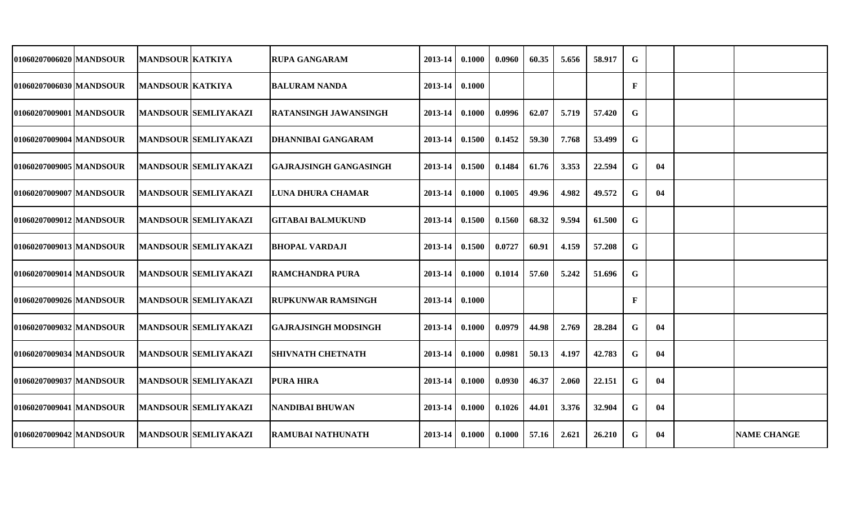| 01060207006020 MANDSOUR   | <b>MANDSOUR KATKIYA</b> |                             | <b>RUPA GANGARAM</b>          | 2013-14 | 0.1000 | 0.0960 | 60.35 | 5.656 | 58.917 | G            |    |                    |
|---------------------------|-------------------------|-----------------------------|-------------------------------|---------|--------|--------|-------|-------|--------|--------------|----|--------------------|
| 01060207006030 MANDSOUR   | <b>MANDSOUR KATKIYA</b> |                             | <b>BALURAM NANDA</b>          | 2013-14 | 0.1000 |        |       |       |        | $\mathbf{F}$ |    |                    |
| 01060207009001   MANDSOUR |                         | <b>MANDSOUR SEMLIYAKAZI</b> | <b>RATANSINGH JAWANSINGH</b>  | 2013-14 | 0.1000 | 0.0996 | 62.07 | 5.719 | 57.420 | G            |    |                    |
| 01060207009004 MANDSOUR   |                         | <b>MANDSOUR SEMLIYAKAZI</b> | <b>DHANNIBAI GANGARAM</b>     | 2013-14 | 0.1500 | 0.1452 | 59.30 | 7.768 | 53.499 | G            |    |                    |
| 01060207009005 MANDSOUR   |                         | <b>MANDSOUR SEMLIYAKAZI</b> | <b>GAJRAJSINGH GANGASINGH</b> | 2013-14 | 0.1500 | 0.1484 | 61.76 | 3.353 | 22.594 | G            | 04 |                    |
| 01060207009007 MANDSOUR   |                         | <b>MANDSOUR SEMLIYAKAZI</b> | LUNA DHURA CHAMAR             | 2013-14 | 0.1000 | 0.1005 | 49.96 | 4.982 | 49.572 | G            | 04 |                    |
| 01060207009012 MANDSOUR   |                         | <b>MANDSOUR SEMLIYAKAZI</b> | <b>GITABAI BALMUKUND</b>      | 2013-14 | 0.1500 | 0.1560 | 68.32 | 9.594 | 61.500 | G            |    |                    |
| 01060207009013   MANDSOUR |                         | <b>MANDSOUR SEMLIYAKAZI</b> | <b>BHOPAL VARDAJI</b>         | 2013-14 | 0.1500 | 0.0727 | 60.91 | 4.159 | 57.208 | G            |    |                    |
| 01060207009014 MANDSOUR   |                         | <b>MANDSOUR SEMLIYAKAZI</b> | <b>RAMCHANDRA PURA</b>        | 2013-14 | 0.1000 | 0.1014 | 57.60 | 5.242 | 51.696 | G            |    |                    |
| 01060207009026 MANDSOUR   |                         | <b>MANDSOUR SEMLIYAKAZI</b> | <b>RUPKUNWAR RAMSINGH</b>     | 2013-14 | 0.1000 |        |       |       |        | F            |    |                    |
| 01060207009032 MANDSOUR   |                         | <b>MANDSOUR SEMLIYAKAZI</b> | <b>GAJRAJSINGH MODSINGH</b>   | 2013-14 | 0.1000 | 0.0979 | 44.98 | 2.769 | 28.284 | G            | 04 |                    |
| 01060207009034   MANDSOUR |                         | <b>MANDSOUR SEMLIYAKAZI</b> | <b>SHIVNATH CHETNATH</b>      | 2013-14 | 0.1000 | 0.0981 | 50.13 | 4.197 | 42.783 | G            | 04 |                    |
| 01060207009037 MANDSOUR   |                         | <b>MANDSOUR SEMLIYAKAZI</b> | <b>PURA HIRA</b>              | 2013-14 | 0.1000 | 0.0930 | 46.37 | 2.060 | 22.151 | G            | 04 |                    |
| 01060207009041   MANDSOUR |                         | <b>MANDSOUR SEMLIYAKAZI</b> | NANDIBAI BHUWAN               | 2013-14 | 0.1000 | 0.1026 | 44.01 | 3.376 | 32.904 | G            | 04 |                    |
| 01060207009042 MANDSOUR   |                         | <b>MANDSOUR SEMLIYAKAZI</b> | <b>RAMUBAI NATHUNATH</b>      | 2013-14 | 0.1000 | 0.1000 | 57.16 | 2.621 | 26.210 | G            | 04 | <b>NAME CHANGE</b> |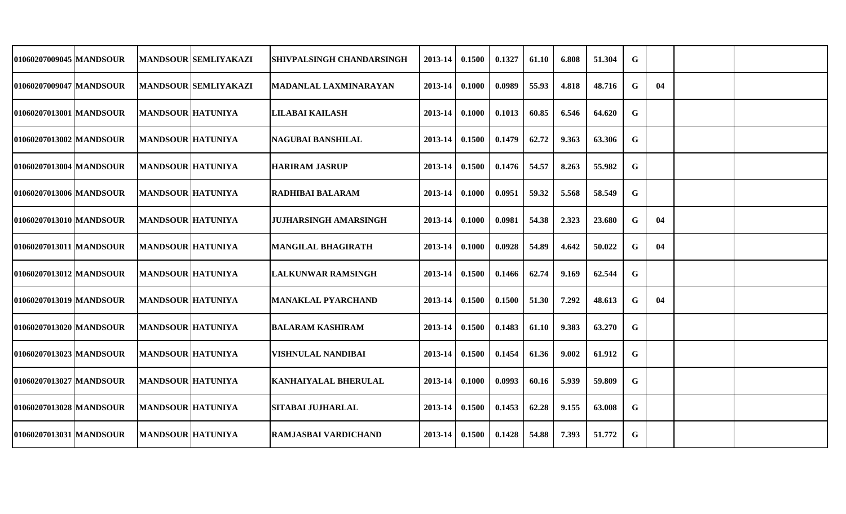| 01060207009045 MANDSOUR   |                          | <b>MANDSOUR SEMLIYAKAZI</b> | <b>SHIVPALSINGH CHANDARSINGH</b> | 2013-14            | 0.1500 | 0.1327 | 61.10 | 6.808 | 51.304 | G           |    |  |
|---------------------------|--------------------------|-----------------------------|----------------------------------|--------------------|--------|--------|-------|-------|--------|-------------|----|--|
| 01060207009047   MANDSOUR |                          | <b>MANDSOUR SEMLIYAKAZI</b> | MADANLAL LAXMINARAYAN            | 2013-14            | 0.1000 | 0.0989 | 55.93 | 4.818 | 48.716 | G           | 04 |  |
| 01060207013001 MANDSOUR   | <b>MANDSOUR HATUNIYA</b> |                             | LILABAI KAILASH                  | 2013-14            | 0.1000 | 0.1013 | 60.85 | 6.546 | 64.620 | G           |    |  |
| 01060207013002 MANDSOUR   | <b>MANDSOUR HATUNIYA</b> |                             | NAGUBAI BANSHILAL                | 2013-14            | 0.1500 | 0.1479 | 62.72 | 9.363 | 63.306 | G           |    |  |
| 01060207013004 MANDSOUR   | <b>MANDSOUR HATUNIYA</b> |                             | <b>HARIRAM JASRUP</b>            | $2013 - 14$        | 0.1500 | 0.1476 | 54.57 | 8.263 | 55.982 | G           |    |  |
| 01060207013006 MANDSOUR   | <b>MANDSOUR HATUNIYA</b> |                             | <b>RADHIBAI BALARAM</b>          | $2013-14$ 0.1000   |        | 0.0951 | 59.32 | 5.568 | 58.549 | G           |    |  |
| 01060207013010 MANDSOUR   | <b>MANDSOUR HATUNIYA</b> |                             | <b>JUJHARSINGH AMARSINGH</b>     | 2013-14            | 0.1000 | 0.0981 | 54.38 | 2.323 | 23.680 | G           | 04 |  |
| 01060207013011 MANDSOUR   | <b>MANDSOUR HATUNIYA</b> |                             | <b>MANGILAL BHAGIRATH</b>        | 2013-14            | 0.1000 | 0.0928 | 54.89 | 4.642 | 50.022 | G           | 04 |  |
| 01060207013012 MANDSOUR   | <b>MANDSOUR HATUNIYA</b> |                             | <b>LALKUNWAR RAMSINGH</b>        | 2013-14            | 0.1500 | 0.1466 | 62.74 | 9.169 | 62.544 | G           |    |  |
| 01060207013019 MANDSOUR   | <b>MANDSOUR HATUNIYA</b> |                             | <b>MANAKLAL PYARCHAND</b>        | 2013-14            | 0.1500 | 0.1500 | 51.30 | 7.292 | 48.613 | G           | 04 |  |
| 01060207013020 MANDSOUR   | <b>MANDSOUR HATUNIYA</b> |                             | BALARAM KASHIRAM                 | 2013-14            | 0.1500 | 0.1483 | 61.10 | 9.383 | 63.270 | G           |    |  |
| 01060207013023 MANDSOUR   | <b>MANDSOUR HATUNIYA</b> |                             | <b>VISHNULAL NANDIBAI</b>        | 2013-14            | 0.1500 | 0.1454 | 61.36 | 9.002 | 61.912 | G           |    |  |
| 01060207013027 MANDSOUR   | <b>MANDSOUR HATUNIYA</b> |                             | <b>KANHAIYALAL BHERULAL</b>      | $2013 - 14$        | 0.1000 | 0.0993 | 60.16 | 5.939 | 59.809 | G           |    |  |
| 01060207013028 MANDSOUR   | <b>MANDSOUR HATUNIYA</b> |                             | <b>SITABAI JUJHARLAL</b>         | 2013-14            | 0.1500 | 0.1453 | 62.28 | 9.155 | 63.008 | G           |    |  |
| 01060207013031 MANDSOUR   | <b>MANDSOUR HATUNIYA</b> |                             | <b>RAMJASBAI VARDICHAND</b>      | $2013 - 14$ 0.1500 |        | 0.1428 | 54.88 | 7.393 | 51.772 | $\mathbf G$ |    |  |
|                           |                          |                             |                                  |                    |        |        |       |       |        |             |    |  |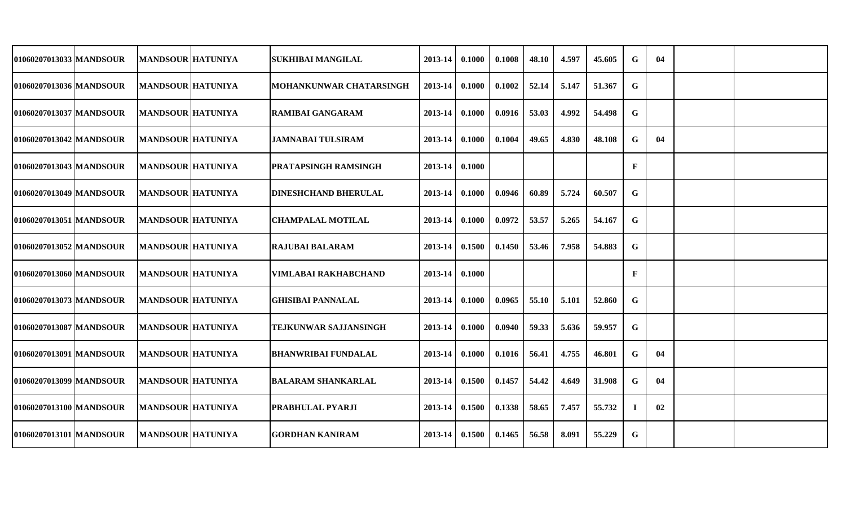| 01060207013033 MANDSOUR | <b>MANDSOUR HATUNIYA</b> | <b>SUKHIBAI MANGILAL</b>     | 2013-14            | 0.1000 | 0.1008 | 48.10 | 4.597 | 45.605 | G            | 04 |  |
|-------------------------|--------------------------|------------------------------|--------------------|--------|--------|-------|-------|--------|--------------|----|--|
| 01060207013036 MANDSOUR | <b>MANDSOUR HATUNIYA</b> | MOHANKUNWAR CHATARSINGH      | 2013-14            | 0.1000 | 0.1002 | 52.14 | 5.147 | 51.367 | G            |    |  |
| 01060207013037 MANDSOUR | <b>MANDSOUR HATUNIYA</b> | <b>RAMIBAI GANGARAM</b>      | 2013-14            | 0.1000 | 0.0916 | 53.03 | 4.992 | 54.498 | G            |    |  |
| 01060207013042 MANDSOUR | <b>MANDSOUR HATUNIYA</b> | JAMNABAI TULSIRAM            | 2013-14            | 0.1000 | 0.1004 | 49.65 | 4.830 | 48.108 | G            | 04 |  |
| 01060207013043 MANDSOUR | <b>MANDSOUR HATUNIYA</b> | <b>PRATAPSINGH RAMSINGH</b>  | 2013-14 0.1000     |        |        |       |       |        | $\mathbf{F}$ |    |  |
| 01060207013049 MANDSOUR | <b>MANDSOUR HATUNIYA</b> | <b> DINESHCHAND BHERULAL</b> | $2013 - 14$        | 0.1000 | 0.0946 | 60.89 | 5.724 | 60.507 | G            |    |  |
| 01060207013051 MANDSOUR | <b>MANDSOUR HATUNIYA</b> | <b>CHAMPALAL MOTILAL</b>     | 2013-14            | 0.1000 | 0.0972 | 53.57 | 5.265 | 54.167 | G            |    |  |
| 01060207013052 MANDSOUR | <b>MANDSOUR HATUNIYA</b> | <b>RAJUBAI BALARAM</b>       | 2013-14            | 0.1500 | 0.1450 | 53.46 | 7.958 | 54.883 | G            |    |  |
| 01060207013060 MANDSOUR | <b>MANDSOUR HATUNIYA</b> | VIMLABAI RAKHABCHAND         | $2013 - 14$        | 0.1000 |        |       |       |        | $\mathbf{F}$ |    |  |
| 01060207013073 MANDSOUR | <b>MANDSOUR HATUNIYA</b> | <b>GHISIBAI PANNALAL</b>     | 2013-14            | 0.1000 | 0.0965 | 55.10 | 5.101 | 52.860 | G            |    |  |
| 01060207013087 MANDSOUR | <b>MANDSOUR HATUNIYA</b> | TEJKUNWAR SAJJANSINGH        | 2013-14            | 0.1000 | 0.0940 | 59.33 | 5.636 | 59.957 | G            |    |  |
| 01060207013091 MANDSOUR | <b>MANDSOUR HATUNIYA</b> | <b>BHANWRIBAI FUNDALAL</b>   | 2013-14            | 0.1000 | 0.1016 | 56.41 | 4.755 | 46.801 | G            | 04 |  |
| 01060207013099 MANDSOUR | <b>MANDSOUR HATUNIYA</b> | BALARAM SHANKARLAL           | $2013 - 14$        | 0.1500 | 0.1457 | 54.42 | 4.649 | 31.908 | G            | 04 |  |
| 01060207013100 MANDSOUR | <b>MANDSOUR HATUNIYA</b> | <b>PRABHULAL PYARJI</b>      | $2013 - 14$        | 0.1500 | 0.1338 | 58.65 | 7.457 | 55.732 | -1           | 02 |  |
| 01060207013101 MANDSOUR | <b>MANDSOUR HATUNIYA</b> | <b>GORDHAN KANIRAM</b>       | $2013 - 14$ 0.1500 |        | 0.1465 | 56.58 | 8.091 | 55.229 | $\mathbf G$  |    |  |
|                         |                          |                              |                    |        |        |       |       |        |              |    |  |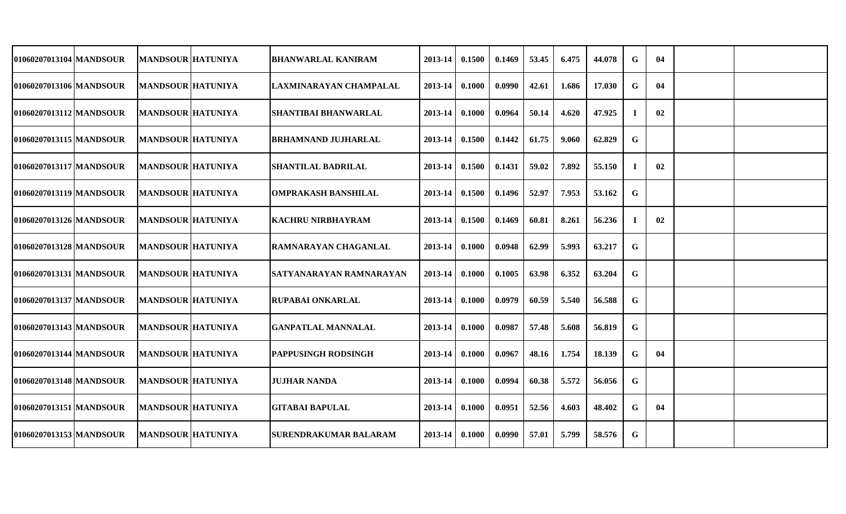| 01060207013104 MANDSOUR   | <b>MANDSOUR HATUNIYA</b> | BHANWARLAL KANIRAM             | 2013-14     | 0.1500 | 0.1469 | 53.45 | 6.475 | 44.078 | G  | 04 |  |
|---------------------------|--------------------------|--------------------------------|-------------|--------|--------|-------|-------|--------|----|----|--|
| 01060207013106 MANDSOUR   | <b>MANDSOUR HATUNIYA</b> | LAXMINARAYAN CHAMPALAL         | 2013-14     | 0.1000 | 0.0990 | 42.61 | 1.686 | 17.030 | G  | 04 |  |
| 01060207013112 MANDSOUR   | <b>MANDSOUR HATUNIYA</b> | <b>SHANTIBAI BHANWARLAL</b>    | 2013-14     | 0.1000 | 0.0964 | 50.14 | 4.620 | 47.925 |    | 02 |  |
| 01060207013115 MANDSOUR   | <b>MANDSOUR HATUNIYA</b> | <b>BRHAMNAND JUJHARLAL</b>     | 2013-14     | 0.1500 | 0.1442 | 61.75 | 9.060 | 62.829 | G  |    |  |
| 01060207013117 MANDSOUR   | <b>MANDSOUR HATUNIYA</b> | <b>SHANTILAL BADRILAL</b>      | 2013-14     | 0.1500 | 0.1431 | 59.02 | 7.892 | 55.150 | л. | 02 |  |
| 01060207013119   MANDSOUR | <b>MANDSOUR HATUNIYA</b> | <b> OMPRAKASH BANSHILAL</b>    | $2013 - 14$ | 0.1500 | 0.1496 | 52.97 | 7.953 | 53.162 | G  |    |  |
| 01060207013126 MANDSOUR   | <b>MANDSOUR HATUNIYA</b> | <b>KACHRU NIRBHAYRAM</b>       | $2013 - 14$ | 0.1500 | 0.1469 | 60.81 | 8.261 | 56.236 | -1 | 02 |  |
| 01060207013128 MANDSOUR   | <b>MANDSOUR HATUNIYA</b> | <b>RAMNARAYAN CHAGANLAL</b>    | $2013 - 14$ | 0.1000 | 0.0948 | 62.99 | 5.993 | 63.217 | G  |    |  |
| 01060207013131   MANDSOUR | <b>MANDSOUR HATUNIYA</b> | <b>SATYANARAYAN RAMNARAYAN</b> | $2013 - 14$ | 0.1000 | 0.1005 | 63.98 | 6.352 | 63.204 | G  |    |  |
| 01060207013137 MANDSOUR   | <b>MANDSOUR HATUNIYA</b> | <b>RUPABAI ONKARLAL</b>        | 2013-14     | 0.1000 | 0.0979 | 60.59 | 5.540 | 56.588 | G  |    |  |
| 01060207013143 MANDSOUR   | <b>MANDSOUR HATUNIYA</b> | <b>GANPATLAL MANNALAL</b>      | 2013-14     | 0.1000 | 0.0987 | 57.48 | 5.608 | 56.819 | G  |    |  |
| 01060207013144 MANDSOUR   | <b>MANDSOUR HATUNIYA</b> | <b>PAPPUSINGH RODSINGH</b>     | 2013-14     | 0.1000 | 0.0967 | 48.16 | 1.754 | 18.139 | G  | 04 |  |
| 01060207013148 MANDSOUR   | <b>MANDSOUR HATUNIYA</b> | <b>JUJHAR NANDA</b>            | 2013-14     | 0.1000 | 0.0994 | 60.38 | 5.572 | 56.056 | G  |    |  |
| 01060207013151 MANDSOUR   | <b>MANDSOUR HATUNIYA</b> | <b>GITABAI BAPULAL</b>         | 2013-14     | 0.1000 | 0.0951 | 52.56 | 4.603 | 48.402 | G  | 04 |  |
| 01060207013153 MANDSOUR   | <b>MANDSOUR HATUNIYA</b> | <b>SURENDRAKUMAR BALARAM</b>   | $2013 - 14$ | 0.1000 | 0.0990 | 57.01 | 5.799 | 58.576 | G  |    |  |
|                           |                          |                                |             |        |        |       |       |        |    |    |  |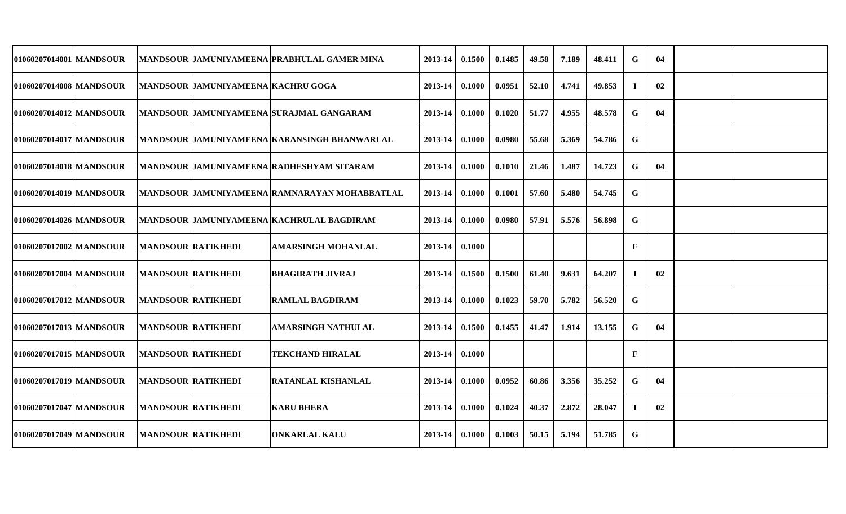| 01060207014001 MANDSOUR |                           |                                           | MANDSOUR JAMUNIYAMEENA PRABHULAL GAMER MINA      | 2013-14          | 0.1500   | 0.1485 | 49.58 | 7.189 | 48.411 | G            | 04 |  |
|-------------------------|---------------------------|-------------------------------------------|--------------------------------------------------|------------------|----------|--------|-------|-------|--------|--------------|----|--|
| 01060207014008 MANDSOUR |                           | <b>MANDSOUR JAMUNIYAMEENA KACHRU GOGA</b> |                                                  | 2013-14          | 0.1000   | 0.0951 | 52.10 | 4.741 | 49.853 | $\bf{I}$     | 02 |  |
| 01060207014012 MANDSOUR |                           |                                           | MANDSOUR JAMUNIYAMEENA SURAJMAL GANGARAM         | 2013-14          | 0.1000   | 0.1020 | 51.77 | 4.955 | 48.578 | G            | 04 |  |
| 01060207014017 MANDSOUR |                           |                                           | MANDSOUR JAMUNIYAMEENA KARANSINGH BHANWARLAL     | $2013 - 14$      | 0.1000   | 0.0980 | 55.68 | 5.369 | 54.786 | G            |    |  |
| 01060207014018 MANDSOUR |                           |                                           | MANDSOUR   JAMUNIYAMEENA   RADHESHYAM SITARAM    | 2013-14          | 0.1000   | 0.1010 | 21.46 | 1.487 | 14.723 | G            | 04 |  |
| 01060207014019 MANDSOUR |                           |                                           | MANDSOUR JAMUNIYAMEENA RAMNARAYAN MOHABBATLAL    | 2013-14          | $0.1000$ | 0.1001 | 57.60 | 5.480 | 54.745 | G            |    |  |
| 01060207014026 MANDSOUR |                           |                                           | <b>MANDSOUR JAMUNIYAMEENA KACHRULAL BAGDIRAM</b> | 2013-14          | 0.1000   | 0.0980 | 57.91 | 5.576 | 56.898 | $\mathbf G$  |    |  |
| 01060207017002 MANDSOUR | <b>MANDSOUR RATIKHEDI</b> |                                           | <b>AMARSINGH MOHANLAL</b>                        | 2013-14 0.1000   |          |        |       |       |        | $\mathbf{F}$ |    |  |
| 01060207017004 MANDSOUR | <b>MANDSOUR RATIKHEDI</b> |                                           | <b>BHAGIRATH JIVRAJ</b>                          | 2013-14          | 0.1500   | 0.1500 | 61.40 | 9.631 | 64.207 | $\bf I$      | 02 |  |
| 01060207017012 MANDSOUR | <b>MANDSOUR RATIKHEDI</b> |                                           | <b>RAMLAL BAGDIRAM</b>                           | 2013-14          | 0.1000   | 0.1023 | 59.70 | 5.782 | 56.520 | G            |    |  |
| 01060207017013 MANDSOUR | <b>MANDSOUR RATIKHEDI</b> |                                           | AMARSINGH NATHULAL                               | 2013-14          | 0.1500   | 0.1455 | 41.47 | 1.914 | 13.155 | G            | 04 |  |
| 01060207017015 MANDSOUR | <b>MANDSOUR RATIKHEDI</b> |                                           | <b>TEKCHAND HIRALAL</b>                          | 2013-14          | 0.1000   |        |       |       |        | $\mathbf{F}$ |    |  |
| 01060207017019 MANDSOUR | <b>MANDSOUR RATIKHEDI</b> |                                           | RATANLAL KISHANLAL                               | 2013-14 0.1000   |          | 0.0952 | 60.86 | 3.356 | 35.252 | G            | 04 |  |
| 01060207017047 MANDSOUR | <b>MANDSOUR RATIKHEDI</b> |                                           | <b>KARU BHERA</b>                                | $2013 - 14$      | 0.1000   | 0.1024 | 40.37 | 2.872 | 28.047 |              | 02 |  |
| 01060207017049 MANDSOUR | <b>MANDSOUR RATIKHEDI</b> |                                           | <b>ONKARLAL KALU</b>                             | $2013-14$ 0.1000 |          | 0.1003 | 50.15 | 5.194 | 51.785 | $\mathbf G$  |    |  |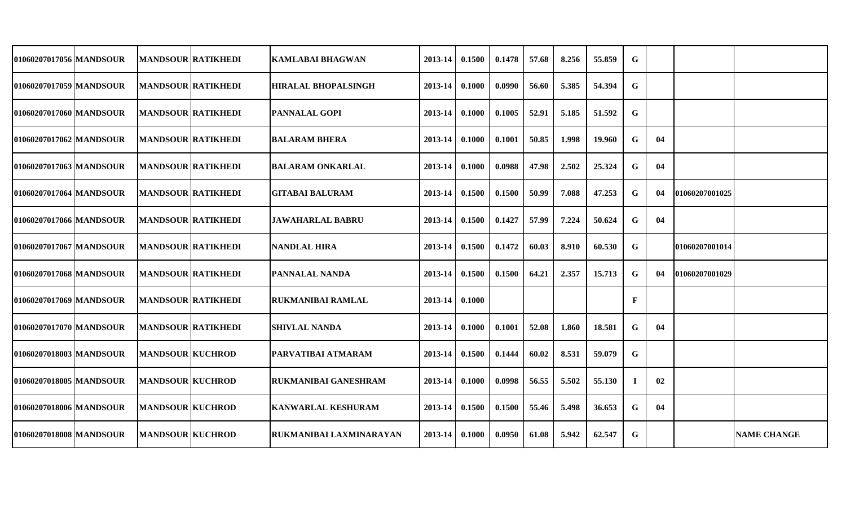| 01060207017056   MANDSOUR | <b>MANDSOUR RATIKHEDI</b> | <b>KAMLABAI BHAGWAN</b>     | 2013-14 | 0.1500 | 0.1478 | 57.68 | 8.256 | 55.859 | G           |    |                       |                    |
|---------------------------|---------------------------|-----------------------------|---------|--------|--------|-------|-------|--------|-------------|----|-----------------------|--------------------|
| 01060207017059 MANDSOUR   | <b>MANDSOUR RATIKHEDI</b> | <b>HIRALAL BHOPALSINGH</b>  | 2013-14 | 0.1000 | 0.0990 | 56.60 | 5.385 | 54.394 | G           |    |                       |                    |
| 01060207017060 MANDSOUR   | <b>MANDSOUR RATIKHEDI</b> | <b>PANNALAL GOPI</b>        | 2013-14 | 0.1000 | 0.1005 | 52.91 | 5.185 | 51.592 | G           |    |                       |                    |
| 01060207017062 MANDSOUR   | <b>MANDSOUR RATIKHEDI</b> | <b>BALARAM BHERA</b>        | 2013-14 | 0.1000 | 0.1001 | 50.85 | 1.998 | 19.960 | G           | 04 |                       |                    |
| 01060207017063 MANDSOUR   | <b>MANDSOUR RATIKHEDI</b> | <b>BALARAM ONKARLAL</b>     | 2013-14 | 0.1000 | 0.0988 | 47.98 | 2.502 | 25.324 | G           | 04 |                       |                    |
| 01060207017064 MANDSOUR   | <b>MANDSOUR RATIKHEDI</b> | <b>GITABAI BALURAM</b>      | 2013-14 | 0.1500 | 0.1500 | 50.99 | 7.088 | 47.253 | G           | 04 | 01060207001025        |                    |
| 01060207017066 MANDSOUR   | <b>MANDSOUR RATIKHEDI</b> | <b>JAWAHARLAL BABRU</b>     | 2013-14 | 0.1500 | 0.1427 | 57.99 | 7.224 | 50.624 | G           | 04 |                       |                    |
| 01060207017067   MANDSOUR | <b>MANDSOUR RATIKHEDI</b> | <b>NANDLAL HIRA</b>         | 2013-14 | 0.1500 | 0.1472 | 60.03 | 8.910 | 60.530 | G           |    | <b>01060207001014</b> |                    |
| 01060207017068 MANDSOUR   | <b>MANDSOUR RATIKHEDI</b> | <b>PANNALAL NANDA</b>       | 2013-14 | 0.1500 | 0.1500 | 64.21 | 2.357 | 15.713 | G           | 04 | 101060207001029       |                    |
| 01060207017069 MANDSOUR   | <b>MANDSOUR RATIKHEDI</b> | <b>RUKMANIBAI RAMLAL</b>    | 2013-14 | 0.1000 |        |       |       |        | F           |    |                       |                    |
| 01060207017070 MANDSOUR   | <b>MANDSOUR RATIKHEDI</b> | <b>SHIVLAL NANDA</b>        | 2013-14 | 0.1000 | 0.1001 | 52.08 | 1.860 | 18.581 | G           | 04 |                       |                    |
| 01060207018003 MANDSOUR   | <b>MANDSOUR KUCHROD</b>   | <b>PARVATIBAI ATMARAM</b>   | 2013-14 | 0.1500 | 0.1444 | 60.02 | 8.531 | 59.079 | G           |    |                       |                    |
| 01060207018005 MANDSOUR   | <b>MANDSOUR KUCHROD</b>   | <b>RUKMANIBAI GANESHRAM</b> | 2013-14 | 0.1000 | 0.0998 | 56.55 | 5.502 | 55.130 |             | 02 |                       |                    |
| 01060207018006 MANDSOUR   | <b>MANDSOUR KUCHROD</b>   | <b>KANWARLAL KESHURAM</b>   | 2013-14 | 0.1500 | 0.1500 | 55.46 | 5.498 | 36.653 | G           | 04 |                       |                    |
| 01060207018008 MANDSOUR   | <b>MANDSOUR KUCHROD</b>   | RUKMANIBAI LAXMINARAYAN     | 2013-14 | 0.1000 | 0.0950 | 61.08 | 5.942 | 62.547 | $\mathbf G$ |    |                       | <b>NAME CHANGE</b> |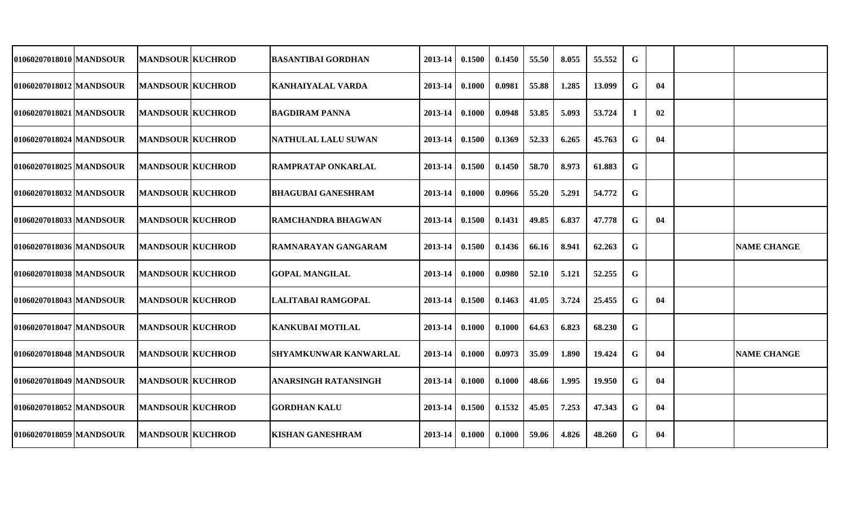| 01060207018010 MANDSOUR   | <b>MANDSOUR KUCHROD</b> | BASANTIBAI GORDHAN           | 2013-14     | 0.1500 | 0.1450 | 55.50 | 8.055 | 55.552 | G |    |                    |
|---------------------------|-------------------------|------------------------------|-------------|--------|--------|-------|-------|--------|---|----|--------------------|
| 01060207018012   MANDSOUR | <b>MANDSOUR KUCHROD</b> | KANHAIYALAL VARDA            | 2013-14     | 0.1000 | 0.0981 | 55.88 | 1.285 | 13.099 | G | 04 |                    |
| 01060207018021 MANDSOUR   | <b>MANDSOUR KUCHROD</b> | IBAGDIRAM PANNA              | 2013-14     | 0.1000 | 0.0948 | 53.85 | 5.093 | 53.724 |   | 02 |                    |
| 01060207018024   MANDSOUR | <b>MANDSOUR KUCHROD</b> | NATHULAL LALU SUWAN          | 2013-14     | 0.1500 | 0.1369 | 52.33 | 6.265 | 45.763 | G | 04 |                    |
| 01060207018025 MANDSOUR   | <b>MANDSOUR KUCHROD</b> | <b>RAMPRATAP ONKARLAL</b>    | $2013 - 14$ | 0.1500 | 0.1450 | 58.70 | 8.973 | 61.883 | G |    |                    |
| 01060207018032 MANDSOUR   | <b>MANDSOUR KUCHROD</b> | BHAGUBAI GANESHRAM           | $2013 - 14$ | 0.1000 | 0.0966 | 55.20 | 5.291 | 54.772 | G |    |                    |
| 01060207018033 MANDSOUR   | <b>MANDSOUR KUCHROD</b> | RAMCHANDRA BHAGWAN           | 2013-14     | 0.1500 | 0.1431 | 49.85 | 6.837 | 47.778 | G | 04 |                    |
| 01060207018036 MANDSOUR   | <b>MANDSOUR KUCHROD</b> | <b>RAMNARAYAN GANGARAM</b>   | 2013-14     | 0.1500 | 0.1436 | 66.16 | 8.941 | 62.263 | G |    | <b>NAME CHANGE</b> |
| 01060207018038 MANDSOUR   | <b>MANDSOUR KUCHROD</b> | <b>GOPAL MANGILAL</b>        | 2013-14     | 0.1000 | 0.0980 | 52.10 | 5.121 | 52,255 | G |    |                    |
| 01060207018043 MANDSOUR   | <b>MANDSOUR KUCHROD</b> | LALITABAI RAMGOPAL           | 2013-14     | 0.1500 | 0.1463 | 41.05 | 3.724 | 25.455 | G | 04 |                    |
| 01060207018047   MANDSOUR | <b>MANDSOUR KUCHROD</b> | KANKUBAI MOTILAL             | 2013-14     | 0.1000 | 0.1000 | 64.63 | 6.823 | 68.230 | G |    |                    |
| 01060207018048 MANDSOUR   | <b>MANDSOUR KUCHROD</b> | <b>SHYAMKUNWAR KANWARLAL</b> | 2013-14     | 0.1000 | 0.0973 | 35.09 | 1.890 | 19.424 | G | 04 | <b>NAME CHANGE</b> |
| 01060207018049 MANDSOUR   | <b>MANDSOUR KUCHROD</b> | ANARSINGH RATANSINGH         | 2013-14     | 0.1000 | 0.1000 | 48.66 | 1.995 | 19.950 | G | 04 |                    |
| 01060207018052 MANDSOUR   | <b>MANDSOUR KUCHROD</b> | <b>GORDHAN KALU</b>          | 2013-14     | 0.1500 | 0.1532 | 45.05 | 7.253 | 47.343 | G | 04 |                    |
| 01060207018059 MANDSOUR   | <b>MANDSOUR KUCHROD</b> | <b>KISHAN GANESHRAM</b>      | $2013 - 14$ | 0.1000 | 0.1000 | 59.06 | 4.826 | 48.260 | G | 04 |                    |
|                           |                         |                              |             |        |        |       |       |        |   |    |                    |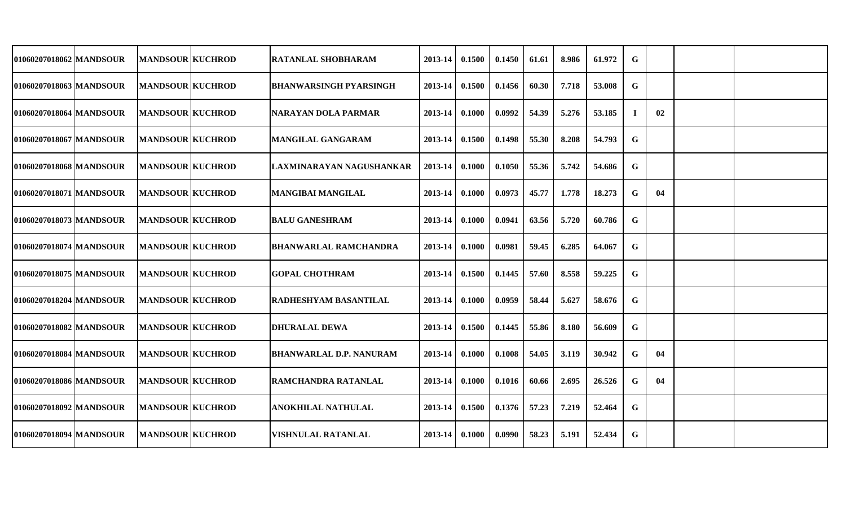| 01060207018062   MANDSOUR | <b>MANDSOUR KUCHROD</b> | <b>RATANLAL SHOBHARAM</b>      | 2013-14     | 0.1500 | 0.1450 | 61.61 | 8.986 | 61.972 | $\mathbf G$ |    |  |
|---------------------------|-------------------------|--------------------------------|-------------|--------|--------|-------|-------|--------|-------------|----|--|
| 01060207018063   MANDSOUR | <b>MANDSOUR KUCHROD</b> | <b>BHANWARSINGH PYARSINGH</b>  | 2013-14     | 0.1500 | 0.1456 | 60.30 | 7.718 | 53.008 | $\mathbf G$ |    |  |
| 01060207018064 MANDSOUR   | <b>MANDSOUR KUCHROD</b> | NARAYAN DOLA PARMAR            | 2013-14     | 0.1000 | 0.0992 | 54.39 | 5.276 | 53.185 | J.          | 02 |  |
| 01060207018067 MANDSOUR   | <b>MANDSOUR KUCHROD</b> | <b>MANGILAL GANGARAM</b>       | 2013-14     | 0.1500 | 0.1498 | 55.30 | 8.208 | 54.793 | G           |    |  |
| 01060207018068 MANDSOUR   | <b>MANDSOUR KUCHROD</b> | LAXMINARAYAN NAGUSHANKAR       | $2013 - 14$ | 0.1000 | 0.1050 | 55.36 | 5.742 | 54.686 | G           |    |  |
| 01060207018071   MANDSOUR | <b>MANDSOUR KUCHROD</b> | <b>MANGIBAI MANGILAL</b>       | $2013 - 14$ | 0.1000 | 0.0973 | 45.77 | 1.778 | 18.273 | G           | 04 |  |
| 01060207018073 MANDSOUR   | <b>MANDSOUR KUCHROD</b> | <b>BALU GANESHRAM</b>          | $2013 - 14$ | 0.1000 | 0.0941 | 63.56 | 5.720 | 60.786 | G           |    |  |
| 01060207018074 MANDSOUR   | <b>MANDSOUR KUCHROD</b> | BHANWARLAL RAMCHANDRA          | $2013 - 14$ | 0.1000 | 0.0981 | 59.45 | 6.285 | 64.067 | G           |    |  |
| 01060207018075 MANDSOUR   | <b>MANDSOUR KUCHROD</b> | <b>GOPAL CHOTHRAM</b>          | 2013-14     | 0.1500 | 0.1445 | 57.60 | 8.558 | 59.225 | G           |    |  |
| 01060207018204 MANDSOUR   | <b>MANDSOUR KUCHROD</b> | <b>RADHESHYAM BASANTILAL</b>   | 2013-14     | 0.1000 | 0.0959 | 58.44 | 5.627 | 58.676 | G           |    |  |
| 01060207018082 MANDSOUR   | <b>MANDSOUR KUCHROD</b> | <b>DHURALAL DEWA</b>           | 2013-14     | 0.1500 | 0.1445 | 55.86 | 8.180 | 56.609 | G           |    |  |
| 01060207018084 MANDSOUR   | <b>MANDSOUR KUCHROD</b> | <b>BHANWARLAL D.P. NANURAM</b> | 2013-14     | 0.1000 | 0.1008 | 54.05 | 3.119 | 30.942 | G           | 04 |  |
| 01060207018086 MANDSOUR   | <b>MANDSOUR KUCHROD</b> | <b>RAMCHANDRA RATANLAL</b>     | 2013-14     | 0.1000 | 0.1016 | 60.66 | 2.695 | 26.526 | G           | 04 |  |
| 01060207018092 MANDSOUR   | <b>MANDSOUR KUCHROD</b> | <b>ANOKHILAL NATHULAL</b>      | 2013-14     | 0.1500 | 0.1376 | 57.23 | 7.219 | 52.464 | G           |    |  |
| 01060207018094 MANDSOUR   | <b>MANDSOUR KUCHROD</b> | <b>VISHNULAL RATANLAL</b>      | $2013 - 14$ | 0.1000 | 0.0990 | 58.23 | 5.191 | 52.434 | G           |    |  |
|                           |                         |                                |             |        |        |       |       |        |             |    |  |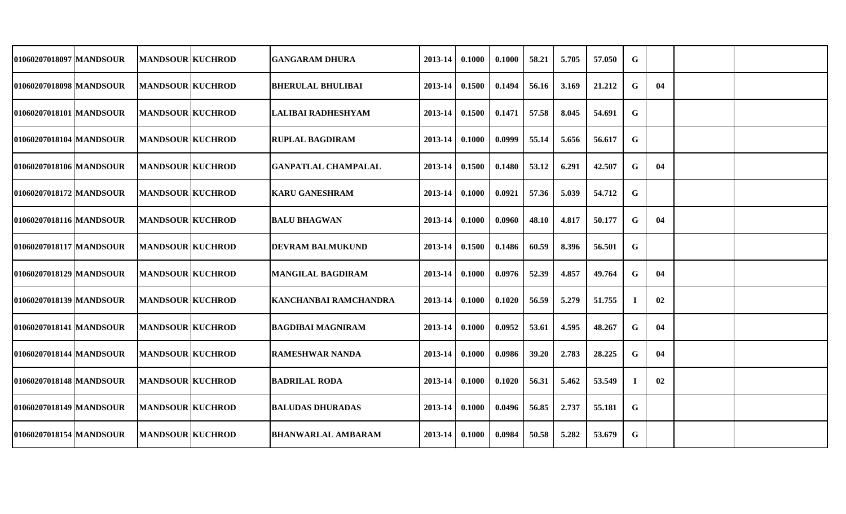| 01060207018097   MANDSOUR | <b>MANDSOUR KUCHROD</b> | GANGARAM DHURA               | 2013-14     | 0.1000 | 0.1000 | 58.21 | 5.705 | 57.050 | G           |    |  |
|---------------------------|-------------------------|------------------------------|-------------|--------|--------|-------|-------|--------|-------------|----|--|
| 01060207018098   MANDSOUR | <b>MANDSOUR KUCHROD</b> | <b>BHERULAL BHULIBAI</b>     | 2013-14     | 0.1500 | 0.1494 | 56.16 | 3.169 | 21.212 | G           | 04 |  |
| 01060207018101 MANDSOUR   | <b>MANDSOUR KUCHROD</b> | <b>LALIBAI RADHESHYAM</b>    | 2013-14     | 0.1500 | 0.1471 | 57.58 | 8.045 | 54.691 | G           |    |  |
| 01060207018104 MANDSOUR   | <b>MANDSOUR KUCHROD</b> | <b>RUPLAL BAGDIRAM</b>       | 2013-14     | 0.1000 | 0.0999 | 55.14 | 5.656 | 56.617 | G           |    |  |
| 01060207018106 MANDSOUR   | <b>MANDSOUR KUCHROD</b> | <b>GANPATLAL CHAMPALAL</b>   | 2013-14     | 0.1500 | 0.1480 | 53.12 | 6.291 | 42.507 | G           | 04 |  |
| 01060207018172 MANDSOUR   | <b>MANDSOUR KUCHROD</b> | <b>KARU GANESHRAM</b>        | 2013-14     | 0.1000 | 0.0921 | 57.36 | 5.039 | 54.712 | G           |    |  |
| 01060207018116 MANDSOUR   | <b>MANDSOUR KUCHROD</b> | <b>BALU BHAGWAN</b>          | $2013 - 14$ | 0.1000 | 0.0960 | 48.10 | 4.817 | 50.177 | G           | 04 |  |
| 01060207018117 MANDSOUR   | <b>MANDSOUR KUCHROD</b> | <b>DEVRAM BALMUKUND</b>      | $2013 - 14$ | 0.1500 | 0.1486 | 60.59 | 8.396 | 56.501 | G           |    |  |
| 01060207018129 MANDSOUR   | <b>MANDSOUR KUCHROD</b> | <b>MANGILAL BAGDIRAM</b>     | 2013-14     | 0.1000 | 0.0976 | 52.39 | 4.857 | 49.764 | G           | 04 |  |
| 01060207018139 MANDSOUR   | <b>MANDSOUR KUCHROD</b> | <b>KANCHANBAI RAMCHANDRA</b> | 2013-14     | 0.1000 | 0.1020 | 56.59 | 5.279 | 51.755 | $\bf{l}$    | 02 |  |
| 01060207018141 MANDSOUR   | <b>MANDSOUR KUCHROD</b> | <b>BAGDIBAI MAGNIRAM</b>     | 2013-14     | 0.1000 | 0.0952 | 53.61 | 4.595 | 48.267 | G           | 04 |  |
| 01060207018144 MANDSOUR   | <b>MANDSOUR KUCHROD</b> | <b>RAMESHWAR NANDA</b>       | 2013-14     | 0.1000 | 0.0986 | 39.20 | 2.783 | 28.225 | G           | 04 |  |
| 01060207018148 MANDSOUR   | <b>MANDSOUR KUCHROD</b> | <b>BADRILAL RODA</b>         | 2013-14     | 0.1000 | 0.1020 | 56.31 | 5.462 | 53.549 |             | 02 |  |
| 01060207018149 MANDSOUR   | <b>MANDSOUR KUCHROD</b> | <b>BALUDAS DHURADAS</b>      | 2013-14     | 0.1000 | 0.0496 | 56.85 | 2.737 | 55.181 | G           |    |  |
| 01060207018154 MANDSOUR   | <b>MANDSOUR KUCHROD</b> | <b>BHANWARLAL AMBARAM</b>    | $2013 - 14$ | 0.1000 | 0.0984 | 50.58 | 5.282 | 53.679 | $\mathbf G$ |    |  |
|                           |                         |                              |             |        |        |       |       |        |             |    |  |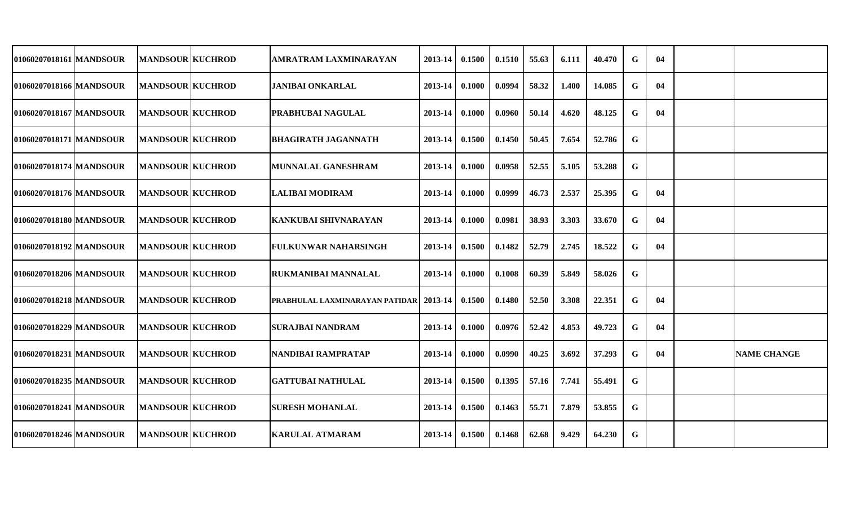| 01060207018161 MANDSOUR   | <b>MANDSOUR KUCHROD</b> | AMRATRAM LAXMINARAYAN                           | 2013-14          | 0.1500 | 0.1510 | 55.63 | 6.111 | 40.470 | G           | 04 |                    |
|---------------------------|-------------------------|-------------------------------------------------|------------------|--------|--------|-------|-------|--------|-------------|----|--------------------|
| 01060207018166   MANDSOUR | <b>MANDSOUR KUCHROD</b> | JANIBAI ONKARLAL                                | 2013-14          | 0.1000 | 0.0994 | 58.32 | 1.400 | 14.085 | G           | 04 |                    |
| 01060207018167 MANDSOUR   | <b>MANDSOUR KUCHROD</b> | PRABHUBAI NAGULAL                               | 2013-14          | 0.1000 | 0.0960 | 50.14 | 4.620 | 48.125 | G           | 04 |                    |
| 01060207018171 MANDSOUR   | <b>MANDSOUR KUCHROD</b> | IBHAGIRATH JAGANNATH                            | 2013-14          | 0.1500 | 0.1450 | 50.45 | 7.654 | 52.786 | G           |    |                    |
| 01060207018174 MANDSOUR   | <b>MANDSOUR KUCHROD</b> | MUNNALAL GANESHRAM                              | $2013 - 14$      | 0.1000 | 0.0958 | 52.55 | 5.105 | 53.288 | G           |    |                    |
| 01060207018176 MANDSOUR   | <b>MANDSOUR KUCHROD</b> | ILALIBAI MODIRAM                                | $2013 - 14$      | 0.1000 | 0.0999 | 46.73 | 2.537 | 25.395 | G           | 04 |                    |
| 01060207018180 MANDSOUR   | <b>MANDSOUR KUCHROD</b> | KANKUBAI SHIVNARAYAN                            | 2013-14          | 0.1000 | 0.0981 | 38.93 | 3.303 | 33.670 | G           | 04 |                    |
| 01060207018192 MANDSOUR   | <b>MANDSOUR KUCHROD</b> | <b>FULKUNWAR NAHARSINGH</b>                     | 2013-14          | 0.1500 | 0.1482 | 52.79 | 2.745 | 18.522 | G           | 04 |                    |
| 01060207018206 MANDSOUR   | <b>MANDSOUR KUCHROD</b> | <b>RUKMANIBAI MANNALAL</b>                      | 2013-14          | 0.1000 | 0.1008 | 60.39 | 5.849 | 58.026 | G           |    |                    |
| 01060207018218 MANDSOUR   | <b>MANDSOUR KUCHROD</b> | <b>PRABHULAL LAXMINARAYAN PATIDAR   2013-14</b> |                  | 0.1500 | 0.1480 | 52.50 | 3.308 | 22.351 | G           | 04 |                    |
| 01060207018229   MANDSOUR | <b>MANDSOUR KUCHROD</b> | <b>SURAJBAI NANDRAM</b>                         | 2013-14          | 0.1000 | 0.0976 | 52.42 | 4.853 | 49.723 | G           | 04 |                    |
| 01060207018231 MANDSOUR   | <b>MANDSOUR KUCHROD</b> | NANDIBAI RAMPRATAP                              | 2013-14          | 0.1000 | 0.0990 | 40.25 | 3.692 | 37.293 | G           | 04 | <b>NAME CHANGE</b> |
| 01060207018235 MANDSOUR   | <b>MANDSOUR KUCHROD</b> | <b>GATTUBAI NATHULAL</b>                        | $2013 - 14$      | 0.1500 | 0.1395 | 57.16 | 7.741 | 55.491 | G           |    |                    |
| 01060207018241 MANDSOUR   | <b>MANDSOUR KUCHROD</b> | <b>SURESH MOHANLAL</b>                          | $2013 - 14$      | 0.1500 | 0.1463 | 55.71 | 7.879 | 53.855 | G           |    |                    |
| 01060207018246 MANDSOUR   | <b>MANDSOUR KUCHROD</b> | <b>KARULAL ATMARAM</b>                          | $2013-14$ 0.1500 |        | 0.1468 | 62.68 | 9.429 | 64.230 | $\mathbf G$ |    |                    |
|                           |                         |                                                 |                  |        |        |       |       |        |             |    |                    |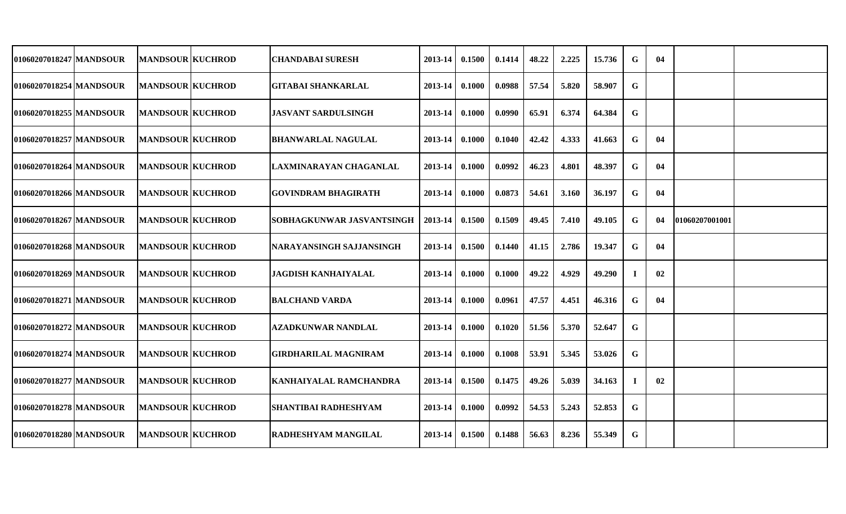| 01060207018247 MANDSOUR | <b>MANDSOUR KUCHROD</b> | CHANDABAI SURESH            | 2013-14          | 0.1500 | 0.1414 | 48.22 | 2.225 | 15.736 | G           | 04 |                |  |
|-------------------------|-------------------------|-----------------------------|------------------|--------|--------|-------|-------|--------|-------------|----|----------------|--|
| 01060207018254 MANDSOUR | <b>MANDSOUR KUCHROD</b> | GITABAI SHANKARLAL          | 2013-14          | 0.1000 | 0.0988 | 57.54 | 5.820 | 58.907 | G           |    |                |  |
| 01060207018255 MANDSOUR | <b>MANDSOUR KUCHROD</b> | <b>JASVANT SARDULSINGH</b>  | 2013-14          | 0.1000 | 0.0990 | 65.91 | 6.374 | 64.384 | G           |    |                |  |
| 01060207018257 MANDSOUR | <b>MANDSOUR KUCHROD</b> | <b>BHANWARLAL NAGULAL</b>   | 2013-14          | 0.1000 | 0.1040 | 42.42 | 4.333 | 41.663 | G           | 04 |                |  |
| 01060207018264 MANDSOUR | <b>MANDSOUR KUCHROD</b> | ILAXMINARAYAN CHAGANLAL     | 2013-14          | 0.1000 | 0.0992 | 46.23 | 4.801 | 48.397 | G           | 04 |                |  |
| 01060207018266 MANDSOUR | <b>MANDSOUR KUCHROD</b> | GOVINDRAM BHAGIRATH         | $2013 - 14$      | 0.1000 | 0.0873 | 54.61 | 3.160 | 36.197 | G           | 04 |                |  |
| 01060207018267 MANDSOUR | <b>MANDSOUR KUCHROD</b> | SOBHAGKUNWAR JASVANTSINGH   | 2013-14          | 0.1500 | 0.1509 | 49.45 | 7.410 | 49.105 | G           | 04 | 01060207001001 |  |
| 01060207018268 MANDSOUR | <b>MANDSOUR KUCHROD</b> | NARAYANSINGH SAJJANSINGH    | 2013-14          | 0.1500 | 0.1440 | 41.15 | 2.786 | 19.347 | G           | 04 |                |  |
| 01060207018269 MANDSOUR | <b>MANDSOUR KUCHROD</b> | <b>JAGDISH KANHAIYALAL</b>  | 2013-14          | 0.1000 | 0.1000 | 49.22 | 4.929 | 49.290 | -1          | 02 |                |  |
| 01060207018271 MANDSOUR | <b>MANDSOUR KUCHROD</b> | <b>BALCHAND VARDA</b>       | 2013-14          | 0.1000 | 0.0961 | 47.57 | 4.451 | 46.316 | G           | 04 |                |  |
| 01060207018272 MANDSOUR | <b>MANDSOUR KUCHROD</b> | AZADKUNWAR NANDLAL          | 2013-14          | 0.1000 | 0.1020 | 51.56 | 5.370 | 52.647 | G           |    |                |  |
| 01060207018274 MANDSOUR | <b>MANDSOUR KUCHROD</b> | <b>GIRDHARILAL MAGNIRAM</b> | 2013-14          | 0.1000 | 0.1008 | 53.91 | 5.345 | 53.026 | G           |    |                |  |
| 01060207018277 MANDSOUR | <b>MANDSOUR KUCHROD</b> | KANHAIYALAL RAMCHANDRA      | $2013 - 14$      | 0.1500 | 0.1475 | 49.26 | 5.039 | 34.163 |             | 02 |                |  |
| 01060207018278 MANDSOUR | <b>MANDSOUR KUCHROD</b> | <b>SHANTIBAI RADHESHYAM</b> | 2013-14          | 0.1000 | 0.0992 | 54.53 | 5.243 | 52.853 | G           |    |                |  |
| 01060207018280 MANDSOUR | <b>MANDSOUR KUCHROD</b> | RADHESHYAM MANGILAL         | $2013-14$ 0.1500 |        | 0.1488 | 56.63 | 8.236 | 55.349 | $\mathbf G$ |    |                |  |
|                         |                         |                             |                  |        |        |       |       |        |             |    |                |  |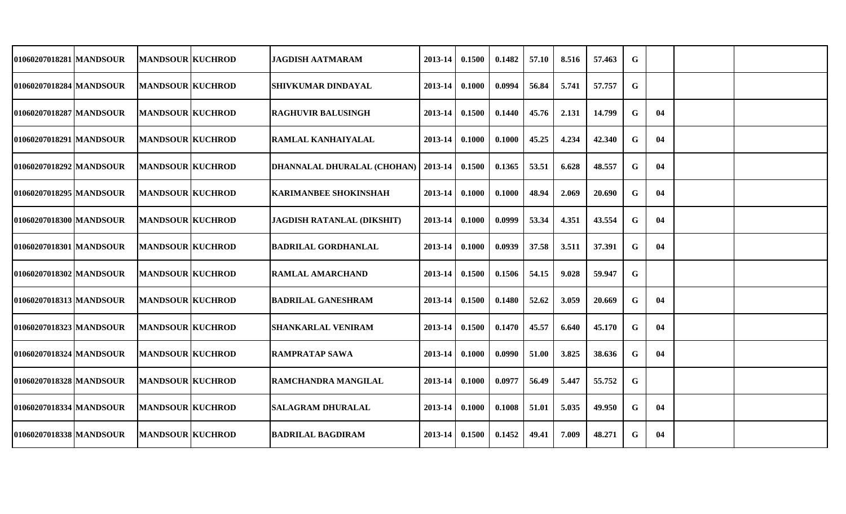| 01060207018281 MANDSOUR   | <b>MANDSOUR KUCHROD</b> | <b>JAGDISH AATMARAM</b>               | 2013-14     | 0.1500 | 0.1482 | 57.10 | 8.516 | 57.463 | G |    |  |
|---------------------------|-------------------------|---------------------------------------|-------------|--------|--------|-------|-------|--------|---|----|--|
| 01060207018284 MANDSOUR   | <b>MANDSOUR KUCHROD</b> | <b>SHIVKUMAR DINDAYAL</b>             | 2013-14     | 0.1000 | 0.0994 | 56.84 | 5.741 | 57.757 | G |    |  |
| 01060207018287 MANDSOUR   | <b>MANDSOUR KUCHROD</b> | <b>RAGHUVIR BALUSINGH</b>             | 2013-14     | 0.1500 | 0.1440 | 45.76 | 2.131 | 14.799 | G | 04 |  |
| 01060207018291 IMANDSOUR  | <b>MANDSOUR KUCHROD</b> | RAMLAL KANHAIYALAL                    | $2013 - 14$ | 0.1000 | 0.1000 | 45.25 | 4.234 | 42.340 | G | 04 |  |
| 01060207018292 MANDSOUR   | <b>MANDSOUR KUCHROD</b> | DHANNALAL DHURALAL (CHOHAN)   2013-14 |             | 0.1500 | 0.1365 | 53.51 | 6.628 | 48.557 | G | 04 |  |
| 01060207018295 MANDSOUR   | <b>MANDSOUR KUCHROD</b> | <b>KARIMANBEE SHOKINSHAH</b>          | $2013 - 14$ | 0.1000 | 0.1000 | 48.94 | 2.069 | 20.690 | G | 04 |  |
| 01060207018300 MANDSOUR   | <b>MANDSOUR KUCHROD</b> | JAGDISH RATANLAL (DIKSHIT)            | 2013-14     | 0.1000 | 0.0999 | 53.34 | 4.351 | 43.554 | G | 04 |  |
| 01060207018301 MANDSOUR   | <b>MANDSOUR KUCHROD</b> | <b>BADRILAL GORDHANLAL</b>            | 2013-14     | 0.1000 | 0.0939 | 37.58 | 3.511 | 37.391 | G | 04 |  |
| 01060207018302 MANDSOUR   | <b>MANDSOUR KUCHROD</b> | <b>RAMLAL AMARCHAND</b>               | 2013-14     | 0.1500 | 0.1506 | 54.15 | 9.028 | 59.947 | G |    |  |
| 01060207018313 MANDSOUR   | <b>MANDSOUR KUCHROD</b> | <b>BADRILAL GANESHRAM</b>             | 2013-14     | 0.1500 | 0.1480 | 52.62 | 3.059 | 20.669 | G | 04 |  |
| 01060207018323   MANDSOUR | <b>MANDSOUR KUCHROD</b> | <b>SHANKARLAL VENIRAM</b>             | 2013-14     | 0.1500 | 0.1470 | 45.57 | 6.640 | 45.170 | G | 04 |  |
| 01060207018324 MANDSOUR   | <b>MANDSOUR KUCHROD</b> | <b>RAMPRATAP SAWA</b>                 | 2013-14     | 0.1000 | 0.0990 | 51.00 | 3.825 | 38.636 | G | 04 |  |
| 01060207018328 MANDSOUR   | <b>MANDSOUR KUCHROD</b> | <b>RAMCHANDRA MANGILAL</b>            | 2013-14     | 0.1000 | 0.0977 | 56.49 | 5.447 | 55.752 | G |    |  |
| 01060207018334 MANDSOUR   | <b>MANDSOUR KUCHROD</b> | <b>SALAGRAM DHURALAL</b>              | $2013 - 14$ | 0.1000 | 0.1008 | 51.01 | 5.035 | 49.950 | G | 04 |  |
| 01060207018338 MANDSOUR   | <b>MANDSOUR KUCHROD</b> | <b>BADRILAL BAGDIRAM</b>              | $2013 - 14$ | 0.1500 | 0.1452 | 49.41 | 7.009 | 48.271 | G | 04 |  |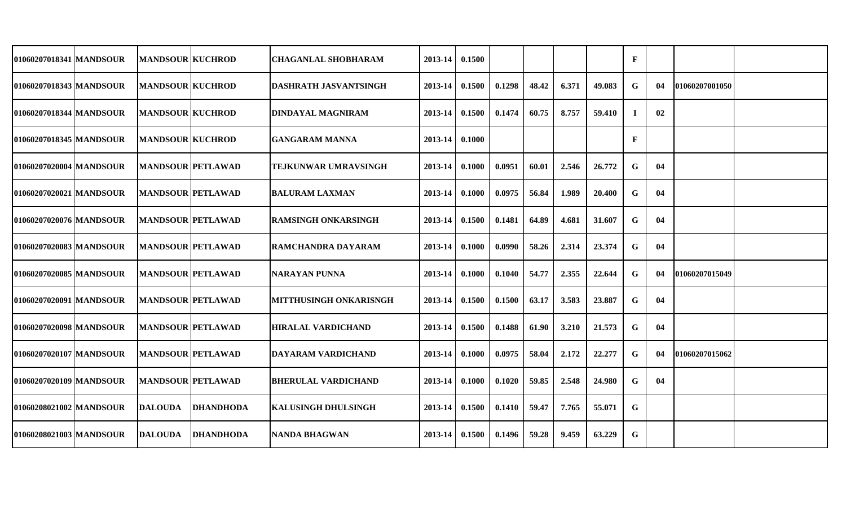| 01060207018341  MANDSOUR  | <b>MANDSOUR KUCHROD</b>  |                  | <b>CHAGANLAL SHOBHARAM</b>    | 2013-14     | 0.1500 |        |       |       |        | F           |     |                 |  |
|---------------------------|--------------------------|------------------|-------------------------------|-------------|--------|--------|-------|-------|--------|-------------|-----|-----------------|--|
| 01060207018343   MANDSOUR | <b>MANDSOUR KUCHROD</b>  |                  | <b>DASHRATH JASVANTSINGH</b>  | 2013-14     | 0.1500 | 0.1298 | 48.42 | 6.371 | 49.083 | G           | 04  | 101060207001050 |  |
| 01060207018344 MANDSOUR   | <b>MANDSOUR KUCHROD</b>  |                  | <b>DINDAYAL MAGNIRAM</b>      | 2013-14     | 0.1500 | 0.1474 | 60.75 | 8.757 | 59.410 | I           | 02  |                 |  |
| 01060207018345 MANDSOUR   | <b>MANDSOUR KUCHROD</b>  |                  | <b>GANGARAM MANNA</b>         | 2013-14     | 0.1000 |        |       |       |        | F           |     |                 |  |
| 01060207020004 MANDSOUR   | <b>MANDSOUR PETLAWAD</b> |                  | <b>TEJKUNWAR UMRAVSINGH</b>   | 2013-14     | 0.1000 | 0.0951 | 60.01 | 2.546 | 26,772 | G           | 04  |                 |  |
| 01060207020021   MANDSOUR | <b>MANDSOUR PETLAWAD</b> |                  | <b>BALURAM LAXMAN</b>         | 2013-14     | 0.1000 | 0.0975 | 56.84 | 1.989 | 20.400 | G           | 04  |                 |  |
| 01060207020076 MANDSOUR   | <b>MANDSOUR PETLAWAD</b> |                  | RAMSINGH ONKARSINGH           | 2013-14     | 0.1500 | 0.1481 | 64.89 | 4.681 | 31.607 | G           | 04  |                 |  |
| 01060207020083 MANDSOUR   | <b>MANDSOUR PETLAWAD</b> |                  | IRAMCHANDRA DAYARAM           | $2013 - 14$ | 0.1000 | 0.0990 | 58.26 | 2.314 | 23.374 | G           | 04  |                 |  |
| 01060207020085 MANDSOUR   | <b>MANDSOUR PETLAWAD</b> |                  | NARAYAN PUNNA                 | 2013-14     | 0.1000 | 0.1040 | 54.77 | 2.355 | 22.644 | G           | -04 | 01060207015049  |  |
| 01060207020091 MANDSOUR   | <b>MANDSOUR PETLAWAD</b> |                  | <b>MITTHUSINGH ONKARISNGH</b> | 2013-14     | 0.1500 | 0.1500 | 63.17 | 3.583 | 23.887 | G           | 04  |                 |  |
| 01060207020098 MANDSOUR   | <b>MANDSOUR PETLAWAD</b> |                  | <b>HIRALAL VARDICHAND</b>     | 2013-14     | 0.1500 | 0.1488 | 61.90 | 3.210 | 21.573 | G           | 04  |                 |  |
| 01060207020107 MANDSOUR   | <b>MANDSOUR PETLAWAD</b> |                  | DAYARAM VARDICHAND            | 2013-14     | 0.1000 | 0.0975 | 58.04 | 2.172 | 22.277 | G           | 04  | 01060207015062  |  |
| 01060207020109 MANDSOUR   | <b>MANDSOUR PETLAWAD</b> |                  | <b>BHERULAL VARDICHAND</b>    | 2013-14     | 0.1000 | 0.1020 | 59.85 | 2.548 | 24.980 | G           | 04  |                 |  |
| 01060208021002 MANDSOUR   | <b>DALOUDA</b>           | <b>DHANDHODA</b> | <b>KALUSINGH DHULSINGH</b>    | 2013-14     | 0.1500 | 0.1410 | 59.47 | 7.765 | 55.071 | G           |     |                 |  |
| 01060208021003 MANDSOUR   | <b>DALOUDA</b>           | <b>DHANDHODA</b> | <b>NANDA BHAGWAN</b>          | $2013 - 14$ | 0.1500 | 0.1496 | 59.28 | 9.459 | 63.229 | $\mathbf G$ |     |                 |  |
|                           |                          |                  |                               |             |        |        |       |       |        |             |     |                 |  |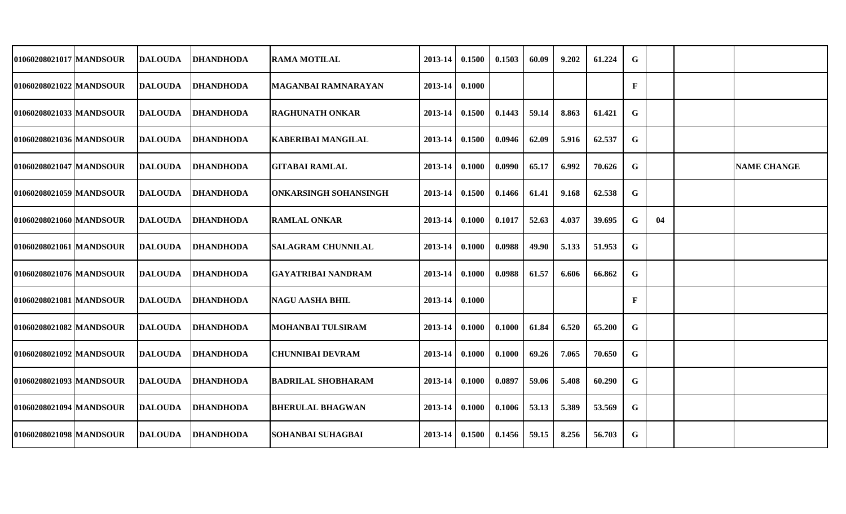| 01060208021017 MANDSOUR   | <b>DALOUDA</b> | <b>DHANDHODA</b> | <b>RAMA MOTILAL</b>          | 2013-14 | 0.1500 | 0.1503 | 60.09 | 9.202 | 61.224 | G           |    |                    |
|---------------------------|----------------|------------------|------------------------------|---------|--------|--------|-------|-------|--------|-------------|----|--------------------|
| 01060208021022 MANDSOUR   | <b>DALOUDA</b> | <b>DHANDHODA</b> | <b>MAGANBAI RAMNARAYAN</b>   | 2013-14 | 0.1000 |        |       |       |        | F           |    |                    |
| 01060208021033 MANDSOUR   | <b>DALOUDA</b> | <b>DHANDHODA</b> | <b>RAGHUNATH ONKAR</b>       | 2013-14 | 0.1500 | 0.1443 | 59.14 | 8.863 | 61.421 | G           |    |                    |
| 01060208021036 MANDSOUR   | <b>DALOUDA</b> | <b>DHANDHODA</b> | <b>KABERIBAI MANGILAL</b>    | 2013-14 | 0.1500 | 0.0946 | 62.09 | 5.916 | 62.537 | G           |    |                    |
| 01060208021047 MANDSOUR   | <b>DALOUDA</b> | <b>DHANDHODA</b> | <b>GITABAI RAMLAL</b>        | 2013-14 | 0.1000 | 0.0990 | 65.17 | 6.992 | 70.626 | G           |    | <b>NAME CHANGE</b> |
| 01060208021059 MANDSOUR   | <b>DALOUDA</b> | <b>DHANDHODA</b> | <b>ONKARSINGH SOHANSINGH</b> | 2013-14 | 0.1500 | 0.1466 | 61.41 | 9.168 | 62.538 | G           |    |                    |
| 01060208021060 MANDSOUR   | <b>DALOUDA</b> | <b>DHANDHODA</b> | <b>RAMLAL ONKAR</b>          | 2013-14 | 0.1000 | 0.1017 | 52.63 | 4.037 | 39.695 | G           | 04 |                    |
| 01060208021061   MANDSOUR | <b>DALOUDA</b> | <b>DHANDHODA</b> | <b>SALAGRAM CHUNNILAL</b>    | 2013-14 | 0.1000 | 0.0988 | 49.90 | 5.133 | 51.953 | $\mathbf G$ |    |                    |
| 01060208021076 MANDSOUR   | <b>DALOUDA</b> | <b>DHANDHODA</b> | <b>GAYATRIBAI NANDRAM</b>    | 2013-14 | 0.1000 | 0.0988 | 61.57 | 6.606 | 66.862 | G           |    |                    |
| 01060208021081 MANDSOUR   | <b>DALOUDA</b> | <b>DHANDHODA</b> | <b>NAGU AASHA BHIL</b>       | 2013-14 | 0.1000 |        |       |       |        | F           |    |                    |
| 01060208021082 MANDSOUR   | <b>DALOUDA</b> | <b>DHANDHODA</b> | <b>MOHANBAI TULSIRAM</b>     | 2013-14 | 0.1000 | 0.1000 | 61.84 | 6.520 | 65.200 | G           |    |                    |
| 01060208021092 MANDSOUR   | <b>DALOUDA</b> | <b>DHANDHODA</b> | <b>CHUNNIBAI DEVRAM</b>      | 2013-14 | 0.1000 | 0.1000 | 69.26 | 7.065 | 70.650 | G           |    |                    |
| 01060208021093 MANDSOUR   | <b>DALOUDA</b> | <b>DHANDHODA</b> | <b>BADRILAL SHOBHARAM</b>    | 2013-14 | 0.1000 | 0.0897 | 59.06 | 5.408 | 60.290 | G           |    |                    |
| 01060208021094 MANDSOUR   | <b>DALOUDA</b> | <b>DHANDHODA</b> | <b>BHERULAL BHAGWAN</b>      | 2013-14 | 0.1000 | 0.1006 | 53.13 | 5.389 | 53.569 | G           |    |                    |
| 01060208021098 MANDSOUR   | <b>DALOUDA</b> | <b>DHANDHODA</b> | <b>SOHANBAI SUHAGBAI</b>     | 2013-14 | 0.1500 | 0.1456 | 59.15 | 8.256 | 56.703 | $\bf G$     |    |                    |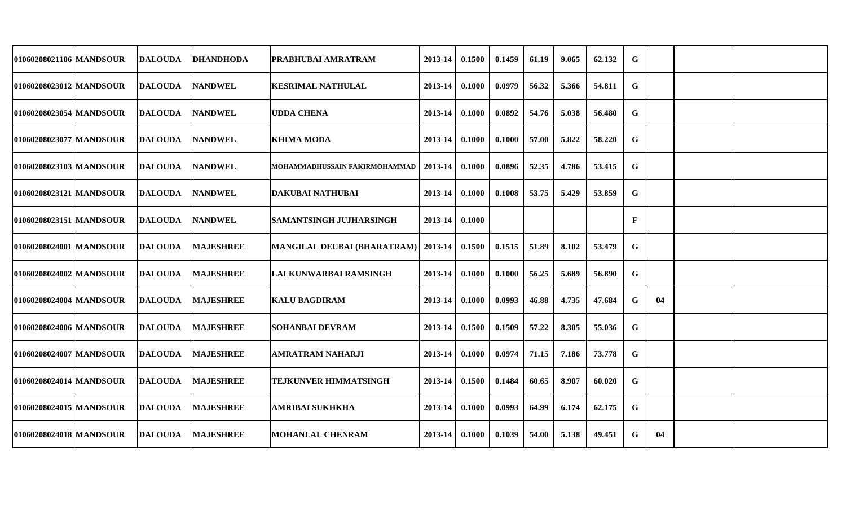| 01060208021106 MANDSOUR | DALOUDA        | <b>IDHANDHODA</b> | <b>PRABHUBAI AMRATRAM</b>                      | 2013-14            | 0.1500 | 0.1459 | 61.19 | 9.065 | 62.132 | G           |    |  |
|-------------------------|----------------|-------------------|------------------------------------------------|--------------------|--------|--------|-------|-------|--------|-------------|----|--|
| 01060208023012 MANDSOUR | DALOUDA        | <b>NANDWEL</b>    | KESRIMAL NATHULAL                              | 2013-14            | 0.1000 | 0.0979 | 56.32 | 5.366 | 54.811 | $\mathbf G$ |    |  |
| 01060208023054 MANDSOUR | DALOUDA        | <b>NANDWEL</b>    | <b>UDDA CHENA</b>                              | 2013-14            | 0.1000 | 0.0892 | 54.76 | 5.038 | 56.480 | G           |    |  |
| 01060208023077 MANDSOUR | <b>DALOUDA</b> | <b>NANDWEL</b>    | <b>KHIMA MODA</b>                              | 2013-14            | 0.1000 | 0.1000 | 57.00 | 5.822 | 58.220 | G           |    |  |
| 01060208023103 MANDSOUR | <b>DALOUDA</b> | <b>NANDWEL</b>    | MOHAMMADHUSSAIN FAKIRMOHAMMAD                  | $2013-14$ 0.1000   |        | 0.0896 | 52.35 | 4.786 | 53.415 | G           |    |  |
| 01060208023121 MANDSOUR | <b>DALOUDA</b> | <b>NANDWEL</b>    | <b>DAKUBAI NATHUBAI</b>                        | $2013-14$ 0.1000   |        | 0.1008 | 53.75 | 5.429 | 53.859 | G           |    |  |
| 01060208023151 MANDSOUR | <b>DALOUDA</b> | <b>NANDWEL</b>    | <b>SAMANTSINGH JUJHARSINGH</b>                 | 2013-14 0.1000     |        |        |       |       |        | $\mathbf F$ |    |  |
| 01060208024001 MANDSOUR | <b>DALOUDA</b> | <b>MAJESHREE</b>  | MANGILAL DEUBAI (BHARATRAM)   2013-14   0.1500 |                    |        | 0.1515 | 51.89 | 8.102 | 53.479 | G           |    |  |
| 01060208024002 MANDSOUR | <b>DALOUDA</b> | <b>MAJESHREE</b>  | LALKUNWARBAI RAMSINGH                          | 2013-14            | 0.1000 | 0.1000 | 56.25 | 5.689 | 56.890 | G           |    |  |
| 01060208024004 MANDSOUR | <b>DALOUDA</b> | <b>MAJESHREE</b>  | <b>KALU BAGDIRAM</b>                           | 2013-14            | 0.1000 | 0.0993 | 46.88 | 4.735 | 47.684 | G           | 04 |  |
| 01060208024006 MANDSOUR | <b>DALOUDA</b> | <b>MAJESHREE</b>  | <b>SOHANBAI DEVRAM</b>                         | 2013-14            | 0.1500 | 0.1509 | 57.22 | 8.305 | 55.036 | G           |    |  |
| 01060208024007 MANDSOUR | <b>DALOUDA</b> | <b>MAJESHREE</b>  | <b>AMRATRAM NAHARJI</b>                        | 2013-14            | 0.1000 | 0.0974 | 71.15 | 7.186 | 73.778 | G           |    |  |
| 01060208024014 MANDSOUR | <b>DALOUDA</b> | <b>MAJESHREE</b>  | <b>TEJKUNVER HIMMATSINGH</b>                   | $2013 - 14$        | 0.1500 | 0.1484 | 60.65 | 8.907 | 60.020 | G           |    |  |
| 01060208024015 MANDSOUR | <b>DALOUDA</b> | <b>MAJESHREE</b>  | <b>AMRIBAI SUKHKHA</b>                         | $2013 - 14$        | 0.1000 | 0.0993 | 64.99 | 6.174 | 62.175 | G           |    |  |
| 01060208024018 MANDSOUR | <b>DALOUDA</b> | <b>MAJESHREE</b>  | <b>MOHANLAL CHENRAM</b>                        | $2013 - 14$ 0.1000 |        | 0.1039 | 54.00 | 5.138 | 49.451 | G           | 04 |  |
|                         |                |                   |                                                |                    |        |        |       |       |        |             |    |  |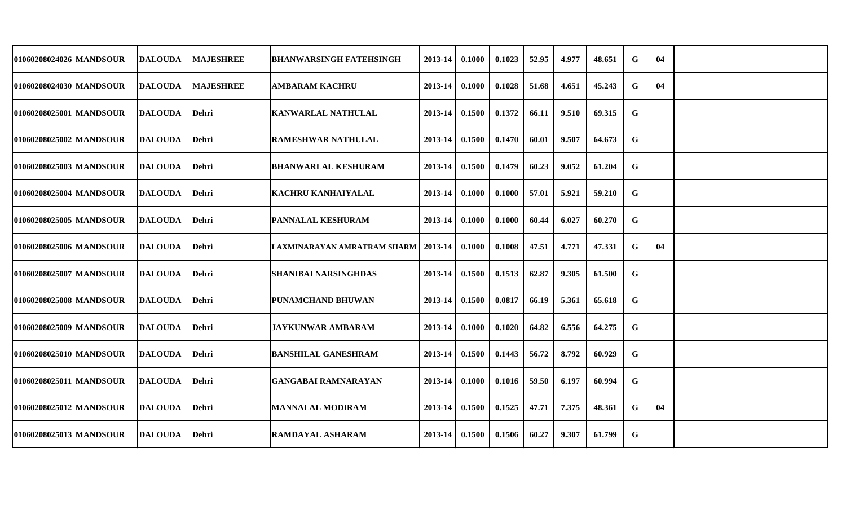| 01060208024026 MANDSOUR | <b>IDALOUDA</b> | <b>MAJESHREE</b> | <b>BHANWARSINGH FATEHSINGH</b>        | 2013-14          | 0.1000 | 0.1023 | 52.95 | 4.977 | 48.651 | $\mathbf G$ | 04 |  |
|-------------------------|-----------------|------------------|---------------------------------------|------------------|--------|--------|-------|-------|--------|-------------|----|--|
| 01060208024030 MANDSOUR | <b>IDALOUDA</b> | <b>MAJESHREE</b> | <b>AMBARAM KACHRU</b>                 | 2013-14          | 0.1000 | 0.1028 | 51.68 | 4.651 | 45.243 | $\mathbf G$ | 04 |  |
| 01060208025001 MANDSOUR | <b>IDALOUDA</b> | <b>Dehri</b>     | <b>KANWARLAL NATHULAL</b>             | 2013-14          | 0.1500 | 0.1372 | 66.11 | 9.510 | 69.315 | $\mathbf G$ |    |  |
| 01060208025002 MANDSOUR | <b>IDALOUDA</b> | Dehri            | <b>RAMESHWAR NATHULAL</b>             | 2013-14          | 0.1500 | 0.1470 | 60.01 | 9.507 | 64.673 | $\mathbf G$ |    |  |
| 01060208025003 MANDSOUR | <b>IDALOUDA</b> | <b>Dehri</b>     | <b>BHANWARLAL KESHURAM</b>            | 2013-14          | 0.1500 | 0.1479 | 60.23 | 9.052 | 61.204 | $\mathbf G$ |    |  |
| 01060208025004 MANDSOUR | <b>DALOUDA</b>  | Dehri            | <b>KACHRU KANHAIYALAL</b>             | 2013-14          | 0.1000 | 0.1000 | 57.01 | 5.921 | 59.210 | $\mathbf G$ |    |  |
| 01060208025005 MANDSOUR | <b>DALOUDA</b>  | Dehri            | PANNALAL KESHURAM                     | 2013-14          | 0.1000 | 0.1000 | 60.44 | 6.027 | 60.270 | $\mathbf G$ |    |  |
| 01060208025006 MANDSOUR | <b>DALOUDA</b>  | Dehri            | LAXMINARAYAN AMRATRAM SHARM   2013-14 |                  | 0.1000 | 0.1008 | 47.51 | 4.771 | 47.331 | $\mathbf G$ | 04 |  |
| 01060208025007 MANDSOUR | <b>DALOUDA</b>  | Dehri            | <b>SHANIBAI NARSINGHDAS</b>           | 2013-14          | 0.1500 | 0.1513 | 62.87 | 9.305 | 61.500 | $\mathbf G$ |    |  |
| 01060208025008 MANDSOUR | <b>IDALOUDA</b> | <b>Dehri</b>     | PUNAMCHAND BHUWAN                     | 2013-14          | 0.1500 | 0.0817 | 66.19 | 5.361 | 65.618 | $\mathbf G$ |    |  |
| 01060208025009 MANDSOUR | <b>DALOUDA</b>  | Dehri            | JAYKUNWAR AMBARAM                     | 2013-14          | 0.1000 | 0.1020 | 64.82 | 6.556 | 64.275 | $\mathbf G$ |    |  |
| 01060208025010 MANDSOUR | <b>DALOUDA</b>  | <b>Dehri</b>     | <b>BANSHILAL GANESHRAM</b>            | 2013-14          | 0.1500 | 0.1443 | 56.72 | 8.792 | 60.929 | $\mathbf G$ |    |  |
| 01060208025011 MANDSOUR | <b>DALOUDA</b>  | Dehri            | <b>GANGABAI RAMNARAYAN</b>            | 2013-14          | 0.1000 | 0.1016 | 59.50 | 6.197 | 60.994 | $\mathbf G$ |    |  |
| 01060208025012 MANDSOUR | <b>DALOUDA</b>  | <b>Dehri</b>     | <b>MANNALAL MODIRAM</b>               | 2013-14          | 0.1500 | 0.1525 | 47.71 | 7.375 | 48.361 | $\mathbf G$ | 04 |  |
| 01060208025013 MANDSOUR | <b>DALOUDA</b>  | Dehri            | <b>RAMDAYAL ASHARAM</b>               | $2013-14$ 0.1500 |        | 0.1506 | 60.27 | 9.307 | 61.799 | ${\bf G}$   |    |  |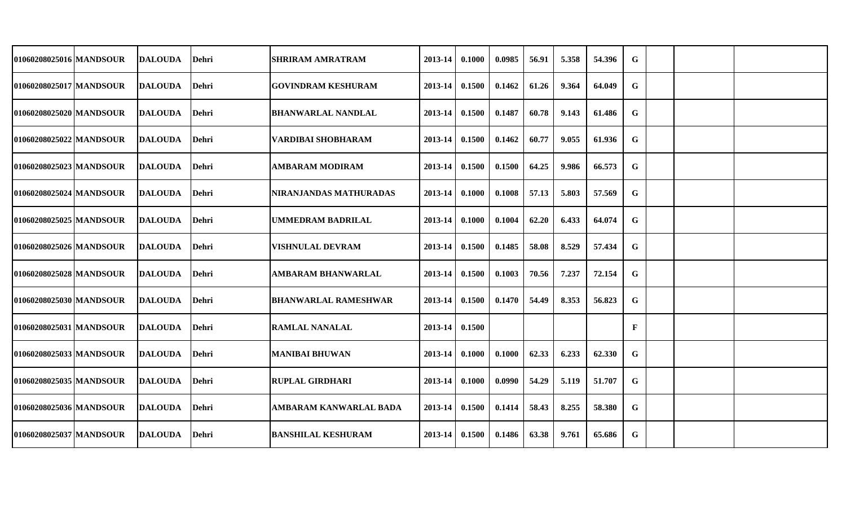| 01060208025016 MANDSOUR   | DALOUDA        | <b>Dehri</b> | SHRIRAM AMRATRAM              | 2013-14          | 0.1000 | 0.0985 | 56.91 | 5.358 | 54.396 | G            |  |  |
|---------------------------|----------------|--------------|-------------------------------|------------------|--------|--------|-------|-------|--------|--------------|--|--|
| 01060208025017 MANDSOUR   | <b>DALOUDA</b> | Dehri        | GOVINDRAM KESHURAM            | 2013-14          | 0.1500 | 0.1462 | 61.26 | 9.364 | 64.049 | G            |  |  |
| 01060208025020 MANDSOUR   | <b>DALOUDA</b> | Dehri        | <b>BHANWARLAL NANDLAL</b>     | 2013-14          | 0.1500 | 0.1487 | 60.78 | 9.143 | 61.486 | G            |  |  |
| 01060208025022 MANDSOUR   | <b>DALOUDA</b> | Dehri        | VARDIBAI SHOBHARAM            | 2013-14 0.1500   |        | 0.1462 | 60.77 | 9.055 | 61.936 | G            |  |  |
| 01060208025023 MANDSOUR   | <b>DALOUDA</b> | Dehri        | <b>AMBARAM MODIRAM</b>        | $2013 - 14$      | 0.1500 | 0.1500 | 64.25 | 9.986 | 66.573 | G            |  |  |
| 01060208025024   MANDSOUR | DALOUDA        | Dehri        | NIRANJANDAS MATHURADAS        | $2013-14$ 0.1000 |        | 0.1008 | 57.13 | 5.803 | 57.569 | G            |  |  |
| 01060208025025 MANDSOUR   | <b>DALOUDA</b> | <b>Dehri</b> | UMMEDRAM BADRILAL             | 2013-14          | 0.1000 | 0.1004 | 62.20 | 6.433 | 64.074 | G            |  |  |
| 01060208025026 MANDSOUR   | <b>DALOUDA</b> | Dehri        | <b>VISHNULAL DEVRAM</b>       | $2013 - 14$      | 0.1500 | 0.1485 | 58.08 | 8.529 | 57.434 | G            |  |  |
| 01060208025028 MANDSOUR   | <b>DALOUDA</b> | Dehri        | <b>AMBARAM BHANWARLAL</b>     | 2013-14          | 0.1500 | 0.1003 | 70.56 | 7.237 | 72.154 | G            |  |  |
| 01060208025030 MANDSOUR   | DALOUDA        | Dehri        | <b>BHANWARLAL RAMESHWAR</b>   | 2013-14          | 0.1500 | 0.1470 | 54.49 | 8.353 | 56.823 | G            |  |  |
| 01060208025031 MANDSOUR   | DALOUDA        | <b>Dehri</b> | <b>RAMLAL NANALAL</b>         | 2013-14          | 0.1500 |        |       |       |        | $\mathbf{F}$ |  |  |
| 01060208025033 MANDSOUR   | <b>DALOUDA</b> | Dehri        | <b>MANIBAI BHUWAN</b>         | 2013-14          | 0.1000 | 0.1000 | 62.33 | 6.233 | 62.330 | G            |  |  |
| 01060208025035 MANDSOUR   | <b>DALOUDA</b> | Dehri        | <b>RUPLAL GIRDHARI</b>        | 2013-14 0.1000   |        | 0.0990 | 54.29 | 5.119 | 51.707 | G            |  |  |
| 01060208025036 MANDSOUR   | <b>DALOUDA</b> | Dehri        | <b>AMBARAM KANWARLAL BADA</b> | $2013 - 14$      | 0.1500 | 0.1414 | 58.43 | 8.255 | 58.380 | G            |  |  |
| 01060208025037 MANDSOUR   | <b>DALOUDA</b> | Dehri        | <b>BANSHILAL KESHURAM</b>     | $2013-14$ 0.1500 |        | 0.1486 | 63.38 | 9.761 | 65.686 | $\mathbf G$  |  |  |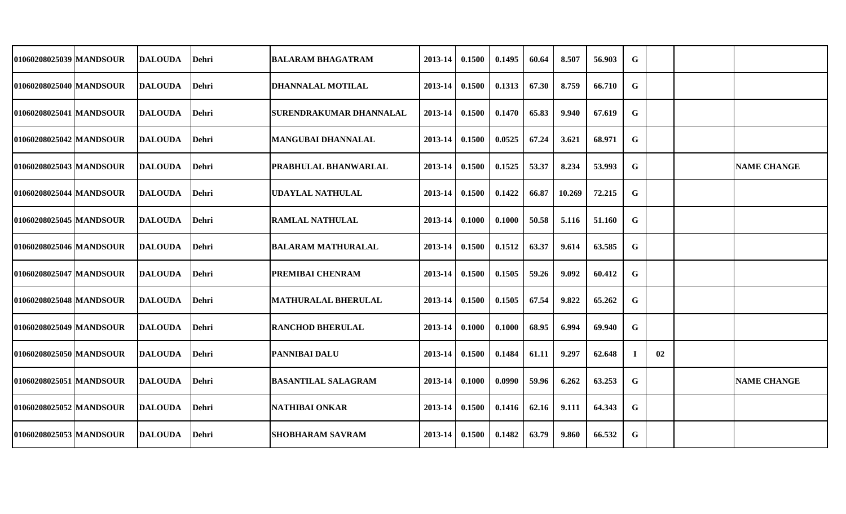| 01060208025039 MANDSOUR | DALOUDA         | <b>Dehri</b> | IBALARAM BHAGATRAM          | 2013-14            | 0.1500           | 0.1495 | 60.64 | 8.507  | 56.903 | G           |    |                    |
|-------------------------|-----------------|--------------|-----------------------------|--------------------|------------------|--------|-------|--------|--------|-------------|----|--------------------|
| 01060208025040 MANDSOUR | DALOUDA         | Dehri        | IDHANNALAL MOTILAL          | 2013-14            | 0.1500           | 0.1313 | 67.30 | 8.759  | 66.710 | G           |    |                    |
| 01060208025041 MANDSOUR | DALOUDA         | <b>Dehri</b> | ISURENDRAKUMAR DHANNALAL    | 2013-14            | 0.1500           | 0.1470 | 65.83 | 9.940  | 67.619 | G           |    |                    |
| 01060208025042 MANDSOUR | DALOUDA         | Dehri        | IMANGUBAI DHANNALAL         | 2013-14            | 0.1500           | 0.0525 | 67.24 | 3.621  | 68.971 | G           |    |                    |
| 01060208025043 MANDSOUR | <b>DALOUDA</b>  | Dehri        | <b>PRABHULAL BHANWARLAL</b> | $2013 - 14$        | 0.1500           | 0.1525 | 53.37 | 8.234  | 53.993 | G           |    | <b>NAME CHANGE</b> |
| 01060208025044 MANDSOUR | <b>DALOUDA</b>  | Dehri        | UDAYLAL NATHULAL            | $2013 - 14$ 0.1500 |                  | 0.1422 | 66.87 | 10.269 | 72.215 | G           |    |                    |
| 01060208025045 MANDSOUR | <b>IDALOUDA</b> | Dehri        | <b>RAMLAL NATHULAL</b>      | 2013-14            | 0.1000           | 0.1000 | 50.58 | 5.116  | 51.160 | G           |    |                    |
| 01060208025046 MANDSOUR | <b>DALOUDA</b>  | Dehri        | <b>BALARAM MATHURALAL</b>   | $2013 - 14$        | 0.1500           | 0.1512 | 63.37 | 9.614  | 63.585 | G           |    |                    |
| 01060208025047 MANDSOUR | <b>DALOUDA</b>  | <b>Dehri</b> | <b>PREMIBAI CHENRAM</b>     | 2013-14            | 0.1500           | 0.1505 | 59.26 | 9.092  | 60.412 | G           |    |                    |
| 01060208025048 MANDSOUR | <b>DALOUDA</b>  | Dehri        | <b>MATHURALAL BHERULAL</b>  | 2013-14            | 0.1500           | 0.1505 | 67.54 | 9.822  | 65.262 | G           |    |                    |
| 01060208025049 MANDSOUR | <b>DALOUDA</b>  | <b>Dehri</b> | RANCHOD BHERULAL            | 2013-14            | 0.1000           | 0.1000 | 68.95 | 6.994  | 69.940 | G           |    |                    |
| 01060208025050 MANDSOUR | <b>DALOUDA</b>  | Dehri        | <b>PANNIBAI DALU</b>        | 2013-14            | 0.1500           | 0.1484 | 61.11 | 9.297  | 62.648 |             | 02 |                    |
| 01060208025051 MANDSOUR | <b>DALOUDA</b>  | Dehri        | <b>BASANTILAL SALAGRAM</b>  | $2013 - 14$        | 0.1000           | 0.0990 | 59.96 | 6.262  | 63.253 | G           |    | <b>NAME CHANGE</b> |
| 01060208025052 MANDSOUR | <b>DALOUDA</b>  | Dehri        | <b>NATHIBAI ONKAR</b>       | $2013 - 14$        | 0.1500           | 0.1416 | 62.16 | 9.111  | 64.343 | G           |    |                    |
| 01060208025053 MANDSOUR | <b>DALOUDA</b>  | Dehri        | <b>SHOBHARAM SAVRAM</b>     |                    | $2013-14$ 0.1500 | 0.1482 | 63.79 | 9.860  | 66.532 | $\mathbf G$ |    |                    |
|                         |                 |              |                             |                    |                  |        |       |        |        |             |    |                    |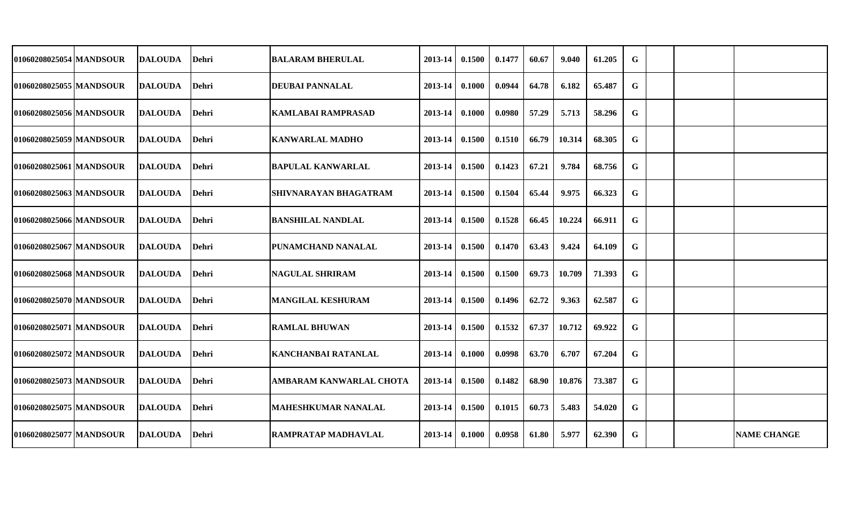| 01060208025054 MANDSOUR   | <b>IDALOUDA</b> | <b>IDehri</b> | BALARAM BHERULAL             | 2013-14     | 0.1500        | 0.1477 | 60.67 | 9.040  | 61.205 | G |  |                    |
|---------------------------|-----------------|---------------|------------------------------|-------------|---------------|--------|-------|--------|--------|---|--|--------------------|
| 01060208025055 MANDSOUR   | <b>DALOUDA</b>  | <b>Dehri</b>  | <b>DEUBAI PANNALAL</b>       | 2013-14     | 0.1000        | 0.0944 | 64.78 | 6.182  | 65.487 | G |  |                    |
| 01060208025056 MANDSOUR   | <b>DALOUDA</b>  | <b>Dehri</b>  | <b>KAMLABAI RAMPRASAD</b>    | 2013-14     | 0.1000        | 0.0980 | 57.29 | 5.713  | 58.296 | G |  |                    |
| 01060208025059 MANDSOUR   | <b>DALOUDA</b>  | Dehri         | <b>KANWARLAL MADHO</b>       | $2013 - 14$ | 0.1500        | 0.1510 | 66.79 | 10.314 | 68.305 | G |  |                    |
| 01060208025061 MANDSOUR   | <b>DALOUDA</b>  | Dehri         | <b>BAPULAL KANWARLAL</b>     | $2013 - 14$ | 0.1500        | 0.1423 | 67.21 | 9.784  | 68.756 | G |  |                    |
| 01060208025063 MANDSOUR   | <b>DALOUDA</b>  | <b>IDehri</b> | <b>SHIVNARAYAN BHAGATRAM</b> | $2013 - 14$ | 0.1500        | 0.1504 | 65.44 | 9.975  | 66.323 | G |  |                    |
| 01060208025066 MANDSOUR   | <b>DALOUDA</b>  | <b>Dehri</b>  | <b>BANSHILAL NANDLAL</b>     | 2013-14     | 0.1500        | 0.1528 | 66.45 | 10.224 | 66.911 | G |  |                    |
| 01060208025067 MANDSOUR   | <b>IDALOUDA</b> | <b>IDehri</b> | <b>PUNAMCHAND NANALAL</b>    | $2013 - 14$ | 0.1500        | 0.1470 | 63.43 | 9.424  | 64.109 | G |  |                    |
| 01060208025068 MANDSOUR   | <b>DALOUDA</b>  | <b>IDehri</b> | <b>NAGULAL SHRIRAM</b>       | $2013 - 14$ | 0.1500        | 0.1500 | 69.73 | 10.709 | 71.393 | G |  |                    |
| 01060208025070 MANDSOUR   | <b>DALOUDA</b>  | <b>Dehri</b>  | <b>MANGILAL KESHURAM</b>     | 2013-14     | 0.1500        | 0.1496 | 62.72 | 9.363  | 62.587 | G |  |                    |
| 01060208025071 MANDSOUR   | <b>IDALOUDA</b> | <b>Dehri</b>  | <b> RAMLAL BHUWAN</b>        | 2013-14     | 0.1500        | 0.1532 | 67.37 | 10.712 | 69.922 | G |  |                    |
| 01060208025072 MANDSOUR   | <b>IDALOUDA</b> | <b>Dehri</b>  | <b>KANCHANBAI RATANLAL</b>   | 2013-14     | 0.1000        | 0.0998 | 63.70 | 6.707  | 67.204 | G |  |                    |
| 01060208025073   MANDSOUR | <b>DALOUDA</b>  | Dehri         | AMBARAM KANWARLAL CHOTA      | $2013 - 14$ | 0.1500        | 0.1482 | 68.90 | 10.876 | 73.387 | G |  |                    |
| 01060208025075 MANDSOUR   | <b>DALOUDA</b>  | Dehri         | <b>MAHESHKUMAR NANALAL</b>   | $2013 - 14$ | 0.1500        | 0.1015 | 60.73 | 5.483  | 54.020 | G |  |                    |
| 01060208025077 MANDSOUR   | <b>DALOUDA</b>  | <b>Dehri</b>  | <b>RAMPRATAP MADHAVLAL</b>   | $2013 - 14$ | $\bm{0.1000}$ | 0.0958 | 61.80 | 5.977  | 62.390 | G |  | <b>NAME CHANGE</b> |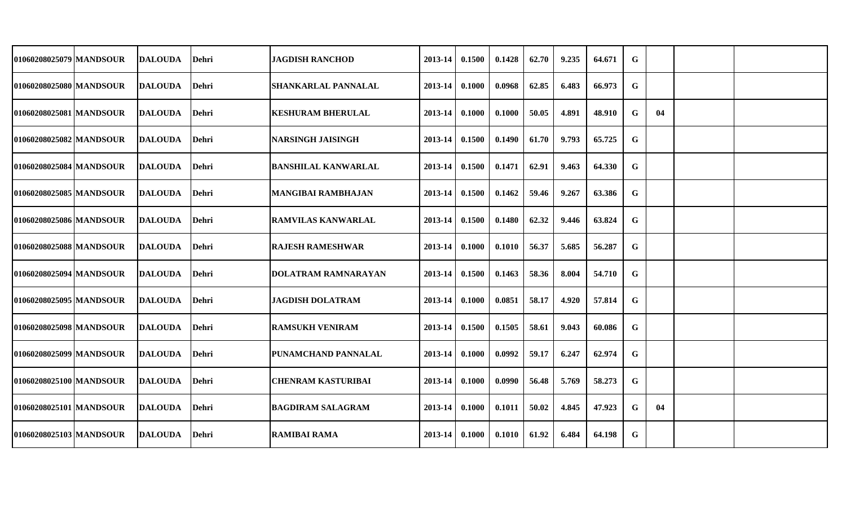| 01060208025079 MANDSOUR | <b>DALOUDA</b>  | Dehri        | JAGDISH RANCHOD            | 2013-14            | 0.1500 | 0.1428 | 62.70 | 9.235 | 64.671 | G |    |  |
|-------------------------|-----------------|--------------|----------------------------|--------------------|--------|--------|-------|-------|--------|---|----|--|
| 01060208025080 MANDSOUR | <b>IDALOUDA</b> | Dehri        | <b>SHANKARLAL PANNALAL</b> | 2013-14            | 0.1000 | 0.0968 | 62.85 | 6.483 | 66.973 | G |    |  |
| 01060208025081 MANDSOUR | <b>DALOUDA</b>  | <b>Dehri</b> | <b>KESHURAM BHERULAL</b>   | 2013-14            | 0.1000 | 0.1000 | 50.05 | 4.891 | 48.910 | G | 04 |  |
| 01060208025082 MANDSOUR | <b>DALOUDA</b>  | Dehri        | NARSINGH JAISINGH          | $2013 - 14$        | 0.1500 | 0.1490 | 61.70 | 9.793 | 65.725 | G |    |  |
| 01060208025084 MANDSOUR | <b>DALOUDA</b>  | <b>Dehri</b> | <b>BANSHILAL KANWARLAL</b> | $2013 - 14$        | 0.1500 | 0.1471 | 62.91 | 9.463 | 64.330 | G |    |  |
| 01060208025085 MANDSOUR | <b>DALOUDA</b>  | <b>Dehri</b> | MANGIBAI RAMBHAJAN         | $2013-14$   0.1500 |        | 0.1462 | 59.46 | 9.267 | 63.386 | G |    |  |
| 01060208025086 MANDSOUR | <b>DALOUDA</b>  | <b>Dehri</b> | <b>RAMVILAS KANWARLAL</b>  | $2013 - 14$        | 0.1500 | 0.1480 | 62.32 | 9.446 | 63.824 | G |    |  |
| 01060208025088 MANDSOUR | <b>IDALOUDA</b> | <b>Dehri</b> | <b>RAJESH RAMESHWAR</b>    | 2013-14            | 0.1000 | 0.1010 | 56.37 | 5.685 | 56.287 | G |    |  |
| 01060208025094 MANDSOUR | <b>DALOUDA</b>  | Dehri        | DOLATRAM RAMNARAYAN        | 2013-14            | 0.1500 | 0.1463 | 58.36 | 8.004 | 54.710 | G |    |  |
| 01060208025095 MANDSOUR | <b>DALOUDA</b>  | <b>Dehri</b> | <b>JAGDISH DOLATRAM</b>    | 2013-14            | 0.1000 | 0.0851 | 58.17 | 4.920 | 57.814 | G |    |  |
| 01060208025098 MANDSOUR | <b>IDALOUDA</b> | Dehri        | <b>RAMSUKH VENIRAM</b>     | 2013-14            | 0.1500 | 0.1505 | 58.61 | 9.043 | 60.086 | G |    |  |
| 01060208025099 MANDSOUR | <b>DALOUDA</b>  | <b>Dehri</b> | <b>PUNAMCHAND PANNALAL</b> | 2013-14            | 0.1000 | 0.0992 | 59.17 | 6.247 | 62.974 | G |    |  |
| 01060208025100 MANDSOUR | <b>DALOUDA</b>  | Dehri        | <b>CHENRAM KASTURIBAI</b>  | 2013-14            | 0.1000 | 0.0990 | 56.48 | 5.769 | 58.273 | G |    |  |
| 01060208025101 MANDSOUR | <b>DALOUDA</b>  | <b>Dehri</b> | <b>BAGDIRAM SALAGRAM</b>   | 2013-14            | 0.1000 | 0.1011 | 50.02 | 4.845 | 47.923 | G | 04 |  |
| 01060208025103 MANDSOUR | <b>DALOUDA</b>  | <b>Dehri</b> | <b>RAMIBAI RAMA</b>        | $2013 - 14$        | 0.1000 | 0.1010 | 61.92 | 6.484 | 64.198 | G |    |  |
|                         |                 |              |                            |                    |        |        |       |       |        |   |    |  |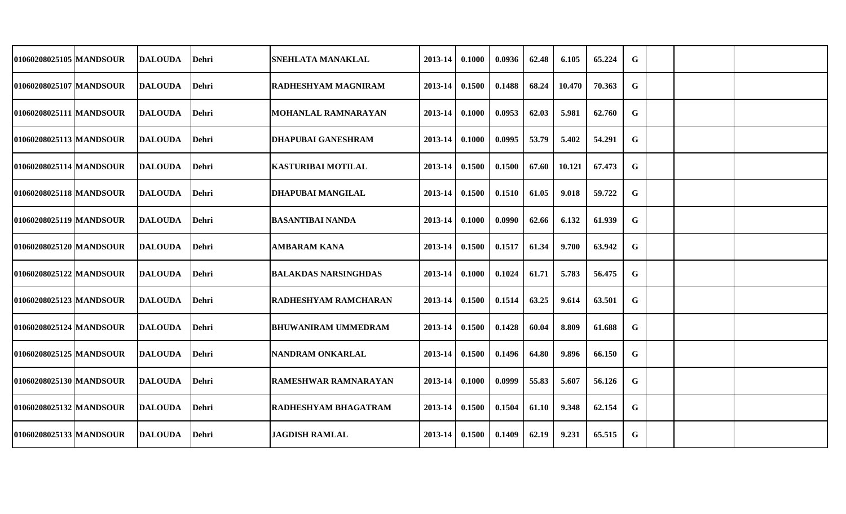| 01060208025105 MANDSOUR | DALOUDA         | <b>Dehri</b> | <b>SNEHLATA MANAKLAL</b>    | 2013-14            | 0.1000 | 0.0936 | 62.48 | 6.105  | 65.224 | G           |  |  |
|-------------------------|-----------------|--------------|-----------------------------|--------------------|--------|--------|-------|--------|--------|-------------|--|--|
| 01060208025107 MANDSOUR | DALOUDA         | Dehri        | RADHESHYAM MAGNIRAM         | 2013-14            | 0.1500 | 0.1488 | 68.24 | 10.470 | 70.363 | G           |  |  |
| 01060208025111 MANDSOUR | DALOUDA         | <b>Dehri</b> | MOHANLAL RAMNARAYAN         | 2013-14            | 0.1000 | 0.0953 | 62.03 | 5.981  | 62.760 | G           |  |  |
| 01060208025113 MANDSOUR | DALOUDA         | Dehri        | IDHAPUBAI GANESHRAM         | 2013-14            | 0.1000 | 0.0995 | 53.79 | 5.402  | 54.291 | G           |  |  |
| 01060208025114 MANDSOUR | <b>DALOUDA</b>  | Dehri        | <b>KASTURIBAI MOTILAL</b>   | 2013-14 0.1500     |        | 0.1500 | 67.60 | 10.121 | 67.473 | G           |  |  |
| 01060208025118 MANDSOUR | <b>DALOUDA</b>  | Dehri        | <b>DHAPUBAI MANGILAL</b>    | $2013 - 14$ 0.1500 |        | 0.1510 | 61.05 | 9.018  | 59.722 | G           |  |  |
| 01060208025119 MANDSOUR | <b>IDALOUDA</b> | Dehri        | <b>BASANTIBAI NANDA</b>     | 2013-14            | 0.1000 | 0.0990 | 62.66 | 6.132  | 61.939 | G           |  |  |
| 01060208025120 MANDSOUR | <b> DALOUDA</b> | Dehri        | <b>AMBARAM KANA</b>         | $2013 - 14$        | 0.1500 | 0.1517 | 61.34 | 9.700  | 63.942 | G           |  |  |
| 01060208025122 MANDSOUR | <b>DALOUDA</b>  | <b>Dehri</b> | <b>BALAKDAS NARSINGHDAS</b> | 2013-14            | 0.1000 | 0.1024 | 61.71 | 5.783  | 56.475 | G           |  |  |
| 01060208025123 MANDSOUR | <b>DALOUDA</b>  | Dehri        | <b>RADHESHYAM RAMCHARAN</b> | 2013-14            | 0.1500 | 0.1514 | 63.25 | 9.614  | 63.501 | G           |  |  |
| 01060208025124 MANDSOUR | <b>DALOUDA</b>  | <b>Dehri</b> | BHUWANIRAM UMMEDRAM         | 2013-14            | 0.1500 | 0.1428 | 60.04 | 8.809  | 61.688 | G           |  |  |
| 01060208025125 MANDSOUR | <b>DALOUDA</b>  | Dehri        | NANDRAM ONKARLAL            | 2013-14            | 0.1500 | 0.1496 | 64.80 | 9.896  | 66.150 | G           |  |  |
| 01060208025130 MANDSOUR | <b>DALOUDA</b>  | Dehri        | <b>RAMESHWAR RAMNARAYAN</b> | $2013 - 14$        | 0.1000 | 0.0999 | 55.83 | 5.607  | 56.126 | G           |  |  |
| 01060208025132 MANDSOUR | <b>DALOUDA</b>  | Dehri        | <b>RADHESHYAM BHAGATRAM</b> | $2013 - 14$        | 0.1500 | 0.1504 | 61.10 | 9.348  | 62.154 | G           |  |  |
| 01060208025133 MANDSOUR | <b>DALOUDA</b>  | Dehri        | <b>JAGDISH RAMLAL</b>       | $2013-14$ 0.1500   |        | 0.1409 | 62.19 | 9.231  | 65.515 | $\mathbf G$ |  |  |
|                         |                 |              |                             |                    |        |        |       |        |        |             |  |  |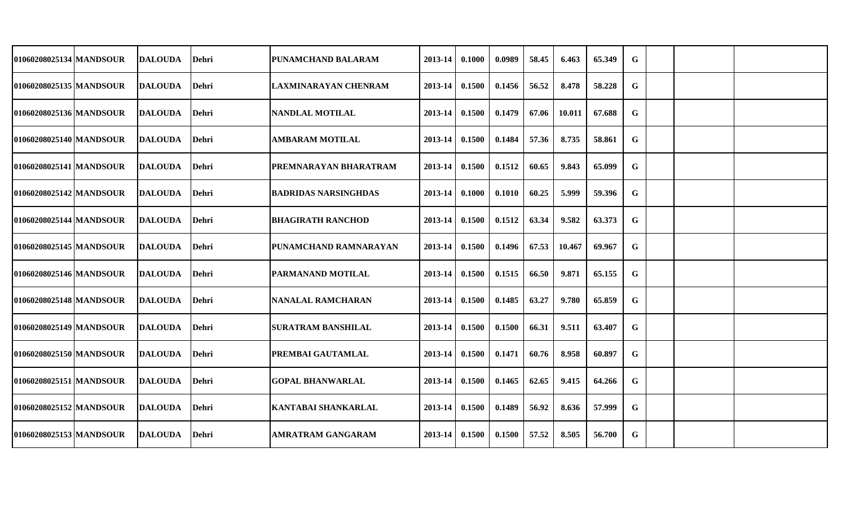| 01060208025134 MANDSOUR | <b>DALOUDA</b>  | <b>Dehri</b> | IPUNAMCHAND BALARAM         | 2013-14     | 0.1000 | 0.0989 | 58.45 | 6.463  | 65.349 | $\mathbf G$ |  |  |
|-------------------------|-----------------|--------------|-----------------------------|-------------|--------|--------|-------|--------|--------|-------------|--|--|
| 01060208025135 MANDSOUR | <b>DALOUDA</b>  | Dehri        | <b>LAXMINARAYAN CHENRAM</b> | 2013-14     | 0.1500 | 0.1456 | 56.52 | 8.478  | 58.228 | G           |  |  |
| 01060208025136 MANDSOUR | <b>DALOUDA</b>  | <b>Dehri</b> | <b>NANDLAL MOTILAL</b>      | 2013-14     | 0.1500 | 0.1479 | 67.06 | 10.011 | 67.688 | G           |  |  |
| 01060208025140 MANDSOUR | <b>DALOUDA</b>  | Dehri        | <b>AMBARAM MOTILAL</b>      | $2013 - 14$ | 0.1500 | 0.1484 | 57.36 | 8.735  | 58.861 | G           |  |  |
| 01060208025141 MANDSOUR | <b>DALOUDA</b>  | <b>Dehri</b> | PREMNARAYAN BHARATRAM       | $2013 - 14$ | 0.1500 | 0.1512 | 60.65 | 9.843  | 65.099 | G           |  |  |
| 01060208025142 MANDSOUR | <b>DALOUDA</b>  | <b>Dehri</b> | <b>BADRIDAS NARSINGHDAS</b> | $2013 - 14$ | 0.1000 | 0.1010 | 60.25 | 5.999  | 59.396 | G           |  |  |
| 01060208025144 MANDSOUR | <b>DALOUDA</b>  | <b>Dehri</b> | <b>BHAGIRATH RANCHOD</b>    | $2013 - 14$ | 0.1500 | 0.1512 | 63.34 | 9.582  | 63.373 | G           |  |  |
| 01060208025145 MANDSOUR | <b>IDALOUDA</b> | <b>Dehri</b> | IPUNAMCHAND RAMNARAYAN      | $2013 - 14$ | 0.1500 | 0.1496 | 67.53 | 10.467 | 69.967 | G           |  |  |
| 01060208025146 MANDSOUR | <b>DALOUDA</b>  | Dehri        | <b>PARMANAND MOTILAL</b>    | 2013-14     | 0.1500 | 0.1515 | 66.50 | 9.871  | 65.155 | G           |  |  |
| 01060208025148 MANDSOUR | <b>DALOUDA</b>  | <b>Dehri</b> | NANALAL RAMCHARAN           | 2013-14     | 0.1500 | 0.1485 | 63.27 | 9.780  | 65.859 | G           |  |  |
| 01060208025149 MANDSOUR | <b>IDALOUDA</b> | Dehri        | <b>SURATRAM BANSHILAL</b>   | 2013-14     | 0.1500 | 0.1500 | 66.31 | 9.511  | 63.407 | G           |  |  |
| 01060208025150 MANDSOUR | <b>DALOUDA</b>  | <b>Dehri</b> | <b>PREMBAI GAUTAMLAL</b>    | 2013-14     | 0.1500 | 0.1471 | 60.76 | 8.958  | 60.897 | G           |  |  |
| 01060208025151 MANDSOUR | <b>DALOUDA</b>  | Dehri        | <b>GOPAL BHANWARLAL</b>     | $2013 - 14$ | 0.1500 | 0.1465 | 62.65 | 9.415  | 64.266 | G           |  |  |
| 01060208025152 MANDSOUR | <b>DALOUDA</b>  | <b>Dehri</b> | <b>KANTABAI SHANKARLAL</b>  | $2013 - 14$ | 0.1500 | 0.1489 | 56.92 | 8.636  | 57.999 | G           |  |  |
| 01060208025153 MANDSOUR | <b>DALOUDA</b>  | <b>Dehri</b> | <b>AMRATRAM GANGARAM</b>    | $2013 - 14$ | 0.1500 | 0.1500 | 57.52 | 8.505  | 56.700 | G           |  |  |
|                         |                 |              |                             |             |        |        |       |        |        |             |  |  |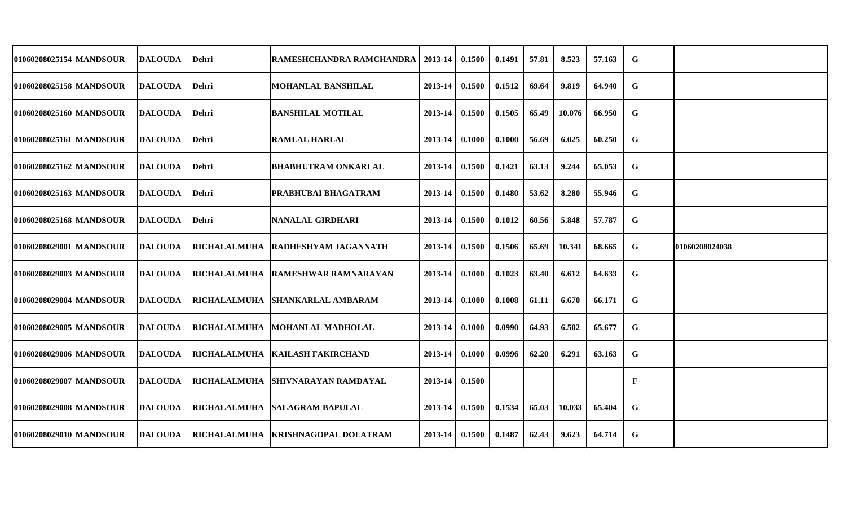| 01060208025154 MANDSOUR   | <b>DALOUDA</b> | Dehri               | <b>RAMESHCHANDRA RAMCHANDRA</b>   | 2013-14     | 0.1500 | 0.1491 | 57.81 | 8.523  | 57.163 | G           |                |  |
|---------------------------|----------------|---------------------|-----------------------------------|-------------|--------|--------|-------|--------|--------|-------------|----------------|--|
| 01060208025158 MANDSOUR   | <b>DALOUDA</b> | Dehri               | <b>MOHANLAL BANSHILAL</b>         | 2013-14     | 0.1500 | 0.1512 | 69.64 | 9.819  | 64.940 | G           |                |  |
| 01060208025160 MANDSOUR   | <b>DALOUDA</b> | Dehri               | <b>BANSHILAL MOTILAL</b>          | 2013-14     | 0.1500 | 0.1505 | 65.49 | 10.076 | 66.950 | G           |                |  |
| 01060208025161 MANDSOUR   | <b>DALOUDA</b> | Dehri               | <b>RAMLAL HARLAL</b>              | 2013-14     | 0.1000 | 0.1000 | 56.69 | 6.025  | 60.250 | G           |                |  |
| 01060208025162 MANDSOUR   | <b>DALOUDA</b> | <b>Dehri</b>        | <b>BHABHUTRAM ONKARLAL</b>        | 2013-14     | 0.1500 | 0.1421 | 63.13 | 9.244  | 65.053 | G           |                |  |
| 01060208025163   MANDSOUR | <b>DALOUDA</b> | Dehri               | <b>PRABHUBAI BHAGATRAM</b>        | 2013-14     | 0.1500 | 0.1480 | 53.62 | 8.280  | 55.946 | G           |                |  |
| 01060208025168 MANDSOUR   | <b>DALOUDA</b> | <b>Dehri</b>        | NANALAL GIRDHARI                  | 2013-14     | 0.1500 | 0.1012 | 60.56 | 5.848  | 57.787 | $\mathbf G$ |                |  |
| 01060208029001 MANDSOUR   | <b>DALOUDA</b> |                     | RICHALALMUHA RADHESHYAM JAGANNATH | $2013 - 14$ | 0.1500 | 0.1506 | 65.69 | 10.341 | 68.665 | G           | 01060208024038 |  |
| 01060208029003 MANDSOUR   | <b>DALOUDA</b> |                     | RICHALALMUHA RAMESHWAR RAMNARAYAN | 2013-14     | 0.1000 | 0.1023 | 63.40 | 6.612  | 64.633 | G           |                |  |
| 01060208029004 MANDSOUR   | <b>DALOUDA</b> |                     | RICHALALMUHA SHANKARLAL AMBARAM   | 2013-14     | 0.1000 | 0.1008 | 61.11 | 6.670  | 66.171 | G           |                |  |
| 01060208029005 MANDSOUR   | <b>DALOUDA</b> |                     | RICHALALMUHA MOHANLAL MADHOLAL    | 2013-14     | 0.1000 | 0.0990 | 64.93 | 6.502  | 65.677 | G           |                |  |
| 01060208029006 MANDSOUR   | <b>DALOUDA</b> |                     | RICHALALMUHA   KAILASH FAKIRCHAND | 2013-14     | 0.1000 | 0.0996 | 62.20 | 6.291  | 63.163 | G           |                |  |
| 01060208029007 MANDSOUR   | <b>DALOUDA</b> | <b>RICHALALMUHA</b> | <b>SHIVNARAYAN RAMDAYAL</b>       | $2013 - 14$ | 0.1500 |        |       |        |        | F           |                |  |
| 01060208029008 MANDSOUR   | <b>DALOUDA</b> |                     | RICHALALMUHA SALAGRAM BAPULAL     | $2013 - 14$ | 0.1500 | 0.1534 | 65.03 | 10.033 | 65.404 | G           |                |  |
| 01060208029010 MANDSOUR   | <b>DALOUDA</b> | <b>RICHALALMUHA</b> | <b>KRISHNAGOPAL DOLATRAM</b>      | $2013 - 14$ | 0.1500 | 0.1487 | 62.43 | 9.623  | 64.714 | G           |                |  |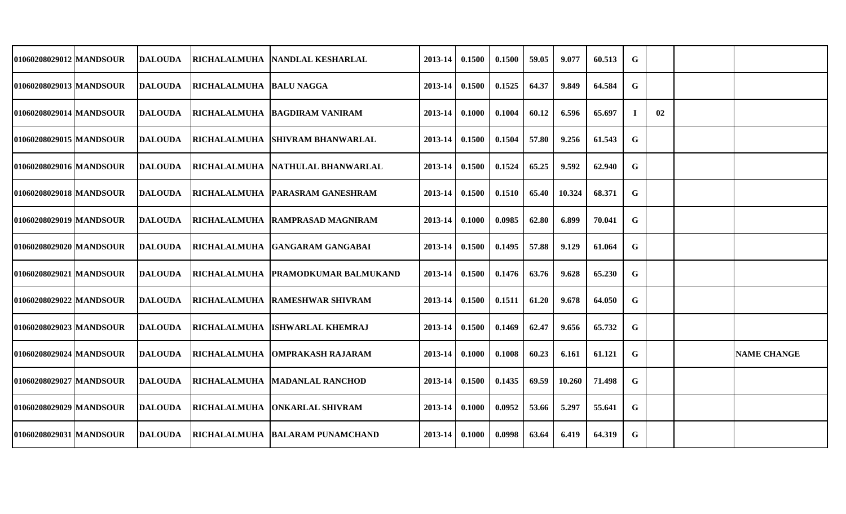| 01060208029012   MANDSOUR | DALOUDA        |                                | <b>IRICHALALMUHA INANDLAL KESHARLAL</b> | 2013-14            | 0.1500 | 0.1500 | 59.05 | 9.077  | 60.513 | G |    |                    |
|---------------------------|----------------|--------------------------------|-----------------------------------------|--------------------|--------|--------|-------|--------|--------|---|----|--------------------|
| 01060208029013 MANDSOUR   | <b>DALOUDA</b> | <b>RICHALALMUHA BALU NAGGA</b> |                                         | 2013-14            | 0.1500 | 0.1525 | 64.37 | 9.849  | 64.584 | G |    |                    |
| 01060208029014 MANDSOUR   | <b>DALOUDA</b> |                                | <b>RICHALALMUHA BAGDIRAM VANIRAM</b>    | 2013-14            | 0.1000 | 0.1004 | 60.12 | 6.596  | 65.697 |   | 02 |                    |
| 01060208029015   MANDSOUR | <b>DALOUDA</b> |                                | RICHALALMUHA SHIVRAM BHANWARLAL         | 2013-14 0.1500     |        | 0.1504 | 57.80 | 9.256  | 61.543 | G |    |                    |
| 01060208029016 MANDSOUR   | <b>DALOUDA</b> |                                | RICHALALMUHA NATHULAL BHANWARLAL        | $2013-14$ 0.1500   |        | 0.1524 | 65.25 | 9.592  | 62.940 | G |    |                    |
| 01060208029018   MANDSOUR | DALOUDA        |                                | RICHALALMUHA PARASRAM GANESHRAM         | $2013-14$ 0.1500   |        | 0.1510 | 65.40 | 10.324 | 68.371 | G |    |                    |
| 01060208029019 MANDSOUR   | DALOUDA        |                                | RICHALALMUHA RAMPRASAD MAGNIRAM         | $2013 - 14$        | 0.1000 | 0.0985 | 62.80 | 6.899  | 70.041 | G |    |                    |
| 01060208029020 MANDSOUR   | DALOUDA        |                                | RICHALALMUHA GANGARAM GANGABAI          | $2013-14$ 0.1500   |        | 0.1495 | 57.88 | 9.129  | 61.064 | G |    |                    |
| 01060208029021 MANDSOUR   | DALOUDA        |                                | RICHALALMUHA PRAMODKUMAR BALMUKAND      | $2013 - 14$        | 0.1500 | 0.1476 | 63.76 | 9.628  | 65.230 | G |    |                    |
| 01060208029022 MANDSOUR   | DALOUDA        |                                | <b>RICHALALMUHA RAMESHWAR SHIVRAM</b>   | 2013-14            | 0.1500 | 0.1511 | 61.20 | 9.678  | 64.050 | G |    |                    |
| 01060208029023 MANDSOUR   | DALOUDA        |                                | RICHALALMUHA ISHWARLAL KHEMRAJ          | 2013-14            | 0.1500 | 0.1469 | 62.47 | 9.656  | 65.732 | G |    |                    |
| 01060208029024 MANDSOUR   | DALOUDA        |                                | RICHALALMUHA   OMPRAKASH RAJARAM        | 2013-14            | 0.1000 | 0.1008 | 60.23 | 6.161  | 61.121 | G |    | <b>NAME CHANGE</b> |
| 01060208029027 MANDSOUR   | <b>DALOUDA</b> |                                | RICHALALMUHA   MADANLAL RANCHOD         | $2013-14$ 0.1500   |        | 0.1435 | 69.59 | 10.260 | 71.498 | G |    |                    |
| 01060208029029 MANDSOUR   | <b>DALOUDA</b> |                                | RICHALALMUHA   ONKARLAL SHIVRAM         | $2013-14$ 0.1000   |        | 0.0952 | 53.66 | 5.297  | 55.641 | G |    |                    |
| 01060208029031 MANDSOUR   | <b>DALOUDA</b> |                                | RICHALALMUHA BALARAM PUNAMCHAND         | $2013 - 14$ 0.1000 |        | 0.0998 | 63.64 | 6.419  | 64.319 | G |    |                    |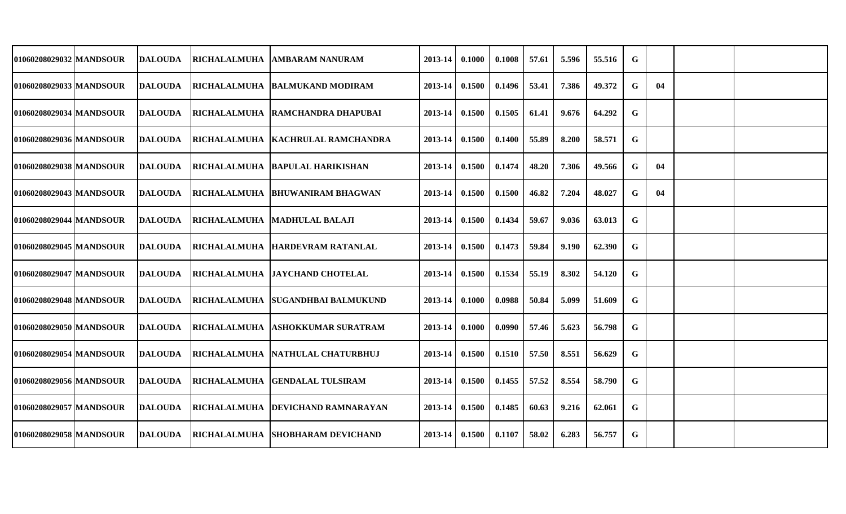| 01060208029032 MANDSOUR   | <b>DALOUDA</b> | RICHALALMUHA   AMBARAM NANURAM      | 2013-14     | 0.1000 | 0.1008 | 57.61 | 5.596 | 55.516 | G           |    |  |
|---------------------------|----------------|-------------------------------------|-------------|--------|--------|-------|-------|--------|-------------|----|--|
| 01060208029033 MANDSOUR   | <b>DALOUDA</b> | RICHALALMUHA BALMUKAND MODIRAM      | 2013-14     | 0.1500 | 0.1496 | 53.41 | 7.386 | 49.372 | G           | 04 |  |
| 01060208029034 MANDSOUR   | <b>DALOUDA</b> | RICHALALMUHA RAMCHANDRA DHAPUBAI    | 2013-14     | 0.1500 | 0.1505 | 61.41 | 9.676 | 64.292 | G           |    |  |
| 01060208029036 MANDSOUR   | DALOUDA        | RICHALALMUHA   KACHRULAL RAMCHANDRA | $2013 - 14$ | 0.1500 | 0.1400 | 55.89 | 8.200 | 58.571 | G           |    |  |
| 01060208029038   MANDSOUR | <b>DALOUDA</b> | RICHALALMUHA BAPULAL HARIKISHAN     | $2013 - 14$ | 0.1500 | 0.1474 | 48.20 | 7.306 | 49.566 | G           | 04 |  |
| 01060208029043 MANDSOUR   | <b>DALOUDA</b> | RICHALALMUHA  BHUWANIRAM BHAGWAN    | $2013 - 14$ | 0.1500 | 0.1500 | 46.82 | 7.204 | 48.027 | G           | 04 |  |
| 01060208029044 MANDSOUR   | <b>DALOUDA</b> | RICHALALMUHA MADHULAL BALAJI        | 2013-14     | 0.1500 | 0.1434 | 59.67 | 9.036 | 63.013 | G           |    |  |
| 01060208029045 MANDSOUR   | DALOUDA        | RICHALALMUHA HARDEVRAM RATANLAL     | $2013 - 14$ | 0.1500 | 0.1473 | 59.84 | 9.190 | 62.390 | G           |    |  |
| 01060208029047 MANDSOUR   | <b>DALOUDA</b> | RICHALALMUHA   JAYCHAND CHOTELAL    | 2013-14     | 0.1500 | 0.1534 | 55.19 | 8.302 | 54.120 | G           |    |  |
| 01060208029048 MANDSOUR   | <b>DALOUDA</b> | RICHALALMUHA SUGANDHBAI BALMUKUND   | 2013-14     | 0.1000 | 0.0988 | 50.84 | 5.099 | 51.609 | G           |    |  |
| 01060208029050   MANDSOUR | <b>DALOUDA</b> | RICHALALMUHA   ASHOKKUMAR SURATRAM  | 2013-14     | 0.1000 | 0.0990 | 57.46 | 5.623 | 56.798 | G           |    |  |
| 01060208029054 MANDSOUR   | <b>DALOUDA</b> | RICHALALMUHA NATHULAL CHATURBHUJ    | 2013-14     | 0.1500 | 0.1510 | 57.50 | 8.551 | 56.629 | G           |    |  |
| 01060208029056 MANDSOUR   | <b>DALOUDA</b> | RICHALALMUHA GENDALAL TULSIRAM      | 2013-14     | 0.1500 | 0.1455 | 57.52 | 8.554 | 58.790 | G           |    |  |
| 01060208029057 MANDSOUR   | <b>DALOUDA</b> | RICHALALMUHA  DEVICHAND RAMNARAYAN  | $2013 - 14$ | 0.1500 | 0.1485 | 60.63 | 9.216 | 62.061 | G           |    |  |
| 01060208029058 MANDSOUR   | <b>DALOUDA</b> | RICHALALMUHA SHOBHARAM DEVICHAND    | $2013 - 14$ | 0.1500 | 0.1107 | 58.02 | 6.283 | 56.757 | $\mathbf G$ |    |  |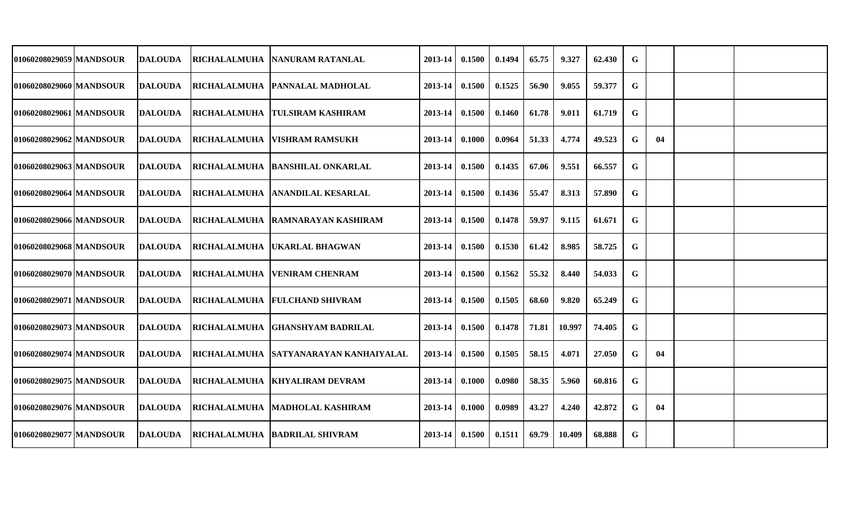| 01060208029059   MANDSOUR | DALOUDA        |                     | RICHALALMUHA NANURAM RATANLAL         | 2013-14     | 0.1500 | 0.1494 | 65.75 | 9.327  | 62.430 | G           |    |  |
|---------------------------|----------------|---------------------|---------------------------------------|-------------|--------|--------|-------|--------|--------|-------------|----|--|
| 01060208029060   MANDSOUR | <b>DALOUDA</b> |                     | RICHALALMUHA   PANNALAL MADHOLAL      | 2013-14     | 0.1500 | 0.1525 | 56.90 | 9.055  | 59.377 | G           |    |  |
| 01060208029061 MANDSOUR   | <b>DALOUDA</b> | <b>RICHALALMUHA</b> | <b>TULSIRAM KASHIRAM</b>              | 2013-14     | 0.1500 | 0.1460 | 61.78 | 9.011  | 61.719 | G           |    |  |
| 01060208029062 MANDSOUR   | <b>DALOUDA</b> | <b>RICHALALMUHA</b> | <b>VISHRAM RAMSUKH</b>                | 2013-14     | 0.1000 | 0.0964 | 51.33 | 4.774  | 49.523 | G           | 04 |  |
| 01060208029063 MANDSOUR   | <b>DALOUDA</b> |                     | RICHALALMUHA  BANSHILAL ONKARLAL      | $2013 - 14$ | 0.1500 | 0.1435 | 67.06 | 9.551  | 66.557 | G           |    |  |
| 01060208029064   MANDSOUR | <b>DALOUDA</b> |                     | RICHALALMUHA  ANANDILAL KESARLAL      | $2013 - 14$ | 0.1500 | 0.1436 | 55.47 | 8.313  | 57.890 | G           |    |  |
| 01060208029066 MANDSOUR   | <b>DALOUDA</b> |                     | RICHALALMUHA RAMNARAYAN KASHIRAM      | $2013 - 14$ | 0.1500 | 0.1478 | 59.97 | 9.115  | 61.671 | G           |    |  |
| 01060208029068 MANDSOUR   | <b>DALOUDA</b> |                     | RICHALALMUHA   UKARLAL BHAGWAN        | $2013 - 14$ | 0.1500 | 0.1530 | 61.42 | 8.985  | 58.725 | G           |    |  |
| 01060208029070 MANDSOUR   | DALOUDA        |                     | RICHALALMUHA VENIRAM CHENRAM          | 2013-14     | 0.1500 | 0.1562 | 55.32 | 8.440  | 54.033 | G           |    |  |
| 01060208029071 MANDSOUR   | <b>DALOUDA</b> |                     | RICHALALMUHA FULCHAND SHIVRAM         | 2013-14     | 0.1500 | 0.1505 | 68.60 | 9.820  | 65.249 | G           |    |  |
| 01060208029073 MANDSOUR   | <b>DALOUDA</b> |                     | RICHALALMUHA   GHANSHYAM BADRILAL     | 2013-14     | 0.1500 | 0.1478 | 71.81 | 10.997 | 74.405 | G           |    |  |
| 01060208029074 MANDSOUR   | <b>DALOUDA</b> |                     | RICHALALMUHA SATYANARAYAN KANHAIYALAL | $2013 - 14$ | 0.1500 | 0.1505 | 58.15 | 4.071  | 27.050 | G           | 04 |  |
| 01060208029075 MANDSOUR   | DALOUDA        |                     | RICHALALMUHA KHYALIRAM DEVRAM         | 2013-14     | 0.1000 | 0.0980 | 58.35 | 5.960  | 60.816 | G           |    |  |
| 01060208029076 MANDSOUR   | <b>DALOUDA</b> |                     | RICHALALMUHA   MADHOLAL KASHIRAM      | 2013-14     | 0.1000 | 0.0989 | 43.27 | 4.240  | 42.872 | G           | 04 |  |
| 01060208029077 MANDSOUR   | <b>DALOUDA</b> |                     | RICHALALMUHA  BADRILAL SHIVRAM        | $2013 - 14$ | 0.1500 | 0.1511 | 69.79 | 10.409 | 68.888 | $\mathbf G$ |    |  |
|                           |                |                     |                                       |             |        |        |       |        |        |             |    |  |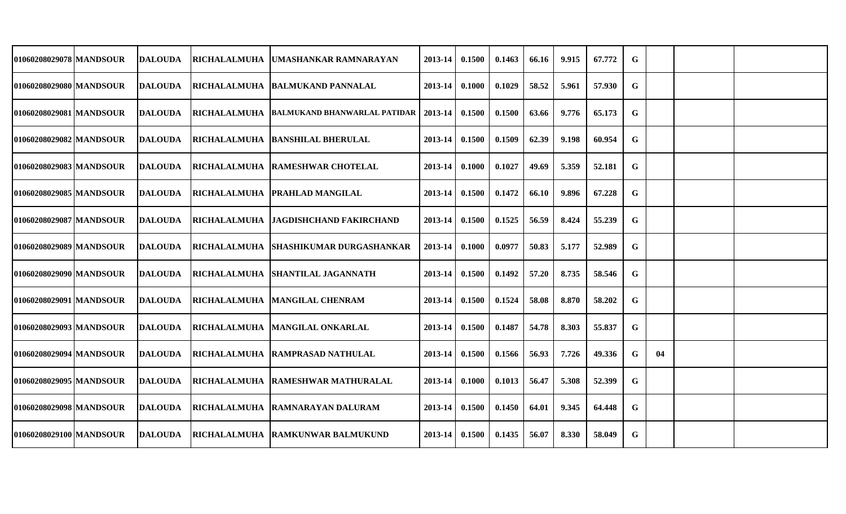| 01060208029078   MANDSOUR | DALOUDA        | RICHALALMUHA  UMASHANKAR RAMNARAYAN                  | 2013-14     | 0.1500 | 0.1463 | 66.16 | 9.915 | 67.772 | G           |    |  |
|---------------------------|----------------|------------------------------------------------------|-------------|--------|--------|-------|-------|--------|-------------|----|--|
| 01060208029080   MANDSOUR | <b>DALOUDA</b> | RICHALALMUHA  BALMUKAND PANNALAL                     | 2013-14     | 0.1000 | 0.1029 | 58.52 | 5.961 | 57.930 | G           |    |  |
| 01060208029081 MANDSOUR   | <b>DALOUDA</b> | RICHALALMUHA  BALMUKAND BHANWARLAL PATIDAR   2013-14 |             | 0.1500 | 0.1500 | 63.66 | 9.776 | 65.173 | G           |    |  |
| 01060208029082 MANDSOUR   | <b>DALOUDA</b> | RICHALALMUHA  BANSHILAL BHERULAL                     | 2013-14     | 0.1500 | 0.1509 | 62.39 | 9.198 | 60.954 | G           |    |  |
| 01060208029083 MANDSOUR   | <b>DALOUDA</b> | RICHALALMUHA RAMESHWAR CHOTELAL                      | $2013 - 14$ | 0.1000 | 0.1027 | 49.69 | 5.359 | 52.181 | G           |    |  |
| 01060208029085   MANDSOUR | <b>DALOUDA</b> | RICHALALMUHA   PRAHLAD MANGILAL                      | $2013 - 14$ | 0.1500 | 0.1472 | 66.10 | 9.896 | 67.228 | G           |    |  |
| 01060208029087 MANDSOUR   | <b>DALOUDA</b> | RICHALALMUHA   JAGDISHCHAND FAKIRCHAND               | $2013 - 14$ | 0.1500 | 0.1525 | 56.59 | 8.424 | 55.239 | G           |    |  |
| 01060208029089 MANDSOUR   | DALOUDA        | RICHALALMUHA SHASHIKUMAR DURGASHANKAR                | $2013 - 14$ | 0.1000 | 0.0977 | 50.83 | 5.177 | 52.989 | G           |    |  |
| 01060208029090 MANDSOUR   | DALOUDA        | RICHALALMUHA SHANTILAL JAGANNATH                     | $2013 - 14$ | 0.1500 | 0.1492 | 57.20 | 8.735 | 58.546 | G           |    |  |
| 01060208029091 MANDSOUR   | <b>DALOUDA</b> | RICHALALMUHA   MANGILAL CHENRAM                      | 2013-14     | 0.1500 | 0.1524 | 58.08 | 8.870 | 58.202 | G           |    |  |
| 01060208029093 MANDSOUR   | <b>DALOUDA</b> | RICHALALMUHA MANGILAL ONKARLAL                       | 2013-14     | 0.1500 | 0.1487 | 54.78 | 8.303 | 55.837 | G           |    |  |
| 01060208029094 MANDSOUR   | <b>DALOUDA</b> | RICHALALMUHA  RAMPRASAD NATHULAL                     | $2013 - 14$ | 0.1500 | 0.1566 | 56.93 | 7.726 | 49.336 | G           | 04 |  |
| 01060208029095 MANDSOUR   | DALOUDA        | RICHALALMUHA RAMESHWAR MATHURALAL                    | 2013-14     | 0.1000 | 0.1013 | 56.47 | 5.308 | 52.399 | G           |    |  |
| 010602080290981MANDSOUR   | <b>DALOUDA</b> | RICHALALMUHA RAMNARAYAN DALURAM                      | $2013 - 14$ | 0.1500 | 0.1450 | 64.01 | 9.345 | 64.448 | G           |    |  |
| 01060208029100 MANDSOUR   | <b>DALOUDA</b> | RICHALALMUHA RAMKUNWAR BALMUKUND                     | $2013 - 14$ | 0.1500 | 0.1435 | 56.07 | 8.330 | 58.049 | $\mathbf G$ |    |  |
|                           |                |                                                      |             |        |        |       |       |        |             |    |  |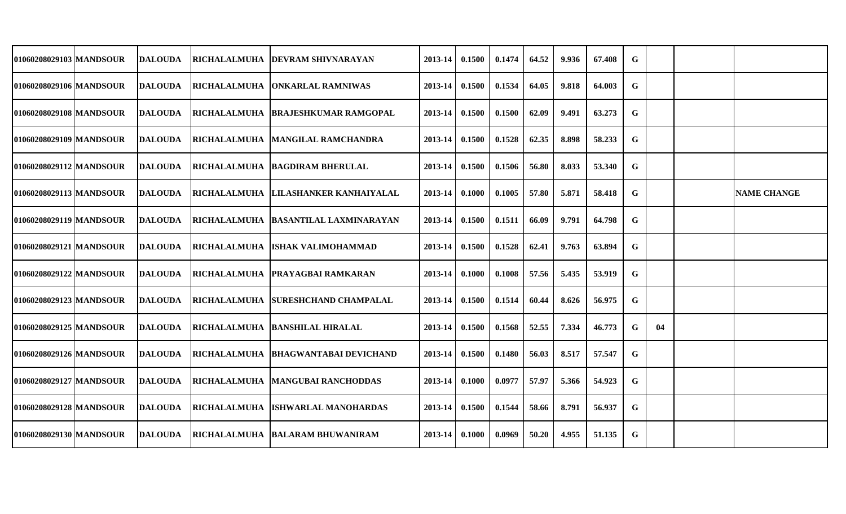| 01060208029103 MANDSOUR   | DALOUDA        | RICHALALMUHA  DEVRAM SHIVNARAYAN     | 2013-14     | 0.1500 | 0.1474 | 64.52 | 9.936 | 67.408 | G           |    |                    |
|---------------------------|----------------|--------------------------------------|-------------|--------|--------|-------|-------|--------|-------------|----|--------------------|
| 01060208029106   MANDSOUR | <b>DALOUDA</b> | RICHALALMUHA  ONKARLAL RAMNIWAS      | 2013-14     | 0.1500 | 0.1534 | 64.05 | 9.818 | 64.003 | G           |    |                    |
| 01060208029108 MANDSOUR   | <b>DALOUDA</b> | RICHALALMUHA BRAJESHKUMAR RAMGOPAL   | 2013-14     | 0.1500 | 0.1500 | 62.09 | 9.491 | 63.273 | G           |    |                    |
| 01060208029109 MANDSOUR   | <b>DALOUDA</b> | RICHALALMUHA   MANGILAL RAMCHANDRA   | 2013-14     | 0.1500 | 0.1528 | 62.35 | 8.898 | 58.233 | G           |    |                    |
| 01060208029112 MANDSOUR   | <b>DALOUDA</b> | RICHALALMUHA BAGDIRAM BHERULAL       | $2013 - 14$ | 0.1500 | 0.1506 | 56.80 | 8.033 | 53.340 | G           |    |                    |
| 01060208029113   MANDSOUR | <b>DALOUDA</b> | RICHALALMUHA LILASHANKER KANHAIYALAL | $2013 - 14$ | 0.1000 | 0.1005 | 57.80 | 5.871 | 58.418 | G           |    | <b>NAME CHANGE</b> |
| 01060208029119 MANDSOUR   | <b>DALOUDA</b> | RICHALALMUHA BASANTILAL LAXMINARAYAN | $2013 - 14$ | 0.1500 | 0.1511 | 66.09 | 9.791 | 64.798 | G           |    |                    |
| 01060208029121 MANDSOUR   | DALOUDA        | RICHALALMUHA ISHAK VALIMOHAMMAD      | $2013 - 14$ | 0.1500 | 0.1528 | 62.41 | 9.763 | 63.894 | G           |    |                    |
| 01060208029122 MANDSOUR   | DALOUDA        | RICHALALMUHA PRAYAGBAI RAMKARAN      | 2013-14     | 0.1000 | 0.1008 | 57.56 | 5.435 | 53.919 | G           |    |                    |
| 01060208029123 MANDSOUR   | <b>DALOUDA</b> | RICHALALMUHA SURESHCHAND CHAMPALAL   | 2013-14     | 0.1500 | 0.1514 | 60.44 | 8.626 | 56.975 | G           |    |                    |
| 01060208029125 MANDSOUR   | <b>DALOUDA</b> | RICHALALMUHA BANSHILAL HIRALAL       | 2013-14     | 0.1500 | 0.1568 | 52.55 | 7.334 | 46.773 | G           | 04 |                    |
| 01060208029126 MANDSOUR   | <b>DALOUDA</b> | RICHALALMUHA BHAGWANTABAI DEVICHAND  | $2013 - 14$ | 0.1500 | 0.1480 | 56.03 | 8.517 | 57.547 | G           |    |                    |
| 01060208029127 MANDSOUR   | DALOUDA        | RICHALALMUHA   MANGUBAI RANCHODDAS   | 2013-14     | 0.1000 | 0.0977 | 57.97 | 5.366 | 54.923 | G           |    |                    |
| 01060208029128 MANDSOUR   | <b>DALOUDA</b> | RICHALALMUHA ISHWARLAL MANOHARDAS    | 2013-14     | 0.1500 | 0.1544 | 58.66 | 8.791 | 56.937 | G           |    |                    |
| 01060208029130 MANDSOUR   | <b>DALOUDA</b> | RICHALALMUHA   BALARAM BHUWANIRAM    | $2013 - 14$ | 0.1000 | 0.0969 | 50.20 | 4.955 | 51.135 | $\mathbf G$ |    |                    |
|                           |                |                                      |             |        |        |       |       |        |             |    |                    |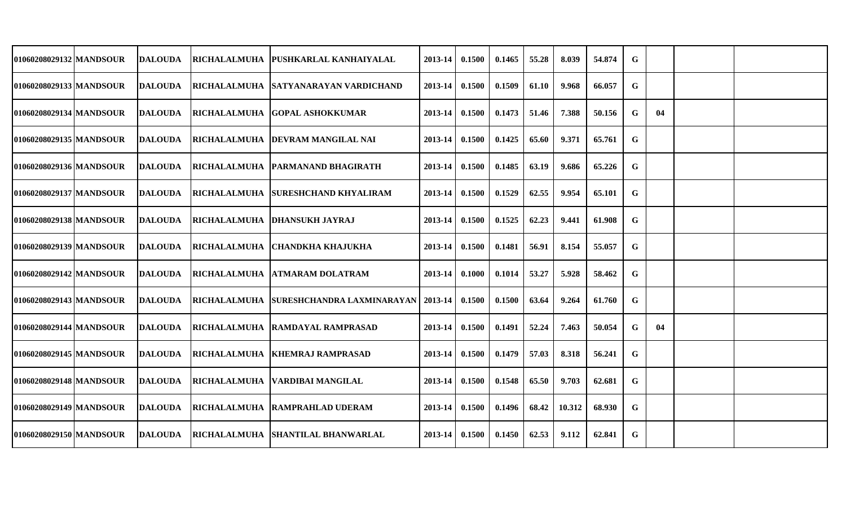| 01060208029132 MANDSOUR   | DALOUDA        | <b>IRICHALALMUHA IPUSHKARLAL KANHAIYALAL</b>      | 2013-14            | 0.1500 | 0.1465 | 55.28 | 8.039  | 54.874 | G           |    |  |
|---------------------------|----------------|---------------------------------------------------|--------------------|--------|--------|-------|--------|--------|-------------|----|--|
| 010602080291331MANDSOUR   | DALOUDA        | <b>RICHALALMUHA ISATYANARAYAN VARDICHAND</b>      | 2013-14            | 0.1500 | 0.1509 | 61.10 | 9.968  | 66.057 | G           |    |  |
| 01060208029134 MANDSOUR   | DALOUDA        | <b>IRICHALALMUHA IGOPAL ASHOKKUMAR</b>            | 2013-14            | 0.1500 | 0.1473 | 51.46 | 7.388  | 50.156 | G           | 04 |  |
| 01060208029135 MANDSOUR   | <b>DALOUDA</b> | RICHALALMUHA DEVRAM MANGILAL NAI                  | 2013-14            | 0.1500 | 0.1425 | 65.60 | 9.371  | 65.761 | G           |    |  |
| 01060208029136 MANDSOUR   | <b>DALOUDA</b> | RICHALALMUHA   PARMANAND BHAGIRATH                | $2013 - 14$ 0.1500 |        | 0.1485 | 63.19 | 9.686  | 65.226 | G           |    |  |
| 01060208029137 MANDSOUR   | <b>DALOUDA</b> | RICHALALMUHA SURESHCHAND KHYALIRAM                | $2013-14$ 0.1500   |        | 0.1529 | 62.55 | 9.954  | 65.101 | G           |    |  |
| 01060208029138 MANDSOUR   | <b>DALOUDA</b> | <b>RICHALALMUHA DHANSUKH JAYRAJ</b>               | $2013 - 14$        | 0.1500 | 0.1525 | 62.23 | 9.441  | 61.908 | G           |    |  |
| 01060208029139   MANDSOUR | DALOUDA        | RICHALALMUHA CHANDKHA KHAJUKHA                    | $2013-14$ 0.1500   |        | 0.1481 | 56.91 | 8.154  | 55.057 | G           |    |  |
| 01060208029142 MANDSOUR   | <b>DALOUDA</b> | RICHALALMUHA ATMARAM DOLATRAM                     | 2013-14 0.1000     |        | 0.1014 | 53.27 | 5.928  | 58.462 | G           |    |  |
| 01060208029143 MANDSOUR   | <b>DALOUDA</b> | RICHALALMUHA SURESHCHANDRA LAXMINARAYAN   2013-14 |                    | 0.1500 | 0.1500 | 63.64 | 9.264  | 61.760 | G           |    |  |
| 01060208029144 MANDSOUR   | DALOUDA        | <b>RICHALALMUHA RAMDAYAL RAMPRASAD</b>            | 2013-14            | 0.1500 | 0.1491 | 52.24 | 7.463  | 50.054 | G           | 04 |  |
| 01060208029145 MANDSOUR   | <b>DALOUDA</b> | RICHALALMUHA   KHEMRAJ RAMPRASAD                  | 2013-14            | 0.1500 | 0.1479 | 57.03 | 8.318  | 56.241 | G           |    |  |
| 01060208029148 MANDSOUR   | <b>DALOUDA</b> | RICHALALMUHA   VARDIBAI MANGILAL                  | $2013-14$ 0.1500   |        | 0.1548 | 65.50 | 9.703  | 62.681 | G           |    |  |
| 01060208029149 MANDSOUR   | <b>DALOUDA</b> | RICHALALMUHA RAMPRAHLAD UDERAM                    | $2013-14$ 0.1500   |        | 0.1496 | 68.42 | 10.312 | 68.930 | G           |    |  |
| 01060208029150 MANDSOUR   | DALOUDA        | RICHALALMUHA SHANTILAL BHANWARLAL                 | $2013-14$ 0.1500   |        | 0.1450 | 62.53 | 9.112  | 62.841 | $\mathbf G$ |    |  |
|                           |                |                                                   |                    |        |        |       |        |        |             |    |  |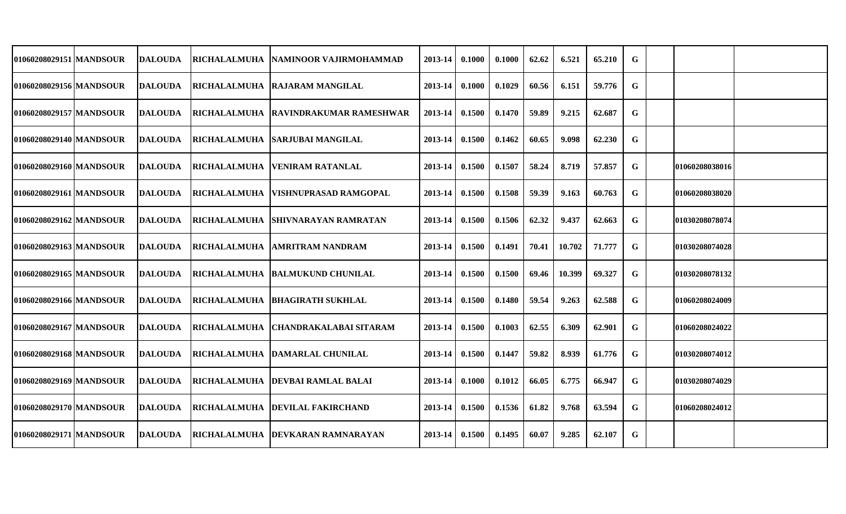| 01060208029151   MANDSOUR | <b>DALOUDA</b> | <b>RICHALALMUHA</b> | INAMINOOR VAJIRMOHAMMAD              | 2013-14 | 0.1000 | 0.1000 | 62.62 | 6.521  | 65.210 | G |                       |  |
|---------------------------|----------------|---------------------|--------------------------------------|---------|--------|--------|-------|--------|--------|---|-----------------------|--|
| 01060208029156 MANDSOUR   | <b>DALOUDA</b> |                     | RICHALALMUHA RAJARAM MANGILAL        | 2013-14 | 0.1000 | 0.1029 | 60.56 | 6.151  | 59.776 | G |                       |  |
| 01060208029157 MANDSOUR   | DALOUDA        |                     | RICHALALMUHA RAVINDRAKUMAR RAMESHWAR | 2013-14 | 0.1500 | 0.1470 | 59.89 | 9.215  | 62.687 | G |                       |  |
| 01060208029140   MANDSOUR | DALOUDA        |                     | RICHALALMUHA   SARJUBAI MANGILAL     | 2013-14 | 0.1500 | 0.1462 | 60.65 | 9.098  | 62.230 | G |                       |  |
| 01060208029160 MANDSOUR   | <b>DALOUDA</b> | <b>RICHALALMUHA</b> | <b>VENIRAM RATANLAL</b>              | 2013-14 | 0.1500 | 0.1507 | 58.24 | 8.719  | 57.857 | G | 01060208038016        |  |
| 01060208029161 MANDSOUR   | <b>DALOUDA</b> | RICHALALMUHA        | <b>IVISHNUPRASAD RAMGOPAL</b>        | 2013-14 | 0.1500 | 0.1508 | 59.39 | 9.163  | 60.763 | G | 01060208038020        |  |
| 01060208029162 MANDSOUR   | <b>DALOUDA</b> |                     | RICHALALMUHA SHIVNARAYAN RAMRATAN    | 2013-14 | 0.1500 | 0.1506 | 62.32 | 9.437  | 62.663 | G | 01030208078074        |  |
| 01060208029163 MANDSOUR   | <b>DALOUDA</b> |                     | RICHALALMUHA  AMRITRAM NANDRAM       | 2013-14 | 0.1500 | 0.1491 | 70.41 | 10.702 | 71.777 | G | 01030208074028        |  |
| 01060208029165 MANDSOUR   | <b>DALOUDA</b> |                     | RICHALALMUHA BALMUKUND CHUNILAL      | 2013-14 | 0.1500 | 0.1500 | 69.46 | 10.399 | 69.327 | G | 01030208078132        |  |
| 01060208029166 MANDSOUR   | <b>DALOUDA</b> |                     | RICHALALMUHA   BHAGIRATH SUKHLAL     | 2013-14 | 0.1500 | 0.1480 | 59.54 | 9.263  | 62.588 | G | 01060208024009        |  |
| 01060208029167 MANDSOUR   | <b>DALOUDA</b> | RICHALALMUHA        | <b>CHANDRAKALABAI SITARAM</b>        | 2013-14 | 0.1500 | 0.1003 | 62.55 | 6.309  | 62.901 | G | 01060208024022        |  |
| 01060208029168 MANDSOUR   | <b>DALOUDA</b> |                     | RICHALALMUHA DAMARLAL CHUNILAL       | 2013-14 | 0.1500 | 0.1447 | 59.82 | 8.939  | 61.776 | G | <b>01030208074012</b> |  |
| 01060208029169 MANDSOUR   | <b>DALOUDA</b> |                     | RICHALALMUHA DEVBAI RAMLAL BALAI     | 2013-14 | 0.1000 | 0.1012 | 66.05 | 6.775  | 66.947 | G | 01030208074029        |  |
| 01060208029170 MANDSOUR   | <b>DALOUDA</b> |                     | RICHALALMUHA   DEVILAL FAKIRCHAND    | 2013-14 | 0.1500 | 0.1536 | 61.82 | 9.768  | 63.594 | G | 01060208024012        |  |
| 01060208029171 MANDSOUR   | <b>DALOUDA</b> |                     | RICHALALMUHA   DEVKARAN RAMNARAYAN   | 2013-14 | 0.1500 | 0.1495 | 60.07 | 9.285  | 62.107 | G |                       |  |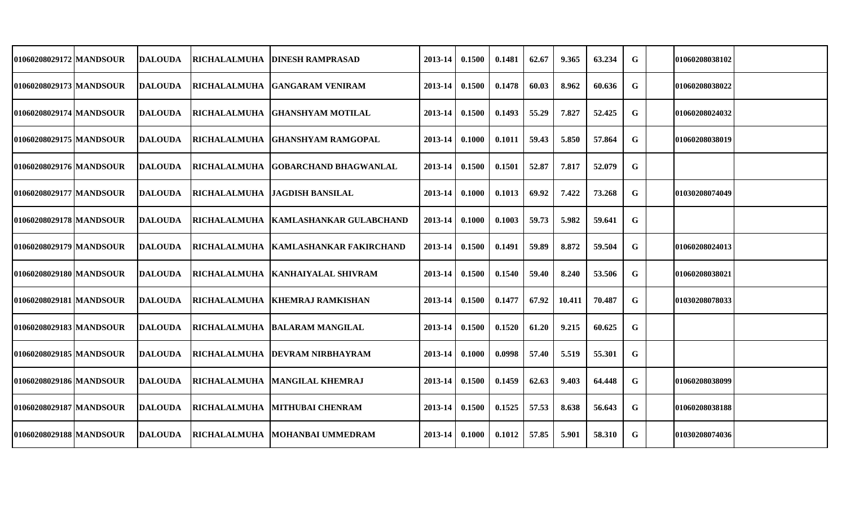| 01060208029172 MANDSOUR   | DALOUDA         | RICHALALMUHA         | <b>IDINESH RAMPRASAD</b>               | 2013-14 | 0.1500 | 0.1481 | 62.67 | 9.365  | 63.234 | G | 01060208038102 |  |
|---------------------------|-----------------|----------------------|----------------------------------------|---------|--------|--------|-------|--------|--------|---|----------------|--|
| 01060208029173 MANDSOUR   | <b>DALOUDA</b>  |                      | RICHALALMUHA GANGARAM VENIRAM          | 2013-14 | 0.1500 | 0.1478 | 60.03 | 8.962  | 60.636 | G | 01060208038022 |  |
| 01060208029174 MANDSOUR   | <b>DALOUDA</b>  | <b>RICHALALMUHA</b>  | <b>IGHANSHYAM MOTILAL</b>              | 2013-14 | 0.1500 | 0.1493 | 55.29 | 7.827  | 52.425 | G | 01060208024032 |  |
| 01060208029175   MANDSOUR | <b>IDALOUDA</b> | <b> RICHALALMUHA</b> | <b>GHANSHYAM RAMGOPAL</b>              | 2013-14 | 0.1000 | 0.1011 | 59.43 | 5.850  | 57.864 | G | 01060208038019 |  |
| 01060208029176 MANDSOUR   | <b>DALOUDA</b>  | <b>RICHALALMUHA</b>  | <b>IGOBARCHAND BHAGWANLAL</b>          | 2013-14 | 0.1500 | 0.1501 | 52.87 | 7.817  | 52.079 | G |                |  |
| 01060208029177 MANDSOUR   | <b>DALOUDA</b>  |                      | RICHALALMUHA JAGDISH BANSILAL          | 2013-14 | 0.1000 | 0.1013 | 69.92 | 7.422  | 73.268 | G | 01030208074049 |  |
| 01060208029178 MANDSOUR   | DALOUDA         |                      | RICHALALMUHA KAMLASHANKAR GULABCHAND   | 2013-14 | 0.1000 | 0.1003 | 59.73 | 5.982  | 59.641 | G |                |  |
| 01060208029179 MANDSOUR   | <b>IDALOUDA</b> |                      | RICHALALMUHA   KAMLASHANKAR FAKIRCHAND | 2013-14 | 0.1500 | 0.1491 | 59.89 | 8.872  | 59.504 | G | 01060208024013 |  |
| 01060208029180 MANDSOUR   | <b>DALOUDA</b>  |                      | RICHALALMUHA   KANHAIYALAL SHIVRAM     | 2013-14 | 0.1500 | 0.1540 | 59.40 | 8.240  | 53.506 | G | 01060208038021 |  |
| 01060208029181 MANDSOUR   | <b>DALOUDA</b>  |                      | RICHALALMUHA  KHEMRAJ RAMKISHAN        | 2013-14 | 0.1500 | 0.1477 | 67.92 | 10.411 | 70.487 | G | 01030208078033 |  |
| 01060208029183 MANDSOUR   | <b>DALOUDA</b>  |                      | RICHALALMUHA BALARAM MANGILAL          | 2013-14 | 0.1500 | 0.1520 | 61.20 | 9.215  | 60.625 | G |                |  |
| 01060208029185 MANDSOUR   | <b>DALOUDA</b>  |                      | RICHALALMUHA   DEVRAM NIRBHAYRAM       | 2013-14 | 0.1000 | 0.0998 | 57.40 | 5.519  | 55.301 | G |                |  |
| 01060208029186 MANDSOUR   | <b>DALOUDA</b>  | RICHALALMUHA         | MANGILAL KHEMRAJ                       | 2013-14 | 0.1500 | 0.1459 | 62.63 | 9.403  | 64.448 | G | 01060208038099 |  |
| 01060208029187 MANDSOUR   | <b>DALOUDA</b>  | <b>RICHALALMUHA</b>  | <b>MITHUBAI CHENRAM</b>                | 2013-14 | 0.1500 | 0.1525 | 57.53 | 8.638  | 56.643 | G | 01060208038188 |  |
| 01060208029188 MANDSOUR   | <b>DALOUDA</b>  | <b>RICHALALMUHA</b>  | MOHANBAI UMMEDRAM                      | 2013-14 | 0.1000 | 0.1012 | 57.85 | 5.901  | 58.310 | G | 01030208074036 |  |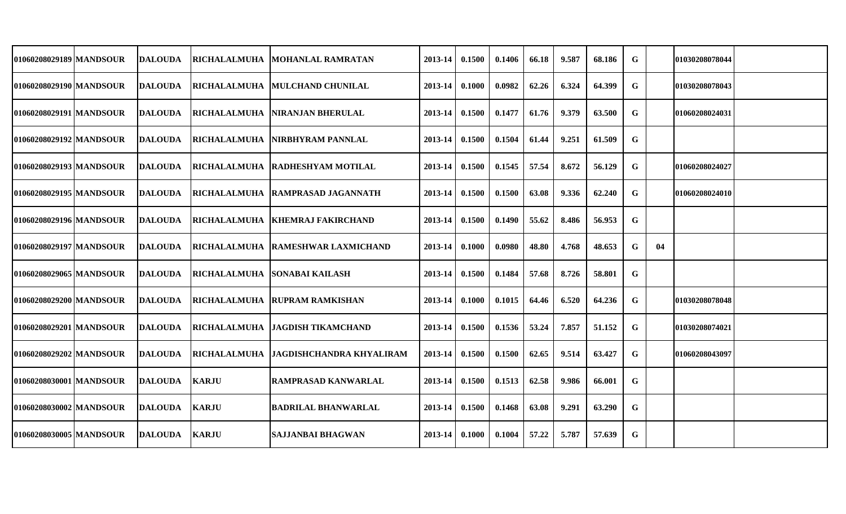| 01060208029189   MANDSOUR | <b>IDALOUDA</b> |              | RICHALALMUHA  MOHANLAL RAMRATAN       | 2013-14     | 0.1500 | 0.1406 | 66.18 | 9.587 | 68.186 | G |    | 01030208078044 |  |
|---------------------------|-----------------|--------------|---------------------------------------|-------------|--------|--------|-------|-------|--------|---|----|----------------|--|
| 01060208029190 MANDSOUR   | <b>DALOUDA</b>  |              | RICHALALMUHA MULCHAND CHUNILAL        | 2013-14     | 0.1000 | 0.0982 | 62.26 | 6.324 | 64.399 | G |    | 01030208078043 |  |
| 01060208029191 MANDSOUR   | <b>IDALOUDA</b> |              | RICHALALMUHA   NIRANJAN BHERULAL      | 2013-14     | 0.1500 | 0.1477 | 61.76 | 9.379 | 63.500 | G |    | 01060208024031 |  |
| 01060208029192 MANDSOUR   | <b>DALOUDA</b>  |              | RICHALALMUHA NIRBHYRAM PANNLAL        | $2013 - 14$ | 0.1500 | 0.1504 | 61.44 | 9.251 | 61.509 | G |    |                |  |
| 01060208029193 MANDSOUR   | <b>IDALOUDA</b> |              | RICHALALMUHA RADHESHYAM MOTILAL       | 2013-14     | 0.1500 | 0.1545 | 57.54 | 8.672 | 56.129 | G |    | 01060208024027 |  |
| 01060208029195 MANDSOUR   | <b>IDALOUDA</b> |              | RICHALALMUHA   RAMPRASAD JAGANNATH    | $2013 - 14$ | 0.1500 | 0.1500 | 63.08 | 9.336 | 62.240 | G |    | 01060208024010 |  |
| 01060208029196 MANDSOUR   | <b>DALOUDA</b>  |              | RICHALALMUHA KHEMRAJ FAKIRCHAND       | 2013-14     | 0.1500 | 0.1490 | 55.62 | 8.486 | 56.953 | G |    |                |  |
| 01060208029197   MANDSOUR | <b>DALOUDA</b>  |              | RICHALALMUHA RAMESHWAR LAXMICHAND     | 2013-14     | 0.1000 | 0.0980 | 48.80 | 4.768 | 48.653 | G | 04 |                |  |
| 01060208029065 MANDSOUR   | <b>DALOUDA</b>  |              | RICHALALMUHA SONABAI KAILASH          | 2013-14     | 0.1500 | 0.1484 | 57.68 | 8.726 | 58.801 | G |    |                |  |
| 01060208029200 MANDSOUR   | <b>DALOUDA</b>  |              | RICHALALMUHA RUPRAM RAMKISHAN         | 2013-14     | 0.1000 | 0.1015 | 64.46 | 6.520 | 64.236 | G |    | 01030208078048 |  |
| 01060208029201 MANDSOUR   | <b>DALOUDA</b>  |              | RICHALALMUHA JAGDISH TIKAMCHAND       | $2013 - 14$ | 0.1500 | 0.1536 | 53.24 | 7.857 | 51.152 | G |    | 01030208074021 |  |
| 01060208029202 MANDSOUR   | <b>IDALOUDA</b> |              | RICHALALMUHA JAGDISHCHANDRA KHYALIRAM | $2013 - 14$ | 0.1500 | 0.1500 | 62.65 | 9.514 | 63.427 | G |    | 01060208043097 |  |
| 01060208030001 MANDSOUR   | <b>DALOUDA</b>  | <b>KARJU</b> | <b>RAMPRASAD KANWARLAL</b>            | $2013 - 14$ | 0.1500 | 0.1513 | 62.58 | 9.986 | 66.001 | G |    |                |  |
| 01060208030002   MANDSOUR | <b>DALOUDA</b>  | <b>KARJU</b> | <b>BADRILAL BHANWARLAL</b>            | $2013 - 14$ | 0.1500 | 0.1468 | 63.08 | 9.291 | 63.290 | G |    |                |  |
| 01060208030005 MANDSOUR   | <b>DALOUDA</b>  | <b>KARJU</b> | <b>SAJJANBAI BHAGWAN</b>              | $2013 - 14$ | 0.1000 | 0.1004 | 57.22 | 5.787 | 57.639 | G |    |                |  |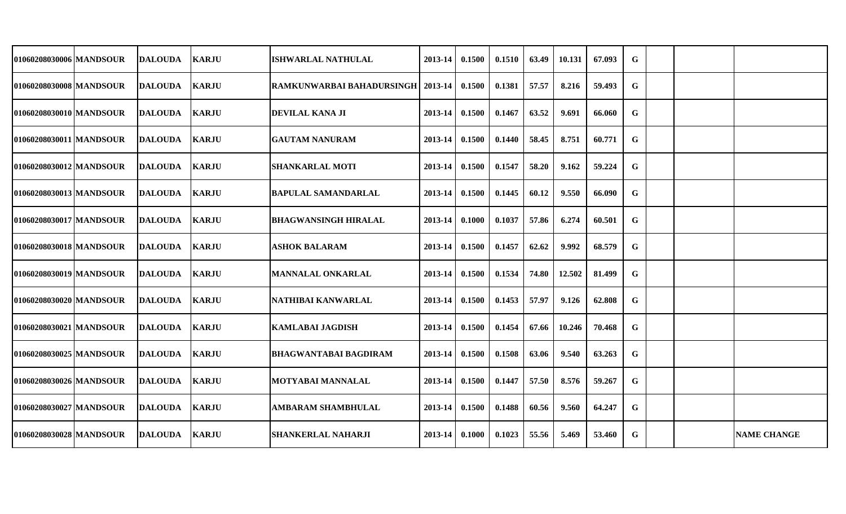| 01060208030006   MANDSOUR | DALOUDA        | <b>KARJU</b> | ISHWARLAL NATHULAL                 | 2013-14            | 0.1500 | 0.1510 | 63.49 | 10.131 | 67.093 | G |  |                    |
|---------------------------|----------------|--------------|------------------------------------|--------------------|--------|--------|-------|--------|--------|---|--|--------------------|
| 01060208030008 MANDSOUR   | <b>DALOUDA</b> | <b>KARJU</b> | RAMKUNWARBAI BAHADURSINGH  2013-14 |                    | 0.1500 | 0.1381 | 57.57 | 8.216  | 59.493 | G |  |                    |
| 01060208030010 MANDSOUR   | <b>DALOUDA</b> | <b>KARJU</b> | <b>DEVILAL KANA JI</b>             | 2013-14            | 0.1500 | 0.1467 | 63.52 | 9.691  | 66.060 | G |  |                    |
| 01060208030011 MANDSOUR   | <b>DALOUDA</b> | <b>KARJU</b> | <b>GAUTAM NANURAM</b>              | $2013 - 14$        | 0.1500 | 0.1440 | 58.45 | 8.751  | 60.771 | G |  |                    |
| 01060208030012 MANDSOUR   | <b>DALOUDA</b> | <b>KARJU</b> | <b>SHANKARLAL MOTI</b>             | $2013 - 14$        | 0.1500 | 0.1547 | 58.20 | 9.162  | 59.224 | G |  |                    |
| 01060208030013   MANDSOUR | <b>DALOUDA</b> | <b>KARJU</b> | BAPULAL SAMANDARLAL                | $2013 - 14$ 0.1500 |        | 0.1445 | 60.12 | 9.550  | 66.090 | G |  |                    |
| 01060208030017 MANDSOUR   | <b>DALOUDA</b> | <b>KARJU</b> | <b>BHAGWANSINGH HIRALAL</b>        | 2013-14            | 0.1000 | 0.1037 | 57.86 | 6.274  | 60.501 | G |  |                    |
| 01060208030018 MANDSOUR   | DALOUDA        | <b>KARJU</b> | <b>ASHOK BALARAM</b>               | 2013-14            | 0.1500 | 0.1457 | 62.62 | 9.992  | 68.579 | G |  |                    |
| 01060208030019 MANDSOUR   | <b>DALOUDA</b> | <b>KARJU</b> | <b>MANNALAL ONKARLAL</b>           | 2013-14            | 0.1500 | 0.1534 | 74.80 | 12.502 | 81.499 | G |  |                    |
| 01060208030020 MANDSOUR   | DALOUDA        | <b>KARJU</b> | NATHIBAI KANWARLAL                 | 2013-14            | 0.1500 | 0.1453 | 57.97 | 9.126  | 62.808 | G |  |                    |
| 01060208030021 MANDSOUR   | DALOUDA        | <b>KARJU</b> | <b>KAMLABAI JAGDISH</b>            | 2013-14            | 0.1500 | 0.1454 | 67.66 | 10.246 | 70.468 | G |  |                    |
| 01060208030025 MANDSOUR   | <b>DALOUDA</b> | <b>KARJU</b> | <b>BHAGWANTABAI BAGDIRAM</b>       | 2013-14            | 0.1500 | 0.1508 | 63.06 | 9.540  | 63.263 | G |  |                    |
| 01060208030026   MANDSOUR | <b>DALOUDA</b> | <b>KARJU</b> | <b>MOTYABAI MANNALAL</b>           | $2013 - 14$        | 0.1500 | 0.1447 | 57.50 | 8.576  | 59.267 | G |  |                    |
| 01060208030027 MANDSOUR   | <b>DALOUDA</b> | <b>KARJU</b> | <b>AMBARAM SHAMBHULAL</b>          | 2013-14            | 0.1500 | 0.1488 | 60.56 | 9.560  | 64.247 | G |  |                    |
| 01060208030028 MANDSOUR   | <b>DALOUDA</b> | <b>KARJU</b> | <b>SHANKERLAL NAHARJI</b>          | $2013-14$ 0.1000   |        | 0.1023 | 55.56 | 5.469  | 53.460 | G |  | <b>NAME CHANGE</b> |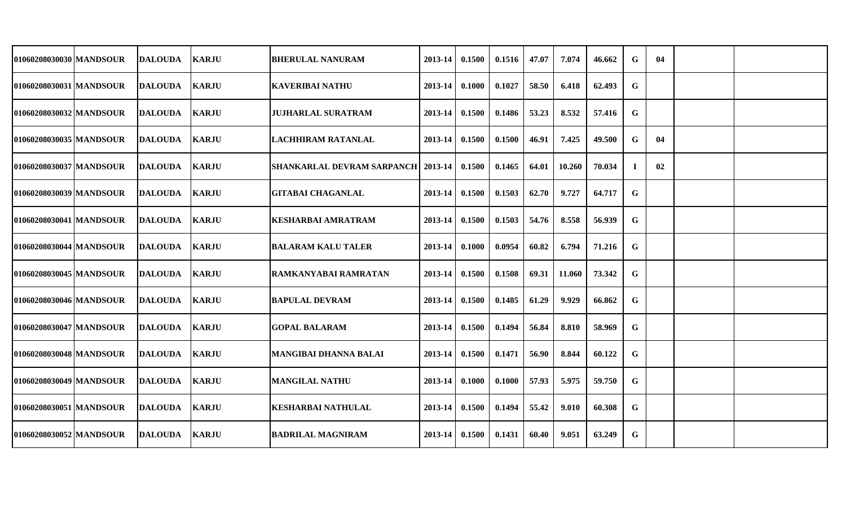| 01060208030030 MANDSOUR   | <b>DALOUDA</b>  | <b>KARJU</b> | <b>BHERULAL NANURAM</b>                       | 2013-14          | 0.1500 | 0.1516 | 47.07 | 7.074  | 46.662 | G  | 04 |  |
|---------------------------|-----------------|--------------|-----------------------------------------------|------------------|--------|--------|-------|--------|--------|----|----|--|
| 01060208030031 MANDSOUR   | <b>DALOUDA</b>  | <b>KARJU</b> | <b>KAVERIBAI NATHU</b>                        | 2013-14          | 0.1000 | 0.1027 | 58.50 | 6.418  | 62.493 | G  |    |  |
| 01060208030032 MANDSOUR   | <b>DALOUDA</b>  | <b>KARJU</b> | <b>JUJHARLAL SURATRAM</b>                     | 2013-14          | 0.1500 | 0.1486 | 53.23 | 8.532  | 57.416 | G  |    |  |
| 01060208030035   MANDSOUR | <b>DALOUDA</b>  | <b>KARJU</b> | ILACHHIRAM RATANLAL                           | $2013 - 14$      | 0.1500 | 0.1500 | 46.91 | 7.425  | 49.500 | G  | 04 |  |
| 01060208030037 MANDSOUR   | <b>DALOUDA</b>  | <b>KARJU</b> | SHANKARLAL DEVRAM SARPANCH   2013-14   0.1500 |                  |        | 0.1465 | 64.01 | 10.260 | 70.034 | Т. | 02 |  |
| 01060208030039   MANDSOUR | <b>DALOUDA</b>  | <b>KARJU</b> | <b>GITABAI CHAGANLAL</b>                      | $2013-14$ 0.1500 |        | 0.1503 | 62.70 | 9.727  | 64.717 | G  |    |  |
| 01060208030041 MANDSOUR   | <b>DALOUDA</b>  | <b>KARJU</b> | <b>KESHARBAI AMRATRAM</b>                     | 2013-14          | 0.1500 | 0.1503 | 54.76 | 8.558  | 56.939 | G  |    |  |
| 01060208030044 MANDSOUR   | <b>DALOUDA</b>  | <b>KARJU</b> | <b>BALARAM KALU TALER</b>                     | $2013 - 14$      | 0.1000 | 0.0954 | 60.82 | 6.794  | 71.216 | G  |    |  |
| 01060208030045 MANDSOUR   | <b>IDALOUDA</b> | <b>KARJU</b> | IRAMKANYABAI RAMRATAN                         | 2013-14          | 0.1500 | 0.1508 | 69.31 | 11.060 | 73.342 | G  |    |  |
| 01060208030046 MANDSOUR   | <b>DALOUDA</b>  | <b>KARJU</b> | <b>BAPULAL DEVRAM</b>                         | 2013-14          | 0.1500 | 0.1485 | 61.29 | 9.929  | 66.862 | G  |    |  |
| 01060208030047 MANDSOUR   | <b>DALOUDA</b>  | <b>KARJU</b> | <b>GOPAL BALARAM</b>                          | 2013-14          | 0.1500 | 0.1494 | 56.84 | 8.810  | 58.969 | G  |    |  |
| 01060208030048 MANDSOUR   | <b>DALOUDA</b>  | <b>KARJU</b> | <b>MANGIBAI DHANNA BALAI</b>                  | 2013-14          | 0.1500 | 0.1471 | 56.90 | 8.844  | 60.122 | G  |    |  |
| 01060208030049 MANDSOUR   | <b>DALOUDA</b>  | <b>KARJU</b> | <b>MANGILAL NATHU</b>                         | $2013 - 14$      | 0.1000 | 0.1000 | 57.93 | 5.975  | 59.750 | G  |    |  |
| 01060208030051 MANDSOUR   | <b>DALOUDA</b>  | <b>KARJU</b> | <b>KESHARBAI NATHULAL</b>                     | $2013 - 14$      | 0.1500 | 0.1494 | 55.42 | 9.010  | 60.308 | G  |    |  |
| 01060208030052 MANDSOUR   | <b>DALOUDA</b>  | <b>KARJU</b> | <b>BADRILAL MAGNIRAM</b>                      | $2013 - 14$      | 0.1500 | 0.1431 | 60.40 | 9.051  | 63.249 | G  |    |  |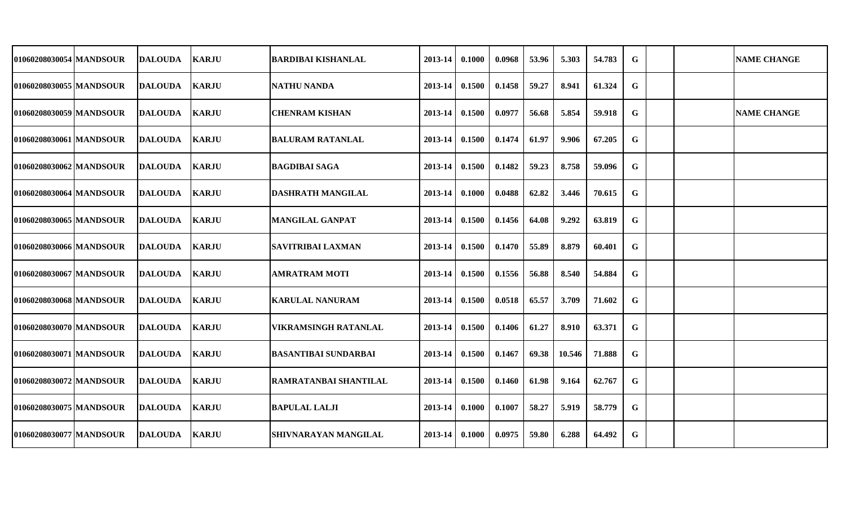| 01060208030054   MANDSOUR | DALOUDA        | <b>KARJU</b> | <b>BARDIBAI KISHANLAL</b>    | 2013-14 | 0.1000 | 0.0968 | 53.96 | 5.303  | 54.783 | G |  | <b>NAME CHANGE</b> |
|---------------------------|----------------|--------------|------------------------------|---------|--------|--------|-------|--------|--------|---|--|--------------------|
| 01060208030055  MANDSOUR  | DALOUDA        | <b>KARJU</b> | <b>NATHU NANDA</b>           | 2013-14 | 0.1500 | 0.1458 | 59.27 | 8.941  | 61.324 | G |  |                    |
| 01060208030059 MANDSOUR   | <b>DALOUDA</b> | <b>KARJU</b> | <b>CHENRAM KISHAN</b>        | 2013-14 | 0.1500 | 0.0977 | 56.68 | 5.854  | 59.918 | G |  | <b>NAME CHANGE</b> |
| 01060208030061   MANDSOUR | DALOUDA        | <b>KARJU</b> | <b>BALURAM RATANLAL</b>      | 2013-14 | 0.1500 | 0.1474 | 61.97 | 9.906  | 67.205 | G |  |                    |
| 01060208030062 MANDSOUR   | <b>DALOUDA</b> | <b>KARJU</b> | <b>BAGDIBAI SAGA</b>         | 2013-14 | 0.1500 | 0.1482 | 59.23 | 8.758  | 59.096 | G |  |                    |
| 01060208030064 MANDSOUR   | <b>DALOUDA</b> | <b>KARJU</b> | <b>DASHRATH MANGILAL</b>     | 2013-14 | 0.1000 | 0.0488 | 62.82 | 3.446  | 70.615 | G |  |                    |
| 01060208030065 MANDSOUR   | <b>DALOUDA</b> | <b>KARJU</b> | <b>MANGILAL GANPAT</b>       | 2013-14 | 0.1500 | 0.1456 | 64.08 | 9.292  | 63.819 | G |  |                    |
| 01060208030066 MANDSOUR   | DALOUDA        | <b>KARJU</b> | <b>SAVITRIBAI LAXMAN</b>     | 2013-14 | 0.1500 | 0.1470 | 55.89 | 8.879  | 60.401 | G |  |                    |
| 01060208030067 MANDSOUR   | <b>DALOUDA</b> | <b>KARJU</b> | <b>AMRATRAM MOTI</b>         | 2013-14 | 0.1500 | 0.1556 | 56.88 | 8.540  | 54.884 | G |  |                    |
| 01060208030068 MANDSOUR   | DALOUDA        | <b>KARJU</b> | <b>KARULAL NANURAM</b>       | 2013-14 | 0.1500 | 0.0518 | 65.57 | 3.709  | 71.602 | G |  |                    |
| 01060208030070 MANDSOUR   | <b>DALOUDA</b> | <b>KARJU</b> | <b>VIKRAMSINGH RATANLAL</b>  | 2013-14 | 0.1500 | 0.1406 | 61.27 | 8.910  | 63.371 | G |  |                    |
| 01060208030071 MANDSOUR   | <b>DALOUDA</b> | <b>KARJU</b> | <b>BASANTIBAI SUNDARBAI</b>  | 2013-14 | 0.1500 | 0.1467 | 69.38 | 10.546 | 71.888 | G |  |                    |
| 01060208030072 MANDSOUR   | DALOUDA        | <b>KARJU</b> | <b>RAMRATANBAI SHANTILAL</b> | 2013-14 | 0.1500 | 0.1460 | 61.98 | 9.164  | 62.767 | G |  |                    |
| 01060208030075 MANDSOUR   | <b>DALOUDA</b> | <b>KARJU</b> | <b>BAPULAL LALJI</b>         | 2013-14 | 0.1000 | 0.1007 | 58.27 | 5.919  | 58.779 | G |  |                    |
| 01060208030077 MANDSOUR   | DALOUDA        | <b>KARJU</b> | <b>SHIVNARAYAN MANGILAL</b>  | 2013-14 | 0.1000 | 0.0975 | 59.80 | 6.288  | 64.492 | G |  |                    |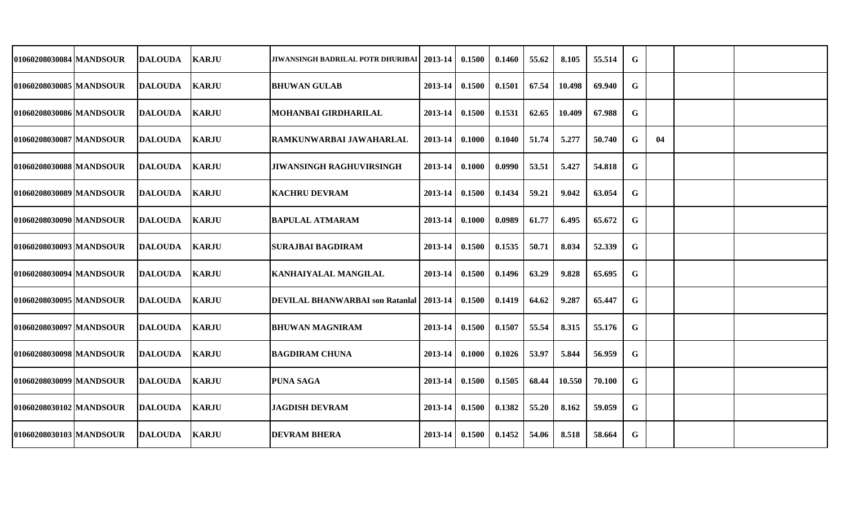| 01060208030084 MANDSOUR   | <b>IDALOUDA</b> | <b>KARJU</b> | JIWANSINGH BADRILAL POTR DHURIBAI   2013-14               |                    | 0.1500 | 0.1460 | 55.62 | 8.105  | 55.514 | G |    |  |
|---------------------------|-----------------|--------------|-----------------------------------------------------------|--------------------|--------|--------|-------|--------|--------|---|----|--|
| 01060208030085 MANDSOUR   | <b>DALOUDA</b>  | <b>KARJU</b> | <b> BHUWAN GULAB</b>                                      | 2013-14            | 0.1500 | 0.1501 | 67.54 | 10.498 | 69.940 | G |    |  |
| 01060208030086 MANDSOUR   | <b>DALOUDA</b>  | <b>KARJU</b> | MOHANBAI GIRDHARILAL                                      | 2013-14            | 0.1500 | 0.1531 | 62.65 | 10.409 | 67.988 | G |    |  |
| 01060208030087 MANDSOUR   | DALOUDA         | <b>KARJU</b> | RAMKUNWARBAI JAWAHARLAL                                   | 2013-14            | 0.1000 | 0.1040 | 51.74 | 5.277  | 50.740 | G | 04 |  |
| 01060208030088 MANDSOUR   | <b>DALOUDA</b>  | <b>KARJU</b> | <b>JIWANSINGH RAGHUVIRSINGH</b>                           | $2013 - 14$        | 0.1000 | 0.0990 | 53.51 | 5.427  | 54.818 | G |    |  |
| 01060208030089   MANDSOUR | <b>IDALOUDA</b> | <b>KARJU</b> | <b> KACHRU DEVRAM</b>                                     | $2013-14$   0.1500 |        | 0.1434 | 59.21 | 9.042  | 63.054 | G |    |  |
| 01060208030090 MANDSOUR   | <b>DALOUDA</b>  | <b>KARJU</b> | <b>BAPULAL ATMARAM</b>                                    | 2013-14            | 0.1000 | 0.0989 | 61.77 | 6.495  | 65.672 | G |    |  |
| 01060208030093 MANDSOUR   | <b>IDALOUDA</b> | <b>KARJU</b> | <b>SURAJBAI BAGDIRAM</b>                                  | 2013-14            | 0.1500 | 0.1535 | 50.71 | 8.034  | 52.339 | G |    |  |
| 01060208030094 MANDSOUR   | <b>DALOUDA</b>  | <b>KARJU</b> | <b>KANHAIYALAL MANGILAL</b>                               | 2013-14            | 0.1500 | 0.1496 | 63.29 | 9.828  | 65.695 | G |    |  |
| 01060208030095 MANDSOUR   | <b>DALOUDA</b>  | <b>KARJU</b> | <b>DEVILAL BHANWARBAI son Ratanial   2013-14   0.1500</b> |                    |        | 0.1419 | 64.62 | 9.287  | 65.447 | G |    |  |
| 01060208030097 MANDSOUR   | <b>DALOUDA</b>  | <b>KARJU</b> | <b>BHUWAN MAGNIRAM</b>                                    | 2013-14            | 0.1500 | 0.1507 | 55.54 | 8.315  | 55.176 | G |    |  |
| 01060208030098 MANDSOUR   | <b>DALOUDA</b>  | <b>KARJU</b> | <b>BAGDIRAM CHUNA</b>                                     | 2013-14            | 0.1000 | 0.1026 | 53.97 | 5.844  | 56.959 | G |    |  |
| 01060208030099 MANDSOUR   | <b>DALOUDA</b>  | <b>KARJU</b> | <b>PUNA SAGA</b>                                          | 2013-14            | 0.1500 | 0.1505 | 68.44 | 10.550 | 70.100 | G |    |  |
| 01060208030102 MANDSOUR   | <b>DALOUDA</b>  | <b>KARJU</b> | <b>JAGDISH DEVRAM</b>                                     | $2013 - 14$        | 0.1500 | 0.1382 | 55.20 | 8.162  | 59.059 | G |    |  |
| 01060208030103 MANDSOUR   | <b>DALOUDA</b>  | <b>KARJU</b> | <b>DEVRAM BHERA</b>                                       | $2013 - 14$        | 0.1500 | 0.1452 | 54.06 | 8.518  | 58.664 | G |    |  |
|                           |                 |              |                                                           |                    |        |        |       |        |        |   |    |  |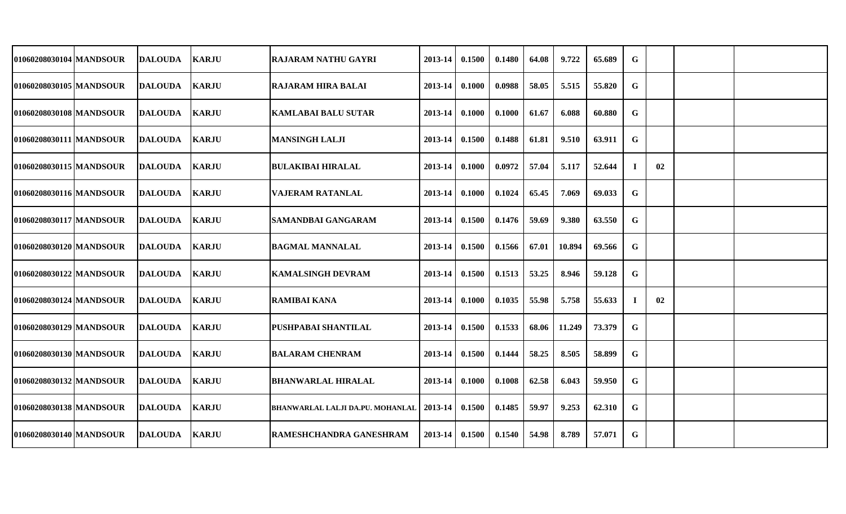| 01060208030104 MANDSOUR   | <b>DALOUDA</b> | <b>KARJU</b> | <b>RAJARAM NATHU GAYRI</b>                 | 2013-14 | 0.1500 | 0.1480 | 64.08 | 9.722  | 65.689 | G           |    |  |
|---------------------------|----------------|--------------|--------------------------------------------|---------|--------|--------|-------|--------|--------|-------------|----|--|
| 01060208030105 MANDSOUR   | <b>DALOUDA</b> | <b>KARJU</b> | <b>RAJARAM HIRA BALAI</b>                  | 2013-14 | 0.1000 | 0.0988 | 58.05 | 5.515  | 55.820 | G           |    |  |
| 01060208030108 MANDSOUR   | <b>DALOUDA</b> | <b>KARJU</b> | <b>KAMLABAI BALU SUTAR</b>                 | 2013-14 | 0.1000 | 0.1000 | 61.67 | 6.088  | 60.880 | G           |    |  |
| 01060208030111 MANDSOUR   | <b>DALOUDA</b> | <b>KARJU</b> | <b>MANSINGH LALJI</b>                      | 2013-14 | 0.1500 | 0.1488 | 61.81 | 9.510  | 63.911 | $\mathbf G$ |    |  |
| 01060208030115 MANDSOUR   | <b>DALOUDA</b> | <b>KARJU</b> | <b>BULAKIBAI HIRALAL</b>                   | 2013-14 | 0.1000 | 0.0972 | 57.04 | 5.117  | 52.644 | Т.          | 02 |  |
| 01060208030116 MANDSOUR   | <b>DALOUDA</b> | <b>KARJU</b> | <b>VAJERAM RATANLAL</b>                    | 2013-14 | 0.1000 | 0.1024 | 65.45 | 7.069  | 69.033 | $\mathbf G$ |    |  |
| 01060208030117 MANDSOUR   | <b>DALOUDA</b> | <b>KARJU</b> | <b>SAMANDBAI GANGARAM</b>                  | 2013-14 | 0.1500 | 0.1476 | 59.69 | 9.380  | 63.550 | G           |    |  |
| 01060208030120 MANDSOUR   | <b>DALOUDA</b> | <b>KARJU</b> | <b>BAGMAL MANNALAL</b>                     | 2013-14 | 0.1500 | 0.1566 | 67.01 | 10.894 | 69.566 | G           |    |  |
| 01060208030122 MANDSOUR   | DALOUDA        | <b>KARJU</b> | <b>KAMALSINGH DEVRAM</b>                   | 2013-14 | 0.1500 | 0.1513 | 53.25 | 8.946  | 59.128 | G           |    |  |
| 01060208030124 MANDSOUR   | DALOUDA        | <b>KARJU</b> | <b>RAMIBAI KANA</b>                        | 2013-14 | 0.1000 | 0.1035 | 55.98 | 5.758  | 55.633 | Т.          | 02 |  |
| 01060208030129 MANDSOUR   | <b>DALOUDA</b> | <b>KARJU</b> | <b>PUSHPABAI SHANTILAL</b>                 | 2013-14 | 0.1500 | 0.1533 | 68.06 | 11.249 | 73.379 | G           |    |  |
| 01060208030130 MANDSOUR   | DALOUDA        | <b>KARJU</b> | <b>BALARAM CHENRAM</b>                     | 2013-14 | 0.1500 | 0.1444 | 58.25 | 8.505  | 58.899 | G           |    |  |
| 01060208030132 MANDSOUR   | <b>DALOUDA</b> | <b>KARJU</b> | <b>BHANWARLAL HIRALAL</b>                  | 2013-14 | 0.1000 | 0.1008 | 62.58 | 6.043  | 59.950 | G           |    |  |
| 01060208030138   MANDSOUR | DALOUDA        | <b>KARJU</b> | BHANWARLAL LALJI DA.PU. MOHANLAL   2013-14 |         | 0.1500 | 0.1485 | 59.97 | 9.253  | 62.310 | G           |    |  |
| 01060208030140 MANDSOUR   | <b>DALOUDA</b> | <b>KARJU</b> | <b>RAMESHCHANDRA GANESHRAM</b>             | 2013-14 | 0.1500 | 0.1540 | 54.98 | 8.789  | 57.071 | G           |    |  |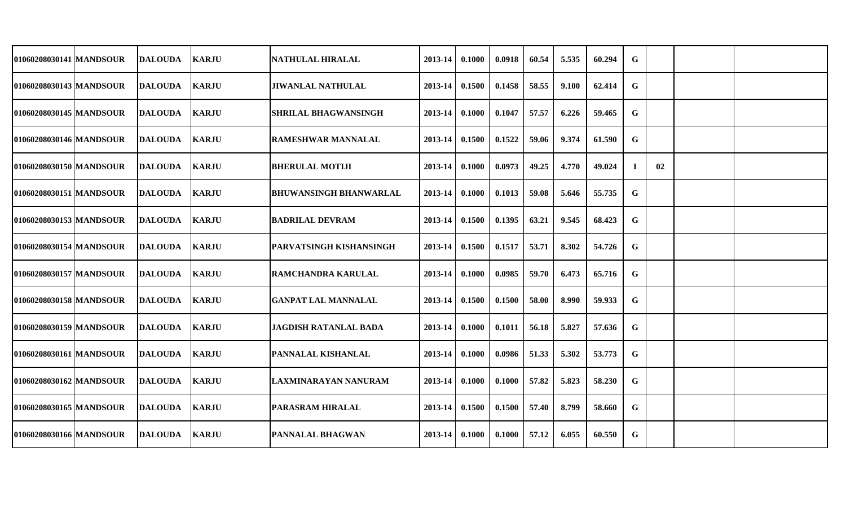| 01060208030141 MANDSOUR   | <b>DALOUDA</b> | <b>KARJU</b>   | <b>NATHULAL HIRALAL</b>                      | 2013-14                | 0.1000 | 0.0918 | 60.54 | 5.535 | 60.294 | G |    |  |
|---------------------------|----------------|----------------|----------------------------------------------|------------------------|--------|--------|-------|-------|--------|---|----|--|
| 01060208030143 MANDSOUR   | <b>DALOUDA</b> | <b>KARJU</b>   | <b>JIWANLAL NATHULAL</b>                     | 2013-14                | 0.1500 | 0.1458 | 58.55 | 9.100 | 62.414 | G |    |  |
| 01060208030145 MANDSOUR   |                |                | <b>SHRILAL BHAGWANSINGH</b>                  | 2013-14                | 0.1000 | 0.1047 | 57.57 | 6.226 | 59.465 | G |    |  |
| 01060208030146   MANDSOUR | <b>DALOUDA</b> |                | <b>RAMESHWAR MANNALAL</b>                    | 2013-14                | 0.1500 | 0.1522 | 59.06 | 9.374 | 61.590 | G |    |  |
| 01060208030150 MANDSOUR   | <b>DALOUDA</b> | <b>KARJU</b>   | <b>BHERULAL MOTIJI</b>                       | 2013-14                | 0.1000 | 0.0973 | 49.25 | 4.770 | 49.024 |   | 02 |  |
| 01060208030151   MANDSOUR | <b>DALOUDA</b> | <b>KARJU</b>   | <b>BHUWANSINGH BHANWARLAL</b>                | 2013-14                | 0.1000 | 0.1013 | 59.08 | 5.646 | 55.735 | G |    |  |
| 01060208030153 MANDSOUR   | <b>DALOUDA</b> | <b>KARJU</b>   |                                              | 2013-14                | 0.1500 | 0.1395 | 63.21 | 9.545 | 68.423 | G |    |  |
| 01060208030154 MANDSOUR   | <b>DALOUDA</b> | <b>KARJU</b>   | <b>PARVATSINGH KISHANSINGH</b>               | 2013-14                | 0.1500 | 0.1517 | 53.71 | 8.302 | 54.726 | G |    |  |
| 01060208030157 MANDSOUR   | <b>DALOUDA</b> | <b>KARJU</b>   | <b>RAMCHANDRA KARULAL</b>                    | 2013-14                | 0.1000 | 0.0985 | 59.70 | 6.473 | 65.716 | G |    |  |
| 01060208030158 MANDSOUR   | <b>DALOUDA</b> | <b>KARJU</b>   | <b>GANPAT LAL MANNALAL</b>                   | 2013-14                | 0.1500 | 0.1500 | 58.00 | 8.990 | 59.933 | G |    |  |
| 01060208030159 MANDSOUR   | <b>DALOUDA</b> | <b>KARJU</b>   | <b>JAGDISH RATANLAL BADA</b>                 | 2013-14                | 0.1000 | 0.1011 | 56.18 | 5.827 | 57.636 | G |    |  |
| 01060208030161 MANDSOUR   | <b>DALOUDA</b> | <b>KARJU</b>   | PANNALAL KISHANLAL                           | 2013-14                | 0.1000 | 0.0986 | 51.33 | 5.302 | 53.773 | G |    |  |
| 01060208030162 MANDSOUR   | <b>DALOUDA</b> | <b>KARJU</b>   | LAXMINARAYAN NANURAM                         | 2013-14                | 0.1000 | 0.1000 | 57.82 | 5.823 | 58.230 | G |    |  |
| 01060208030165 MANDSOUR   | <b>DALOUDA</b> | <b>KARJU</b>   | <b>PARASRAM HIRALAL</b>                      | 2013-14                | 0.1500 | 0.1500 | 57.40 | 8.799 | 58.660 | G |    |  |
| 01060208030166 MANDSOUR   | <b>DALOUDA</b> |                | <b>PANNALAL BHAGWAN</b>                      | $2013 - 14$            | 0.1000 | 0.1000 | 57.12 | 6.055 | 60.550 | G |    |  |
|                           |                | <b>DALOUDA</b> | <b>KARJU</b><br><b>KARJU</b><br><b>KARJU</b> | <b>BADRILAL DEVRAM</b> |        |        |       |       |        |   |    |  |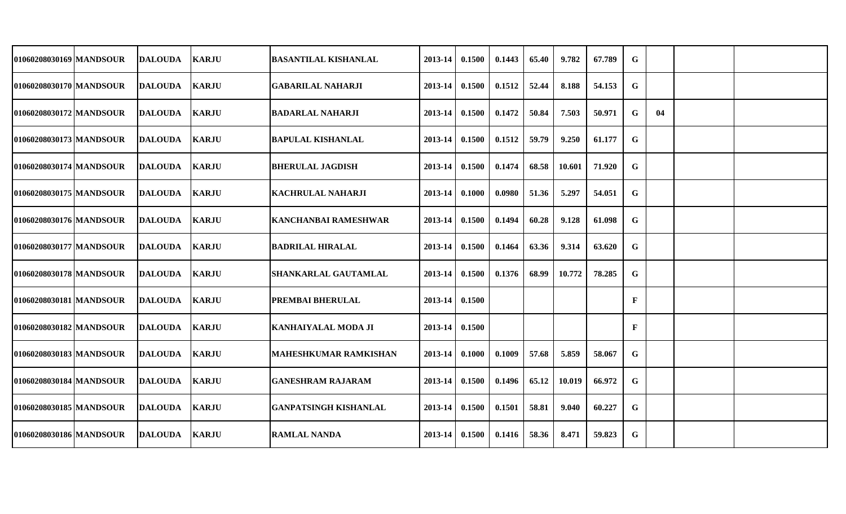| 01060208030169 MANDSOUR | <b>DALOUDA</b> | <b>KARJU</b> | <b>BASANTILAL KISHANLAL</b>  | 2013-14     | 0.1500 | 0.1443 | 65.40 | 9.782  | 67.789 | G |    |  |
|-------------------------|----------------|--------------|------------------------------|-------------|--------|--------|-------|--------|--------|---|----|--|
| 01060208030170 MANDSOUR | <b>DALOUDA</b> | <b>KARJU</b> | <b>GABARILAL NAHARJI</b>     | 2013-14     | 0.1500 | 0.1512 | 52.44 | 8.188  | 54.153 | G |    |  |
| 01060208030172 MANDSOUR | <b>DALOUDA</b> | <b>KARJU</b> | <b>BADARLAL NAHARJI</b>      | 2013-14     | 0.1500 | 0.1472 | 50.84 | 7.503  | 50.971 | G | 04 |  |
| 01060208030173 MANDSOUR | <b>DALOUDA</b> | <b>KARJU</b> | <b>BAPULAL KISHANLAL</b>     | 2013-14     | 0.1500 | 0.1512 | 59.79 | 9.250  | 61.177 | G |    |  |
| 01060208030174 MANDSOUR | <b>DALOUDA</b> | <b>KARJU</b> | <b>BHERULAL JAGDISH</b>      | 2013-14     | 0.1500 | 0.1474 | 68.58 | 10.601 | 71.920 | G |    |  |
| 01060208030175 MANDSOUR | <b>DALOUDA</b> | <b>KARJU</b> | <b>KACHRULAL NAHARJI</b>     | 2013-14     | 0.1000 | 0.0980 | 51.36 | 5.297  | 54.051 | G |    |  |
| 01060208030176 MANDSOUR | <b>DALOUDA</b> | <b>KARJU</b> | <b>KANCHANBAI RAMESHWAR</b>  | 2013-14     | 0.1500 | 0.1494 | 60.28 | 9.128  | 61.098 | G |    |  |
| 01060208030177 MANDSOUR | <b>DALOUDA</b> | <b>KARJU</b> | <b>BADRILAL HIRALAL</b>      | 2013-14     | 0.1500 | 0.1464 | 63.36 | 9.314  | 63.620 | G |    |  |
| 01060208030178 MANDSOUR | <b>DALOUDA</b> | <b>KARJU</b> | <b>SHANKARLAL GAUTAMLAL</b>  | 2013-14     | 0.1500 | 0.1376 | 68.99 | 10.772 | 78.285 | G |    |  |
| 01060208030181 MANDSOUR | <b>DALOUDA</b> | <b>KARJU</b> | <b>PREMBAI BHERULAL</b>      | 2013-14     | 0.1500 |        |       |        |        | F |    |  |
| 01060208030182 MANDSOUR | <b>DALOUDA</b> | <b>KARJU</b> | <b>KANHAIYALAL MODA JI</b>   | 2013-14     | 0.1500 |        |       |        |        | F |    |  |
| 01060208030183 MANDSOUR | <b>DALOUDA</b> | <b>KARJU</b> | <b>MAHESHKUMAR RAMKISHAN</b> | 2013-14     | 0.1000 | 0.1009 | 57.68 | 5.859  | 58.067 | G |    |  |
| 01060208030184 MANDSOUR | <b>DALOUDA</b> | <b>KARJU</b> | <b>GANESHRAM RAJARAM</b>     | 2013-14     | 0.1500 | 0.1496 | 65.12 | 10.019 | 66.972 | G |    |  |
| 01060208030185 MANDSOUR | <b>DALOUDA</b> | <b>KARJU</b> | GANPATSINGH KISHANLAL        | $2013 - 14$ | 0.1500 | 0.1501 | 58.81 | 9.040  | 60.227 | G |    |  |
| 01060208030186 MANDSOUR | <b>DALOUDA</b> | <b>KARJU</b> | <b>RAMLAL NANDA</b>          | 2013-14     | 0.1500 | 0.1416 | 58.36 | 8.471  | 59.823 | G |    |  |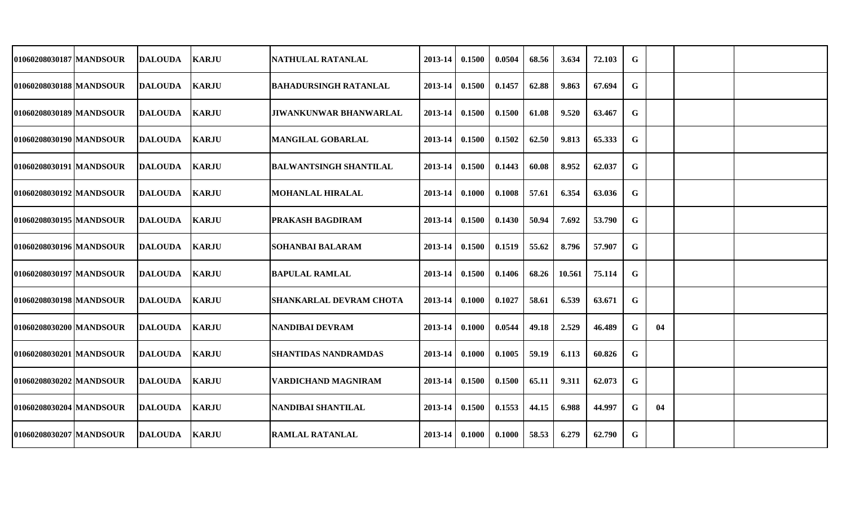| 01060208030187 MANDSOUR | DALOUDA        | <b>KARJU</b> | NATHULAL RATANLAL              | 2013-14          | 0.1500 | 0.0504 | 68.56 | 3.634  | 72.103 | G           |    |  |
|-------------------------|----------------|--------------|--------------------------------|------------------|--------|--------|-------|--------|--------|-------------|----|--|
| 01060208030188 MANDSOUR | DALOUDA        | <b>KARJU</b> | BAHADURSINGH RATANLAL          | 2013-14          | 0.1500 | 0.1457 | 62.88 | 9.863  | 67.694 | G           |    |  |
| 01060208030189 MANDSOUR | DALOUDA        | <b>KARJU</b> | <b>JIWANKUNWAR BHANWARLAL</b>  | 2013-14          | 0.1500 | 0.1500 | 61.08 | 9.520  | 63.467 | G           |    |  |
| 01060208030190 MANDSOUR | <b>DALOUDA</b> | <b>KARJU</b> | <b>MANGILAL GOBARLAL</b>       | 2013-14          | 0.1500 | 0.1502 | 62.50 | 9.813  | 65.333 | G           |    |  |
| 01060208030191 MANDSOUR | <b>DALOUDA</b> | <b>KARJU</b> | <b>BALWANTSINGH SHANTILAL</b>  | $2013 - 14$      | 0.1500 | 0.1443 | 60.08 | 8.952  | 62.037 | G           |    |  |
| 01060208030192 MANDSOUR | <b>DALOUDA</b> | <b>KARJU</b> | <b>MOHANLAL HIRALAL</b>        | $2013-14$ 0.1000 |        | 0.1008 | 57.61 | 6.354  | 63.036 | G           |    |  |
| 01060208030195 MANDSOUR | <b>DALOUDA</b> | <b>KARJU</b> | <b>PRAKASH BAGDIRAM</b>        | 2013-14          | 0.1500 | 0.1430 | 50.94 | 7.692  | 53.790 | G           |    |  |
| 01060208030196 MANDSOUR | DALOUDA        | <b>KARJU</b> | <b>SOHANBAI BALARAM</b>        | 2013-14          | 0.1500 | 0.1519 | 55.62 | 8.796  | 57.907 | G           |    |  |
| 01060208030197 MANDSOUR | <b>DALOUDA</b> | <b>KARJU</b> | <b>BAPULAL RAMLAL</b>          | 2013-14          | 0.1500 | 0.1406 | 68.26 | 10.561 | 75.114 | G           |    |  |
| 01060208030198 MANDSOUR | <b>DALOUDA</b> | <b>KARJU</b> | <b>SHANKARLAL DEVRAM CHOTA</b> | 2013-14          | 0.1000 | 0.1027 | 58.61 | 6.539  | 63.671 | G           |    |  |
| 01060208030200 MANDSOUR | <b>DALOUDA</b> | <b>KARJU</b> | NANDIBAI DEVRAM                | 2013-14          | 0.1000 | 0.0544 | 49.18 | 2.529  | 46.489 | G           | 04 |  |
| 01060208030201 MANDSOUR | <b>DALOUDA</b> | <b>KARJU</b> | <b>SHANTIDAS NANDRAMDAS</b>    | 2013-14          | 0.1000 | 0.1005 | 59.19 | 6.113  | 60.826 | G           |    |  |
| 01060208030202 MANDSOUR | <b>DALOUDA</b> | <b>KARJU</b> | VARDICHAND MAGNIRAM            | $2013 - 14$      | 0.1500 | 0.1500 | 65.11 | 9.311  | 62.073 | G           |    |  |
| 01060208030204 MANDSOUR | <b>DALOUDA</b> | <b>KARJU</b> | NANDIBAI SHANTILAL             | $2013 - 14$      | 0.1500 | 0.1553 | 44.15 | 6.988  | 44.997 | G           | 04 |  |
| 01060208030207 MANDSOUR | <b>DALOUDA</b> | <b>KARJU</b> | <b>RAMLAL RATANLAL</b>         | $2013-14$ 0.1000 |        | 0.1000 | 58.53 | 6.279  | 62.790 | $\mathbf G$ |    |  |
|                         |                |              |                                |                  |        |        |       |        |        |             |    |  |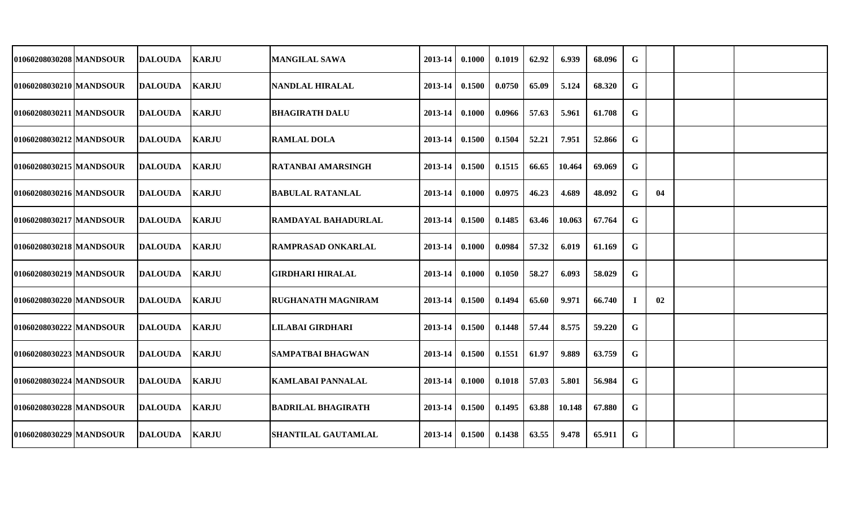| 01060208030208 MANDSOUR | <b>DALOUDA</b> | <b>KARJU</b> | <b>MANGILAL SAWA</b>       | 2013-14     | 0.1000 | 0.1019 | 62.92 | 6.939  | 68.096 | G |    |  |
|-------------------------|----------------|--------------|----------------------------|-------------|--------|--------|-------|--------|--------|---|----|--|
| 01060208030210 MANDSOUR | <b>DALOUDA</b> | <b>KARJU</b> | NANDLAL HIRALAL            | 2013-14     | 0.1500 | 0.0750 | 65.09 | 5.124  | 68.320 | G |    |  |
| 01060208030211 MANDSOUR | <b>DALOUDA</b> | <b>KARJU</b> | <b>BHAGIRATH DALU</b>      | 2013-14     | 0.1000 | 0.0966 | 57.63 | 5.961  | 61.708 | G |    |  |
| 01060208030212 MANDSOUR | <b>DALOUDA</b> | <b>KARJU</b> | <b>RAMLAL DOLA</b>         | 2013-14     | 0.1500 | 0.1504 | 52.21 | 7.951  | 52.866 | G |    |  |
| 01060208030215 MANDSOUR | <b>DALOUDA</b> | <b>KARJU</b> | <b>RATANBAI AMARSINGH</b>  | 2013-14     | 0.1500 | 0.1515 | 66.65 | 10.464 | 69.069 | G |    |  |
| 01060208030216 MANDSOUR | <b>DALOUDA</b> | <b>KARJU</b> | <b>BABULAL RATANLAL</b>    | 2013-14     | 0.1000 | 0.0975 | 46.23 | 4.689  | 48.092 | G | 04 |  |
| 01060208030217 MANDSOUR | <b>DALOUDA</b> | <b>KARJU</b> | <b>RAMDAYAL BAHADURLAL</b> | 2013-14     | 0.1500 | 0.1485 | 63.46 | 10.063 | 67.764 | G |    |  |
| 01060208030218 MANDSOUR | <b>DALOUDA</b> | <b>KARJU</b> | <b>RAMPRASAD ONKARLAL</b>  | 2013-14     | 0.1000 | 0.0984 | 57.32 | 6.019  | 61.169 | G |    |  |
| 01060208030219 MANDSOUR | <b>DALOUDA</b> | <b>KARJU</b> | <b>GIRDHARI HIRALAL</b>    | 2013-14     | 0.1000 | 0.1050 | 58.27 | 6.093  | 58.029 | G |    |  |
| 01060208030220 MANDSOUR | <b>DALOUDA</b> | <b>KARJU</b> | <b>RUGHANATH MAGNIRAM</b>  | 2013-14     | 0.1500 | 0.1494 | 65.60 | 9.971  | 66.740 | 1 | 02 |  |
| 01060208030222 MANDSOUR | <b>DALOUDA</b> | <b>KARJU</b> | LILABAI GIRDHARI           | 2013-14     | 0.1500 | 0.1448 | 57.44 | 8.575  | 59.220 | G |    |  |
| 01060208030223 MANDSOUR | DALOUDA        | <b>KARJU</b> | <b>SAMPATBAI BHAGWAN</b>   | 2013-14     | 0.1500 | 0.1551 | 61.97 | 9.889  | 63.759 | G |    |  |
| 01060208030224 MANDSOUR | <b>DALOUDA</b> | <b>KARJU</b> | <b>KAMLABAI PANNALAL</b>   | 2013-14     | 0.1000 | 0.1018 | 57.03 | 5.801  | 56.984 | G |    |  |
| 01060208030228 MANDSOUR | <b>DALOUDA</b> | <b>KARJU</b> | <b>BADRILAL BHAGIRATH</b>  | $2013 - 14$ | 0.1500 | 0.1495 | 63.88 | 10.148 | 67.880 | G |    |  |
| 01060208030229 MANDSOUR | <b>DALOUDA</b> | <b>KARJU</b> | <b>SHANTILAL GAUTAMLAL</b> | 2013-14     | 0.1500 | 0.1438 | 63.55 | 9.478  | 65.911 | G |    |  |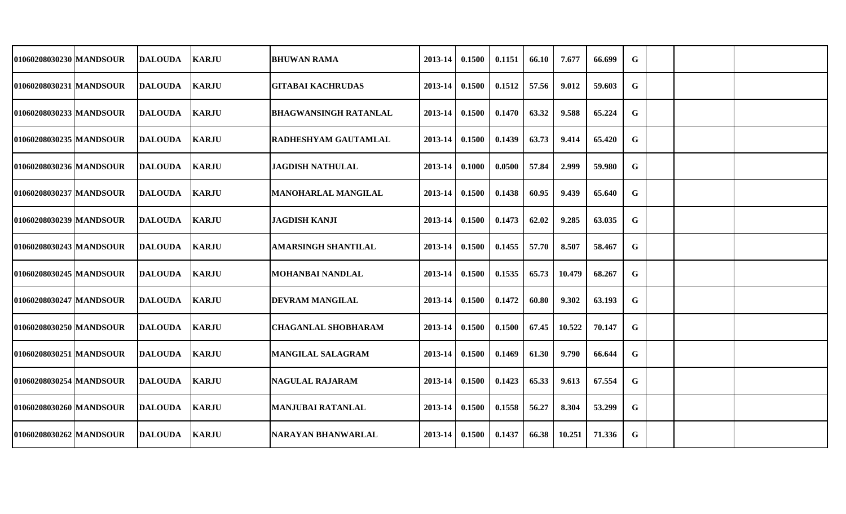| 01060208030230 MANDSOUR | <b>DALOUDA</b> | <b>KARJU</b> | <b>BHUWAN RAMA</b>           | 2013-14     | 0.1500 | 0.1151 | 66.10 | 7.677  | 66.699 | G |  |  |
|-------------------------|----------------|--------------|------------------------------|-------------|--------|--------|-------|--------|--------|---|--|--|
| 01060208030231 MANDSOUR | <b>DALOUDA</b> | <b>KARJU</b> | <b>GITABAI KACHRUDAS</b>     | 2013-14     | 0.1500 | 0.1512 | 57.56 | 9.012  | 59.603 | G |  |  |
| 01060208030233 MANDSOUR | <b>DALOUDA</b> | <b>KARJU</b> | <b>BHAGWANSINGH RATANLAL</b> | 2013-14     | 0.1500 | 0.1470 | 63.32 | 9.588  | 65.224 | G |  |  |
| 01060208030235 MANDSOUR | <b>DALOUDA</b> | <b>KARJU</b> | <b>RADHESHYAM GAUTAMLAL</b>  | $2013 - 14$ | 0.1500 | 0.1439 | 63.73 | 9.414  | 65.420 | G |  |  |
| 01060208030236 MANDSOUR | <b>DALOUDA</b> | <b>KARJU</b> | <b>JAGDISH NATHULAL</b>      | 2013-14     | 0.1000 | 0.0500 | 57.84 | 2.999  | 59.980 | G |  |  |
| 01060208030237 MANDSOUR | <b>DALOUDA</b> | <b>KARJU</b> | <b>MANOHARLAL MANGILAL</b>   | 2013-14     | 0.1500 | 0.1438 | 60.95 | 9.439  | 65.640 | G |  |  |
| 01060208030239 MANDSOUR | <b>DALOUDA</b> | <b>KARJU</b> | <b>JAGDISH KANJI</b>         | 2013-14     | 0.1500 | 0.1473 | 62.02 | 9.285  | 63.035 | G |  |  |
| 01060208030243 MANDSOUR | <b>DALOUDA</b> | <b>KARJU</b> | <b>AMARSINGH SHANTILAL</b>   | 2013-14     | 0.1500 | 0.1455 | 57.70 | 8.507  | 58.467 | G |  |  |
| 01060208030245 MANDSOUR | <b>DALOUDA</b> | <b>KARJU</b> | <b>MOHANBAI NANDLAL</b>      | 2013-14     | 0.1500 | 0.1535 | 65.73 | 10.479 | 68.267 | G |  |  |
| 01060208030247 MANDSOUR | <b>DALOUDA</b> | <b>KARJU</b> | <b>DEVRAM MANGILAL</b>       | $2013 - 14$ | 0.1500 | 0.1472 | 60.80 | 9.302  | 63.193 | G |  |  |
| 01060208030250 MANDSOUR | <b>DALOUDA</b> | <b>KARJU</b> | <b>CHAGANLAL SHOBHARAM</b>   | $2013 - 14$ | 0.1500 | 0.1500 | 67.45 | 10.522 | 70.147 | G |  |  |
| 01060208030251 MANDSOUR | <b>DALOUDA</b> | <b>KARJU</b> | <b>MANGILAL SALAGRAM</b>     | $2013 - 14$ | 0.1500 | 0.1469 | 61.30 | 9.790  | 66.644 | G |  |  |
| 01060208030254 MANDSOUR | <b>DALOUDA</b> | <b>KARJU</b> | <b>NAGULAL RAJARAM</b>       | $2013 - 14$ | 0.1500 | 0.1423 | 65.33 | 9.613  | 67.554 | G |  |  |
| 01060208030260 MANDSOUR | <b>DALOUDA</b> | <b>KARJU</b> | <b>MANJUBAI RATANLAL</b>     | $2013 - 14$ | 0.1500 | 0.1558 | 56.27 | 8.304  | 53.299 | G |  |  |
| 01060208030262 MANDSOUR | <b>DALOUDA</b> | <b>KARJU</b> | NARAYAN BHANWARLAL           | 2013-14     | 0.1500 | 0.1437 | 66.38 | 10.251 | 71.336 | G |  |  |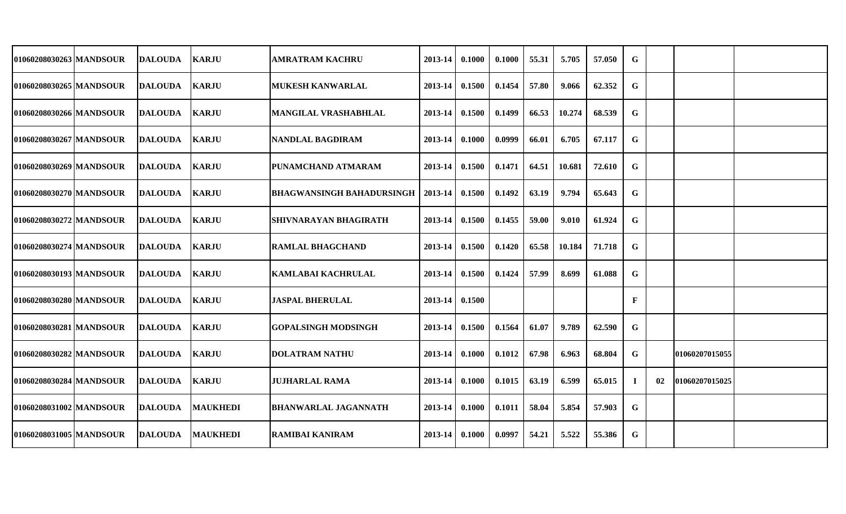| 01060208030263 MANDSOUR | <b>DALOUDA</b> | <b>KARJU</b>    | <b>AMRATRAM KACHRU</b>           | 2013-14 | 0.1000 | 0.1000 | 55.31 | 5.705  | 57.050 | G  |    |                |  |
|-------------------------|----------------|-----------------|----------------------------------|---------|--------|--------|-------|--------|--------|----|----|----------------|--|
| 01060208030265 MANDSOUR | <b>DALOUDA</b> | <b>KARJU</b>    | <b>MUKESH KANWARLAL</b>          | 2013-14 | 0.1500 | 0.1454 | 57.80 | 9.066  | 62.352 | G  |    |                |  |
| 01060208030266 MANDSOUR | <b>DALOUDA</b> | <b>KARJU</b>    | <b>MANGILAL VRASHABHLAL</b>      | 2013-14 | 0.1500 | 0.1499 | 66.53 | 10.274 | 68.539 | G  |    |                |  |
| 01060208030267 MANDSOUR | <b>DALOUDA</b> | <b>KARJU</b>    | NANDLAL BAGDIRAM                 | 2013-14 | 0.1000 | 0.0999 | 66.01 | 6.705  | 67.117 | G  |    |                |  |
| 01060208030269 MANDSOUR | <b>DALOUDA</b> | <b>KARJU</b>    | <b>PUNAMCHAND ATMARAM</b>        | 2013-14 | 0.1500 | 0.1471 | 64.51 | 10.681 | 72.610 | G  |    |                |  |
| 01060208030270 MANDSOUR | <b>DALOUDA</b> | <b>KARJU</b>    | <b>BHAGWANSINGH BAHADURSINGH</b> | 2013-14 | 0.1500 | 0.1492 | 63.19 | 9.794  | 65.643 | G  |    |                |  |
| 01060208030272 MANDSOUR | <b>DALOUDA</b> | <b>KARJU</b>    | <b>SHIVNARAYAN BHAGIRATH</b>     | 2013-14 | 0.1500 | 0.1455 | 59.00 | 9.010  | 61.924 | G  |    |                |  |
| 01060208030274 MANDSOUR | <b>DALOUDA</b> | <b>KARJU</b>    | <b>RAMLAL BHAGCHAND</b>          | 2013-14 | 0.1500 | 0.1420 | 65.58 | 10.184 | 71.718 | G  |    |                |  |
| 01060208030193 MANDSOUR | <b>DALOUDA</b> | <b>KARJU</b>    | <b>KAMLABAI KACHRULAL</b>        | 2013-14 | 0.1500 | 0.1424 | 57.99 | 8.699  | 61.088 | G  |    |                |  |
| 01060208030280 MANDSOUR | <b>DALOUDA</b> | <b>KARJU</b>    | <b>JASPAL BHERULAL</b>           | 2013-14 | 0.1500 |        |       |        |        | F  |    |                |  |
| 01060208030281 MANDSOUR | <b>DALOUDA</b> | <b>KARJU</b>    | <b>GOPALSINGH MODSINGH</b>       | 2013-14 | 0.1500 | 0.1564 | 61.07 | 9.789  | 62.590 | G  |    |                |  |
| 01060208030282 MANDSOUR | <b>DALOUDA</b> | <b>KARJU</b>    | <b>DOLATRAM NATHU</b>            | 2013-14 | 0.1000 | 0.1012 | 67.98 | 6.963  | 68.804 | G  |    | 01060207015055 |  |
| 01060208030284 MANDSOUR | <b>DALOUDA</b> | <b>KARJU</b>    | <b>JUJHARLAL RAMA</b>            | 2013-14 | 0.1000 | 0.1015 | 63.19 | 6.599  | 65.015 | Ι. | 02 | 01060207015025 |  |
| 01060208031002 MANDSOUR | <b>DALOUDA</b> | <b>MAUKHEDI</b> | <b>BHANWARLAL JAGANNATH</b>      | 2013-14 | 0.1000 | 0.1011 | 58.04 | 5.854  | 57.903 | G  |    |                |  |
| 01060208031005 MANDSOUR | <b>DALOUDA</b> | <b>MAUKHEDI</b> | <b>RAMIBAI KANIRAM</b>           | 2013-14 | 0.1000 | 0.0997 | 54.21 | 5.522  | 55.386 | G  |    |                |  |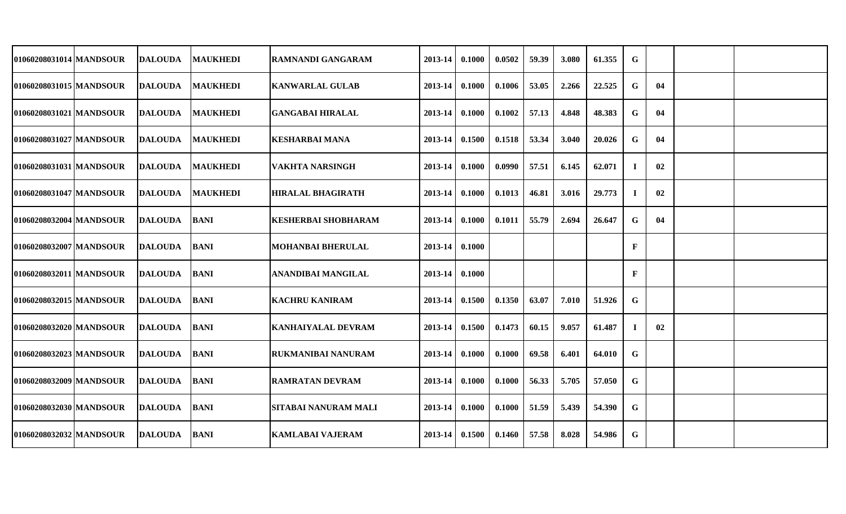| 01060208031014 MANDSOUR   | <b>DALOUDA</b> | <b>MAUKHEDI</b> | <b>RAMNANDI GANGARAM</b>   | 2013-14 | 0.1000 | 0.0502 | 59.39 | 3.080 | 61.355 | G            |    |  |
|---------------------------|----------------|-----------------|----------------------------|---------|--------|--------|-------|-------|--------|--------------|----|--|
| 01060208031015 MANDSOUR   | <b>DALOUDA</b> | <b>MAUKHEDI</b> | <b>KANWARLAL GULAB</b>     | 2013-14 | 0.1000 | 0.1006 | 53.05 | 2.266 | 22.525 | $\mathbf G$  | 04 |  |
| 01060208031021 MANDSOUR   | <b>DALOUDA</b> | <b>MAUKHEDI</b> | <b>GANGABAI HIRALAL</b>    | 2013-14 | 0.1000 | 0.1002 | 57.13 | 4.848 | 48.383 | G            | 04 |  |
| 01060208031027 MANDSOUR   | <b>DALOUDA</b> | <b>MAUKHEDI</b> | <b>KESHARBAI MANA</b>      | 2013-14 | 0.1500 | 0.1518 | 53.34 | 3.040 | 20.026 | G            | 04 |  |
| 01060208031031 MANDSOUR   | DALOUDA        | <b>MAUKHEDI</b> | <b>VAKHTA NARSINGH</b>     | 2013-14 | 0.1000 | 0.0990 | 57.51 | 6.145 | 62.071 | -1           | 02 |  |
| 01060208031047 MANDSOUR   | <b>DALOUDA</b> | <b>MAUKHEDI</b> | <b>HIRALAL BHAGIRATH</b>   | 2013-14 | 0.1000 | 0.1013 | 46.81 | 3.016 | 29.773 | $\mathbf I$  | 02 |  |
| 01060208032004 MANDSOUR   | <b>DALOUDA</b> | <b>BANI</b>     | <b>KESHERBAI SHOBHARAM</b> | 2013-14 | 0.1000 | 0.1011 | 55.79 | 2.694 | 26.647 | G            | 04 |  |
| 01060208032007 MANDSOUR   | <b>DALOUDA</b> | <b>BANI</b>     | <b>MOHANBAI BHERULAL</b>   | 2013-14 | 0.1000 |        |       |       |        | $\mathbf{F}$ |    |  |
| 01060208032011 MANDSOUR   | <b>DALOUDA</b> | <b>BANI</b>     | ANANDIBAI MANGILAL         | 2013-14 | 0.1000 |        |       |       |        | F            |    |  |
| 01060208032015   MANDSOUR | <b>DALOUDA</b> | <b>BANI</b>     | <b>KACHRU KANIRAM</b>      | 2013-14 | 0.1500 | 0.1350 | 63.07 | 7.010 | 51.926 | G            |    |  |
| 01060208032020 MANDSOUR   | <b>DALOUDA</b> | <b>BANI</b>     | <b>KANHAIYALAL DEVRAM</b>  | 2013-14 | 0.1500 | 0.1473 | 60.15 | 9.057 | 61.487 | $\bf{l}$     | 02 |  |
| 01060208032023 MANDSOUR   | <b>DALOUDA</b> | <b>BANI</b>     | <b>RUKMANIBAI NANURAM</b>  | 2013-14 | 0.1000 | 0.1000 | 69.58 | 6.401 | 64.010 | G            |    |  |
| 01060208032009 MANDSOUR   | <b>DALOUDA</b> | <b>BANI</b>     | <b>RAMRATAN DEVRAM</b>     | 2013-14 | 0.1000 | 0.1000 | 56.33 | 5.705 | 57.050 | G            |    |  |
| 01060208032030 MANDSOUR   | <b>DALOUDA</b> | <b>BANI</b>     | SITABAI NANURAM MALI       | 2013-14 | 0.1000 | 0.1000 | 51.59 | 5.439 | 54.390 | G            |    |  |
| 01060208032032 MANDSOUR   | <b>DALOUDA</b> | <b>BANI</b>     | <b>KAMLABAI VAJERAM</b>    | 2013-14 | 0.1500 | 0.1460 | 57.58 | 8.028 | 54.986 | G            |    |  |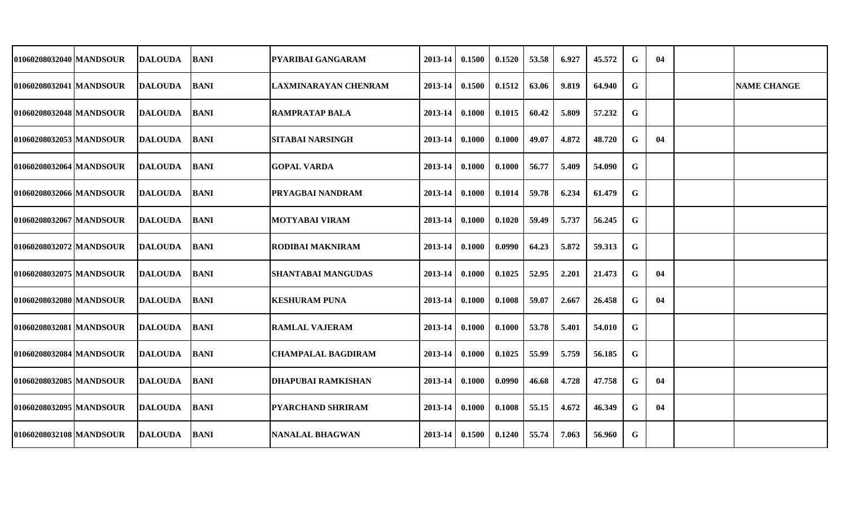| 01060208032040 MANDSOUR | DALOUDA         | <b>BANI</b> | <b>PYARIBAI GANGARAM</b>  | 2013-14            | 0.1500 | 0.1520 | 53.58 | 6.927 | 45.572 | G           | 04 |                    |
|-------------------------|-----------------|-------------|---------------------------|--------------------|--------|--------|-------|-------|--------|-------------|----|--------------------|
| 01060208032041 MANDSOUR | DALOUDA         | <b>BANI</b> | ILAXMINARAYAN CHENRAM     | 2013-14            | 0.1500 | 0.1512 | 63.06 | 9.819 | 64.940 | G           |    | <b>NAME CHANGE</b> |
| 01060208032048 MANDSOUR | DALOUDA         | <b>BANI</b> | IRAMPRATAP BALA           | 2013-14            | 0.1000 | 0.1015 | 60.42 | 5.809 | 57.232 | G           |    |                    |
| 01060208032053 MANDSOUR | DALOUDA         | <b>BANI</b> | <b>SITABAI NARSINGH</b>   | 2013-14            | 0.1000 | 0.1000 | 49.07 | 4.872 | 48.720 | G           | 04 |                    |
| 01060208032064 MANDSOUR | <b>DALOUDA</b>  | <b>BANI</b> | <b>GOPAL VARDA</b>        | $2013 - 14$        | 0.1000 | 0.1000 | 56.77 | 5.409 | 54.090 | G           |    |                    |
| 01060208032066 MANDSOUR | <b>DALOUDA</b>  | <b>BANI</b> | <b>PRYAGBAI NANDRAM</b>   | $2013-14$ 0.1000   |        | 0.1014 | 59.78 | 6.234 | 61.479 | G           |    |                    |
| 01060208032067 MANDSOUR | <b>IDALOUDA</b> | <b>BANI</b> | <b>MOTYABAI VIRAM</b>     | 2013-14            | 0.1000 | 0.1020 | 59.49 | 5.737 | 56.245 | G           |    |                    |
| 01060208032072 MANDSOUR | <b> DALOUDA</b> | <b>BANI</b> | <b>RODIBAI MAKNIRAM</b>   | 2013-14            | 0.1000 | 0.0990 | 64.23 | 5.872 | 59.313 | G           |    |                    |
| 01060208032075 MANDSOUR | <b>DALOUDA</b>  | <b>BANI</b> | <b>SHANTABAI MANGUDAS</b> | 2013-14            | 0.1000 | 0.1025 | 52.95 | 2.201 | 21.473 | G           | 04 |                    |
| 01060208032080 MANDSOUR | <b>DALOUDA</b>  | <b>BANI</b> | <b>KESHURAM PUNA</b>      | 2013-14            | 0.1000 | 0.1008 | 59.07 | 2.667 | 26.458 | G           | 04 |                    |
| 01060208032081 MANDSOUR | <b>DALOUDA</b>  | <b>BANI</b> | <b>IRAMLAL VAJERAM</b>    | 2013-14            | 0.1000 | 0.1000 | 53.78 | 5.401 | 54.010 | G           |    |                    |
| 01060208032084 MANDSOUR | <b>DALOUDA</b>  | <b>BANI</b> | <b>CHAMPALAL BAGDIRAM</b> | 2013-14            | 0.1000 | 0.1025 | 55.99 | 5.759 | 56.185 | G           |    |                    |
| 01060208032085 MANDSOUR | <b>DALOUDA</b>  | <b>BANI</b> | <b>DHAPUBAI RAMKISHAN</b> | $2013 - 14$        | 0.1000 | 0.0990 | 46.68 | 4.728 | 47.758 | G           | 04 |                    |
| 01060208032095 MANDSOUR | <b>DALOUDA</b>  | <b>BANI</b> | <b>PYARCHAND SHRIRAM</b>  | $2013 - 14$        | 0.1000 | 0.1008 | 55.15 | 4.672 | 46.349 | G           | 04 |                    |
| 01060208032108 MANDSOUR | <b>DALOUDA</b>  | <b>BANI</b> | NANALAL BHAGWAN           | $2013 - 14$ 0.1500 |        | 0.1240 | 55.74 | 7.063 | 56.960 | $\mathbf G$ |    |                    |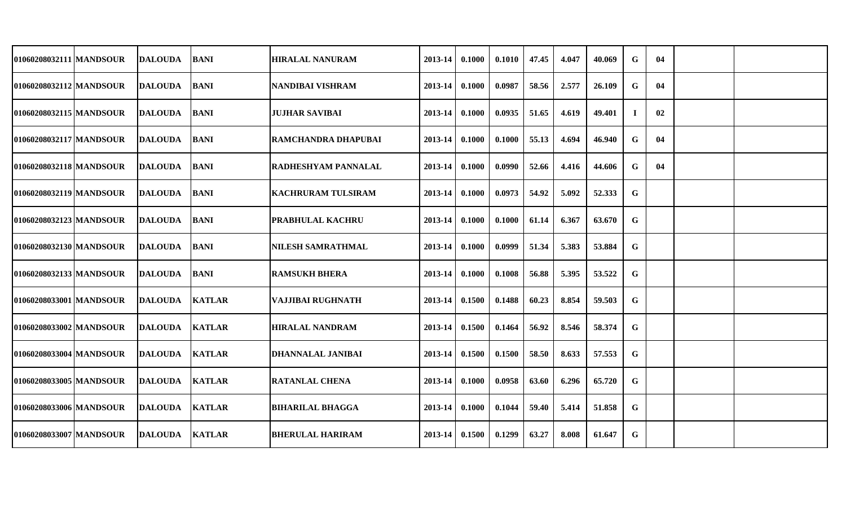| 01060208032111 MANDSOUR | <b>IDALOUDA</b> | <b>BANI</b>   | <b>HIRALAL NANURAM</b>    | 2013-14     | 0.1000 | 0.1010 | 47.45 | 4.047 | 40.069 | G           | 04 |  |
|-------------------------|-----------------|---------------|---------------------------|-------------|--------|--------|-------|-------|--------|-------------|----|--|
| 01060208032112 MANDSOUR | <b>DALOUDA</b>  | <b>BANI</b>   | <b>NANDIBAI VISHRAM</b>   | 2013-14     | 0.1000 | 0.0987 | 58.56 | 2.577 | 26.109 | G           | 04 |  |
| 01060208032115 MANDSOUR | <b>DALOUDA</b>  | <b>BANI</b>   | <b>JUJHAR SAVIBAI</b>     | 2013-14     | 0.1000 | 0.0935 | 51.65 | 4.619 | 49.401 |             | 02 |  |
| 01060208032117 MANDSOUR | <b>DALOUDA</b>  | <b>BANI</b>   | RAMCHANDRA DHAPUBAI       | 2013-14     | 0.1000 | 0.1000 | 55.13 | 4.694 | 46.940 | G           | 04 |  |
| 01060208032118 MANDSOUR | <b>DALOUDA</b>  | <b>BANI</b>   | RADHESHYAM PANNALAL       | 2013-14     | 0.1000 | 0.0990 | 52.66 | 4.416 | 44.606 | G           | 04 |  |
| 01060208032119 MANDSOUR | <b>DALOUDA</b>  | <b>BANI</b>   | <b>KACHRURAM TULSIRAM</b> | 2013-14     | 0.1000 | 0.0973 | 54.92 | 5.092 | 52.333 | G           |    |  |
| 01060208032123 MANDSOUR | <b>DALOUDA</b>  | <b>BANI</b>   | <b>PRABHULAL KACHRU</b>   | 2013-14     | 0.1000 | 0.1000 | 61.14 | 6.367 | 63.670 | G           |    |  |
| 01060208032130 MANDSOUR | <b>DALOUDA</b>  | <b>BANI</b>   | <b>NILESH SAMRATHMAL</b>  | $2013 - 14$ | 0.1000 | 0.0999 | 51.34 | 5.383 | 53.884 | G           |    |  |
| 01060208032133 MANDSOUR | <b>DALOUDA</b>  | <b>BANI</b>   | <b>RAMSUKH BHERA</b>      | 2013-14     | 0.1000 | 0.1008 | 56.88 | 5.395 | 53.522 | $\mathbf G$ |    |  |
| 01060208033001 MANDSOUR | <b>DALOUDA</b>  | <b>KATLAR</b> | VAJJIBAI RUGHNATH         | $2013 - 14$ | 0.1500 | 0.1488 | 60.23 | 8.854 | 59.503 | G           |    |  |
| 01060208033002 MANDSOUR | <b>DALOUDA</b>  | <b>KATLAR</b> | <b>HIRALAL NANDRAM</b>    | $2013 - 14$ | 0.1500 | 0.1464 | 56.92 | 8.546 | 58.374 | G           |    |  |
| 01060208033004 MANDSOUR | <b>DALOUDA</b>  | <b>KATLAR</b> | <b>DHANNALAL JANIBAI</b>  | $2013 - 14$ | 0.1500 | 0.1500 | 58.50 | 8.633 | 57.553 | G           |    |  |
| 01060208033005 MANDSOUR | <b>DALOUDA</b>  | <b>KATLAR</b> | <b>RATANLAL CHENA</b>     | 2013-14     | 0.1000 | 0.0958 | 63.60 | 6.296 | 65.720 | G           |    |  |
| 01060208033006 MANDSOUR | <b>DALOUDA</b>  | <b>KATLAR</b> | <b>BIHARILAL BHAGGA</b>   | $2013 - 14$ | 0.1000 | 0.1044 | 59.40 | 5.414 | 51.858 | G           |    |  |
| 01060208033007 MANDSOUR | <b>DALOUDA</b>  | <b>KATLAR</b> | <b>BHERULAL HARIRAM</b>   | 2013-14     | 0.1500 | 0.1299 | 63.27 | 8.008 | 61.647 | G           |    |  |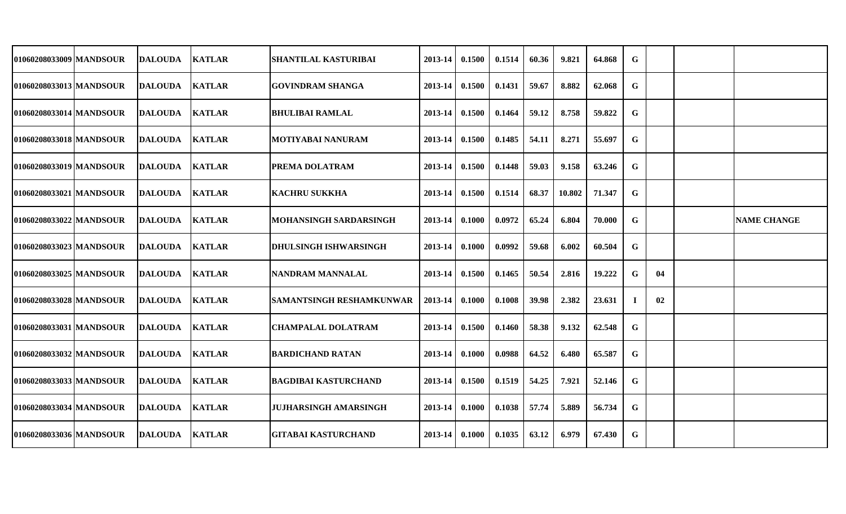| 01060208033009 MANDSOUR | <b>DALOUDA</b> | <b>KATLAR</b> | <b>SHANTILAL KASTURIBAI</b>     | 2013-14 | 0.1500 | 0.1514 | 60.36 | 9.821  | 64.868 | G        |    |                    |
|-------------------------|----------------|---------------|---------------------------------|---------|--------|--------|-------|--------|--------|----------|----|--------------------|
| 01060208033013 MANDSOUR | <b>DALOUDA</b> | <b>KATLAR</b> | <b>GOVINDRAM SHANGA</b>         | 2013-14 | 0.1500 | 0.1431 | 59.67 | 8.882  | 62.068 | G        |    |                    |
| 01060208033014 MANDSOUR | <b>DALOUDA</b> | <b>KATLAR</b> | <b>BHULIBAI RAMLAL</b>          | 2013-14 | 0.1500 | 0.1464 | 59.12 | 8.758  | 59.822 | G        |    |                    |
| 01060208033018 MANDSOUR | <b>DALOUDA</b> | <b>KATLAR</b> | <b>MOTIYABAI NANURAM</b>        | 2013-14 | 0.1500 | 0.1485 | 54.11 | 8.271  | 55.697 | G        |    |                    |
| 01060208033019 MANDSOUR | <b>DALOUDA</b> | <b>KATLAR</b> | <b>PREMA DOLATRAM</b>           | 2013-14 | 0.1500 | 0.1448 | 59.03 | 9.158  | 63.246 | G        |    |                    |
| 01060208033021 MANDSOUR | <b>DALOUDA</b> | <b>KATLAR</b> | <b>KACHRU SUKKHA</b>            | 2013-14 | 0.1500 | 0.1514 | 68.37 | 10.802 | 71.347 | G        |    |                    |
| 01060208033022 MANDSOUR | <b>DALOUDA</b> | <b>KATLAR</b> | MOHANSINGH SARDARSINGH          | 2013-14 | 0.1000 | 0.0972 | 65.24 | 6.804  | 70.000 | G        |    | <b>NAME CHANGE</b> |
| 01060208033023 MANDSOUR | <b>DALOUDA</b> | <b>KATLAR</b> | <b>DHULSINGH ISHWARSINGH</b>    | 2013-14 | 0.1000 | 0.0992 | 59.68 | 6.002  | 60.504 | G        |    |                    |
| 01060208033025 MANDSOUR | <b>DALOUDA</b> | <b>KATLAR</b> | NANDRAM MANNALAL                | 2013-14 | 0.1500 | 0.1465 | 50.54 | 2.816  | 19.222 | G        | 04 |                    |
| 01060208033028 MANDSOUR | DALOUDA        | <b>KATLAR</b> | <b>SAMANTSINGH RESHAMKUNWAR</b> | 2013-14 | 0.1000 | 0.1008 | 39.98 | 2.382  | 23.631 | $\bf{l}$ | 02 |                    |
| 01060208033031 MANDSOUR | <b>DALOUDA</b> | <b>KATLAR</b> | <b>CHAMPALAL DOLATRAM</b>       | 2013-14 | 0.1500 | 0.1460 | 58.38 | 9.132  | 62.548 | G        |    |                    |
| 01060208033032 MANDSOUR | DALOUDA        | <b>KATLAR</b> | <b>BARDICHAND RATAN</b>         | 2013-14 | 0.1000 | 0.0988 | 64.52 | 6.480  | 65.587 | G        |    |                    |
| 01060208033033 MANDSOUR | <b>DALOUDA</b> | <b>KATLAR</b> | <b>BAGDIBAI KASTURCHAND</b>     | 2013-14 | 0.1500 | 0.1519 | 54.25 | 7.921  | 52.146 | G        |    |                    |
| 01060208033034 MANDSOUR | DALOUDA        | <b>KATLAR</b> | <b>JUJHARSINGH AMARSINGH</b>    | 2013-14 | 0.1000 | 0.1038 | 57.74 | 5.889  | 56.734 | G        |    |                    |
| 01060208033036 MANDSOUR | <b>DALOUDA</b> | <b>KATLAR</b> | <b>GITABAI KASTURCHAND</b>      | 2013-14 | 0.1000 | 0.1035 | 63.12 | 6.979  | 67.430 | G        |    |                    |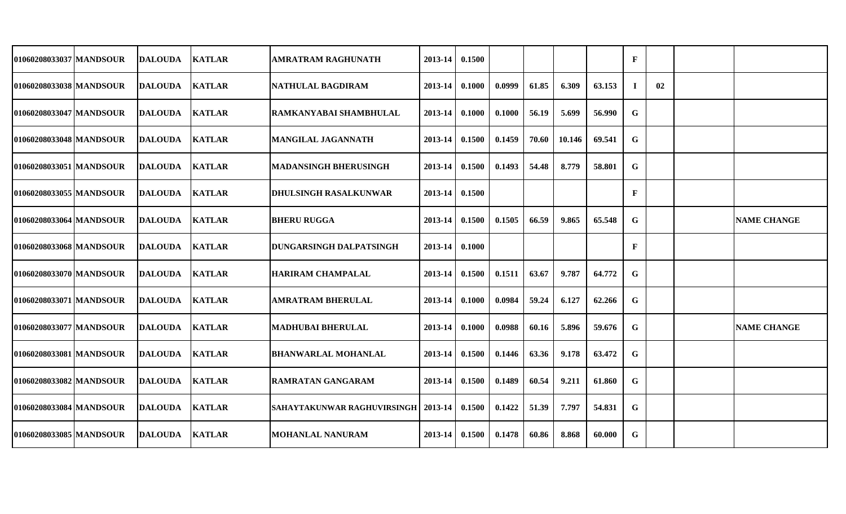| 01060208033037 MANDSOUR<br><b>KATLAR</b><br>DALOUDA<br>01060208033038 MANDSOUR<br><b>KATLAR</b><br>DALOUDA | AMRATRAM RAGHUNATH                 | 2013-14                        | 0.1500 |        |       |        |        | $\mathbf{F}$ |    |                    |
|------------------------------------------------------------------------------------------------------------|------------------------------------|--------------------------------|--------|--------|-------|--------|--------|--------------|----|--------------------|
|                                                                                                            |                                    |                                |        |        |       |        |        |              |    |                    |
|                                                                                                            | INATHULAL BAGDIRAM                 | 2013-14                        | 0.1000 | 0.0999 | 61.85 | 6.309  | 63.153 | $\bf{I}$     | 02 |                    |
| 01060208033047 MANDSOUR<br><b>KATLAR</b><br>DALOUDA                                                        | RAMKANYABAI SHAMBHULAL             | 2013-14                        | 0.1000 | 0.1000 | 56.19 | 5.699  | 56.990 | G            |    |                    |
| <b>KATLAR</b><br>01060208033048 IMANDSOUR<br><b>DALOUDA</b>                                                | MANGILAL JAGANNATH                 | 2013-14                        | 0.1500 | 0.1459 | 70.60 | 10.146 | 69.541 | G            |    |                    |
| 01060208033051 MANDSOUR<br><b>KATLAR</b><br><b>DALOUDA</b>                                                 | <b>MADANSINGH BHERUSINGH</b>       | $2013-14$ 0.1500               |        | 0.1493 | 54.48 | 8.779  | 58.801 | G            |    |                    |
| <b>KATLAR</b><br>01060208033055 MANDSOUR<br><b>DALOUDA</b>                                                 | DHULSINGH RASALKUNWAR              | 2013-14 0.1500                 |        |        |       |        |        | $\mathbf F$  |    |                    |
| 01060208033064 MANDSOUR<br><b>KATLAR</b><br><b>DALOUDA</b>                                                 | <b>BHERU RUGGA</b>                 | 2013-14                        | 0.1500 | 0.1505 | 66.59 | 9.865  | 65.548 | G            |    | <b>NAME CHANGE</b> |
| <b>KATLAR</b><br>01060208033068 MANDSOUR<br>DALOUDA                                                        | <b>DUNGARSINGH DALPATSINGH</b>     | 2013-14 0.1000                 |        |        |       |        |        | $\mathbf F$  |    |                    |
| 01060208033070 MANDSOUR<br><b>DALOUDA</b><br><b>KATLAR</b>                                                 | <b>HARIRAM CHAMPALAL</b>           | 2013-14                        | 0.1500 | 0.1511 | 63.67 | 9.787  | 64.772 | G            |    |                    |
| 01060208033071 MANDSOUR<br><b>KATLAR</b><br><b>DALOUDA</b>                                                 | <b>AMRATRAM BHERULAL</b>           | 2013-14                        | 0.1000 | 0.0984 | 59.24 | 6.127  | 62.266 | G            |    |                    |
| 01060208033077 MANDSOUR<br><b>KATLAR</b><br><b>DALOUDA</b>                                                 | <b>MADHUBAI BHERULAL</b>           | 2013-14                        | 0.1000 | 0.0988 | 60.16 | 5.896  | 59.676 | G            |    | <b>NAME CHANGE</b> |
| 01060208033081 MANDSOUR<br><b>KATLAR</b><br><b>DALOUDA</b>                                                 | <b>BHANWARLAL MOHANLAL</b>         | 2013-14                        | 0.1500 | 0.1446 | 63.36 | 9.178  | 63.472 | G            |    |                    |
| <b>KATLAR</b><br>01060208033082 MANDSOUR<br><b>DALOUDA</b>                                                 | <b>RAMRATAN GANGARAM</b>           | $2013 - 14$                    | 0.1500 | 0.1489 | 60.54 | 9.211  | 61.860 | G            |    |                    |
| 01060208033084 MANDSOUR<br><b>KATLAR</b><br><b>DALOUDA</b>                                                 | <b>SAHAYTAKUNWAR RAGHUVIRSINGH</b> | $\vert$ 2013-14 $\vert$ 0.1500 |        | 0.1422 | 51.39 | 7.797  | 54.831 | G            |    |                    |
| <b>KATLAR</b><br>01060208033085 MANDSOUR<br><b>DALOUDA</b>                                                 | <b>MOHANLAL NANURAM</b>            | $2013 - 14$ 0.1500             |        | 0.1478 | 60.86 | 8.868  | 60.000 | G            |    |                    |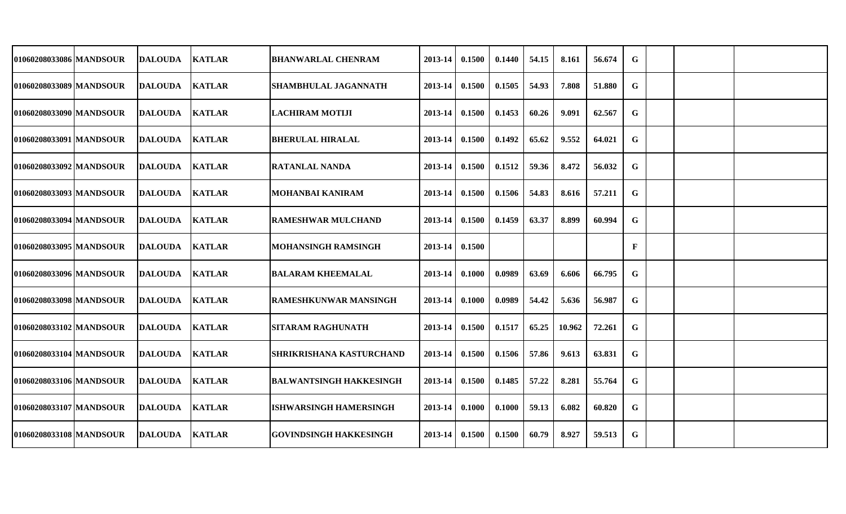| 01060208033086 MANDSOUR | <b>DALOUDA</b>  | <b>KATLAR</b> | <b>BHANWARLAL CHENRAM</b>       | 2013-14     | 0.1500 | 0.1440 | 54.15 | 8.161  | 56.674 | G |  |  |
|-------------------------|-----------------|---------------|---------------------------------|-------------|--------|--------|-------|--------|--------|---|--|--|
|                         |                 |               |                                 |             |        |        |       |        |        |   |  |  |
| 01060208033089 MANDSOUR | <b>DALOUDA</b>  | <b>KATLAR</b> | <b>SHAMBHULAL JAGANNATH</b>     | 2013-14     | 0.1500 | 0.1505 | 54.93 | 7.808  | 51.880 | G |  |  |
| 01060208033090 MANDSOUR | <b>DALOUDA</b>  | <b>KATLAR</b> | <b>LACHIRAM MOTIJI</b>          | 2013-14     | 0.1500 | 0.1453 | 60.26 | 9.091  | 62.567 | G |  |  |
| 01060208033091 MANDSOUR | <b>DALOUDA</b>  | <b>KATLAR</b> | <b>BHERULAL HIRALAL</b>         | 2013-14     | 0.1500 | 0.1492 | 65.62 | 9.552  | 64.021 | G |  |  |
| 01060208033092 MANDSOUR | <b>DALOUDA</b>  | <b>KATLAR</b> | <b>RATANLAL NANDA</b>           | 2013-14     | 0.1500 | 0.1512 | 59.36 | 8.472  | 56.032 | G |  |  |
| 01060208033093 MANDSOUR | <b>DALOUDA</b>  | <b>KATLAR</b> | <b>MOHANBAI KANIRAM</b>         | 2013-14     | 0.1500 | 0.1506 | 54.83 | 8.616  | 57.211 | G |  |  |
| 01060208033094 MANDSOUR | <b>DALOUDA</b>  | <b>KATLAR</b> | <b>RAMESHWAR MULCHAND</b>       | 2013-14     | 0.1500 | 0.1459 | 63.37 | 8.899  | 60.994 | G |  |  |
| 01060208033095 MANDSOUR | <b>DALOUDA</b>  | <b>KATLAR</b> | <b>MOHANSINGH RAMSINGH</b>      | 2013-14     | 0.1500 |        |       |        |        | F |  |  |
| 01060208033096 MANDSOUR | <b>DALOUDA</b>  | <b>KATLAR</b> | <b>BALARAM KHEEMALAL</b>        | 2013-14     | 0.1000 | 0.0989 | 63.69 | 6.606  | 66.795 | G |  |  |
| 01060208033098 MANDSOUR | <b>IDALOUDA</b> | <b>KATLAR</b> | <b>RAMESHKUNWAR MANSINGH</b>    | 2013-14     | 0.1000 | 0.0989 | 54.42 | 5.636  | 56.987 | G |  |  |
| 01060208033102 MANDSOUR | <b>DALOUDA</b>  | <b>KATLAR</b> | <b>SITARAM RAGHUNATH</b>        | 2013-14     | 0.1500 | 0.1517 | 65.25 | 10.962 | 72.261 | G |  |  |
| 01060208033104 MANDSOUR | DALOUDA         | <b>KATLAR</b> | <b>SHRIKRISHANA KASTURCHAND</b> | $2013 - 14$ | 0.1500 | 0.1506 | 57.86 | 9.613  | 63.831 | G |  |  |
| 01060208033106 MANDSOUR | <b>DALOUDA</b>  | <b>KATLAR</b> | <b>BALWANTSINGH HAKKESINGH</b>  | 2013-14     | 0.1500 | 0.1485 | 57.22 | 8.281  | 55.764 | G |  |  |
| 01060208033107 MANDSOUR | <b>DALOUDA</b>  | <b>KATLAR</b> | <b>ISHWARSINGH HAMERSINGH</b>   | 2013-14     | 0.1000 | 0.1000 | 59.13 | 6.082  | 60.820 | G |  |  |
| 01060208033108 MANDSOUR | <b>DALOUDA</b>  | <b>KATLAR</b> | <b>GOVINDSINGH HAKKESINGH</b>   | 2013-14     | 0.1500 | 0.1500 | 60.79 | 8.927  | 59.513 | G |  |  |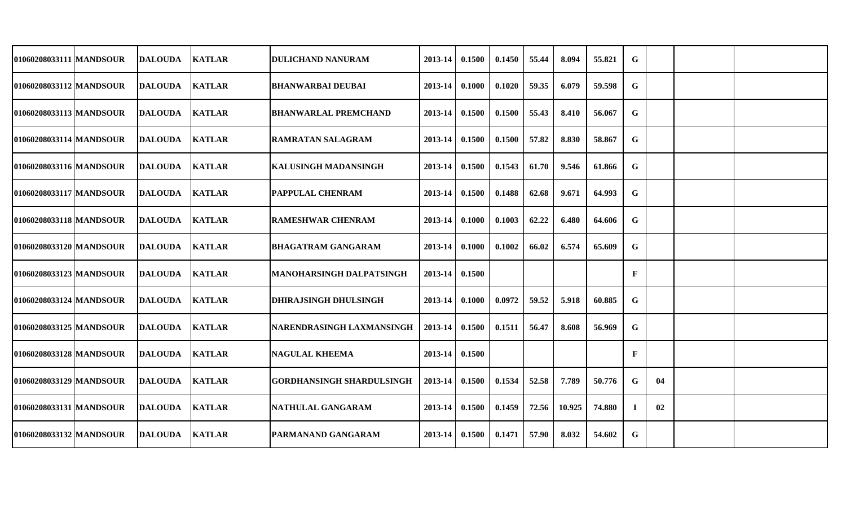| 01060208033111 MANDSOUR   | <b>DALOUDA</b> | <b>KATLAR</b> | <b>DULICHAND NANURAM</b>         | 2013-14     | 0.1500 | 0.1450 | 55.44 | 8.094  | 55.821 | G           |    |  |
|---------------------------|----------------|---------------|----------------------------------|-------------|--------|--------|-------|--------|--------|-------------|----|--|
| 01060208033112 MANDSOUR   | <b>DALOUDA</b> | <b>KATLAR</b> | <b>BHANWARBAI DEUBAI</b>         | 2013-14     | 0.1000 | 0.1020 | 59.35 | 6.079  | 59.598 | G           |    |  |
| 01060208033113 MANDSOUR   | <b>DALOUDA</b> | <b>KATLAR</b> | <b>BHANWARLAL PREMCHAND</b>      | 2013-14     | 0.1500 | 0.1500 | 55.43 | 8.410  | 56.067 | G           |    |  |
| 01060208033114 MANDSOUR   | <b>DALOUDA</b> | <b>KATLAR</b> | <b>RAMRATAN SALAGRAM</b>         | 2013-14     | 0.1500 | 0.1500 | 57.82 | 8.830  | 58.867 | G           |    |  |
| 01060208033116 MANDSOUR   | <b>DALOUDA</b> | <b>KATLAR</b> | <b>KALUSINGH MADANSINGH</b>      | 2013-14     | 0.1500 | 0.1543 | 61.70 | 9.546  | 61.866 | G           |    |  |
| 01060208033117 MANDSOUR   | <b>DALOUDA</b> | <b>KATLAR</b> | <b>PAPPULAL CHENRAM</b>          | 2013-14     | 0.1500 | 0.1488 | 62.68 | 9.671  | 64.993 | G           |    |  |
| 01060208033118 MANDSOUR   | <b>DALOUDA</b> | <b>KATLAR</b> | <b>RAMESHWAR CHENRAM</b>         | 2013-14     | 0.1000 | 0.1003 | 62.22 | 6.480  | 64.606 | G           |    |  |
| 01060208033120 MANDSOUR   | <b>DALOUDA</b> | <b>KATLAR</b> | <b>BHAGATRAM GANGARAM</b>        | 2013-14     | 0.1000 | 0.1002 | 66.02 | 6.574  | 65.609 | G           |    |  |
| 01060208033123 MANDSOUR   | <b>DALOUDA</b> | <b>KATLAR</b> | <b>MANOHARSINGH DALPATSINGH</b>  | 2013-14     | 0.1500 |        |       |        |        | F           |    |  |
| 01060208033124 MANDSOUR   | DALOUDA        | <b>KATLAR</b> | <b>DHIRAJSINGH DHULSINGH</b>     | 2013-14     | 0.1000 | 0.0972 | 59.52 | 5.918  | 60.885 | G           |    |  |
| 01060208033125 MANDSOUR   | <b>DALOUDA</b> | <b>KATLAR</b> | NARENDRASINGH LAXMANSINGH        | 2013-14     | 0.1500 | 0.1511 | 56.47 | 8.608  | 56.969 | G           |    |  |
| 01060208033128 MANDSOUR   | <b>DALOUDA</b> | <b>KATLAR</b> | <b>NAGULAL KHEEMA</b>            | 2013-14     | 0.1500 |        |       |        |        | F           |    |  |
| 01060208033129 MANDSOUR   | <b>DALOUDA</b> | <b>KATLAR</b> | <b>GORDHANSINGH SHARDULSINGH</b> | $2013 - 14$ | 0.1500 | 0.1534 | 52.58 | 7.789  | 50.776 | G           | 04 |  |
| 01060208033131   MANDSOUR | <b>DALOUDA</b> | <b>KATLAR</b> | NATHULAL GANGARAM                | 2013-14     | 0.1500 | 0.1459 | 72.56 | 10.925 | 74.880 | $\mathbf I$ | 02 |  |
| 01060208033132 MANDSOUR   | <b>DALOUDA</b> | <b>KATLAR</b> | <b>PARMANAND GANGARAM</b>        | 2013-14     | 0.1500 | 0.1471 | 57.90 | 8.032  | 54.602 | G           |    |  |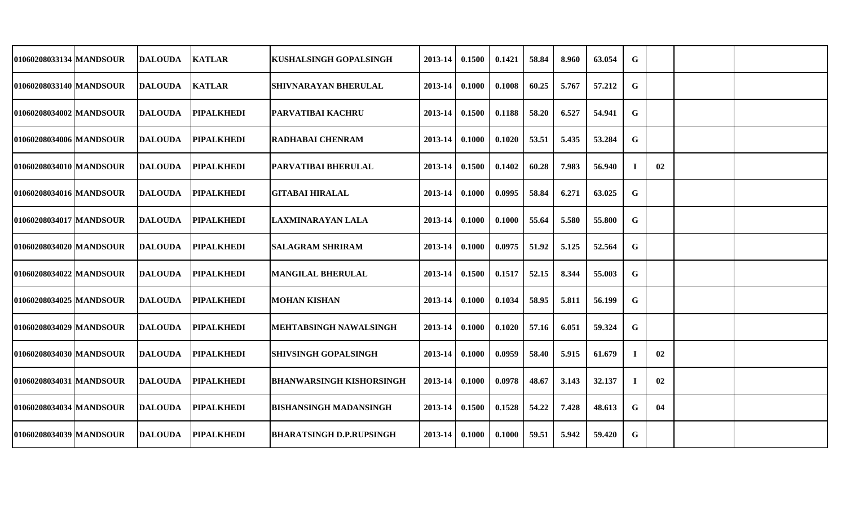| 01060208033134 MANDSOUR   |                |                                                                                                                                                                                  | <b>KUSHALSINGH GOPALSINGH</b>                                                                                      | 2013-14                                                | 0.1500 | 0.1421 | 58.84 | 8.960 | 63.054 | G |    |  |
|---------------------------|----------------|----------------------------------------------------------------------------------------------------------------------------------------------------------------------------------|--------------------------------------------------------------------------------------------------------------------|--------------------------------------------------------|--------|--------|-------|-------|--------|---|----|--|
| 01060208033140 MANDSOUR   |                |                                                                                                                                                                                  | <b>SHIVNARAYAN BHERULAL</b>                                                                                        | 2013-14                                                | 0.1000 | 0.1008 | 60.25 | 5.767 | 57.212 | G |    |  |
| 01060208034002 MANDSOUR   |                | <b>PIPALKHEDI</b>                                                                                                                                                                |                                                                                                                    | 2013-14                                                | 0.1500 | 0.1188 | 58.20 | 6.527 | 54.941 | G |    |  |
| 01060208034006   MANDSOUR |                |                                                                                                                                                                                  | <b>RADHABAI CHENRAM</b>                                                                                            | 2013-14                                                | 0.1000 | 0.1020 | 53.51 | 5.435 | 53.284 | G |    |  |
| 01060208034010 MANDSOUR   |                | <b>PIPALKHEDI</b>                                                                                                                                                                |                                                                                                                    | 2013-14                                                | 0.1500 | 0.1402 | 60.28 | 7.983 | 56.940 |   | 02 |  |
| 01060208034016   MANDSOUR |                |                                                                                                                                                                                  | <b>GITABAI HIRALAL</b>                                                                                             | 2013-14                                                | 0.1000 | 0.0995 | 58.84 | 6.271 | 63.025 | G |    |  |
| 01060208034017 MANDSOUR   | <b>DALOUDA</b> | <b>PIPALKHEDI</b>                                                                                                                                                                | LAXMINARAYAN LALA                                                                                                  | 2013-14                                                | 0.1000 | 0.1000 | 55.64 | 5.580 | 55.800 | G |    |  |
| 01060208034020 MANDSOUR   |                | <b>PIPALKHEDI</b>                                                                                                                                                                | <b>SALAGRAM SHRIRAM</b>                                                                                            | 2013-14                                                | 0.1000 | 0.0975 | 51.92 | 5.125 | 52.564 | G |    |  |
| 01060208034022 MANDSOUR   |                | <b>PIPALKHEDI</b>                                                                                                                                                                | <b>MANGILAL BHERULAL</b>                                                                                           | 2013-14                                                | 0.1500 | 0.1517 | 52.15 | 8.344 | 55.003 | G |    |  |
| 01060208034025 MANDSOUR   |                |                                                                                                                                                                                  | <b>MOHAN KISHAN</b>                                                                                                | 2013-14                                                | 0.1000 | 0.1034 | 58.95 | 5.811 | 56.199 | G |    |  |
| 01060208034029 MANDSOUR   |                | <b>PIPALKHEDI</b>                                                                                                                                                                | MEHTABSINGH NAWALSINGH                                                                                             | 2013-14                                                | 0.1000 | 0.1020 | 57.16 | 6.051 | 59.324 | G |    |  |
| 01060208034030 MANDSOUR   | <b>DALOUDA</b> |                                                                                                                                                                                  | <b>SHIVSINGH GOPALSINGH</b>                                                                                        | 2013-14                                                | 0.1000 | 0.0959 | 58.40 | 5.915 | 61.679 |   | 02 |  |
| 01060208034031 MANDSOUR   | <b>DALOUDA</b> | <b>PIPALKHEDI</b>                                                                                                                                                                | <b>BHANWARSINGH KISHORSINGH</b>                                                                                    | 2013-14                                                | 0.1000 | 0.0978 | 48.67 | 3.143 | 32.137 |   | 02 |  |
| 01060208034034 MANDSOUR   | <b>DALOUDA</b> | <b>PIPALKHEDI</b>                                                                                                                                                                | <b>BISHANSINGH MADANSINGH</b>                                                                                      | 2013-14                                                | 0.1500 | 0.1528 | 54.22 | 7.428 | 48.613 | G | 04 |  |
| 01060208034039 MANDSOUR   | <b>DALOUDA</b> | <b>PIPALKHEDI</b>                                                                                                                                                                | <b>BHARATSINGH D.P.RUPSINGH</b>                                                                                    | 2013-14                                                | 0.1000 | 0.1000 | 59.51 | 5.942 | 59.420 | G |    |  |
|                           |                | <b>DALOUDA</b><br><b>DALOUDA</b><br><b>DALOUDA</b><br><b>DALOUDA</b><br><b>DALOUDA</b><br><b>DALOUDA</b><br><b>DALOUDA</b><br><b>DALOUDA</b><br><b>DALOUDA</b><br><b>DALOUDA</b> | <b>KATLAR</b><br><b>KATLAR</b><br><b>PIPALKHEDI</b><br><b>PIPALKHEDI</b><br><b>PIPALKHEDI</b><br><b>PIPALKHEDI</b> | <b>PARVATIBAI KACHRU</b><br><b>PARVATIBAI BHERULAL</b> |        |        |       |       |        |   |    |  |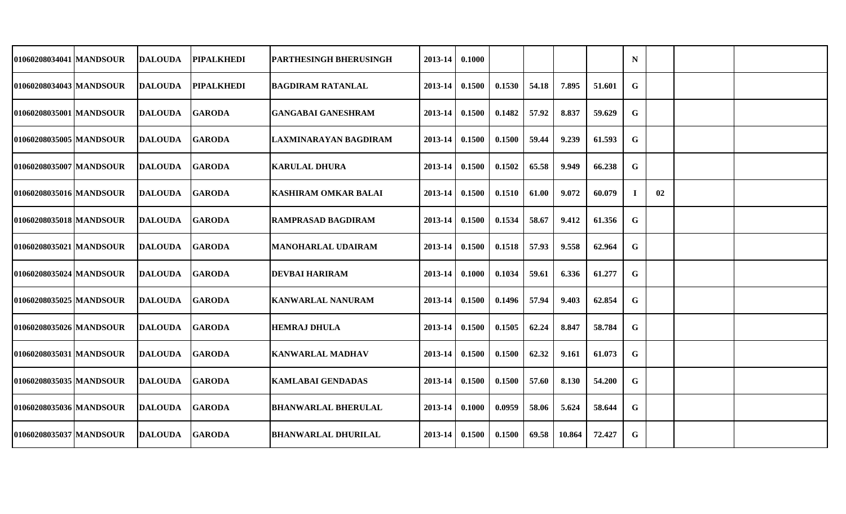| 01060208034041 MANDSOUR   | <b>DALOUDA</b> | <b>PIPALKHEDI</b> | <b>PARTHESINGH BHERUSINGH</b> | 2013-14 | 0.1000 |        |       |        |        | N  |    |  |
|---------------------------|----------------|-------------------|-------------------------------|---------|--------|--------|-------|--------|--------|----|----|--|
| 01060208034043 MANDSOUR   | <b>DALOUDA</b> | <b>PIPALKHEDI</b> | <b>BAGDIRAM RATANLAL</b>      | 2013-14 | 0.1500 | 0.1530 | 54.18 | 7.895  | 51.601 | G  |    |  |
| 01060208035001 MANDSOUR   | <b>DALOUDA</b> | <b>GARODA</b>     | <b>GANGABAI GANESHRAM</b>     | 2013-14 | 0.1500 | 0.1482 | 57.92 | 8.837  | 59.629 | G  |    |  |
| 01060208035005 MANDSOUR   | <b>DALOUDA</b> | <b>GARODA</b>     | LAXMINARAYAN BAGDIRAM         | 2013-14 | 0.1500 | 0.1500 | 59.44 | 9.239  | 61.593 | G  |    |  |
| 01060208035007 MANDSOUR   | <b>DALOUDA</b> | <b>GARODA</b>     | <b>KARULAL DHURA</b>          | 2013-14 | 0.1500 | 0.1502 | 65.58 | 9.949  | 66.238 | G  |    |  |
| 01060208035016 MANDSOUR   | <b>DALOUDA</b> | <b>GARODA</b>     | <b>KASHIRAM OMKAR BALAI</b>   | 2013-14 | 0.1500 | 0.1510 | 61.00 | 9.072  | 60.079 | л. | 02 |  |
| 01060208035018 MANDSOUR   | <b>DALOUDA</b> | <b>GARODA</b>     | <b>RAMPRASAD BAGDIRAM</b>     | 2013-14 | 0.1500 | 0.1534 | 58.67 | 9.412  | 61.356 | G  |    |  |
| 01060208035021 MANDSOUR   | <b>DALOUDA</b> | <b>GARODA</b>     | <b>MANOHARLAL UDAIRAM</b>     | 2013-14 | 0.1500 | 0.1518 | 57.93 | 9.558  | 62.964 | G  |    |  |
| 01060208035024 MANDSOUR   | <b>DALOUDA</b> | <b>GARODA</b>     | <b>DEVBAI HARIRAM</b>         | 2013-14 | 0.1000 | 0.1034 | 59.61 | 6.336  | 61.277 | G  |    |  |
| 01060208035025   MANDSOUR | <b>DALOUDA</b> | <b>GARODA</b>     | <b>KANWARLAL NANURAM</b>      | 2013-14 | 0.1500 | 0.1496 | 57.94 | 9.403  | 62.854 | G  |    |  |
| 01060208035026 MANDSOUR   | <b>DALOUDA</b> | <b>GARODA</b>     | <b>HEMRAJ DHULA</b>           | 2013-14 | 0.1500 | 0.1505 | 62.24 | 8.847  | 58.784 | G  |    |  |
| 01060208035031 MANDSOUR   | <b>DALOUDA</b> | <b>GARODA</b>     | <b>KANWARLAL MADHAV</b>       | 2013-14 | 0.1500 | 0.1500 | 62.32 | 9.161  | 61.073 | G  |    |  |
| 01060208035035 MANDSOUR   | <b>DALOUDA</b> | <b>GARODA</b>     | <b>KAMLABAI GENDADAS</b>      | 2013-14 | 0.1500 | 0.1500 | 57.60 | 8.130  | 54.200 | G  |    |  |
| 01060208035036   MANDSOUR | <b>DALOUDA</b> | <b>GARODA</b>     | <b>BHANWARLAL BHERULAL</b>    | 2013-14 | 0.1000 | 0.0959 | 58.06 | 5.624  | 58.644 | G  |    |  |
| 01060208035037 MANDSOUR   | <b>DALOUDA</b> | <b>GARODA</b>     | <b>BHANWARLAL DHURILAL</b>    | 2013-14 | 0.1500 | 0.1500 | 69.58 | 10.864 | 72.427 | G  |    |  |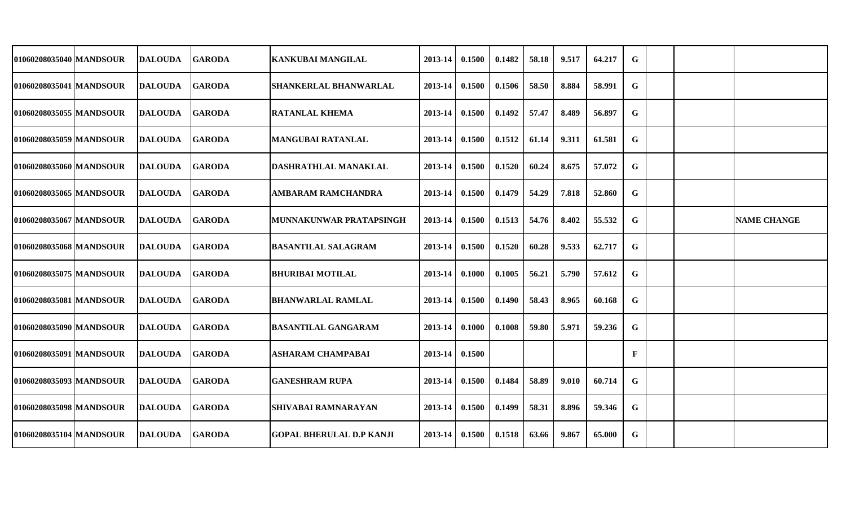| 01060208035040 MANDSOUR   | <b>DALOUDA</b> | <b>GARODA</b> | KANKUBAI MANGILAL               | 2013-14 | 0.1500 | 0.1482 | 58.18 | 9.517 | 64.217 | G |  |                    |
|---------------------------|----------------|---------------|---------------------------------|---------|--------|--------|-------|-------|--------|---|--|--------------------|
| 01060208035041 MANDSOUR   | <b>DALOUDA</b> | <b>GARODA</b> | <b>SHANKERLAL BHANWARLAL</b>    | 2013-14 | 0.1500 | 0.1506 | 58.50 | 8.884 | 58.991 | G |  |                    |
| 01060208035055 MANDSOUR   | <b>DALOUDA</b> | <b>GARODA</b> | <b>RATANLAL KHEMA</b>           | 2013-14 | 0.1500 | 0.1492 | 57.47 | 8.489 | 56.897 | G |  |                    |
| 01060208035059 MANDSOUR   | <b>DALOUDA</b> | <b>GARODA</b> | <b>MANGUBAI RATANLAL</b>        | 2013-14 | 0.1500 | 0.1512 | 61.14 | 9.311 | 61.581 | G |  |                    |
| 01060208035060 MANDSOUR   | <b>DALOUDA</b> | <b>GARODA</b> | DASHRATHLAL MANAKLAL            | 2013-14 | 0.1500 | 0.1520 | 60.24 | 8.675 | 57.072 | G |  |                    |
| 01060208035065 MANDSOUR   | <b>DALOUDA</b> | <b>GARODA</b> | <b>AMBARAM RAMCHANDRA</b>       | 2013-14 | 0.1500 | 0.1479 | 54.29 | 7.818 | 52.860 | G |  |                    |
| 01060208035067 MANDSOUR   | <b>DALOUDA</b> | <b>GARODA</b> | MUNNAKUNWAR PRATAPSINGH         | 2013-14 | 0.1500 | 0.1513 | 54.76 | 8.402 | 55.532 | G |  | <b>NAME CHANGE</b> |
| 01060208035068 MANDSOUR   | <b>DALOUDA</b> | <b>GARODA</b> | <b>BASANTILAL SALAGRAM</b>      | 2013-14 | 0.1500 | 0.1520 | 60.28 | 9.533 | 62.717 | G |  |                    |
| 01060208035075 MANDSOUR   | <b>DALOUDA</b> | <b>GARODA</b> | <b>BHURIBAI MOTILAL</b>         | 2013-14 | 0.1000 | 0.1005 | 56.21 | 5.790 | 57.612 | G |  |                    |
| 01060208035081 MANDSOUR   | <b>DALOUDA</b> | <b>GARODA</b> | <b>BHANWARLAL RAMLAL</b>        | 2013-14 | 0.1500 | 0.1490 | 58.43 | 8.965 | 60.168 | G |  |                    |
| 01060208035090 MANDSOUR   | <b>DALOUDA</b> | <b>GARODA</b> | <b>BASANTILAL GANGARAM</b>      | 2013-14 | 0.1000 | 0.1008 | 59.80 | 5.971 | 59.236 | G |  |                    |
| 01060208035091 MANDSOUR   | <b>DALOUDA</b> | <b>GARODA</b> | <b>ASHARAM CHAMPABAI</b>        | 2013-14 | 0.1500 |        |       |       |        | F |  |                    |
| 01060208035093 MANDSOUR   | <b>DALOUDA</b> | <b>GARODA</b> | <b>GANESHRAM RUPA</b>           | 2013-14 | 0.1500 | 0.1484 | 58.89 | 9.010 | 60.714 | G |  |                    |
| 01060208035098   MANDSOUR | <b>DALOUDA</b> | <b>GARODA</b> | <b>SHIVABAI RAMNARAYAN</b>      | 2013-14 | 0.1500 | 0.1499 | 58.31 | 8.896 | 59.346 | G |  |                    |
| 01060208035104 MANDSOUR   | <b>DALOUDA</b> | <b>GARODA</b> | <b>GOPAL BHERULAL D.P KANJI</b> | 2013-14 | 0.1500 | 0.1518 | 63.66 | 9.867 | 65.000 | G |  |                    |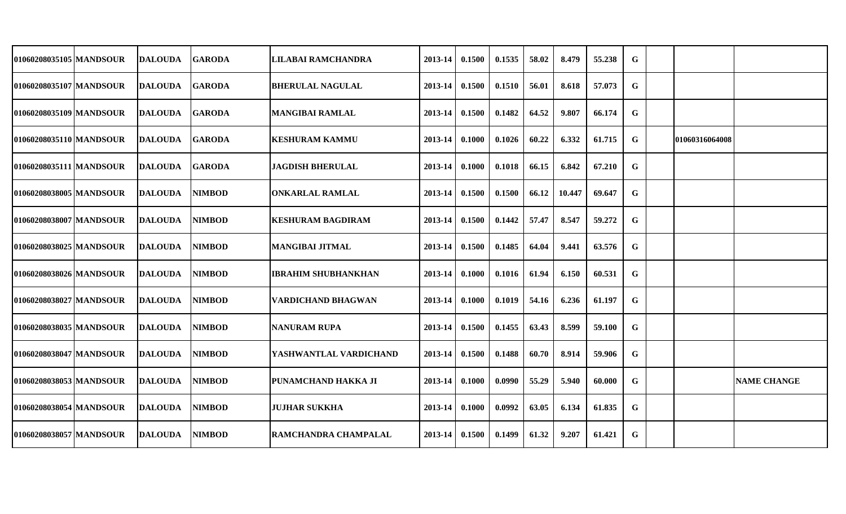| 01060208035105   MANDSOUR | DALOUDA        | <b>GARODA</b>  | LILABAI RAMCHANDRA          | 2013-14          | 0.1500 | 0.1535 | 58.02 | 8.479  | 55.238 | G           |                 |                    |
|---------------------------|----------------|----------------|-----------------------------|------------------|--------|--------|-------|--------|--------|-------------|-----------------|--------------------|
| 01060208035107 MANDSOUR   | DALOUDA        | <b>IGARODA</b> | BHERULAL NAGULAL            | 2013-14          | 0.1500 | 0.1510 | 56.01 | 8.618  | 57.073 | G           |                 |                    |
| 01060208035109 MANDSOUR   | DALOUDA        | <b>IGARODA</b> | MANGIBAI RAMLAL             | 2013-14          | 0.1500 | 0.1482 | 64.52 | 9.807  | 66.174 | G           |                 |                    |
| 01060208035110 MANDSOUR   | <b>DALOUDA</b> | <b>IGARODA</b> | <b>KESHURAM KAMMU</b>       | 2013-14          | 0.1000 | 0.1026 | 60.22 | 6.332  | 61.715 | G           | 101060316064008 |                    |
| 01060208035111 MANDSOUR   | <b>DALOUDA</b> | <b>GARODA</b>  | <b>JAGDISH BHERULAL</b>     | $2013 - 14$      | 0.1000 | 0.1018 | 66.15 | 6.842  | 67.210 | G           |                 |                    |
| 01060208038005 MANDSOUR   | <b>DALOUDA</b> | <b>NIMBOD</b>  | <b>ONKARLAL RAMLAL</b>      | $2013 - 14$      | 0.1500 | 0.1500 | 66.12 | 10.447 | 69.647 | G           |                 |                    |
| 01060208038007 MANDSOUR   | <b>DALOUDA</b> | <b>NIMBOD</b>  | <b>KESHURAM BAGDIRAM</b>    | 2013-14          | 0.1500 | 0.1442 | 57.47 | 8.547  | 59.272 | G           |                 |                    |
| 01060208038025 MANDSOUR   | <b>DALOUDA</b> | <b>NIMBOD</b>  | MANGIBAI JITMAL             | 2013-14          | 0.1500 | 0.1485 | 64.04 | 9.441  | 63.576 | G           |                 |                    |
| 01060208038026 MANDSOUR   | <b>DALOUDA</b> | <b>NIMBOD</b>  | <b>IBRAHIM SHUBHANKHAN</b>  | 2013-14          | 0.1000 | 0.1016 | 61.94 | 6.150  | 60.531 | G           |                 |                    |
| 01060208038027 MANDSOUR   | <b>DALOUDA</b> | <b>NIMBOD</b>  | VARDICHAND BHAGWAN          | 2013-14          | 0.1000 | 0.1019 | 54.16 | 6.236  | 61.197 | G           |                 |                    |
| 01060208038035 MANDSOUR   | <b>DALOUDA</b> | <b>NIMBOD</b>  | INANURAM RUPA               | 2013-14          | 0.1500 | 0.1455 | 63.43 | 8.599  | 59.100 | G           |                 |                    |
| 01060208038047 MANDSOUR   | <b>DALOUDA</b> | <b>NIMBOD</b>  | YASHWANTLAL VARDICHAND      | 2013-14          | 0.1500 | 0.1488 | 60.70 | 8.914  | 59.906 | G           |                 |                    |
| 01060208038053 MANDSOUR   | <b>DALOUDA</b> | <b>NIMBOD</b>  | <b>PUNAMCHAND HAKKA JI</b>  | $2013 - 14$      | 0.1000 | 0.0990 | 55.29 | 5.940  | 60.000 | G           |                 | <b>NAME CHANGE</b> |
| 01060208038054 MANDSOUR   | <b>DALOUDA</b> | <b>NIMBOD</b>  | <b>JUJHAR SUKKHA</b>        | $2013 - 14$      | 0.1000 | 0.0992 | 63.05 | 6.134  | 61.835 | G           |                 |                    |
| 01060208038057 MANDSOUR   | <b>DALOUDA</b> | <b>NIMBOD</b>  | <b>RAMCHANDRA CHAMPALAL</b> | $2013-14$ 0.1500 |        | 0.1499 | 61.32 | 9.207  | 61.421 | $\mathbf G$ |                 |                    |
|                           |                |                |                             |                  |        |        |       |        |        |             |                 |                    |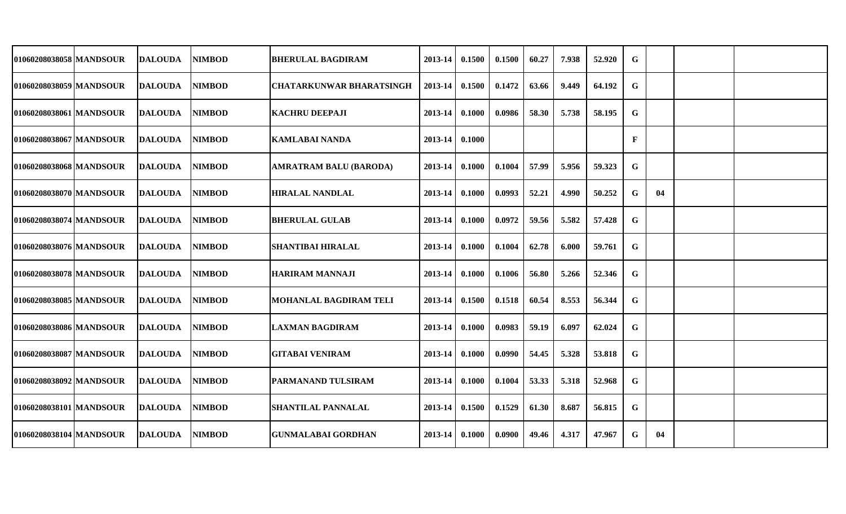| 01060208038058 MANDSOUR   | <b>DALOUDA</b> | NIMBOD        | <b>BHERULAL BAGDIRAM</b>        | 2013-14 | 0.1500 | 0.1500 | 60.27 | 7.938 | 52.920 | G            |    |  |
|---------------------------|----------------|---------------|---------------------------------|---------|--------|--------|-------|-------|--------|--------------|----|--|
| 01060208038059 MANDSOUR   | <b>DALOUDA</b> | <b>NIMBOD</b> | <b>CHATARKUNWAR BHARATSINGH</b> | 2013-14 | 0.1500 | 0.1472 | 63.66 | 9.449 | 64.192 | G            |    |  |
| 01060208038061 MANDSOUR   | <b>DALOUDA</b> | <b>NIMBOD</b> | <b>KACHRU DEEPAJI</b>           | 2013-14 | 0.1000 | 0.0986 | 58.30 | 5.738 | 58.195 | G            |    |  |
| 01060208038067 MANDSOUR   | <b>DALOUDA</b> | <b>NIMBOD</b> | <b>KAMLABAI NANDA</b>           | 2013-14 | 0.1000 |        |       |       |        | $\mathbf{F}$ |    |  |
| 01060208038068 MANDSOUR   | <b>DALOUDA</b> | NIMBOD        | AMRATRAM BALU (BARODA)          | 2013-14 | 0.1000 | 0.1004 | 57.99 | 5.956 | 59.323 | G            |    |  |
| 01060208038070 MANDSOUR   | <b>DALOUDA</b> | NIMBOD        | <b>HIRALAL NANDLAL</b>          | 2013-14 | 0.1000 | 0.0993 | 52.21 | 4.990 | 50.252 | G            | 04 |  |
| 01060208038074 MANDSOUR   | <b>DALOUDA</b> | <b>NIMBOD</b> | <b>BHERULAL GULAB</b>           | 2013-14 | 0.1000 | 0.0972 | 59.56 | 5.582 | 57.428 | G            |    |  |
| 010602080380761MANDSOUR   | <b>DALOUDA</b> | <b>NIMBOD</b> | SHANTIBAI HIRALAL               | 2013-14 | 0.1000 | 0.1004 | 62.78 | 6.000 | 59.761 | G            |    |  |
| 01060208038078 MANDSOUR   | <b>DALOUDA</b> | <b>NIMBOD</b> | <b>HARIRAM MANNAJI</b>          | 2013-14 | 0.1000 | 0.1006 | 56.80 | 5.266 | 52.346 | G            |    |  |
| 01060208038085   MANDSOUR | <b>DALOUDA</b> | <b>NIMBOD</b> | MOHANLAL BAGDIRAM TELI          | 2013-14 | 0.1500 | 0.1518 | 60.54 | 8.553 | 56.344 | G            |    |  |
| 01060208038086 MANDSOUR   | <b>DALOUDA</b> | <b>NIMBOD</b> | <b>LAXMAN BAGDIRAM</b>          | 2013-14 | 0.1000 | 0.0983 | 59.19 | 6.097 | 62.024 | G            |    |  |
| 01060208038087 MANDSOUR   | <b>DALOUDA</b> | <b>NIMBOD</b> | <b>GITABAI VENIRAM</b>          | 2013-14 | 0.1000 | 0.0990 | 54.45 | 5.328 | 53.818 | G            |    |  |
| 01060208038092 MANDSOUR   | <b>DALOUDA</b> | <b>NIMBOD</b> | <b>PARMANAND TULSIRAM</b>       | 2013-14 | 0.1000 | 0.1004 | 53.33 | 5.318 | 52.968 | G            |    |  |
| 01060208038101 MANDSOUR   | <b>DALOUDA</b> | <b>NIMBOD</b> | <b>SHANTILAL PANNALAL</b>       | 2013-14 | 0.1500 | 0.1529 | 61.30 | 8.687 | 56.815 | G            |    |  |
| 01060208038104 MANDSOUR   | <b>DALOUDA</b> | <b>NIMBOD</b> | <b>GUNMALABAI GORDHAN</b>       | 2013-14 | 0.1000 | 0.0900 | 49.46 | 4.317 | 47.967 | G            | 04 |  |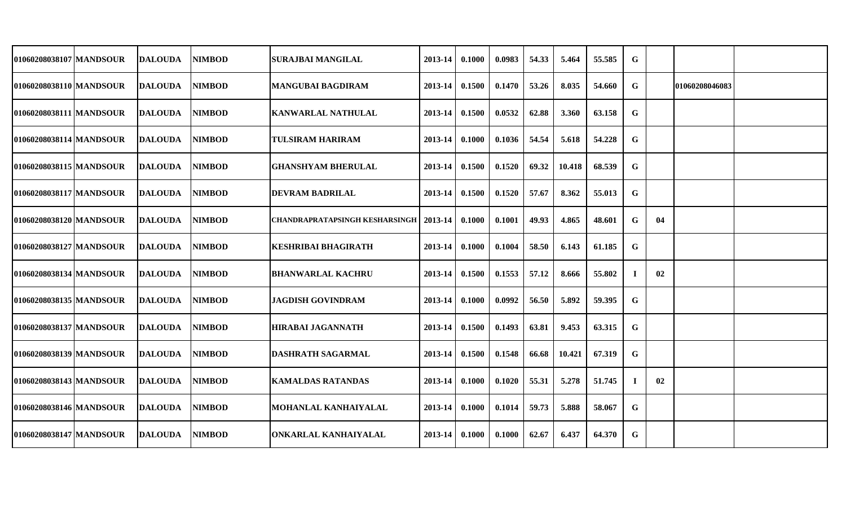| 01060208038107 MANDSOUR | <b>DALOUDA</b> | NIMBOD        | <b>SURAJBAI MANGILAL</b>                        | 2013-14 | 0.1000 | 0.0983 | 54.33 | 5.464  | 55.585 | G  |    |                |  |
|-------------------------|----------------|---------------|-------------------------------------------------|---------|--------|--------|-------|--------|--------|----|----|----------------|--|
| 01060208038110 MANDSOUR | <b>DALOUDA</b> | <b>NIMBOD</b> | <b>MANGUBAI BAGDIRAM</b>                        | 2013-14 | 0.1500 | 0.1470 | 53.26 | 8.035  | 54.660 | G  |    | 01060208046083 |  |
| 01060208038111 MANDSOUR | <b>DALOUDA</b> | NIMBOD        | <b>KANWARLAL NATHULAL</b>                       | 2013-14 | 0.1500 | 0.0532 | 62.88 | 3.360  | 63.158 | G  |    |                |  |
| 01060208038114 MANDSOUR | <b>DALOUDA</b> | <b>NIMBOD</b> | <b>TULSIRAM HARIRAM</b>                         | 2013-14 | 0.1000 | 0.1036 | 54.54 | 5.618  | 54.228 | G  |    |                |  |
| 01060208038115 MANDSOUR | <b>DALOUDA</b> | NIMBOD        | <b>GHANSHYAM BHERULAL</b>                       | 2013-14 | 0.1500 | 0.1520 | 69.32 | 10.418 | 68.539 | G  |    |                |  |
| 01060208038117 MANDSOUR | <b>DALOUDA</b> | <b>NIMBOD</b> | <b>DEVRAM BADRILAL</b>                          | 2013-14 | 0.1500 | 0.1520 | 57.67 | 8.362  | 55.013 | G  |    |                |  |
| 01060208038120 MANDSOUR | <b>DALOUDA</b> | <b>NIMBOD</b> | <b>CHANDRAPRATAPSINGH KESHARSINGH   2013-14</b> |         | 0.1000 | 0.1001 | 49.93 | 4.865  | 48.601 | G  | 04 |                |  |
| 01060208038127 MANDSOUR | <b>DALOUDA</b> | <b>NIMBOD</b> | <b>KESHRIBAI BHAGIRATH</b>                      | 2013-14 | 0.1000 | 0.1004 | 58.50 | 6.143  | 61.185 | G  |    |                |  |
| 01060208038134 MANDSOUR | <b>DALOUDA</b> | <b>NIMBOD</b> | <b>BHANWARLAL KACHRU</b>                        | 2013-14 | 0.1500 | 0.1553 | 57.12 | 8.666  | 55.802 |    | 02 |                |  |
| 01060208038135 MANDSOUR | <b>DALOUDA</b> | NIMBOD        | <b>JAGDISH GOVINDRAM</b>                        | 2013-14 | 0.1000 | 0.0992 | 56.50 | 5.892  | 59.395 | G  |    |                |  |
| 01060208038137 MANDSOUR | <b>DALOUDA</b> | <b>NIMBOD</b> | <b>HIRABAI JAGANNATH</b>                        | 2013-14 | 0.1500 | 0.1493 | 63.81 | 9.453  | 63.315 | G  |    |                |  |
| 01060208038139 MANDSOUR | <b>DALOUDA</b> | NIMBOD        | DASHRATH SAGARMAL                               | 2013-14 | 0.1500 | 0.1548 | 66.68 | 10.421 | 67.319 | G  |    |                |  |
| 01060208038143 MANDSOUR | <b>DALOUDA</b> | <b>NIMBOD</b> | <b>KAMALDAS RATANDAS</b>                        | 2013-14 | 0.1000 | 0.1020 | 55.31 | 5.278  | 51.745 | -1 | 02 |                |  |
| 01060208038146 MANDSOUR | <b>DALOUDA</b> | <b>NIMBOD</b> | MOHANLAL KANHAIYALAL                            | 2013-14 | 0.1000 | 0.1014 | 59.73 | 5.888  | 58.067 | G  |    |                |  |
| 01060208038147 MANDSOUR | <b>DALOUDA</b> | <b>NIMBOD</b> | ONKARLAL KANHAIYALAL                            | 2013-14 | 0.1000 | 0.1000 | 62.67 | 6.437  | 64.370 | G  |    |                |  |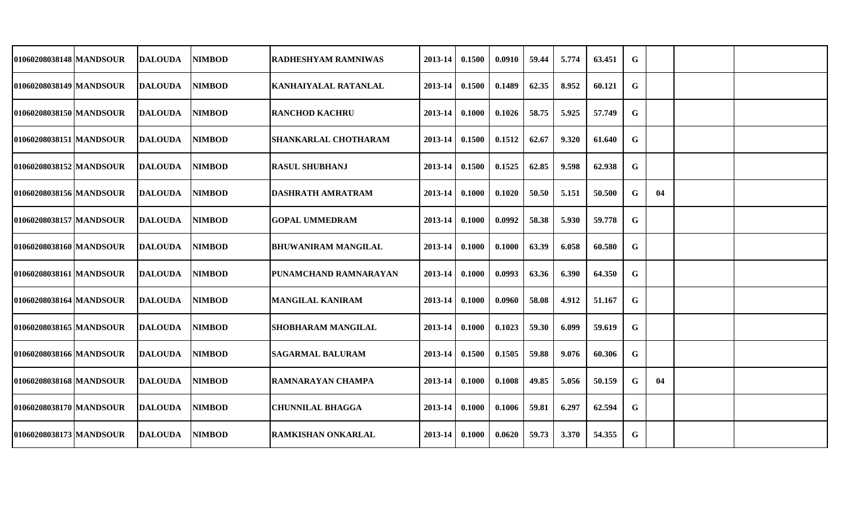| 01060208038148 MANDSOUR | IDALOUDA        | <b>NIMBOD</b> | IRADHESHYAM RAMNIWAS        | 2013-14     | 0.1500 | 0.0910 | 59.44 | 5.774 | 63.451 | $\mathbf G$ |    |  |
|-------------------------|-----------------|---------------|-----------------------------|-------------|--------|--------|-------|-------|--------|-------------|----|--|
| 01060208038149 MANDSOUR | <b>DALOUDA</b>  | <b>NIMBOD</b> | <b>KANHAIYALAL RATANLAL</b> | 2013-14     | 0.1500 | 0.1489 | 62.35 | 8.952 | 60.121 | G           |    |  |
| 01060208038150 MANDSOUR | <b>DALOUDA</b>  | <b>NIMBOD</b> | <b>RANCHOD KACHRU</b>       | 2013-14     | 0.1000 | 0.1026 | 58.75 | 5.925 | 57.749 | G           |    |  |
| 01060208038151 MANDSOUR | <b>DALOUDA</b>  | <b>NIMBOD</b> | SHANKARLAL CHOTHARAM        | $2013 - 14$ | 0.1500 | 0.1512 | 62.67 | 9.320 | 61.640 | G           |    |  |
| 01060208038152 MANDSOUR | <b>DALOUDA</b>  | <b>NIMBOD</b> | <b>RASUL SHUBHANJ</b>       | 2013-14     | 0.1500 | 0.1525 | 62.85 | 9.598 | 62.938 | G           |    |  |
| 01060208038156 MANDSOUR | <b>DALOUDA</b>  | <b>NIMBOD</b> | DASHRATH AMRATRAM           | $2013 - 14$ | 0.1000 | 0.1020 | 50.50 | 5.151 | 50.500 | G           | 04 |  |
| 01060208038157 MANDSOUR | <b>DALOUDA</b>  | <b>NIMBOD</b> | <b>GOPAL UMMEDRAM</b>       | 2013-14     | 0.1000 | 0.0992 | 58.38 | 5.930 | 59.778 | G           |    |  |
| 01060208038160 MANDSOUR | <b>IDALOUDA</b> | <b>NIMBOD</b> | <b>BHUWANIRAM MANGILAL</b>  | 2013-14     | 0.1000 | 0.1000 | 63.39 | 6.058 | 60.580 | G           |    |  |
| 01060208038161 MANDSOUR | <b>DALOUDA</b>  | <b>NIMBOD</b> | PUNAMCHAND RAMNARAYAN       | 2013-14     | 0.1000 | 0.0993 | 63.36 | 6.390 | 64.350 | G           |    |  |
| 01060208038164 MANDSOUR | <b>DALOUDA</b>  | <b>NIMBOD</b> | <b>MANGILAL KANIRAM</b>     | 2013-14     | 0.1000 | 0.0960 | 58.08 | 4.912 | 51.167 | G           |    |  |
| 01060208038165 MANDSOUR | <b>DALOUDA</b>  | <b>NIMBOD</b> | <b>SHOBHARAM MANGILAL</b>   | 2013-14     | 0.1000 | 0.1023 | 59.30 | 6.099 | 59.619 | G           |    |  |
| 01060208038166 MANDSOUR | <b>DALOUDA</b>  | NIMBOD        | <b>SAGARMAL BALURAM</b>     | 2013-14     | 0.1500 | 0.1505 | 59.88 | 9.076 | 60.306 | G           |    |  |
| 01060208038168 MANDSOUR | <b>DALOUDA</b>  | NIMBOD        | RAMNARAYAN CHAMPA           | 2013-14     | 0.1000 | 0.1008 | 49.85 | 5.056 | 50.159 | G           | 04 |  |
| 01060208038170 MANDSOUR | <b>DALOUDA</b>  | <b>NIMBOD</b> | <b>CHUNNILAL BHAGGA</b>     | 2013-14     | 0.1000 | 0.1006 | 59.81 | 6.297 | 62.594 | G           |    |  |
| 01060208038173 MANDSOUR | <b>DALOUDA</b>  | <b>NIMBOD</b> | <b>RAMKISHAN ONKARLAL</b>   | $2013 - 14$ | 0.1000 | 0.0620 | 59.73 | 3.370 | 54.355 | G           |    |  |
|                         |                 |               |                             |             |        |        |       |       |        |             |    |  |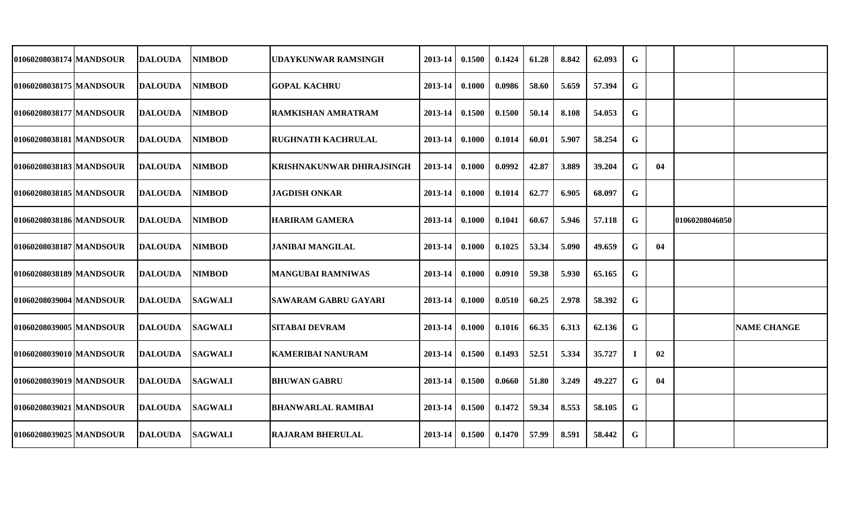| 01060208038174   MANDSOUR | DALOUDA        |                                                                                                                            | UDAYKUNWAR RAMSINGH                                                                                                                                                                                                                             | 2013-14                                                                                                                                                           | 0.1500 | 0.1424                                           | 61.28 | 8.842 | 62.093 | G           |    |                    |
|---------------------------|----------------|----------------------------------------------------------------------------------------------------------------------------|-------------------------------------------------------------------------------------------------------------------------------------------------------------------------------------------------------------------------------------------------|-------------------------------------------------------------------------------------------------------------------------------------------------------------------|--------|--------------------------------------------------|-------|-------|--------|-------------|----|--------------------|
| 01060208038175 MANDSOUR   | DALOUDA        |                                                                                                                            | <b> GOPAL KACHRU</b>                                                                                                                                                                                                                            | 2013-14                                                                                                                                                           | 0.1000 | 0.0986                                           | 58.60 | 5.659 | 57.394 | G           |    |                    |
| 01060208038177 MANDSOUR   | DALOUDA        |                                                                                                                            | IRAMKISHAN AMRATRAM                                                                                                                                                                                                                             | 2013-14                                                                                                                                                           | 0.1500 | 0.1500                                           | 50.14 | 8.108 | 54.053 | G           |    |                    |
| 01060208038181 MANDSOUR   | <b>DALOUDA</b> |                                                                                                                            |                                                                                                                                                                                                                                                 | 2013-14                                                                                                                                                           | 0.1000 | 0.1014                                           | 60.01 | 5.907 | 58.254 | G           |    |                    |
| 01060208038183 MANDSOUR   |                |                                                                                                                            | <b>KRISHNAKUNWAR DHIRAJSINGH</b>                                                                                                                                                                                                                | 2013-14                                                                                                                                                           | 0.1000 | 0.0992                                           | 42.87 | 3.889 | 39.204 | G           | 04 |                    |
| 01060208038185 MANDSOUR   |                |                                                                                                                            | <b>JAGDISH ONKAR</b>                                                                                                                                                                                                                            | $2013 - 14$                                                                                                                                                       | 0.1000 | 0.1014                                           | 62.77 | 6.905 | 68.097 | G           |    |                    |
| 01060208038186 MANDSOUR   |                |                                                                                                                            |                                                                                                                                                                                                                                                 | 2013-14                                                                                                                                                           | 0.1000 | 0.1041                                           | 60.67 | 5.946 | 57.118 | G           |    |                    |
| 01060208038187   MANDSOUR | <b>DALOUDA</b> |                                                                                                                            | <b>JANIBAI MANGILAL</b>                                                                                                                                                                                                                         | 2013-14                                                                                                                                                           | 0.1000 | 0.1025                                           | 53.34 | 5.090 | 49.659 | G           | 04 |                    |
| 01060208038189 MANDSOUR   |                |                                                                                                                            | <b>MANGUBAI RAMNIWAS</b>                                                                                                                                                                                                                        | 2013-14                                                                                                                                                           | 0.1000 | 0.0910                                           | 59.38 | 5.930 | 65.165 | G           |    |                    |
| 01060208039004 MANDSOUR   |                |                                                                                                                            |                                                                                                                                                                                                                                                 | 2013-14                                                                                                                                                           | 0.1000 | 0.0510                                           | 60.25 | 2.978 | 58.392 | G           |    |                    |
| 01060208039005 MANDSOUR   | <b>DALOUDA</b> |                                                                                                                            | <b>SITABAI DEVRAM</b>                                                                                                                                                                                                                           | 2013-14                                                                                                                                                           | 0.1000 | 0.1016                                           | 66.35 | 6.313 | 62.136 | G           |    | <b>NAME CHANGE</b> |
| 01060208039010 MANDSOUR   |                |                                                                                                                            |                                                                                                                                                                                                                                                 | 2013-14                                                                                                                                                           | 0.1500 | 0.1493                                           | 52.51 | 5.334 | 35.727 |             | 02 |                    |
| 01060208039019 MANDSOUR   | <b>DALOUDA</b> |                                                                                                                            |                                                                                                                                                                                                                                                 |                                                                                                                                                                   | 0.1500 | 0.0660                                           | 51.80 | 3.249 | 49.227 | G           | 04 |                    |
| 01060208039021 MANDSOUR   |                |                                                                                                                            |                                                                                                                                                                                                                                                 |                                                                                                                                                                   | 0.1500 | 0.1472                                           | 59.34 | 8.553 | 58.105 | G           |    |                    |
| 01060208039025 MANDSOUR   | <b>DALOUDA</b> | <b>SAGWALI</b>                                                                                                             | <b>RAJARAM BHERULAL</b>                                                                                                                                                                                                                         |                                                                                                                                                                   |        | 0.1470                                           | 57.99 | 8.591 | 58.442 | $\mathbf G$ |    |                    |
|                           |                | <b>DALOUDA</b><br><b>DALOUDA</b><br><b>DALOUDA</b><br><b>DALOUDA</b><br><b>DALOUDA</b><br><b>DALOUDA</b><br><b>DALOUDA</b> | <b>NIMBOD</b><br><b>NIMBOD</b><br><b>NIMBOD</b><br><b>NIMBOD</b><br><b>NIMBOD</b><br><b>NIMBOD</b><br><b>NIMBOD</b><br><b>NIMBOD</b><br><b>NIMBOD</b><br><b>SAGWALI</b><br><b>SAGWALI</b><br><b>SAGWALI</b><br><b>SAGWALI</b><br><b>SAGWALI</b> | <b>RUGHNATH KACHRULAL</b><br><b>HARIRAM GAMERA</b><br><b>SAWARAM GABRU GAYARI</b><br><b>KAMERIBAI NANURAM</b><br><b>BHUWAN GABRU</b><br><b>BHANWARLAL RAMIBAI</b> |        | $2013 - 14$<br>$2013 - 14$<br>$2013 - 14$ 0.1500 |       |       |        |             |    | 01060208046050     |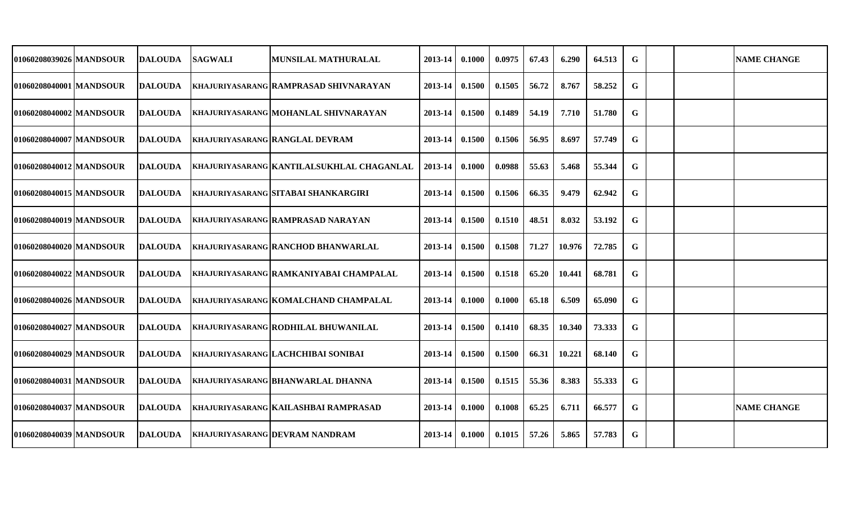| 01060208039026 MANDSOUR  | IDALOUDA       | <b>SAGWALI</b> | <b>MUNSILAL MATHURALAL</b>                | 2013-14 | 0.1000 | 0.0975 | 67.43 | 6.290  | 64.513 | G |  | <b>NAME CHANGE</b> |
|--------------------------|----------------|----------------|-------------------------------------------|---------|--------|--------|-------|--------|--------|---|--|--------------------|
| 01060208040001 MANDSOUR  | <b>DALOUDA</b> |                | KHAJURIYASARANG RAMPRASAD SHIVNARAYAN     | 2013-14 | 0.1500 | 0.1505 | 56.72 | 8.767  | 58.252 | G |  |                    |
| 01060208040002 MANDSOUR  | <b>DALOUDA</b> |                | KHAJURIYASARANG MOHANLAL SHIVNARAYAN      | 2013-14 | 0.1500 | 0.1489 | 54.19 | 7.710  | 51.780 | G |  |                    |
| 01060208040007 MANDSOUR  | <b>DALOUDA</b> |                | <b>KHAJURIYASARANG RANGLAL DEVRAM</b>     | 2013-14 | 0.1500 | 0.1506 | 56.95 | 8.697  | 57.749 | G |  |                    |
| 01060208040012 MANDSOUR  | <b>DALOUDA</b> |                | KHAJURIYASARANG KANTILALSUKHLAL CHAGANLAL | 2013-14 | 0.1000 | 0.0988 | 55.63 | 5.468  | 55.344 | G |  |                    |
| 01060208040015 MANDSOUR  | IDALOUDA       |                | KHAJURIYASARANG SITABAI SHANKARGIRI       | 2013-14 | 0.1500 | 0.1506 | 66.35 | 9.479  | 62.942 | G |  |                    |
| 01060208040019 MANDSOUR  | IDALOUDA       |                | KHAJURIYASARANG RAMPRASAD NARAYAN         | 2013-14 | 0.1500 | 0.1510 | 48.51 | 8.032  | 53.192 | G |  |                    |
| 01060208040020 IMANDSOUR | <b>DALOUDA</b> |                | KHAJURIYASARANG RANCHOD BHANWARLAL        | 2013-14 | 0.1500 | 0.1508 | 71.27 | 10.976 | 72.785 | G |  |                    |
| 01060208040022 MANDSOUR  | IDALOUDA       |                | khajuriyasarang  RAMKANIYABAI CHAMPALAL   | 2013-14 | 0.1500 | 0.1518 | 65.20 | 10.441 | 68.781 | G |  |                    |
| 01060208040026 MANDSOUR  | <b>DALOUDA</b> |                | KHAJURIYASARANG KOMALCHAND CHAMPALAL      | 2013-14 | 0.1000 | 0.1000 | 65.18 | 6.509  | 65.090 | G |  |                    |
| 01060208040027 MANDSOUR  | <b>DALOUDA</b> |                | khajuriyasarang RODHILAL BHUWANILAL       | 2013-14 | 0.1500 | 0.1410 | 68.35 | 10.340 | 73.333 | G |  |                    |
| 01060208040029 MANDSOUR  | IDALOUDA       |                | KHAJURIYASARANG   LACHCHIBAI SONIBAI      | 2013-14 | 0.1500 | 0.1500 | 66.31 | 10.221 | 68.140 | G |  |                    |
| 01060208040031 MANDSOUR  | DALOUDA        |                | KHAJURIYASARANG BHANWARLAL DHANNA         | 2013-14 | 0.1500 | 0.1515 | 55.36 | 8.383  | 55.333 | G |  |                    |
| 01060208040037 MANDSOUR  | <b>DALOUDA</b> |                | KHAJURIYASARANG KAILASHBAI RAMPRASAD      | 2013-14 | 0.1000 | 0.1008 | 65.25 | 6.711  | 66.577 | G |  | <b>NAME CHANGE</b> |
| 01060208040039 MANDSOUR  | <b>DALOUDA</b> |                | <b>KHAJURIYASARANG DEVRAM NANDRAM</b>     | 2013-14 | 0.1000 | 0.1015 | 57.26 | 5.865  | 57.783 | G |  |                    |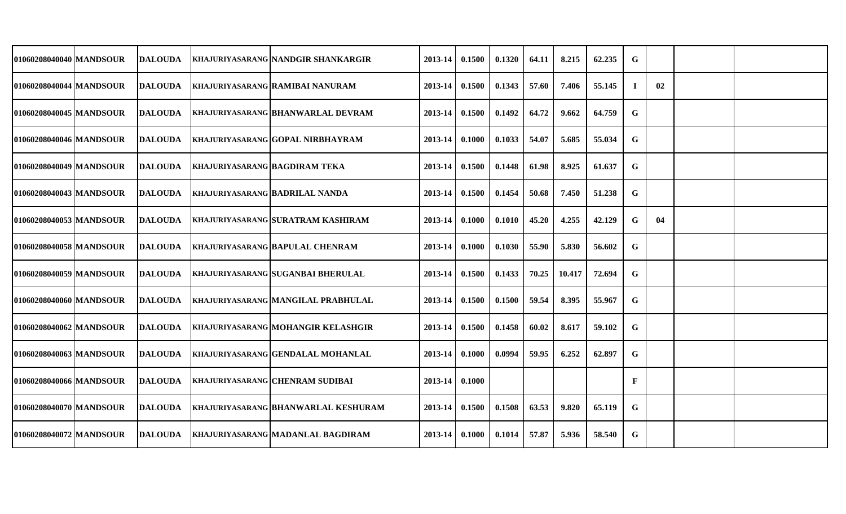| 01060208040040 MANDSOUR   | <b>DALOUDA</b> |                                       | KHAJURIYASARANG NANDGIR SHANKARGIR         | 2013-14 | 0.1500 | 0.1320 | 64.11 | 8.215  | 62.235 | G  |    |  |
|---------------------------|----------------|---------------------------------------|--------------------------------------------|---------|--------|--------|-------|--------|--------|----|----|--|
| 01060208040044 MANDSOUR   | <b>DALOUDA</b> |                                       | KHAJURIYASARANG RAMIBAI NANURAM            | 2013-14 | 0.1500 | 0.1343 | 57.60 | 7.406  | 55.145 | л. | 02 |  |
| 01060208040045 MANDSOUR   | <b>DALOUDA</b> |                                       | <b>KHAJURIYASARANG BHANWARLAL DEVRAM</b>   | 2013-14 | 0.1500 | 0.1492 | 64.72 | 9.662  | 64.759 | G  |    |  |
| 01060208040046 MANDSOUR   | <b>DALOUDA</b> |                                       | <b>KHAJURIYASARANG GOPAL NIRBHAYRAM</b>    | 2013-14 | 0.1000 | 0.1033 | 54.07 | 5.685  | 55.034 | G  |    |  |
| 01060208040049   MANDSOUR | <b>DALOUDA</b> | KHAJURIYASARANG BAGDIRAM TEKA         |                                            | 2013-14 | 0.1500 | 0.1448 | 61.98 | 8.925  | 61.637 | G  |    |  |
| 01060208040043 MANDSOUR   | <b>DALOUDA</b> | <b>KHAJURIYASARANG BADRILAL NANDA</b> |                                            | 2013-14 | 0.1500 | 0.1454 | 50.68 | 7.450  | 51.238 | G  |    |  |
| 01060208040053 MANDSOUR   | <b>DALOUDA</b> |                                       | KHAJURIYASARANG SURATRAM KASHIRAM          | 2013-14 | 0.1000 | 0.1010 | 45.20 | 4.255  | 42.129 | G  | 04 |  |
| 01060208040058 MANDSOUR   | <b>DALOUDA</b> |                                       | <b>KHAJURIYASARANG BAPULAL CHENRAM</b>     | 2013-14 | 0.1000 | 0.1030 | 55.90 | 5.830  | 56.602 | G  |    |  |
| 01060208040059 MANDSOUR   | <b>DALOUDA</b> |                                       | KHAJURIYASARANG SUGANBAI BHERULAL          | 2013-14 | 0.1500 | 0.1433 | 70.25 | 10.417 | 72.694 | G  |    |  |
| 01060208040060 MANDSOUR   | DALOUDA        |                                       | <b>KHAJURIYASARANG MANGILAL PRABHULAL</b>  | 2013-14 | 0.1500 | 0.1500 | 59.54 | 8.395  | 55.967 | G  |    |  |
| 01060208040062 MANDSOUR   | <b>DALOUDA</b> |                                       | KHAJURIYASARANG MOHANGIR KELASHGIR         | 2013-14 | 0.1500 | 0.1458 | 60.02 | 8.617  | 59.102 | G  |    |  |
| 01060208040063 MANDSOUR   | <b>DALOUDA</b> |                                       | <b>KHAJURIYASARANG GENDALAL MOHANLAL</b>   | 2013-14 | 0.1000 | 0.0994 | 59.95 | 6.252  | 62.897 | G  |    |  |
| 01060208040066 MANDSOUR   | <b>DALOUDA</b> |                                       | <b>KHAJURIYASARANG CHENRAM SUDIBAI</b>     | 2013-14 | 0.1000 |        |       |        |        | F  |    |  |
| 01060208040070   MANDSOUR | <b>DALOUDA</b> |                                       | <b>KHAJURIYASARANG BHANWARLAL KESHURAM</b> | 2013-14 | 0.1500 | 0.1508 | 63.53 | 9.820  | 65.119 | G  |    |  |
| 01060208040072 MANDSOUR   | <b>DALOUDA</b> |                                       | <b>KHAJURIYASARANG MADANLAL BAGDIRAM</b>   | 2013-14 | 0.1000 | 0.1014 | 57.87 | 5.936  | 58.540 | G  |    |  |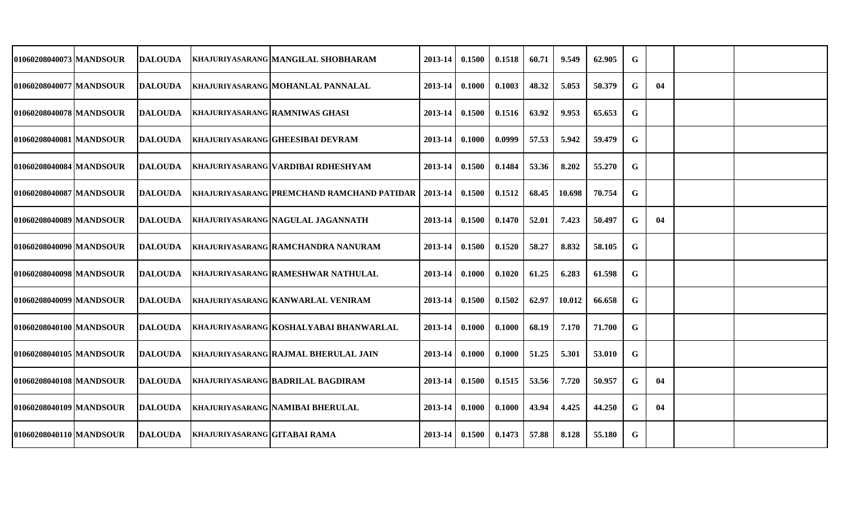| 01060208040073 MANDSOUR  | DALOUDA        |                                     | <b>KHAJURIYASARANG MANGILAL SHOBHARAM</b>                     | 2013-14          | 0.1500 | 0.1518 | 60.71 | 9.549  | 62.905 | G           |    |  |
|--------------------------|----------------|-------------------------------------|---------------------------------------------------------------|------------------|--------|--------|-------|--------|--------|-------------|----|--|
| 01060208040077 IMANDSOUR | DALOUDA        |                                     | <b>KHAJURIYASARANG MOHANLAL PANNALAL</b>                      | 2013-14          | 0.1000 | 0.1003 | 48.32 | 5.053  | 50.379 | G           | 04 |  |
| 01060208040078 MANDSOUR  | DALOUDA        |                                     | <b>KHAJURIYASARANG RAMNIWAS GHASI</b>                         | 2013-14          | 0.1500 | 0.1516 | 63.92 | 9.953  | 65.653 | G           |    |  |
| 01060208040081 IMANDSOUR | <b>DALOUDA</b> |                                     | <b>KHAJURIYASARANG GHEESIBAI DEVRAM</b>                       | 2013-14          | 0.1000 | 0.0999 | 57.53 | 5.942  | 59.479 | G           |    |  |
| 01060208040084 MANDSOUR  | <b>DALOUDA</b> |                                     | KHAJURIYASARANG VARDIBAI RDHESHYAM                            | 2013-14 0.1500   |        | 0.1484 | 53.36 | 8.202  | 55.270 | G           |    |  |
| 01060208040087 MANDSOUR  | <b>DALOUDA</b> |                                     | KHAJURIYASARANG PREMCHAND RAMCHAND PATIDAR   2013-14   0.1500 |                  |        | 0.1512 | 68.45 | 10.698 | 70.754 | G           |    |  |
| 01060208040089 MANDSOUR  | <b>DALOUDA</b> |                                     | <b>KHAJURIYASARANG NAGULAL JAGANNATH</b>                      | $2013 - 14$      | 0.1500 | 0.1470 | 52.01 | 7.423  | 50.497 | G           | 04 |  |
| 01060208040090 MANDSOUR  | <b>DALOUDA</b> |                                     | <b>KHAJURIYASARANG RAMCHANDRA NANURAM</b>                     | $2013 - 14$      | 0.1500 | 0.1520 | 58.27 | 8.832  | 58.105 | G           |    |  |
| 01060208040098 MANDSOUR  | <b>DALOUDA</b> |                                     | <b>KHAJURIYASARANG RAMESHWAR NATHULAL</b>                     | $2013 - 14$      | 0.1000 | 0.1020 | 61.25 | 6.283  | 61.598 | G           |    |  |
| 01060208040099 MANDSOUR  | <b>DALOUDA</b> |                                     | KHAJURIYASARANG KANWARLAL VENIRAM                             | 2013-14          | 0.1500 | 0.1502 | 62.97 | 10.012 | 66.658 | G           |    |  |
| 01060208040100 MANDSOUR  | DALOUDA        |                                     | KHAJURIYASARANG KOSHALYABAI BHANWARLAL                        | 2013-14          | 0.1000 | 0.1000 | 68.19 | 7.170  | 71.700 | G           |    |  |
| 01060208040105 MANDSOUR  | <b>DALOUDA</b> |                                     | <b>KHAJURIYASARANG RAJMAL BHERULAL JAIN</b>                   | 2013-14          | 0.1000 | 0.1000 | 51.25 | 5.301  | 53.010 | G           |    |  |
| 01060208040108 MANDSOUR  | <b>DALOUDA</b> |                                     | <b>KHAJURIYASARANG BADRILAL BAGDIRAM</b>                      | 2013-14 0.1500   |        | 0.1515 | 53.56 | 7.720  | 50.957 | G           | 04 |  |
| 01060208040109 MANDSOUR  | <b>DALOUDA</b> |                                     | <b>KHAJURIYASARANG NAMIBAI BHERULAL</b>                       | $2013 - 14$      | 0.1000 | 0.1000 | 43.94 | 4.425  | 44.250 | G           | 04 |  |
| 01060208040110 MANDSOUR  | DALOUDA        | <b>KHAJURIYASARANG GITABAI RAMA</b> |                                                               | $2013-14$ 0.1500 |        | 0.1473 | 57.88 | 8.128  | 55.180 | $\mathbf G$ |    |  |
|                          |                |                                     |                                                               |                  |        |        |       |        |        |             |    |  |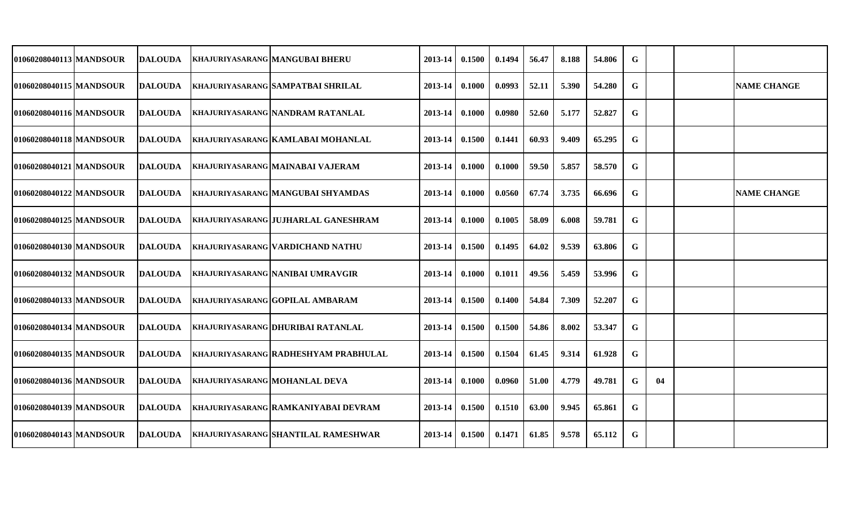| 01060208040113 MANDSOUR | <b>DALOUDA</b> |                                      | <b>KHAJURIYASARANG MANGUBAI BHERU</b>       | 2013-14     | 0.1500 | 0.1494 | 56.47 | 8.188 | 54.806 | G |    |                    |
|-------------------------|----------------|--------------------------------------|---------------------------------------------|-------------|--------|--------|-------|-------|--------|---|----|--------------------|
| 01060208040115 MANDSOUR | <b>DALOUDA</b> |                                      | KHAJURIYASARANG SAMPATBAI SHRILAL           | 2013-14     | 0.1000 | 0.0993 | 52.11 | 5.390 | 54.280 | G |    | <b>NAME CHANGE</b> |
| 01060208040116 MANDSOUR | <b>DALOUDA</b> |                                      | <b>KHAJURIYASARANG NANDRAM RATANLAL</b>     | 2013-14     | 0.1000 | 0.0980 | 52.60 | 5.177 | 52.827 | G |    |                    |
| 01060208040118 MANDSOUR | <b>DALOUDA</b> |                                      | KHAJURIYASARANG KAMLABAI MOHANLAL           | 2013-14     | 0.1500 | 0.1441 | 60.93 | 9.409 | 65.295 | G |    |                    |
| 01060208040121 MANDSOUR | <b>DALOUDA</b> |                                      | KHAJURIYASARANG MAINABAI VAJERAM            | $2013 - 14$ | 0.1000 | 0.1000 | 59.50 | 5.857 | 58.570 | G |    |                    |
| 01060208040122 MANDSOUR | DALOUDA        |                                      | <b>KHAJURIYASARANG MANGUBAI SHYAMDAS</b>    | $2013 - 14$ | 0.1000 | 0.0560 | 67.74 | 3.735 | 66.696 | G |    | <b>NAME CHANGE</b> |
| 01060208040125 MANDSOUR | <b>DALOUDA</b> |                                      | <b>KHAJURIYASARANG JUJHARLAL GANESHRAM</b>  | 2013-14     | 0.1000 | 0.1005 | 58.09 | 6.008 | 59.781 | G |    |                    |
| 01060208040130 MANDSOUR | <b>DALOUDA</b> |                                      | <b>KHAJURIYASARANG VARDICHAND NATHU</b>     | 2013-14     | 0.1500 | 0.1495 | 64.02 | 9.539 | 63.806 | G |    |                    |
| 01060208040132 MANDSOUR | DALOUDA        |                                      | <b>KHAJURIYASARANG NANIBAI UMRAVGIR</b>     | 2013-14     | 0.1000 | 0.1011 | 49.56 | 5.459 | 53.996 | G |    |                    |
| 01060208040133 MANDSOUR | <b>DALOUDA</b> |                                      | <b>KHAJURIYASARANG GOPILAL AMBARAM</b>      | 2013-14     | 0.1500 | 0.1400 | 54.84 | 7.309 | 52.207 | G |    |                    |
| 01060208040134 MANDSOUR | <b>DALOUDA</b> |                                      | <b>KHAJURIYASARANG DHURIBAI RATANLAL</b>    | 2013-14     | 0.1500 | 0.1500 | 54.86 | 8.002 | 53.347 | G |    |                    |
| 01060208040135 MANDSOUR | <b>DALOUDA</b> |                                      | <b>KHAJURIYASARANG RADHESHYAM PRABHULAL</b> | 2013-14     | 0.1500 | 0.1504 | 61.45 | 9.314 | 61.928 | G |    |                    |
| 01060208040136 MANDSOUR | <b>DALOUDA</b> | <b>KHAJURIYASARANG MOHANLAL DEVA</b> |                                             | 2013-14     | 0.1000 | 0.0960 | 51.00 | 4.779 | 49.781 | G | 04 |                    |
| 01060208040139 MANDSOUR | <b>DALOUDA</b> |                                      | KHAJURIYASARANG RAMKANIYABAI DEVRAM         | 2013-14     | 0.1500 | 0.1510 | 63.00 | 9.945 | 65.861 | G |    |                    |
| 01060208040143 MANDSOUR | <b>DALOUDA</b> |                                      | <b>KHAJURIYASARANG SHANTILAL RAMESHWAR</b>  | $2013 - 14$ | 0.1500 | 0.1471 | 61.85 | 9.578 | 65.112 | G |    |                    |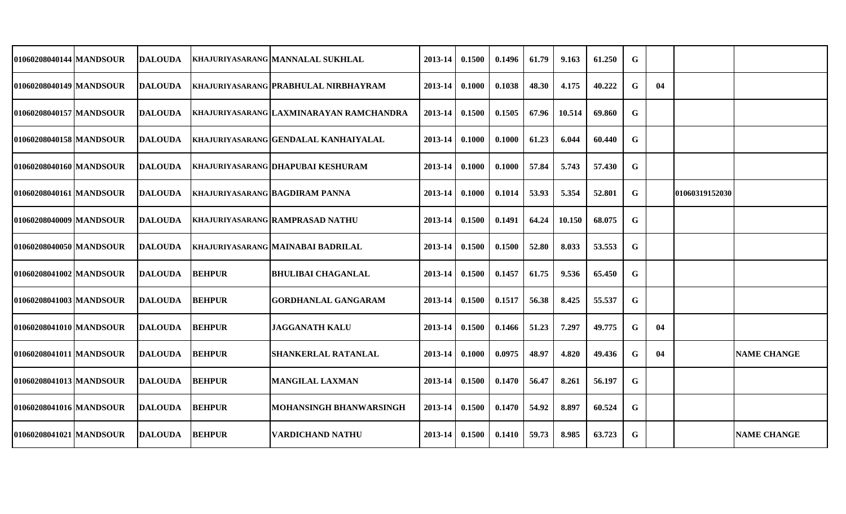| 01060208040144 MANDSOUR | <b>DALOUDA</b>  |               | KHAJURIYASARANG MANNALAL SUKHLAL        | 2013-14 | 0.1500 | 0.1496 | 61.79 | 9.163  | 61.250 | G |    |                |                    |
|-------------------------|-----------------|---------------|-----------------------------------------|---------|--------|--------|-------|--------|--------|---|----|----------------|--------------------|
| 01060208040149 MANDSOUR | <b>DALOUDA</b>  |               | KHAJURIYASARANG PRABHULAL NIRBHAYRAM    | 2013-14 | 0.1000 | 0.1038 | 48.30 | 4.175  | 40.222 | G | 04 |                |                    |
| 01060208040157 MANDSOUR | <b>DALOUDA</b>  |               | KHAJURIYASARANG LAXMINARAYAN RAMCHANDRA | 2013-14 | 0.1500 | 0.1505 | 67.96 | 10.514 | 69.860 | G |    |                |                    |
| 01060208040158 MANDSOUR | <b>DALOUDA</b>  |               | KHAJURIYASARANG GENDALAL KANHAIYALAL    | 2013-14 | 0.1000 | 0.1000 | 61.23 | 6.044  | 60.440 | G |    |                |                    |
| 01060208040160 MANDSOUR | <b>IDALOUDA</b> |               | KHAJURIYASARANG DHAPUBAI KESHURAM       | 2013-14 | 0.1000 | 0.1000 | 57.84 | 5.743  | 57.430 | G |    |                |                    |
| 01060208040161 MANDSOUR | <b>DALOUDA</b>  |               | <b>KHAJURIYASARANG BAGDIRAM PANNA</b>   | 2013-14 | 0.1000 | 0.1014 | 53.93 | 5.354  | 52.801 | G |    | 01060319152030 |                    |
| 01060208040009 MANDSOUR | <b>IDALOUDA</b> |               | <b>KHAJURIYASARANG RAMPRASAD NATHU</b>  | 2013-14 | 0.1500 | 0.1491 | 64.24 | 10.150 | 68.075 | G |    |                |                    |
| 01060208040050 MANDSOUR | <b>DALOUDA</b>  |               | KHAJURIYASARANG MAINABAI BADRILAL       | 2013-14 | 0.1500 | 0.1500 | 52.80 | 8.033  | 53.553 | G |    |                |                    |
| 01060208041002 MANDSOUR | <b>DALOUDA</b>  | <b>BEHPUR</b> | <b>BHULIBAI CHAGANLAL</b>               | 2013-14 | 0.1500 | 0.1457 | 61.75 | 9.536  | 65.450 | G |    |                |                    |
| 01060208041003 MANDSOUR | <b>IDALOUDA</b> | <b>BEHPUR</b> | <b>GORDHANLAL GANGARAM</b>              | 2013-14 | 0.1500 | 0.1517 | 56.38 | 8.425  | 55.537 | G |    |                |                    |
| 01060208041010 MANDSOUR | <b>IDALOUDA</b> | <b>BEHPUR</b> | <b>JAGGANATH KALU</b>                   | 2013-14 | 0.1500 | 0.1466 | 51.23 | 7.297  | 49.775 | G | 04 |                |                    |
| 01060208041011 MANDSOUR | <b>DALOUDA</b>  | <b>BEHPUR</b> | <b>SHANKERLAL RATANLAL</b>              | 2013-14 | 0.1000 | 0.0975 | 48.97 | 4.820  | 49.436 | G | 04 |                | <b>NAME CHANGE</b> |
| 01060208041013 MANDSOUR | <b>DALOUDA</b>  | <b>BEHPUR</b> | <b>MANGILAL LAXMAN</b>                  | 2013-14 | 0.1500 | 0.1470 | 56.47 | 8.261  | 56.197 | G |    |                |                    |
| 01060208041016 MANDSOUR | <b>IDALOUDA</b> | <b>BEHPUR</b> | MOHANSINGH BHANWARSINGH                 | 2013-14 | 0.1500 | 0.1470 | 54.92 | 8.897  | 60.524 | G |    |                |                    |
| 01060208041021 MANDSOUR | <b>DALOUDA</b>  | <b>BEHPUR</b> | <b>VARDICHAND NATHU</b>                 | 2013-14 | 0.1500 | 0.1410 | 59.73 | 8.985  | 63.723 | G |    |                | <b>NAME CHANGE</b> |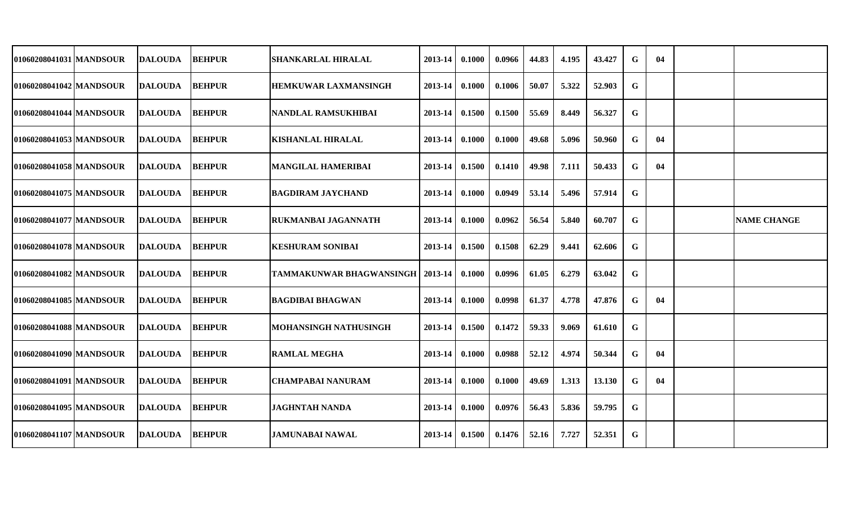| 01060208041031 MANDSOUR   | <b>DALOUDA</b> | <b>BEHPUR</b> | <b>SHANKARLAL HIRALAL</b>       | 2013-14     | 0.1000 | 0.0966 | 44.83 | 4.195 | 43.427 | G           | 04 |                    |
|---------------------------|----------------|---------------|---------------------------------|-------------|--------|--------|-------|-------|--------|-------------|----|--------------------|
| 01060208041042 MANDSOUR   | <b>DALOUDA</b> | <b>BEHPUR</b> | <b>HEMKUWAR LAXMANSINGH</b>     | 2013-14     | 0.1000 | 0.1006 | 50.07 | 5.322 | 52.903 | G           |    |                    |
| 01060208041044 MANDSOUR   | <b>DALOUDA</b> | <b>BEHPUR</b> | NANDLAL RAMSUKHIBAI             | 2013-14     | 0.1500 | 0.1500 | 55.69 | 8.449 | 56.327 | G           |    |                    |
| 010602080410531MANDSOUR   | DALOUDA        | <b>BEHPUR</b> | <b>KISHANLAL HIRALAL</b>        | $2013 - 14$ | 0.1000 | 0.1000 | 49.68 | 5.096 | 50.960 | G           | 04 |                    |
| 01060208041058 MANDSOUR   | <b>DALOUDA</b> | <b>BEHPUR</b> | <b>MANGILAL HAMERIBAI</b>       | $2013 - 14$ | 0.1500 | 0.1410 | 49.98 | 7.111 | 50.433 | G           | 04 |                    |
| 01060208041075 MANDSOUR   | <b>DALOUDA</b> | <b>BEHPUR</b> | <b>BAGDIRAM JAYCHAND</b>        | 2013-14     | 0.1000 | 0.0949 | 53.14 | 5.496 | 57.914 | G           |    |                    |
| 01060208041077 MANDSOUR   | <b>DALOUDA</b> | <b>BEHPUR</b> | <b>RUKMANBAI JAGANNATH</b>      | 2013-14     | 0.1000 | 0.0962 | 56.54 | 5.840 | 60.707 | G           |    | <b>NAME CHANGE</b> |
| 01060208041078 MANDSOUR   | <b>DALOUDA</b> | <b>BEHPUR</b> | <b>KESHURAM SONIBAI</b>         | 2013-14     | 0.1500 | 0.1508 | 62.29 | 9.441 | 62.606 | G           |    |                    |
| 01060208041082 MANDSOUR   | DALOUDA        | <b>BEHPUR</b> | <b>TAMMAKUNWAR BHAGWANSINGH</b> | 2013-14     | 0.1000 | 0.0996 | 61.05 | 6.279 | 63.042 | G           |    |                    |
| 01060208041085 MANDSOUR   | <b>DALOUDA</b> | <b>BEHPUR</b> | <b>BAGDIBAI BHAGWAN</b>         | 2013-14     | 0.1000 | 0.0998 | 61.37 | 4.778 | 47.876 | G           | 04 |                    |
| 01060208041088 MANDSOUR   | <b>DALOUDA</b> | <b>BEHPUR</b> | <b>MOHANSINGH NATHUSINGH</b>    | 2013-14     | 0.1500 | 0.1472 | 59.33 | 9.069 | 61.610 | G           |    |                    |
| 01060208041090 MANDSOUR   | <b>DALOUDA</b> | <b>BEHPUR</b> | <b>RAMLAL MEGHA</b>             | 2013-14     | 0.1000 | 0.0988 | 52.12 | 4.974 | 50.344 | G           | 04 |                    |
| 01060208041091   MANDSOUR | <b>DALOUDA</b> | <b>BEHPUR</b> | <b>CHAMPABAI NANURAM</b>        | 2013-14     | 0.1000 | 0.1000 | 49.69 | 1.313 | 13.130 | G           | 04 |                    |
| 01060208041095 MANDSOUR   | <b>DALOUDA</b> | <b>BEHPUR</b> | <b>JAGHNTAH NANDA</b>           | 2013-14     | 0.1000 | 0.0976 | 56.43 | 5.836 | 59.795 | G           |    |                    |
| 01060208041107 MANDSOUR   | <b>DALOUDA</b> | <b>BEHPUR</b> | <b>JAMUNABAI NAWAL</b>          | $2013 - 14$ | 0.1500 | 0.1476 | 52.16 | 7.727 | 52.351 | $\mathbf G$ |    |                    |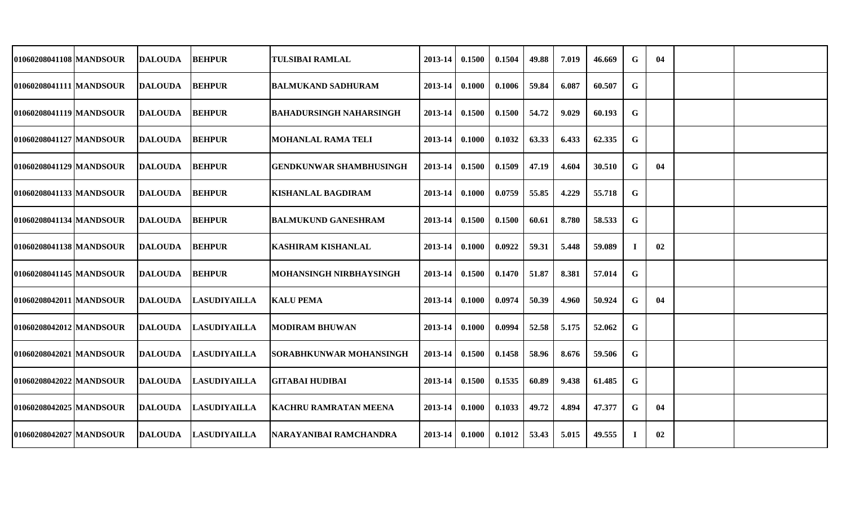| 01060208041108 MANDSOUR   | <b>DALOUDA</b> | <b>BEHPUR</b>       | <b>TULSIBAI RAMLAL</b>         | 2013-14     | 0.1500 | 0.1504 | 49.88 | 7.019 | 46.669 | G        | 04 |  |
|---------------------------|----------------|---------------------|--------------------------------|-------------|--------|--------|-------|-------|--------|----------|----|--|
| 01060208041111 MANDSOUR   | <b>DALOUDA</b> | <b>BEHPUR</b>       | <b>BALMUKAND SADHURAM</b>      | 2013-14     | 0.1000 | 0.1006 | 59.84 | 6.087 | 60.507 | G        |    |  |
| 01060208041119 MANDSOUR   | <b>DALOUDA</b> | <b>BEHPUR</b>       | <b>BAHADURSINGH NAHARSINGH</b> | 2013-14     | 0.1500 | 0.1500 | 54.72 | 9.029 | 60.193 | G        |    |  |
| 01060208041127 MANDSOUR   | DALOUDA        | <b>BEHPUR</b>       | <b>MOHANLAL RAMA TELI</b>      | $2013 - 14$ | 0.1000 | 0.1032 | 63.33 | 6.433 | 62.335 | G        |    |  |
| 01060208041129   MANDSOUR | <b>DALOUDA</b> | <b>BEHPUR</b>       | <b>GENDKUNWAR SHAMBHUSINGH</b> | $2013 - 14$ | 0.1500 | 0.1509 | 47.19 | 4.604 | 30.510 | G        | 04 |  |
| 01060208041133 MANDSOUR   | <b>DALOUDA</b> | <b>BEHPUR</b>       | <b>KISHANLAL BAGDIRAM</b>      | 2013-14     | 0.1000 | 0.0759 | 55.85 | 4.229 | 55.718 | G        |    |  |
| 01060208041134 MANDSOUR   | <b>DALOUDA</b> | <b>BEHPUR</b>       | <b>BALMUKUND GANESHRAM</b>     | 2013-14     | 0.1500 | 0.1500 | 60.61 | 8.780 | 58.533 | G        |    |  |
| 01060208041138 MANDSOUR   | <b>DALOUDA</b> | <b>BEHPUR</b>       | <b>KASHIRAM KISHANLAL</b>      | 2013-14     | 0.1000 | 0.0922 | 59.31 | 5.448 | 59.089 | $\bf{I}$ | 02 |  |
| 01060208041145 MANDSOUR   | <b>DALOUDA</b> | <b>BEHPUR</b>       | <b>MOHANSINGH NIRBHAYSINGH</b> | $2013 - 14$ | 0.1500 | 0.1470 | 51.87 | 8.381 | 57.014 | G        |    |  |
| 01060208042011 MANDSOUR   | <b>DALOUDA</b> | <b>LASUDIYAILLA</b> | <b>KALU PEMA</b>               | 2013-14     | 0.1000 | 0.0974 | 50.39 | 4.960 | 50.924 | G        | 04 |  |
| 01060208042012 MANDSOUR   | DALOUDA        | <b>LASUDIYAILLA</b> | <b>MODIRAM BHUWAN</b>          | 2013-14     | 0.1000 | 0.0994 | 52.58 | 5.175 | 52.062 | G        |    |  |
| 01060208042021 MANDSOUR   | <b>DALOUDA</b> | <b>LASUDIYAILLA</b> | <b>SORABHKUNWAR MOHANSINGH</b> | 2013-14     | 0.1500 | 0.1458 | 58.96 | 8.676 | 59.506 | G        |    |  |
| 01060208042022 MANDSOUR   | <b>DALOUDA</b> | <b>LASUDIYAILLA</b> | <b>GITABAI HUDIBAI</b>         | 2013-14     | 0.1500 | 0.1535 | 60.89 | 9.438 | 61.485 | G        |    |  |
| 01060208042025 MANDSOUR   | <b>DALOUDA</b> | <b>LASUDIYAILLA</b> | <b>KACHRU RAMRATAN MEENA</b>   | 2013-14     | 0.1000 | 0.1033 | 49.72 | 4.894 | 47.377 | G        | 04 |  |
| 01060208042027 MANDSOUR   | <b>DALOUDA</b> | <b>LASUDIYAILLA</b> | NARAYANIBAI RAMCHANDRA         | $2013 - 14$ | 0.1000 | 0.1012 | 53.43 | 5.015 | 49.555 | Т.       | 02 |  |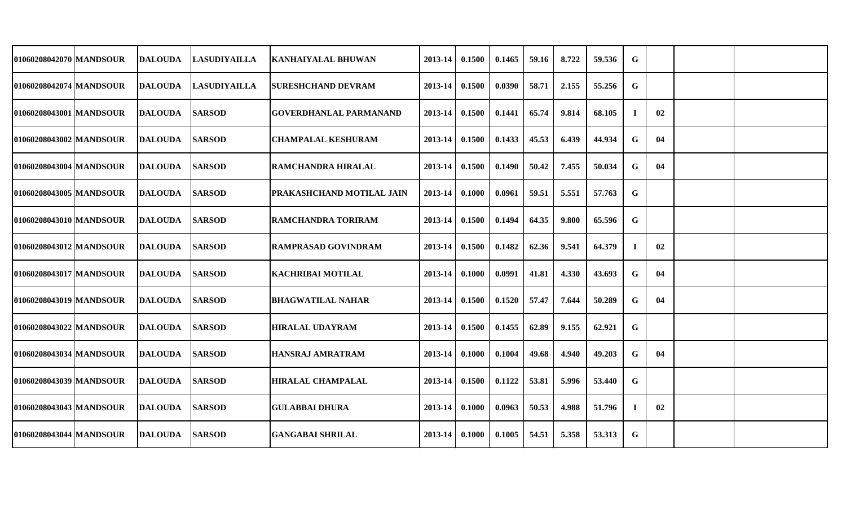| 01060208042070 MANDSOUR | DALOUDA        | <b>LASUDIYAILLA</b> | <b>KANHAIYALAL BHUWAN</b>        | 2013-14          | 0.1500 | 0.1465 | 59.16 | 8.722 | 59.536 | G              |    |  |
|-------------------------|----------------|---------------------|----------------------------------|------------------|--------|--------|-------|-------|--------|----------------|----|--|
| 01060208042074 MANDSOUR | DALOUDA        | <b>LASUDIYAILLA</b> | ISURESHCHAND DEVRAM              | 2013-14          | 0.1500 | 0.0390 | 58.71 | 2.155 | 55.256 | G              |    |  |
| 01060208043001 MANDSOUR | DALOUDA        | <b>SARSOD</b>       | <b>GOVERDHANLAL PARMANAND</b>    | 2013-14          | 0.1500 | 0.1441 | 65.74 | 9.814 | 68.105 | $\blacksquare$ | 02 |  |
| 01060208043002 MANDSOUR | <b>DALOUDA</b> | <b>SARSOD</b>       | <b>CHAMPALAL KESHURAM</b>        | 2013-14          | 0.1500 | 0.1433 | 45.53 | 6.439 | 44.934 | G              | 04 |  |
| 01060208043004 MANDSOUR | <b>DALOUDA</b> | <b>SARSOD</b>       | RAMCHANDRA HIRALAL               | 2013-14 0.1500   |        | 0.1490 | 50.42 | 7.455 | 50.034 | G              | 04 |  |
| 01060208043005 MANDSOUR | <b>DALOUDA</b> | <b>SARSOD</b>       | <b>PRAKASHCHAND MOTILAL JAIN</b> | $2013 - 14$      | 0.1000 | 0.0961 | 59.51 | 5.551 | 57.763 | G              |    |  |
| 01060208043010 MANDSOUR | <b>DALOUDA</b> | <b>SARSOD</b>       | <b>RAMCHANDRA TORIRAM</b>        | 2013-14          | 0.1500 | 0.1494 | 64.35 | 9.800 | 65.596 | G              |    |  |
| 01060208043012 MANDSOUR | <b>DALOUDA</b> | <b>SARSOD</b>       | <b>RAMPRASAD GOVINDRAM</b>       | 2013-14          | 0.1500 | 0.1482 | 62.36 | 9.541 | 64.379 | -1             | 02 |  |
| 01060208043017 MANDSOUR | <b>DALOUDA</b> | <b>SARSOD</b>       | <b>KACHRIBAI MOTILAL</b>         | 2013-14          | 0.1000 | 0.0991 | 41.81 | 4.330 | 43.693 | G              | 04 |  |
| 01060208043019 MANDSOUR | <b>DALOUDA</b> | <b>SARSOD</b>       | <b>BHAGWATILAL NAHAR</b>         | 2013-14          | 0.1500 | 0.1520 | 57.47 | 7.644 | 50.289 | G              | 04 |  |
| 01060208043022 MANDSOUR | <b>DALOUDA</b> | <b>SARSOD</b>       | <b>HIRALAL UDAYRAM</b>           | 2013-14          | 0.1500 | 0.1455 | 62.89 | 9.155 | 62.921 | G              |    |  |
| 01060208043034 MANDSOUR | <b>DALOUDA</b> | <b>SARSOD</b>       | <b>HANSRAJ AMRATRAM</b>          | 2013-14          | 0.1000 | 0.1004 | 49.68 | 4.940 | 49.203 | G              | 04 |  |
| 01060208043039 MANDSOUR | <b>DALOUDA</b> | <b>SARSOD</b>       | <b>HIRALAL CHAMPALAL</b>         | 2013-14 0.1500   |        | 0.1122 | 53.81 | 5.996 | 53.440 | G              |    |  |
| 01060208043043 MANDSOUR | <b>DALOUDA</b> | <b>SARSOD</b>       | <b>GULABBAI DHURA</b>            | $2013 - 14$      | 0.1000 | 0.0963 | 50.53 | 4.988 | 51.796 | -1             | 02 |  |
| 01060208043044 MANDSOUR | <b>DALOUDA</b> | <b>SARSOD</b>       | <b>GANGABAI SHRILAL</b>          | $2013-14$ 0.1000 |        | 0.1005 | 54.51 | 5.358 | 53.313 | $\mathbf G$    |    |  |
|                         |                |                     |                                  |                  |        |        |       |       |        |                |    |  |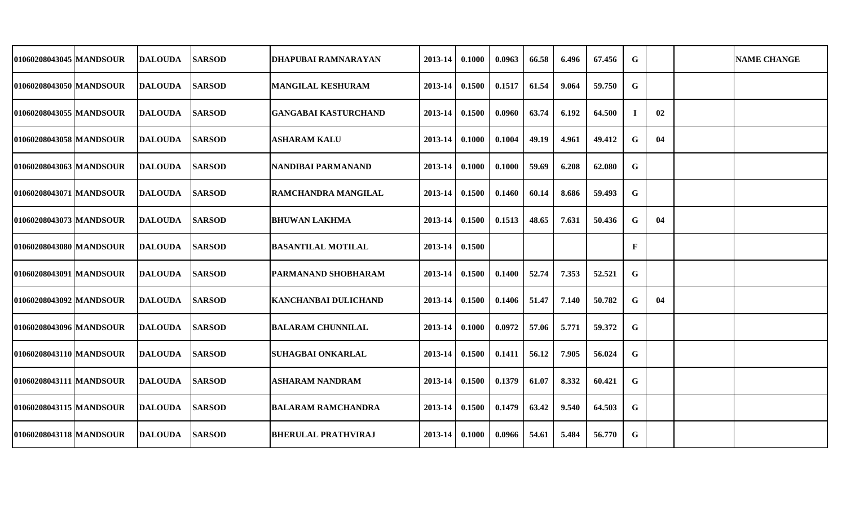| 01060208043045 MANDSOUR | <b>DALOUDA</b>  | <b>SARSOD</b> | DHAPUBAI RAMNARAYAN         | 2013-14     | 0.1000 | 0.0963 | 66.58 | 6.496 | 67.456 | G  |    | <b>NAME CHANGE</b> |
|-------------------------|-----------------|---------------|-----------------------------|-------------|--------|--------|-------|-------|--------|----|----|--------------------|
| 01060208043050 MANDSOUR | <b>DALOUDA</b>  | <b>SARSOD</b> | <b>MANGILAL KESHURAM</b>    | 2013-14     | 0.1500 | 0.1517 | 61.54 | 9.064 | 59.750 | G  |    |                    |
| 01060208043055 MANDSOUR | <b>DALOUDA</b>  | <b>SARSOD</b> | <b>GANGABAI KASTURCHAND</b> | 2013-14     | 0.1500 | 0.0960 | 63.74 | 6.192 | 64.500 | л. | 02 |                    |
| 010602080430581MANDSOUR | <b>DALOUDA</b>  | <b>SARSOD</b> | <b>ASHARAM KALU</b>         | 2013-14     | 0.1000 | 0.1004 | 49.19 | 4.961 | 49.412 | G  | 04 |                    |
| 01060208043063 MANDSOUR | <b>IDALOUDA</b> | <b>SARSOD</b> | NANDIBAI PARMANAND          | 2013-14     | 0.1000 | 0.1000 | 59.69 | 6.208 | 62.080 | G  |    |                    |
| 01060208043071 MANDSOUR | <b>DALOUDA</b>  | <b>SARSOD</b> | <b>RAMCHANDRA MANGILAL</b>  | 2013-14     | 0.1500 | 0.1460 | 60.14 | 8.686 | 59.493 | G  |    |                    |
| 01060208043073 MANDSOUR | <b>DALOUDA</b>  | <b>SARSOD</b> | <b>BHUWAN LAKHMA</b>        | 2013-14     | 0.1500 | 0.1513 | 48.65 | 7.631 | 50.436 | G  | 04 |                    |
| 01060208043080 MANDSOUR | <b>DALOUDA</b>  | <b>SARSOD</b> | <b>BASANTILAL MOTILAL</b>   | 2013-14     | 0.1500 |        |       |       |        | F  |    |                    |
| 01060208043091 MANDSOUR | <b>DALOUDA</b>  | <b>SARSOD</b> | <b>PARMANAND SHOBHARAM</b>  | 2013-14     | 0.1500 | 0.1400 | 52.74 | 7.353 | 52.521 | G  |    |                    |
| 01060208043092 MANDSOUR | <b>DALOUDA</b>  | <b>SARSOD</b> | <b>KANCHANBAI DULICHAND</b> | $2013 - 14$ | 0.1500 | 0.1406 | 51.47 | 7.140 | 50.782 | G  | 04 |                    |
| 01060208043096 MANDSOUR | <b>DALOUDA</b>  | <b>SARSOD</b> | <b>BALARAM CHUNNILAL</b>    | 2013-14     | 0.1000 | 0.0972 | 57.06 | 5.771 | 59.372 | G  |    |                    |
| 01060208043110 MANDSOUR | <b>DALOUDA</b>  | <b>SARSOD</b> | <b>SUHAGBAI ONKARLAL</b>    | 2013-14     | 0.1500 | 0.1411 | 56.12 | 7.905 | 56.024 | G  |    |                    |
| 01060208043111 MANDSOUR | <b>DALOUDA</b>  | <b>SARSOD</b> | <b>ASHARAM NANDRAM</b>      | 2013-14     | 0.1500 | 0.1379 | 61.07 | 8.332 | 60.421 | G  |    |                    |
| 01060208043115 MANDSOUR | <b>DALOUDA</b>  | <b>SARSOD</b> | <b>BALARAM RAMCHANDRA</b>   | 2013-14     | 0.1500 | 0.1479 | 63.42 | 9.540 | 64.503 | G  |    |                    |
| 01060208043118 MANDSOUR | <b>DALOUDA</b>  | <b>SARSOD</b> | <b>BHERULAL PRATHVIRAJ</b>  | 2013-14     | 0.1000 | 0.0966 | 54.61 | 5.484 | 56.770 | G  |    |                    |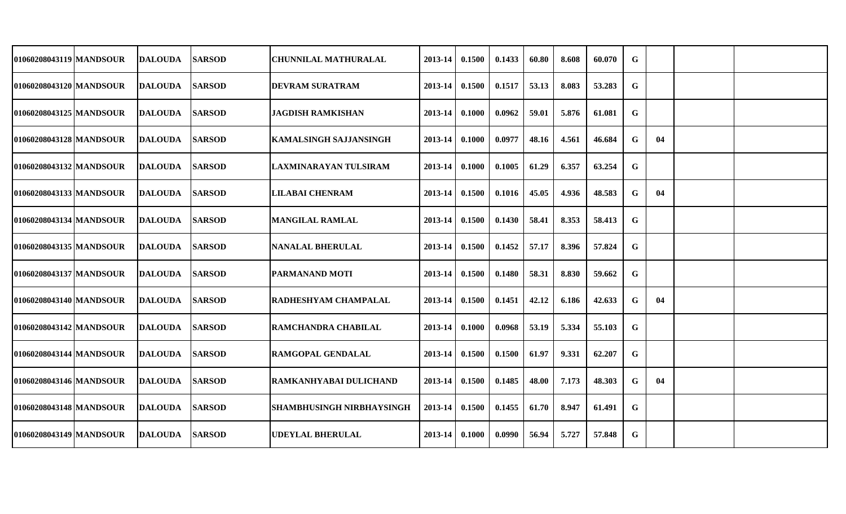| 01060208043119 MANDSOUR   | <b>DALOUDA</b> | <b>SARSOD</b> | CHUNNILAL MATHURALAL             | 2013-14 | 0.1500 | 0.1433 | 60.80 | 8.608 | 60.070 | G |    |  |
|---------------------------|----------------|---------------|----------------------------------|---------|--------|--------|-------|-------|--------|---|----|--|
| 01060208043120 MANDSOUR   | <b>DALOUDA</b> | <b>SARSOD</b> | <b>DEVRAM SURATRAM</b>           | 2013-14 | 0.1500 | 0.1517 | 53.13 | 8.083 | 53.283 | G |    |  |
| 01060208043125 MANDSOUR   | <b>DALOUDA</b> | <b>SARSOD</b> | <b>JAGDISH RAMKISHAN</b>         | 2013-14 | 0.1000 | 0.0962 | 59.01 | 5.876 | 61.081 | G |    |  |
| 01060208043128 MANDSOUR   | <b>DALOUDA</b> | <b>SARSOD</b> | <b>KAMALSINGH SAJJANSINGH</b>    | 2013-14 | 0.1000 | 0.0977 | 48.16 | 4.561 | 46.684 | G | 04 |  |
| 01060208043132 MANDSOUR   | DALOUDA        | <b>SARSOD</b> | LAXMINARAYAN TULSIRAM            | 2013-14 | 0.1000 | 0.1005 | 61.29 | 6.357 | 63.254 | G |    |  |
| 01060208043133 MANDSOUR   | <b>DALOUDA</b> | <b>SARSOD</b> | <b>LILABAI CHENRAM</b>           | 2013-14 | 0.1500 | 0.1016 | 45.05 | 4.936 | 48.583 | G | 04 |  |
| 01060208043134 MANDSOUR   | <b>DALOUDA</b> | <b>SARSOD</b> | <b>MANGILAL RAMLAL</b>           | 2013-14 | 0.1500 | 0.1430 | 58.41 | 8.353 | 58.413 | G |    |  |
| 01060208043135  MANDSOUR  | <b>DALOUDA</b> | <b>SARSOD</b> | NANALAL BHERULAL                 | 2013-14 | 0.1500 | 0.1452 | 57.17 | 8.396 | 57.824 | G |    |  |
| 01060208043137 MANDSOUR   | <b>DALOUDA</b> | <b>SARSOD</b> | <b>PARMANAND MOTI</b>            | 2013-14 | 0.1500 | 0.1480 | 58.31 | 8.830 | 59.662 | G |    |  |
| 01060208043140   MANDSOUR | <b>DALOUDA</b> | <b>SARSOD</b> | RADHESHYAM CHAMPALAL             | 2013-14 | 0.1500 | 0.1451 | 42.12 | 6.186 | 42.633 | G | 04 |  |
| 01060208043142 MANDSOUR   | <b>DALOUDA</b> | <b>SARSOD</b> | <b>RAMCHANDRA CHABILAL</b>       | 2013-14 | 0.1000 | 0.0968 | 53.19 | 5.334 | 55.103 | G |    |  |
| 01060208043144 MANDSOUR   | DALOUDA        | <b>SARSOD</b> | <b>RAMGOPAL GENDALAL</b>         | 2013-14 | 0.1500 | 0.1500 | 61.97 | 9.331 | 62.207 | G |    |  |
| 01060208043146 MANDSOUR   | <b>DALOUDA</b> | <b>SARSOD</b> | <b>RAMKANHYABAI DULICHAND</b>    | 2013-14 | 0.1500 | 0.1485 | 48.00 | 7.173 | 48.303 | G | 04 |  |
| 01060208043148 MANDSOUR   | <b>DALOUDA</b> | <b>SARSOD</b> | <b>SHAMBHUSINGH NIRBHAYSINGH</b> | 2013-14 | 0.1500 | 0.1455 | 61.70 | 8.947 | 61.491 | G |    |  |
| 01060208043149 MANDSOUR   | <b>DALOUDA</b> | <b>SARSOD</b> | <b>UDEYLAL BHERULAL</b>          | 2013-14 | 0.1000 | 0.0990 | 56.94 | 5.727 | 57.848 | G |    |  |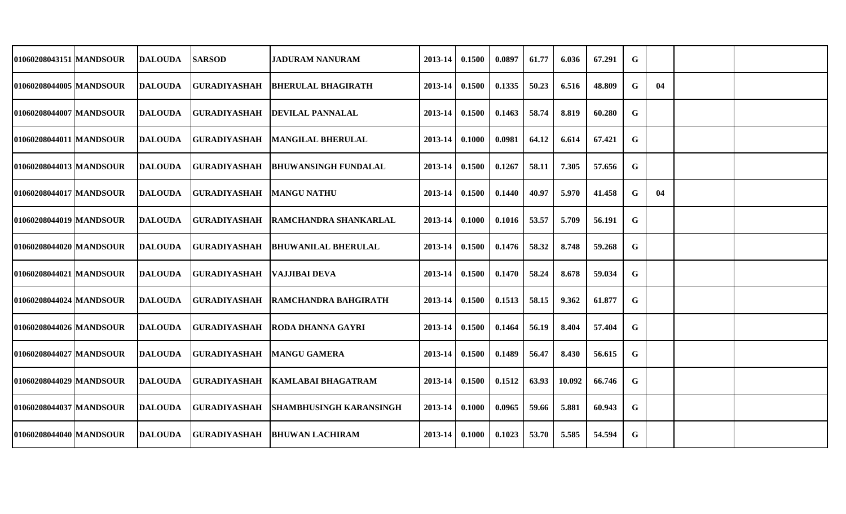| 01060208043151 MANDSOUR | <b>DALOUDA</b> | <b>SARSOD</b>       | <b>JADURAM NANURAM</b>              | 2013-14 | 0.1500 | 0.0897 | 61.77 | 6.036  | 67.291 | G |    |  |
|-------------------------|----------------|---------------------|-------------------------------------|---------|--------|--------|-------|--------|--------|---|----|--|
| 01060208044005 MANDSOUR | <b>DALOUDA</b> | <b>GURADIYASHAH</b> | <b>BHERULAL BHAGIRATH</b>           | 2013-14 | 0.1500 | 0.1335 | 50.23 | 6.516  | 48.809 | G | 04 |  |
| 01060208044007 MANDSOUR | <b>DALOUDA</b> | <b>GURADIYASHAH</b> | <b>DEVILAL PANNALAL</b>             | 2013-14 | 0.1500 | 0.1463 | 58.74 | 8.819  | 60.280 | G |    |  |
| 01060208044011 MANDSOUR | <b>DALOUDA</b> | <b>GURADIYASHAH</b> | MANGILAL BHERULAL                   | 2013-14 | 0.1000 | 0.0981 | 64.12 | 6.614  | 67.421 | G |    |  |
| 01060208044013 MANDSOUR | <b>DALOUDA</b> | <b>GURADIYASHAH</b> | <b>BHUWANSINGH FUNDALAL</b>         | 2013-14 | 0.1500 | 0.1267 | 58.11 | 7.305  | 57.656 | G |    |  |
| 01060208044017 MANDSOUR | <b>DALOUDA</b> | <b>GURADIYASHAH</b> | <b>MANGU NATHU</b>                  | 2013-14 | 0.1500 | 0.1440 | 40.97 | 5.970  | 41.458 | G | 04 |  |
| 01060208044019 MANDSOUR | <b>DALOUDA</b> | <b>GURADIYASHAH</b> | <b>RAMCHANDRA SHANKARLAL</b>        | 2013-14 | 0.1000 | 0.1016 | 53.57 | 5.709  | 56.191 | G |    |  |
| 01060208044020 MANDSOUR | <b>DALOUDA</b> | <b>GURADIYASHAH</b> | <b>BHUWANILAL BHERULAL</b>          | 2013-14 | 0.1500 | 0.1476 | 58.32 | 8.748  | 59.268 | G |    |  |
| 01060208044021 MANDSOUR | <b>DALOUDA</b> | <b>GURADIYASHAH</b> | <b>VAJJIBAI DEVA</b>                | 2013-14 | 0.1500 | 0.1470 | 58.24 | 8.678  | 59.034 | G |    |  |
| 01060208044024 MANDSOUR | <b>DALOUDA</b> |                     | GURADIYASHAH   RAMCHANDRA BAHGIRATH | 2013-14 | 0.1500 | 0.1513 | 58.15 | 9.362  | 61.877 | G |    |  |
| 01060208044026 MANDSOUR | <b>DALOUDA</b> | <b>GURADIYASHAH</b> | <b>RODA DHANNA GAYRI</b>            | 2013-14 | 0.1500 | 0.1464 | 56.19 | 8.404  | 57.404 | G |    |  |
| 01060208044027 MANDSOUR | <b>DALOUDA</b> | <b>GURADIYASHAH</b> | <b>MANGU GAMERA</b>                 | 2013-14 | 0.1500 | 0.1489 | 56.47 | 8.430  | 56.615 | G |    |  |
| 01060208044029 MANDSOUR | <b>DALOUDA</b> |                     | GURADIYASHAH   KAMLABAI BHAGATRAM   | 2013-14 | 0.1500 | 0.1512 | 63.93 | 10.092 | 66.746 | G |    |  |
| 01060208044037 MANDSOUR | <b>DALOUDA</b> | <b>GURADIYASHAH</b> | <b>SHAMBHUSINGH KARANSINGH</b>      | 2013-14 | 0.1000 | 0.0965 | 59.66 | 5.881  | 60.943 | G |    |  |
| 01060208044040 MANDSOUR | <b>DALOUDA</b> | <b>GURADIYASHAH</b> | <b>BHUWAN LACHIRAM</b>              | 2013-14 | 0.1000 | 0.1023 | 53.70 | 5.585  | 54.594 | G |    |  |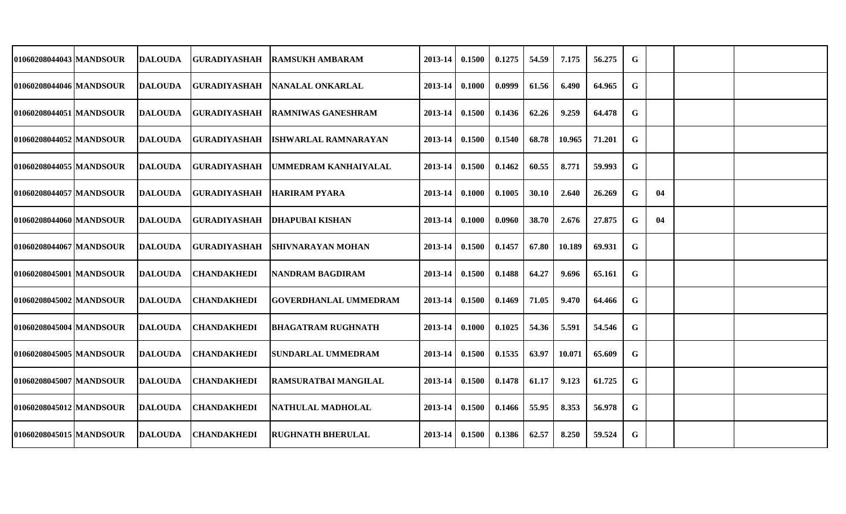| 01060208044043 MANDSOUR   | <b>DALOUDA</b> | <b>GURADIYASHAH</b>        | <b>RAMSUKH AMBARAM</b>      | 2013-14 | 0.1500 | 0.1275 | 54.59 | 7.175  | 56.275 | G           |    |  |
|---------------------------|----------------|----------------------------|-----------------------------|---------|--------|--------|-------|--------|--------|-------------|----|--|
| 01060208044046 MANDSOUR   | <b>DALOUDA</b> | <b>GURADIYASHAH</b>        | NANALAL ONKARLAL            | 2013-14 | 0.1000 | 0.0999 | 61.56 | 6.490  | 64.965 | $\mathbf G$ |    |  |
| 01060208044051   MANDSOUR | <b>DALOUDA</b> | <b>GURADIYASHAH</b>        | <b>IRAMNIWAS GANESHRAM</b>  | 2013-14 | 0.1500 | 0.1436 | 62.26 | 9.259  | 64.478 | G           |    |  |
| 01060208044052 MANDSOUR   | <b>DALOUDA</b> | <b>GURADIYASHAH</b>        | <b>ISHWARLAL RAMNARAYAN</b> | 2013-14 | 0.1500 | 0.1540 | 68.78 | 10.965 | 71.201 | $\mathbf G$ |    |  |
| 01060208044055   MANDSOUR | <b>DALOUDA</b> | <b>GURADIYASHAH</b>        | UMMEDRAM KANHAIYALAL        | 2013-14 | 0.1500 | 0.1462 | 60.55 | 8.771  | 59.993 | G           |    |  |
| 01060208044057 MANDSOUR   | <b>DALOUDA</b> | GURADIYASHAH HARIRAM PYARA |                             | 2013-14 | 0.1000 | 0.1005 | 30.10 | 2.640  | 26.269 | G           | 04 |  |
| 01060208044060 MANDSOUR   | <b>DALOUDA</b> | <b>GURADIYASHAH</b>        | <b>IDHAPUBAI KISHAN</b>     | 2013-14 | 0.1000 | 0.0960 | 38.70 | 2.676  | 27.875 | G           | 04 |  |
| 01060208044067 MANDSOUR   | <b>DALOUDA</b> | <b>GURADIYASHAH</b>        | ISHIVNARAYAN MOHAN          | 2013-14 | 0.1500 | 0.1457 | 67.80 | 10.189 | 69.931 | G           |    |  |
| 01060208045001 MANDSOUR   | <b>DALOUDA</b> | <b>CHANDAKHEDI</b>         | <b>NANDRAM BAGDIRAM</b>     | 2013-14 | 0.1500 | 0.1488 | 64.27 | 9.696  | 65.161 | G           |    |  |
| 01060208045002 MANDSOUR   | <b>DALOUDA</b> | <b>CHANDAKHEDI</b>         | GOVERDHANLAL UMMEDRAM       | 2013-14 | 0.1500 | 0.1469 | 71.05 | 9.470  | 64.466 | G           |    |  |
| 01060208045004 MANDSOUR   | <b>DALOUDA</b> | <b>CHANDAKHEDI</b>         | <b>BHAGATRAM RUGHNATH</b>   | 2013-14 | 0.1000 | 0.1025 | 54.36 | 5.591  | 54.546 | G           |    |  |
| 01060208045005 MANDSOUR   | <b>DALOUDA</b> | <b>CHANDAKHEDI</b>         | <b>SUNDARLAL UMMEDRAM</b>   | 2013-14 | 0.1500 | 0.1535 | 63.97 | 10.071 | 65.609 | G           |    |  |
| 01060208045007 MANDSOUR   | <b>DALOUDA</b> | <b>CHANDAKHEDI</b>         | <b>RAMSURATBAI MANGILAL</b> | 2013-14 | 0.1500 | 0.1478 | 61.17 | 9.123  | 61.725 | G           |    |  |
| 01060208045012   MANDSOUR | <b>DALOUDA</b> | <b>CHANDAKHEDI</b>         | NATHULAL MADHOLAL           | 2013-14 | 0.1500 | 0.1466 | 55.95 | 8.353  | 56.978 | G           |    |  |
| 01060208045015 MANDSOUR   | <b>DALOUDA</b> | <b>CHANDAKHEDI</b>         | <b>RUGHNATH BHERULAL</b>    | 2013-14 | 0.1500 | 0.1386 | 62.57 | 8.250  | 59.524 | G           |    |  |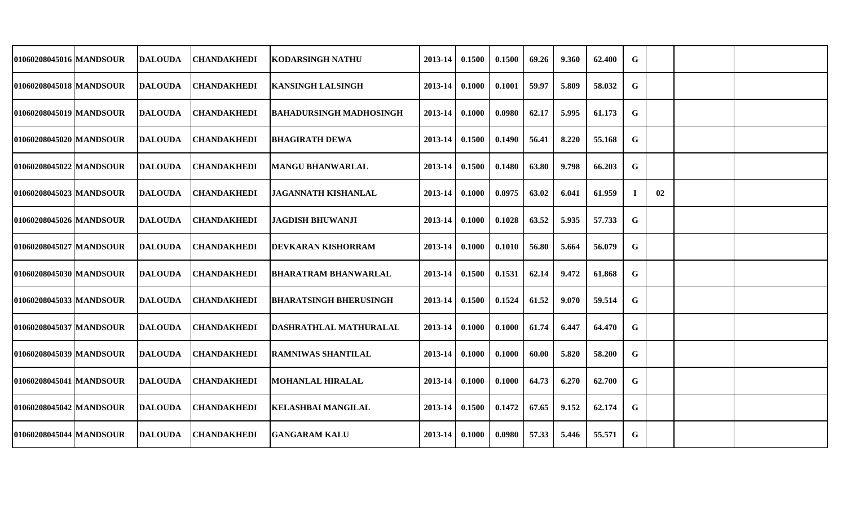| 01060208045016 MANDSOUR   | <b>DALOUDA</b> | CHANDAKHEDI        | <b>KODARSINGH NATHU</b>        | 2013-14 | 0.1500 | 0.1500 | 69.26 | 9.360 | 62.400 | G           |    |  |
|---------------------------|----------------|--------------------|--------------------------------|---------|--------|--------|-------|-------|--------|-------------|----|--|
| 01060208045018 MANDSOUR   | <b>DALOUDA</b> | <b>CHANDAKHEDI</b> | <b>KANSINGH LALSINGH</b>       | 2013-14 | 0.1000 | 0.1001 | 59.97 | 5.809 | 58.032 | G           |    |  |
| 01060208045019 MANDSOUR   | <b>DALOUDA</b> | CHANDAKHEDI        | <b>BAHADURSINGH MADHOSINGH</b> | 2013-14 | 0.1000 | 0.0980 | 62.17 | 5.995 | 61.173 | G           |    |  |
| 01060208045020 MANDSOUR   | <b>DALOUDA</b> | <b>CHANDAKHEDI</b> | <b>BHAGIRATH DEWA</b>          | 2013-14 | 0.1500 | 0.1490 | 56.41 | 8.220 | 55.168 | $\mathbf G$ |    |  |
| 01060208045022 MANDSOUR   | <b>DALOUDA</b> | <b>CHANDAKHEDI</b> | <b>MANGU BHANWARLAL</b>        | 2013-14 | 0.1500 | 0.1480 | 63.80 | 9.798 | 66.203 | G           |    |  |
| 01060208045023 MANDSOUR   | <b>DALOUDA</b> | <b>CHANDAKHEDI</b> | <b>JAGANNATH KISHANLAL</b>     | 2013-14 | 0.1000 | 0.0975 | 63.02 | 6.041 | 61.959 | $\bf{l}$    | 02 |  |
| 01060208045026 MANDSOUR   | <b>DALOUDA</b> | <b>CHANDAKHEDI</b> | <b>JAGDISH BHUWANJI</b>        | 2013-14 | 0.1000 | 0.1028 | 63.52 | 5.935 | 57.733 | G           |    |  |
| 01060208045027 MANDSOUR   | <b>DALOUDA</b> | <b>CHANDAKHEDI</b> | <b>DEVKARAN KISHORRAM</b>      | 2013-14 | 0.1000 | 0.1010 | 56.80 | 5.664 | 56.079 | G           |    |  |
| 01060208045030 MANDSOUR   | <b>DALOUDA</b> | <b>CHANDAKHEDI</b> | <b>BHARATRAM BHANWARLAL</b>    | 2013-14 | 0.1500 | 0.1531 | 62.14 | 9.472 | 61.868 | G           |    |  |
| 01060208045033   MANDSOUR | <b>DALOUDA</b> | <b>CHANDAKHEDI</b> | <b>BHARATSINGH BHERUSINGH</b>  | 2013-14 | 0.1500 | 0.1524 | 61.52 | 9.070 | 59.514 | G           |    |  |
| 01060208045037 MANDSOUR   | <b>DALOUDA</b> | <b>CHANDAKHEDI</b> | DASHRATHLAL MATHURALAL         | 2013-14 | 0.1000 | 0.1000 | 61.74 | 6.447 | 64.470 | G           |    |  |
| 01060208045039   MANDSOUR | <b>DALOUDA</b> | <b>CHANDAKHEDI</b> | <b>RAMNIWAS SHANTILAL</b>      | 2013-14 | 0.1000 | 0.1000 | 60.00 | 5.820 | 58.200 | G           |    |  |
| 01060208045041 MANDSOUR   | <b>DALOUDA</b> | <b>CHANDAKHEDI</b> | <b>MOHANLAL HIRALAL</b>        | 2013-14 | 0.1000 | 0.1000 | 64.73 | 6.270 | 62.700 | G           |    |  |
| 01060208045042   MANDSOUR | <b>DALOUDA</b> | <b>CHANDAKHEDI</b> | <b>KELASHBAI MANGILAL</b>      | 2013-14 | 0.1500 | 0.1472 | 67.65 | 9.152 | 62.174 | G           |    |  |
| 01060208045044   MANDSOUR | <b>DALOUDA</b> | <b>CHANDAKHEDI</b> | <b>GANGARAM KALU</b>           | 2013-14 | 0.1000 | 0.0980 | 57.33 | 5.446 | 55.571 | G           |    |  |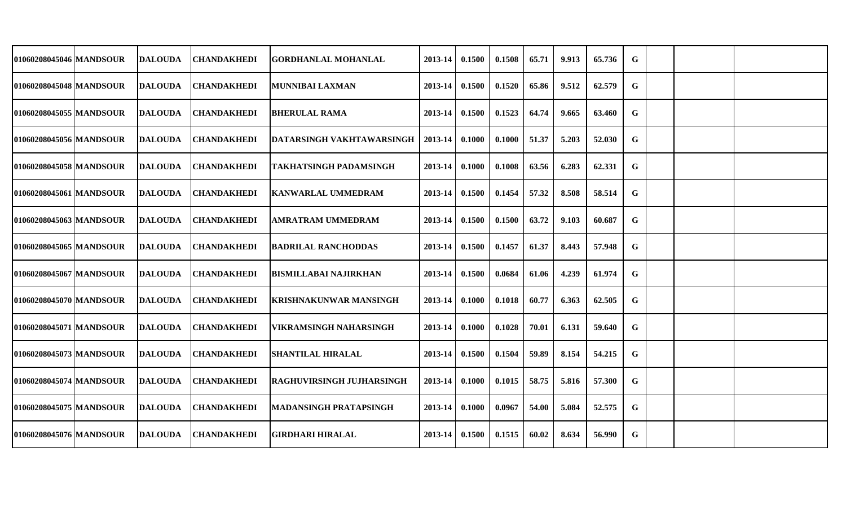| 01060208045046 MANDSOUR   | <b>DALOUDA</b> | <b>CHANDAKHEDI</b> | <b>GORDHANLAL MOHANLAL</b>       | 2013-14 | 0.1500 | 0.1508 | 65.71 | 9.913 | 65.736 | G |  |  |
|---------------------------|----------------|--------------------|----------------------------------|---------|--------|--------|-------|-------|--------|---|--|--|
| 01060208045048 MANDSOUR   | <b>DALOUDA</b> | <b>CHANDAKHEDI</b> | <b>MUNNIBAI LAXMAN</b>           | 2013-14 | 0.1500 | 0.1520 | 65.86 | 9.512 | 62.579 | G |  |  |
| 01060208045055   MANDSOUR | <b>DALOUDA</b> | <b>CHANDAKHEDI</b> | <b>BHERULAL RAMA</b>             | 2013-14 | 0.1500 | 0.1523 | 64.74 | 9.665 | 63.460 | G |  |  |
| 01060208045056 MANDSOUR   | <b>DALOUDA</b> | <b>CHANDAKHEDI</b> | DATARSINGH VAKHTAWARSINGH        | 2013-14 | 0.1000 | 0.1000 | 51.37 | 5.203 | 52.030 | G |  |  |
| 01060208045058 MANDSOUR   | <b>DALOUDA</b> | <b>CHANDAKHEDI</b> | <b> TAKHATSINGH PADAMSINGH</b>   | 2013-14 | 0.1000 | 0.1008 | 63.56 | 6.283 | 62.331 | G |  |  |
| 01060208045061 MANDSOUR   | <b>DALOUDA</b> | <b>CHANDAKHEDI</b> | <b>KANWARLAL UMMEDRAM</b>        | 2013-14 | 0.1500 | 0.1454 | 57.32 | 8.508 | 58.514 | G |  |  |
| 01060208045063 MANDSOUR   | <b>DALOUDA</b> | <b>CHANDAKHEDI</b> | AMRATRAM UMMEDRAM                | 2013-14 | 0.1500 | 0.1500 | 63.72 | 9.103 | 60.687 | G |  |  |
| 01060208045065 MANDSOUR   | <b>DALOUDA</b> | <b>CHANDAKHEDI</b> | <b>BADRILAL RANCHODDAS</b>       | 2013-14 | 0.1500 | 0.1457 | 61.37 | 8.443 | 57.948 | G |  |  |
| 01060208045067 MANDSOUR   | <b>DALOUDA</b> | <b>CHANDAKHEDI</b> | <b>BISMILLABAI NAJIRKHAN</b>     | 2013-14 | 0.1500 | 0.0684 | 61.06 | 4.239 | 61.974 | G |  |  |
| 01060208045070   MANDSOUR | <b>DALOUDA</b> | <b>CHANDAKHEDI</b> | KRISHNAKUNWAR MANSINGH           | 2013-14 | 0.1000 | 0.1018 | 60.77 | 6.363 | 62.505 | G |  |  |
| 01060208045071 MANDSOUR   | <b>DALOUDA</b> | <b>CHANDAKHEDI</b> | <b>VIKRAMSINGH NAHARSINGH</b>    | 2013-14 | 0.1000 | 0.1028 | 70.01 | 6.131 | 59.640 | G |  |  |
| 01060208045073   MANDSOUR | <b>DALOUDA</b> | <b>CHANDAKHEDI</b> | <b>SHANTILAL HIRALAL</b>         | 2013-14 | 0.1500 | 0.1504 | 59.89 | 8.154 | 54.215 | G |  |  |
| 01060208045074 MANDSOUR   | <b>DALOUDA</b> | <b>CHANDAKHEDI</b> | <b>RAGHUVIRSINGH JUJHARSINGH</b> | 2013-14 | 0.1000 | 0.1015 | 58.75 | 5.816 | 57.300 | G |  |  |
| 01060208045075   MANDSOUR | <b>DALOUDA</b> | <b>CHANDAKHEDI</b> | <b>MADANSINGH PRATAPSINGH</b>    | 2013-14 | 0.1000 | 0.0967 | 54.00 | 5.084 | 52.575 | G |  |  |
| 01060208045076 MANDSOUR   | <b>DALOUDA</b> | <b>CHANDAKHEDI</b> | <b>GIRDHARI HIRALAL</b>          | 2013-14 | 0.1500 | 0.1515 | 60.02 | 8.634 | 56.990 | G |  |  |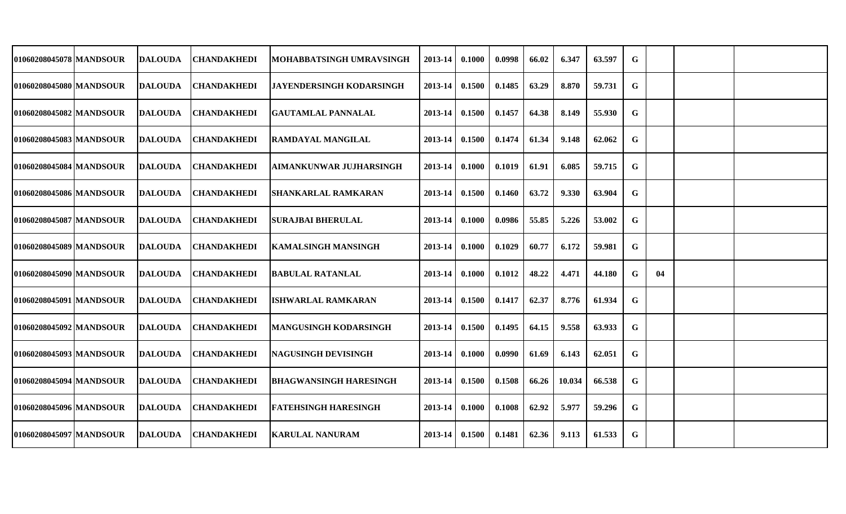| 01060208045078   MANDSOUR | DALOUDA        | CHANDAKHEDI        | MOHABBATSINGH UMRAVSINGH        | 2013-14     | 0.1000 | 0.0998 | 66.02 | 6.347  | 63.597 | G           |    |  |
|---------------------------|----------------|--------------------|---------------------------------|-------------|--------|--------|-------|--------|--------|-------------|----|--|
| 01060208045080 MANDSOUR   | <b>DALOUDA</b> | <b>CHANDAKHEDI</b> | <b>JAYENDERSINGH KODARSINGH</b> | 2013-14     | 0.1500 | 0.1485 | 63.29 | 8.870  | 59.731 | G           |    |  |
| 01060208045082 MANDSOUR   | <b>DALOUDA</b> | <b>CHANDAKHEDI</b> | <b>GAUTAMLAL PANNALAL</b>       | 2013-14     | 0.1500 | 0.1457 | 64.38 | 8.149  | 55.930 | G           |    |  |
| 01060208045083 MANDSOUR   | <b>DALOUDA</b> | <b>CHANDAKHEDI</b> | <b>RAMDAYAL MANGILAL</b>        | 2013-14     | 0.1500 | 0.1474 | 61.34 | 9.148  | 62.062 | G           |    |  |
| 01060208045084 MANDSOUR   | <b>DALOUDA</b> | <b>CHANDAKHEDI</b> | <b>AIMANKUNWAR JUJHARSINGH</b>  | 2013-14     | 0.1000 | 0.1019 | 61.91 | 6.085  | 59.715 | G           |    |  |
| 01060208045086   MANDSOUR | <b>DALOUDA</b> | <b>CHANDAKHEDI</b> | <b>SHANKARLAL RAMKARAN</b>      | $2013 - 14$ | 0.1500 | 0.1460 | 63.72 | 9.330  | 63.904 | G           |    |  |
| 01060208045087 MANDSOUR   | <b>DALOUDA</b> | <b>CHANDAKHEDI</b> | <b>SURAJBAI BHERULAL</b>        | $2013 - 14$ | 0.1000 | 0.0986 | 55.85 | 5.226  | 53.002 | G           |    |  |
| 01060208045089 MANDSOUR   | <b>DALOUDA</b> | <b>CHANDAKHEDI</b> | <b>KAMALSINGH MANSINGH</b>      | 2013-14     | 0.1000 | 0.1029 | 60.77 | 6.172  | 59.981 | G           |    |  |
| 01060208045090 MANDSOUR   | <b>DALOUDA</b> | <b>CHANDAKHEDI</b> | <b>BABULAL RATANLAL</b>         | 2013-14     | 0.1000 | 0.1012 | 48.22 | 4.471  | 44.180 | G           | 04 |  |
| 01060208045091 MANDSOUR   | <b>DALOUDA</b> | <b>CHANDAKHEDI</b> | <b>ISHWARLAL RAMKARAN</b>       | 2013-14     | 0.1500 | 0.1417 | 62.37 | 8.776  | 61.934 | G           |    |  |
| 01060208045092 MANDSOUR   | <b>DALOUDA</b> | <b>CHANDAKHEDI</b> | <b>MANGUSINGH KODARSINGH</b>    | 2013-14     | 0.1500 | 0.1495 | 64.15 | 9.558  | 63.933 | G           |    |  |
| 01060208045093 MANDSOUR   | <b>DALOUDA</b> | <b>CHANDAKHEDI</b> | <b>NAGUSINGH DEVISINGH</b>      | 2013-14     | 0.1000 | 0.0990 | 61.69 | 6.143  | 62.051 | G           |    |  |
| 01060208045094   MANDSOUR | DALOUDA        | <b>CHANDAKHEDI</b> | <b>BHAGWANSINGH HARESINGH</b>   | 2013-14     | 0.1500 | 0.1508 | 66.26 | 10.034 | 66.538 | G           |    |  |
| 01060208045096 MANDSOUR   | <b>DALOUDA</b> | <b>CHANDAKHEDI</b> | <b>FATEHSINGH HARESINGH</b>     | 2013-14     | 0.1000 | 0.1008 | 62.92 | 5.977  | 59.296 | G           |    |  |
| 01060208045097 MANDSOUR   | <b>DALOUDA</b> | <b>CHANDAKHEDI</b> | <b>KARULAL NANURAM</b>          | $2013 - 14$ | 0.1500 | 0.1481 | 62.36 | 9.113  | 61.533 | $\mathbf G$ |    |  |
|                           |                |                    |                                 |             |        |        |       |        |        |             |    |  |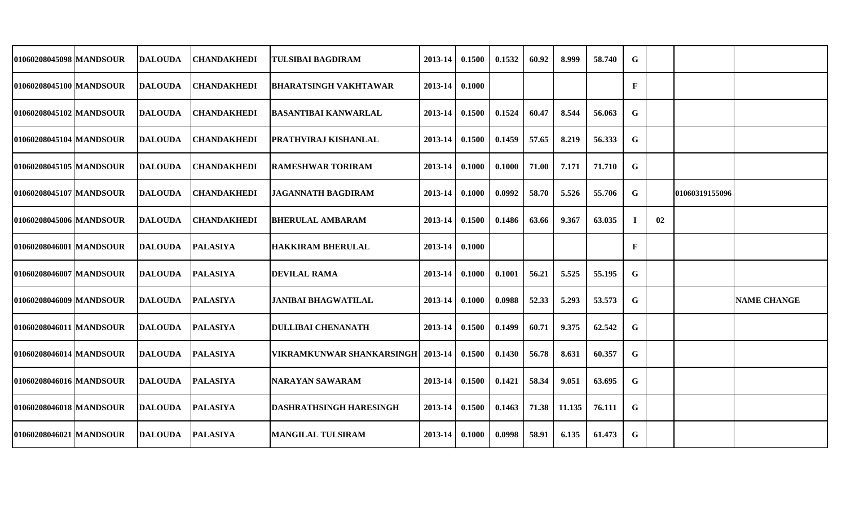| 01060208045098 MANDSOUR | <b>DALOUDA</b> | <b>CHANDAKHEDI</b> | <b>TULSIBAI BAGDIRAM</b>           | 2013-14 | 0.1500 | 0.1532 | 60.92 | 8.999  | 58.740 | G           |    |                |                    |
|-------------------------|----------------|--------------------|------------------------------------|---------|--------|--------|-------|--------|--------|-------------|----|----------------|--------------------|
| 01060208045100 MANDSOUR | <b>DALOUDA</b> | <b>CHANDAKHEDI</b> | <b>BHARATSINGH VAKHTAWAR</b>       | 2013-14 | 0.1000 |        |       |        |        | $\mathbf F$ |    |                |                    |
| 01060208045102 MANDSOUR | <b>DALOUDA</b> | <b>CHANDAKHEDI</b> | <b>BASANTIBAI KANWARLAL</b>        | 2013-14 | 0.1500 | 0.1524 | 60.47 | 8.544  | 56.063 | G           |    |                |                    |
| 01060208045104 MANDSOUR | <b>DALOUDA</b> | <b>CHANDAKHEDI</b> | <b>PRATHVIRAJ KISHANLAL</b>        | 2013-14 | 0.1500 | 0.1459 | 57.65 | 8.219  | 56.333 | $\mathbf G$ |    |                |                    |
| 01060208045105 MANDSOUR | <b>DALOUDA</b> | <b>CHANDAKHEDI</b> | <b>RAMESHWAR TORIRAM</b>           | 2013-14 | 0.1000 | 0.1000 | 71.00 | 7.171  | 71.710 | G           |    |                |                    |
| 01060208045107 MANDSOUR | <b>DALOUDA</b> | <b>CHANDAKHEDI</b> | <b>JAGANNATH BAGDIRAM</b>          | 2013-14 | 0.1000 | 0.0992 | 58.70 | 5.526  | 55.706 | G           |    | 01060319155096 |                    |
| 01060208045006 MANDSOUR | <b>DALOUDA</b> | <b>CHANDAKHEDI</b> | <b>BHERULAL AMBARAM</b>            | 2013-14 | 0.1500 | 0.1486 | 63.66 | 9.367  | 63.035 | -1          | 02 |                |                    |
| 01060208046001 MANDSOUR | <b>DALOUDA</b> | <b>PALASIYA</b>    | <b>HAKKIRAM BHERULAL</b>           | 2013-14 | 0.1000 |        |       |        |        | F           |    |                |                    |
| 01060208046007 MANDSOUR | <b>DALOUDA</b> | <b>PALASIYA</b>    | <b>DEVILAL RAMA</b>                | 2013-14 | 0.1000 | 0.1001 | 56.21 | 5.525  | 55.195 | G           |    |                |                    |
| 01060208046009 MANDSOUR | <b>DALOUDA</b> | <b>PALASIYA</b>    | JANIBAI BHAGWATILAL                | 2013-14 | 0.1000 | 0.0988 | 52.33 | 5.293  | 53.573 | $\mathbf G$ |    |                | <b>NAME CHANGE</b> |
| 01060208046011 MANDSOUR | <b>DALOUDA</b> | <b>PALASIYA</b>    | <b>DULLIBAI CHENANATH</b>          | 2013-14 | 0.1500 | 0.1499 | 60.71 | 9.375  | 62.542 | G           |    |                |                    |
| 01060208046014 MANDSOUR | <b>DALOUDA</b> | <b>PALASIYA</b>    | VIKRAMKUNWAR SHANKARSINGH  2013-14 |         | 0.1500 | 0.1430 | 56.78 | 8.631  | 60.357 | G           |    |                |                    |
| 01060208046016 MANDSOUR | <b>DALOUDA</b> | <b>PALASIYA</b>    | <b>NARAYAN SAWARAM</b>             | 2013-14 | 0.1500 | 0.1421 | 58.34 | 9.051  | 63.695 | G           |    |                |                    |
| 01060208046018 MANDSOUR | <b>DALOUDA</b> | <b>PALASIYA</b>    | <b>DASHRATHSINGH HARESINGH</b>     | 2013-14 | 0.1500 | 0.1463 | 71.38 | 11.135 | 76.111 | G           |    |                |                    |
| 01060208046021 MANDSOUR | <b>DALOUDA</b> | <b>PALASIYA</b>    | <b>MANGILAL TULSIRAM</b>           | 2013-14 | 0.1000 | 0.0998 | 58.91 | 6.135  | 61.473 | G           |    |                |                    |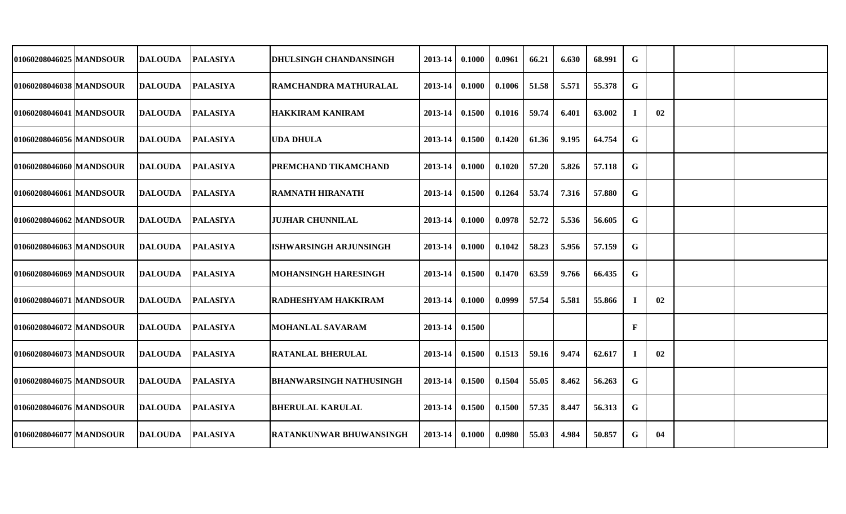| 01060208046025 MANDSOUR   | <b>DALOUDA</b> | <b>PALASIYA</b> | <b>DHULSINGH CHANDANSINGH</b>  | 2013-14 | 0.1000 | 0.0961 | 66.21 | 6.630 | 68.991 | G  |    |  |
|---------------------------|----------------|-----------------|--------------------------------|---------|--------|--------|-------|-------|--------|----|----|--|
| 01060208046038 MANDSOUR   | <b>DALOUDA</b> | <b>PALASIYA</b> | <b>RAMCHANDRA MATHURALAL</b>   | 2013-14 | 0.1000 | 0.1006 | 51.58 | 5.571 | 55.378 | G  |    |  |
| 01060208046041 MANDSOUR   | <b>DALOUDA</b> | <b>PALASIYA</b> | <b>HAKKIRAM KANIRAM</b>        | 2013-14 | 0.1500 | 0.1016 | 59.74 | 6.401 | 63.002 | J. | 02 |  |
| 01060208046056 MANDSOUR   | <b>DALOUDA</b> | <b>PALASIYA</b> | <b>UDA DHULA</b>               | 2013-14 | 0.1500 | 0.1420 | 61.36 | 9.195 | 64.754 | G  |    |  |
| 01060208046060 MANDSOUR   | <b>DALOUDA</b> | <b>PALASIYA</b> | <b>PREMCHAND TIKAMCHAND</b>    | 2013-14 | 0.1000 | 0.1020 | 57.20 | 5.826 | 57.118 | G  |    |  |
| 01060208046061 MANDSOUR   | <b>DALOUDA</b> | <b>PALASIYA</b> | <b>RAMNATH HIRANATH</b>        | 2013-14 | 0.1500 | 0.1264 | 53.74 | 7.316 | 57.880 | G  |    |  |
| 01060208046062 MANDSOUR   | <b>DALOUDA</b> | <b>PALASIYA</b> | <b>JUJHAR CHUNNILAL</b>        | 2013-14 | 0.1000 | 0.0978 | 52.72 | 5.536 | 56.605 | G  |    |  |
| 01060208046063 MANDSOUR   | <b>DALOUDA</b> | <b>PALASIYA</b> | <b>ISHWARSINGH ARJUNSINGH</b>  | 2013-14 | 0.1000 | 0.1042 | 58.23 | 5.956 | 57.159 | G  |    |  |
| 01060208046069 MANDSOUR   | <b>DALOUDA</b> | <b>PALASIYA</b> | <b>MOHANSINGH HARESINGH</b>    | 2013-14 | 0.1500 | 0.1470 | 63.59 | 9.766 | 66.435 | G  |    |  |
| 01060208046071   MANDSOUR | <b>DALOUDA</b> | <b>PALASIYA</b> | <b>RADHESHYAM HAKKIRAM</b>     | 2013-14 | 0.1000 | 0.0999 | 57.54 | 5.581 | 55.866 | 1  | 02 |  |
| 01060208046072 MANDSOUR   | <b>DALOUDA</b> | <b>PALASIYA</b> | <b>MOHANLAL SAVARAM</b>        | 2013-14 | 0.1500 |        |       |       |        | F  |    |  |
| 01060208046073 MANDSOUR   | <b>DALOUDA</b> | <b>PALASIYA</b> | <b>RATANLAL BHERULAL</b>       | 2013-14 | 0.1500 | 0.1513 | 59.16 | 9.474 | 62.617 | 1  | 02 |  |
| 01060208046075 MANDSOUR   | <b>DALOUDA</b> | <b>PALASIYA</b> | <b>BHANWARSINGH NATHUSINGH</b> | 2013-14 | 0.1500 | 0.1504 | 55.05 | 8.462 | 56.263 | G  |    |  |
| 01060208046076   MANDSOUR | <b>DALOUDA</b> | <b>PALASIYA</b> | <b>BHERULAL KARULAL</b>        | 2013-14 | 0.1500 | 0.1500 | 57.35 | 8.447 | 56.313 | G  |    |  |
| 01060208046077 MANDSOUR   | <b>DALOUDA</b> | <b>PALASIYA</b> | <b>RATANKUNWAR BHUWANSINGH</b> | 2013-14 | 0.1000 | 0.0980 | 55.03 | 4.984 | 50.857 | G  | 04 |  |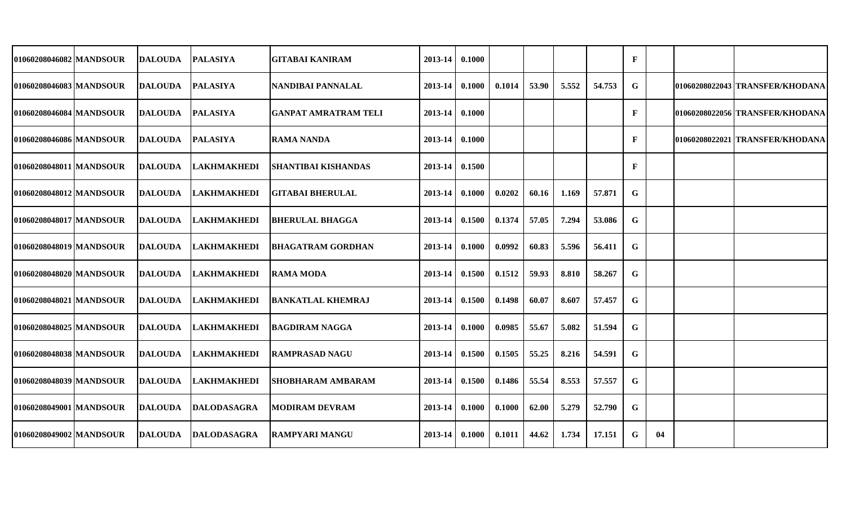| 01060208046082 MANDSOUR<br>2013-14<br>0.1000<br>$\mathbf{F}$<br>DALOUDA<br><b>PALASIYA</b><br><b>GITABAI KANIRAM</b><br><b>PALASIYA</b><br>53.90<br>5.552<br>54.753<br>G<br>01060208022043 TRANSFER/KHODANA<br>DALOUDA<br>INANDIBAI PANNALAL<br>2013-14<br>0.1000<br>0.1014<br><b>PALASIYA</b><br><b>GANPAT AMRATRAM TELI</b><br>0.1000<br>$\mathbf{F}$<br>01060208022056 TRANSFER/KHODANA<br>DALOUDA<br>2013-14<br><b>PALASIYA</b><br>0.1000<br>$\mathbf{F}$<br><b>DALOUDA</b><br><b>RAMA NANDA</b><br>$2013 - 14$<br>101060208022021  TRANSFER/KHODANA<br><b>LAKHMAKHEDI</b><br>2013-14 0.1500<br>$\mathbf{F}$<br><b>DALOUDA</b><br><b>SHANTIBAI KISHANDAS</b><br><b>LAKHMAKHEDI</b><br>57.871<br>G<br><b>DALOUDA</b><br><b> GITABAI BHERULAL</b><br>$2013 - 14$<br>0.1000<br>0.0202<br>60.16<br>1.169<br><b>LAKHMAKHEDI</b><br>0.1500<br>0.1374<br>57.05<br>7.294<br>53.086<br>G<br><b>DALOUDA</b><br><b>BHERULAL BHAGGA</b><br>2013-14<br><b>LAKHMAKHEDI</b><br>0.1000<br>60.83<br>56.411<br>G<br>DALOUDA<br><b>BHAGATRAM GORDHAN</b><br>2013-14<br>0.0992<br>5.596<br><b>LAKHMAKHEDI</b><br>59.93<br>58.267<br>G<br><b>DALOUDA</b><br>0.1500<br>0.1512<br>8.810<br><b>RAMA MODA</b><br>2013-14<br><b>LAKHMAKHEDI</b><br>0.1500<br>0.1498<br>60.07<br>8.607<br>57.457<br><b>DALOUDA</b><br><b>BANKATLAL KHEMRAJ</b><br>2013-14<br>G |  |                |                    |                       |         |        |        |       |       |        |   |  |  |
|-----------------------------------------------------------------------------------------------------------------------------------------------------------------------------------------------------------------------------------------------------------------------------------------------------------------------------------------------------------------------------------------------------------------------------------------------------------------------------------------------------------------------------------------------------------------------------------------------------------------------------------------------------------------------------------------------------------------------------------------------------------------------------------------------------------------------------------------------------------------------------------------------------------------------------------------------------------------------------------------------------------------------------------------------------------------------------------------------------------------------------------------------------------------------------------------------------------------------------------------------------------------------------------------------------------------------------------------|--|----------------|--------------------|-----------------------|---------|--------|--------|-------|-------|--------|---|--|--|
| 010602080460831MANDSOUR<br>01060208046084 MANDSOUR<br>01060208046086 MANDSOUR<br>01060208048011 MANDSOUR<br>01060208048012 MANDSOUR<br>01060208048017 MANDSOUR<br>01060208048019 MANDSOUR<br>01060208048020 MANDSOUR<br>01060208048021 MANDSOUR<br>01060208048025 MANDSOUR                                                                                                                                                                                                                                                                                                                                                                                                                                                                                                                                                                                                                                                                                                                                                                                                                                                                                                                                                                                                                                                              |  |                |                    |                       |         |        |        |       |       |        |   |  |  |
|                                                                                                                                                                                                                                                                                                                                                                                                                                                                                                                                                                                                                                                                                                                                                                                                                                                                                                                                                                                                                                                                                                                                                                                                                                                                                                                                         |  |                |                    |                       |         |        |        |       |       |        |   |  |  |
|                                                                                                                                                                                                                                                                                                                                                                                                                                                                                                                                                                                                                                                                                                                                                                                                                                                                                                                                                                                                                                                                                                                                                                                                                                                                                                                                         |  |                |                    |                       |         |        |        |       |       |        |   |  |  |
|                                                                                                                                                                                                                                                                                                                                                                                                                                                                                                                                                                                                                                                                                                                                                                                                                                                                                                                                                                                                                                                                                                                                                                                                                                                                                                                                         |  |                |                    |                       |         |        |        |       |       |        |   |  |  |
|                                                                                                                                                                                                                                                                                                                                                                                                                                                                                                                                                                                                                                                                                                                                                                                                                                                                                                                                                                                                                                                                                                                                                                                                                                                                                                                                         |  |                |                    |                       |         |        |        |       |       |        |   |  |  |
|                                                                                                                                                                                                                                                                                                                                                                                                                                                                                                                                                                                                                                                                                                                                                                                                                                                                                                                                                                                                                                                                                                                                                                                                                                                                                                                                         |  |                |                    |                       |         |        |        |       |       |        |   |  |  |
|                                                                                                                                                                                                                                                                                                                                                                                                                                                                                                                                                                                                                                                                                                                                                                                                                                                                                                                                                                                                                                                                                                                                                                                                                                                                                                                                         |  |                |                    |                       |         |        |        |       |       |        |   |  |  |
|                                                                                                                                                                                                                                                                                                                                                                                                                                                                                                                                                                                                                                                                                                                                                                                                                                                                                                                                                                                                                                                                                                                                                                                                                                                                                                                                         |  |                |                    |                       |         |        |        |       |       |        |   |  |  |
|                                                                                                                                                                                                                                                                                                                                                                                                                                                                                                                                                                                                                                                                                                                                                                                                                                                                                                                                                                                                                                                                                                                                                                                                                                                                                                                                         |  |                |                    |                       |         |        |        |       |       |        |   |  |  |
|                                                                                                                                                                                                                                                                                                                                                                                                                                                                                                                                                                                                                                                                                                                                                                                                                                                                                                                                                                                                                                                                                                                                                                                                                                                                                                                                         |  |                |                    |                       |         |        |        |       |       |        |   |  |  |
|                                                                                                                                                                                                                                                                                                                                                                                                                                                                                                                                                                                                                                                                                                                                                                                                                                                                                                                                                                                                                                                                                                                                                                                                                                                                                                                                         |  | <b>DALOUDA</b> | <b>LAKHMAKHEDI</b> | <b>BAGDIRAM NAGGA</b> | 2013-14 | 0.1000 | 0.0985 | 55.67 | 5.082 | 51.594 | G |  |  |
| 01060208048038 MANDSOUR<br><b>LAKHMAKHEDI</b><br>55.25<br>54.591<br><b>DALOUDA</b><br><b>RAMPRASAD NAGU</b><br>2013-14<br>0.1500<br>0.1505<br>8.216<br>G                                                                                                                                                                                                                                                                                                                                                                                                                                                                                                                                                                                                                                                                                                                                                                                                                                                                                                                                                                                                                                                                                                                                                                                |  |                |                    |                       |         |        |        |       |       |        |   |  |  |
| <b>LAKHMAKHEDI</b><br>55.54<br>57.557<br>G<br>01060208048039 MANDSOUR<br><b>DALOUDA</b><br>ISHOBHARAM AMBARAM<br>$2013 - 14$<br>0.1500<br>0.1486<br>8.553                                                                                                                                                                                                                                                                                                                                                                                                                                                                                                                                                                                                                                                                                                                                                                                                                                                                                                                                                                                                                                                                                                                                                                               |  |                |                    |                       |         |        |        |       |       |        |   |  |  |
| 01060208049001 MANDSOUR<br><b>DALODASAGRA</b><br>62.00<br>52.790<br><b>DALOUDA</b><br><b>MODIRAM DEVRAM</b><br>$2013 - 14$<br>0.1000<br>0.1000<br>5.279<br>G                                                                                                                                                                                                                                                                                                                                                                                                                                                                                                                                                                                                                                                                                                                                                                                                                                                                                                                                                                                                                                                                                                                                                                            |  |                |                    |                       |         |        |        |       |       |        |   |  |  |
| G<br>01060208049002 MANDSOUR<br><b>DALOUDA</b><br><b>DALODASAGRA</b><br><b>RAMPYARI MANGU</b><br>0.1000<br>44.62<br>1.734<br>17.151<br>04<br>$2013 - 14$<br>0.1011                                                                                                                                                                                                                                                                                                                                                                                                                                                                                                                                                                                                                                                                                                                                                                                                                                                                                                                                                                                                                                                                                                                                                                      |  |                |                    |                       |         |        |        |       |       |        |   |  |  |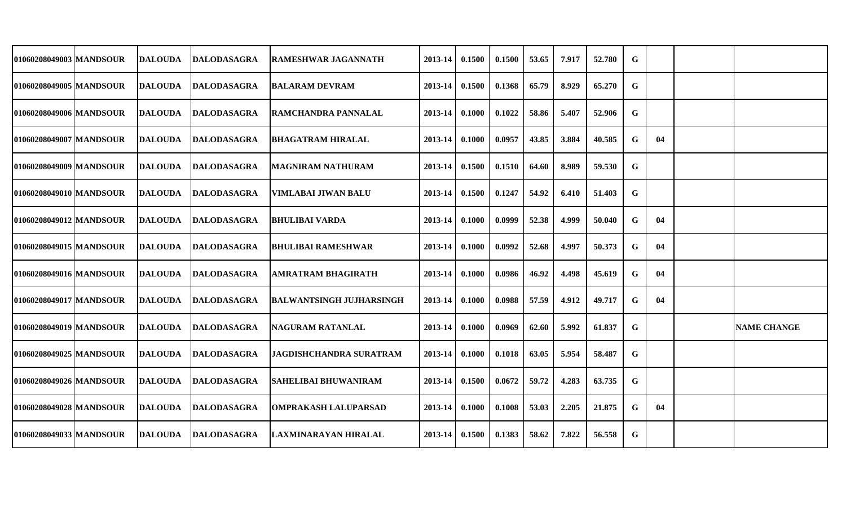| 01060208049003 MANDSOUR  | <b>DALOUDA</b> | <b>DALODASAGRA</b> | <b>RAMESHWAR JAGANNATH</b>      | 2013-14 | 0.1500 | 0.1500 | 53.65 | 7.917 | 52.780 | G           |    |                    |
|--------------------------|----------------|--------------------|---------------------------------|---------|--------|--------|-------|-------|--------|-------------|----|--------------------|
| 01060208049005 MANDSOUR  | <b>DALOUDA</b> | <b>DALODASAGRA</b> | <b>BALARAM DEVRAM</b>           | 2013-14 | 0.1500 | 0.1368 | 65.79 | 8.929 | 65.270 | G           |    |                    |
| 01060208049006 MANDSOUR  | <b>DALOUDA</b> | <b>DALODASAGRA</b> | <b>RAMCHANDRA PANNALAL</b>      | 2013-14 | 0.1000 | 0.1022 | 58.86 | 5.407 | 52.906 | G           |    |                    |
| 01060208049007 MANDSOUR  | <b>DALOUDA</b> | <b>DALODASAGRA</b> | <b>BHAGATRAM HIRALAL</b>        | 2013-14 | 0.1000 | 0.0957 | 43.85 | 3.884 | 40.585 | G           | 04 |                    |
| 01060208049009 MANDSOUR  | <b>DALOUDA</b> | <b>DALODASAGRA</b> | <b>MAGNIRAM NATHURAM</b>        | 2013-14 | 0.1500 | 0.1510 | 64.60 | 8.989 | 59.530 | G           |    |                    |
| 01060208049010 IMANDSOUR | <b>DALOUDA</b> | <b>DALODASAGRA</b> | VIMLABAI JIWAN BALU             | 2013-14 | 0.1500 | 0.1247 | 54.92 | 6.410 | 51.403 | G           |    |                    |
| 01060208049012 MANDSOUR  | <b>DALOUDA</b> | <b>DALODASAGRA</b> | BHULIBAI VARDA                  | 2013-14 | 0.1000 | 0.0999 | 52.38 | 4.999 | 50.040 | G           | 04 |                    |
| 01060208049015 IMANDSOUR | <b>DALOUDA</b> | DALODASAGRA        | <b>BHULIBAI RAMESHWAR</b>       | 2013-14 | 0.1000 | 0.0992 | 52.68 | 4.997 | 50.373 | G           | 04 |                    |
| 01060208049016 MANDSOUR  | <b>DALOUDA</b> | <b>DALODASAGRA</b> | <b>AMRATRAM BHAGIRATH</b>       | 2013-14 | 0.1000 | 0.0986 | 46.92 | 4.498 | 45.619 | G           | 04 |                    |
| 01060208049017 MANDSOUR  | <b>DALOUDA</b> | DALODASAGRA        | <b>BALWANTSINGH JUJHARSINGH</b> | 2013-14 | 0.1000 | 0.0988 | 57.59 | 4.912 | 49.717 | G           | 04 |                    |
| 01060208049019 MANDSOUR  | <b>DALOUDA</b> | <b>DALODASAGRA</b> | <b>NAGURAM RATANLAL</b>         | 2013-14 | 0.1000 | 0.0969 | 62.60 | 5.992 | 61.837 | G           |    | <b>NAME CHANGE</b> |
| 01060208049025 MANDSOUR  | <b>DALOUDA</b> | <b>DALODASAGRA</b> | <b>JAGDISHCHANDRA SURATRAM</b>  | 2013-14 | 0.1000 | 0.1018 | 63.05 | 5.954 | 58.487 | G           |    |                    |
| 01060208049026 MANDSOUR  | <b>DALOUDA</b> | <b>DALODASAGRA</b> | <b>SAHELIBAI BHUWANIRAM</b>     | 2013-14 | 0.1500 | 0.0672 | 59.72 | 4.283 | 63.735 | G           |    |                    |
| 01060208049028 MANDSOUR  | <b>DALOUDA</b> | DALODASAGRA        | <b>OMPRAKASH LALUPARSAD</b>     | 2013-14 | 0.1000 | 0.1008 | 53.03 | 2.205 | 21.875 | G           | 04 |                    |
| 01060208049033 MANDSOUR  | <b>DALOUDA</b> | <b>DALODASAGRA</b> | LAXMINARAYAN HIRALAL            | 2013-14 | 0.1500 | 0.1383 | 58.62 | 7.822 | 56.558 | $\mathbf G$ |    |                    |
|                          |                |                    |                                 |         |        |        |       |       |        |             |    |                    |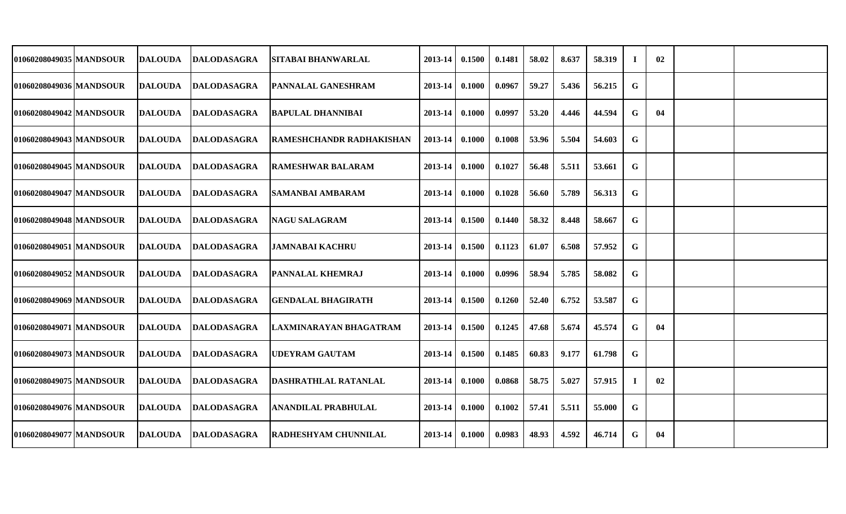| 01060208049035 MANDSOUR  | <b>DALOUDA</b> | DALODASAGRA        | <b>SITABAI BHANWARLAL</b>       | 2013-14 | 0.1500 | 0.1481 | 58.02 | 8.637 | 58.319 | T. | 02 |  |
|--------------------------|----------------|--------------------|---------------------------------|---------|--------|--------|-------|-------|--------|----|----|--|
| 01060208049036 MANDSOUR  | <b>DALOUDA</b> | <b>DALODASAGRA</b> | <b>PANNALAL GANESHRAM</b>       | 2013-14 | 0.1000 | 0.0967 | 59.27 | 5.436 | 56.215 | G  |    |  |
| 01060208049042 MANDSOUR  | <b>DALOUDA</b> | <b>DALODASAGRA</b> | <b>BAPULAL DHANNIBAI</b>        | 2013-14 | 0.1000 | 0.0997 | 53.20 | 4.446 | 44.594 | G  | 04 |  |
| 01060208049043 MANDSOUR  | <b>DALOUDA</b> | <b>DALODASAGRA</b> | <b>RAMESHCHANDR RADHAKISHAN</b> | 2013-14 | 0.1000 | 0.1008 | 53.96 | 5.504 | 54.603 | G  |    |  |
| 01060208049045 MANDSOUR  | <b>DALOUDA</b> | <b>DALODASAGRA</b> | <b>RAMESHWAR BALARAM</b>        | 2013-14 | 0.1000 | 0.1027 | 56.48 | 5.511 | 53.661 | G  |    |  |
| 01060208049047 MANDSOUR  | <b>DALOUDA</b> | <b>DALODASAGRA</b> | ISAMANBAI AMBARAM               | 2013-14 | 0.1000 | 0.1028 | 56.60 | 5.789 | 56.313 | G  |    |  |
| 01060208049048 MANDSOUR  | <b>DALOUDA</b> | DALODASAGRA        | <b>NAGU SALAGRAM</b>            | 2013-14 | 0.1500 | 0.1440 | 58.32 | 8.448 | 58.667 | G  |    |  |
| 01060208049051 MANDSOUR  | <b>DALOUDA</b> | <b>DALODASAGRA</b> | JAMNABAI KACHRU                 | 2013-14 | 0.1500 | 0.1123 | 61.07 | 6.508 | 57.952 | G  |    |  |
| 01060208049052 MANDSOUR  | <b>DALOUDA</b> | <b>DALODASAGRA</b> | <b>PANNALAL KHEMRAJ</b>         | 2013-14 | 0.1000 | 0.0996 | 58.94 | 5.785 | 58.082 | G  |    |  |
| 01060208049069 IMANDSOUR | <b>DALOUDA</b> | <b>DALODASAGRA</b> | <b>GENDALAL BHAGIRATH</b>       | 2013-14 | 0.1500 | 0.1260 | 52.40 | 6.752 | 53.587 | G  |    |  |
| 01060208049071 MANDSOUR  | <b>DALOUDA</b> | <b>DALODASAGRA</b> | LAXMINARAYAN BHAGATRAM          | 2013-14 | 0.1500 | 0.1245 | 47.68 | 5.674 | 45.574 | G  | 04 |  |
| 01060208049073 MANDSOUR  | <b>DALOUDA</b> | DALODASAGRA        | <b>UDEYRAM GAUTAM</b>           | 2013-14 | 0.1500 | 0.1485 | 60.83 | 9.177 | 61.798 | G  |    |  |
| 01060208049075 MANDSOUR  | <b>DALOUDA</b> | <b>DALODASAGRA</b> | DASHRATHLAL RATANLAL            | 2013-14 | 0.1000 | 0.0868 | 58.75 | 5.027 | 57.915 | -1 | 02 |  |
| 01060208049076 MANDSOUR  | <b>DALOUDA</b> | <b>DALODASAGRA</b> | <b>ANANDILAL PRABHULAL</b>      | 2013-14 | 0.1000 | 0.1002 | 57.41 | 5.511 | 55.000 | G  |    |  |
| 01060208049077 MANDSOUR  | <b>DALOUDA</b> | <b>DALODASAGRA</b> | <b>RADHESHYAM CHUNNILAL</b>     | 2013-14 | 0.1000 | 0.0983 | 48.93 | 4.592 | 46.714 | G  | 04 |  |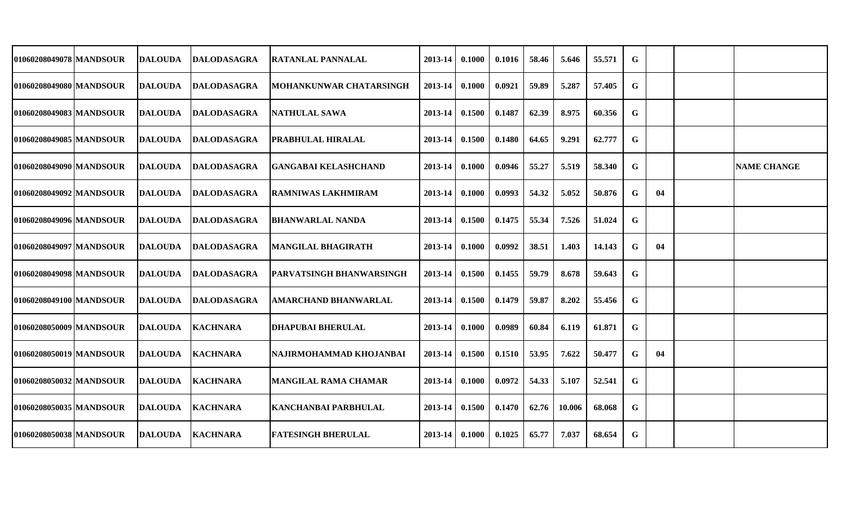| 01060208049078 MANDSOUR | <b>DALOUDA</b> | DALODASAGRA        | <b>RATANLAL PANNALAL</b>        | 2013-14 | 0.1000 | 0.1016 | 58.46 | 5.646  | 55.571 | G           |    |                    |
|-------------------------|----------------|--------------------|---------------------------------|---------|--------|--------|-------|--------|--------|-------------|----|--------------------|
| 01060208049080 MANDSOUR | <b>DALOUDA</b> | <b>DALODASAGRA</b> | MOHANKUNWAR CHATARSINGH         | 2013-14 | 0.1000 | 0.0921 | 59.89 | 5.287  | 57.405 | $\mathbf G$ |    |                    |
| 01060208049083 MANDSOUR | <b>DALOUDA</b> | <b>DALODASAGRA</b> | NATHULAL SAWA                   | 2013-14 | 0.1500 | 0.1487 | 62.39 | 8.975  | 60.356 | G           |    |                    |
| 01060208049085 MANDSOUR | <b>DALOUDA</b> | <b>DALODASAGRA</b> | <b>PRABHULAL HIRALAL</b>        | 2013-14 | 0.1500 | 0.1480 | 64.65 | 9.291  | 62.777 | G           |    |                    |
| 01060208049090 MANDSOUR | <b>DALOUDA</b> | DALODASAGRA        | <b>GANGABAI KELASHCHAND</b>     | 2013-14 | 0.1000 | 0.0946 | 55.27 | 5.519  | 58.340 | G           |    | <b>NAME CHANGE</b> |
| 01060208049092 MANDSOUR | <b>DALOUDA</b> | <b>DALODASAGRA</b> | <b>RAMNIWAS LAKHMIRAM</b>       | 2013-14 | 0.1000 | 0.0993 | 54.32 | 5.052  | 50.876 | G           | 04 |                    |
| 01060208049096 MANDSOUR | <b>DALOUDA</b> | DALODASAGRA        | BHANWARLAL NANDA                | 2013-14 | 0.1500 | 0.1475 | 55.34 | 7.526  | 51.024 | G           |    |                    |
| 01060208049097 MANDSOUR | <b>DALOUDA</b> | <b>DALODASAGRA</b> | <b>MANGILAL BHAGIRATH</b>       | 2013-14 | 0.1000 | 0.0992 | 38.51 | 1.403  | 14.143 | G           | 04 |                    |
| 01060208049098 MANDSOUR | <b>DALOUDA</b> | DALODASAGRA        | <b>PARVATSINGH BHANWARSINGH</b> | 2013-14 | 0.1500 | 0.1455 | 59.79 | 8.678  | 59.643 | G           |    |                    |
| 01060208049100 MANDSOUR | <b>DALOUDA</b> | <b>DALODASAGRA</b> | AMARCHAND BHANWARLAL            | 2013-14 | 0.1500 | 0.1479 | 59.87 | 8.202  | 55.456 | G           |    |                    |
| 01060208050009 MANDSOUR | <b>DALOUDA</b> | <b>KACHNARA</b>    | <b>DHAPUBAI BHERULAL</b>        | 2013-14 | 0.1000 | 0.0989 | 60.84 | 6.119  | 61.871 | G           |    |                    |
| 01060208050019 MANDSOUR | <b>DALOUDA</b> | <b>KACHNARA</b>    | NAJIRMOHAMMAD KHOJANBAI         | 2013-14 | 0.1500 | 0.1510 | 53.95 | 7.622  | 50.477 | G           | 04 |                    |
| 01060208050032 MANDSOUR | <b>DALOUDA</b> | <b>KACHNARA</b>    | <b>MANGILAL RAMA CHAMAR</b>     | 2013-14 | 0.1000 | 0.0972 | 54.33 | 5.107  | 52.541 | G           |    |                    |
| 01060208050035 MANDSOUR | <b>DALOUDA</b> | <b>KACHNARA</b>    | <b>KANCHANBAI PARBHULAL</b>     | 2013-14 | 0.1500 | 0.1470 | 62.76 | 10.006 | 68.068 | G           |    |                    |
| 01060208050038 MANDSOUR | <b>DALOUDA</b> | <b>KACHNARA</b>    | <b>FATESINGH BHERULAL</b>       | 2013-14 | 0.1000 | 0.1025 | 65.77 | 7.037  | 68.654 | G           |    |                    |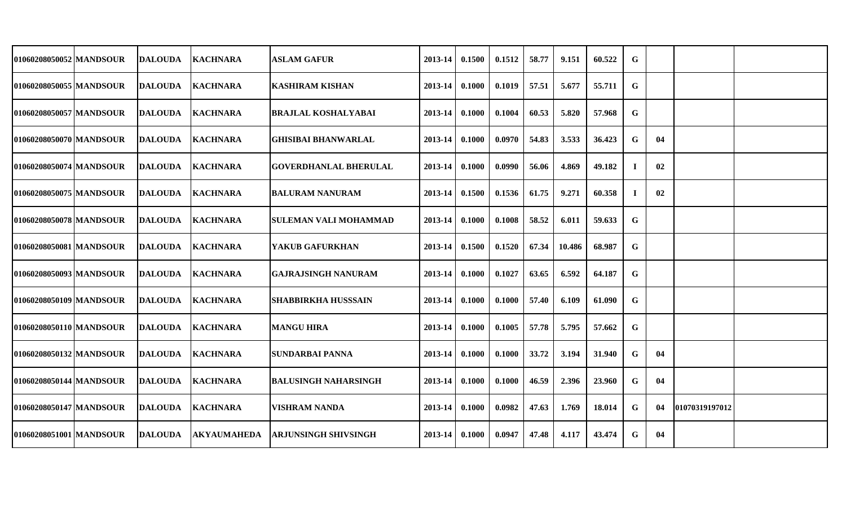| 010602080500521MANDSOUR   | DALOUDA        | <b>IKACHNARA</b>   | <b>ASLAM GAFUR</b>           | 2013-14            | 0.1500 | 0.1512 | 58.77 | 9.151  | 60.522 | G        |    |                |  |
|---------------------------|----------------|--------------------|------------------------------|--------------------|--------|--------|-------|--------|--------|----------|----|----------------|--|
| 01060208050055 MANDSOUR   | <b>DALOUDA</b> | <b>KACHNARA</b>    | <b>KASHIRAM KISHAN</b>       | 2013-14            | 0.1000 | 0.1019 | 57.51 | 5.677  | 55.711 | G        |    |                |  |
| 01060208050057 MANDSOUR   | <b>DALOUDA</b> | <b>KACHNARA</b>    | <b>BRAJLAL KOSHALYABAI</b>   | 2013-14            | 0.1000 | 0.1004 | 60.53 | 5.820  | 57.968 | G        |    |                |  |
| 01060208050070   MANDSOUR | <b>DALOUDA</b> | <b>KACHNARA</b>    | <b>GHISIBAI BHANWARLAL</b>   | $2013 - 14$        | 0.1000 | 0.0970 | 54.83 | 3.533  | 36.423 | G        | 04 |                |  |
| 01060208050074 MANDSOUR   | <b>DALOUDA</b> | <b>KACHNARA</b>    | <b>GOVERDHANLAL BHERULAL</b> | 2013-14            | 0.1000 | 0.0990 | 56.06 | 4.869  | 49.182 | $\bf{I}$ | 02 |                |  |
| 01060208050075   MANDSOUR | DALOUDA        | <b>KACHNARA</b>    | BALURAM NANURAM              | $2013 - 14$        | 0.1500 | 0.1536 | 61.75 | 9.271  | 60.358 | П.       | 02 |                |  |
| 01060208050078 MANDSOUR   | <b>DALOUDA</b> | <b>KACHNARA</b>    | <b>SULEMAN VALI MOHAMMAD</b> | 2013-14            | 0.1000 | 0.1008 | 58.52 | 6.011  | 59.633 | G        |    |                |  |
| 01060208050081 MANDSOUR   | DALOUDA        | <b>KACHNARA</b>    | <b>YAKUB GAFURKHAN</b>       | $2013 - 14$        | 0.1500 | 0.1520 | 67.34 | 10.486 | 68.987 | G        |    |                |  |
| 01060208050093 MANDSOUR   | <b>DALOUDA</b> | <b>KACHNARA</b>    | GAJRAJSINGH NANURAM          | 2013-14            | 0.1000 | 0.1027 | 63.65 | 6.592  | 64.187 | G        |    |                |  |
| 01060208050109 MANDSOUR   | DALOUDA        | <b>KACHNARA</b>    | ISHABBIRKHA HUSSSAIN         | 2013-14            | 0.1000 | 0.1000 | 57.40 | 6.109  | 61.090 | G        |    |                |  |
| 01060208050110 MANDSOUR   | DALOUDA        | <b>KACHNARA</b>    | <b>MANGU HIRA</b>            | 2013-14            | 0.1000 | 0.1005 | 57.78 | 5.795  | 57.662 | G        |    |                |  |
| 01060208050132 MANDSOUR   | <b>DALOUDA</b> | <b>KACHNARA</b>    | <b>SUNDARBAI PANNA</b>       | 2013-14            | 0.1000 | 0.1000 | 33.72 | 3.194  | 31.940 | G        | 04 |                |  |
| 01060208050144 MANDSOUR   | <b>DALOUDA</b> | <b>KACHNARA</b>    | <b>BALUSINGH NAHARSINGH</b>  | $2013 - 14$        | 0.1000 | 0.1000 | 46.59 | 2.396  | 23.960 | G        | 04 |                |  |
| 01060208050147 MANDSOUR   | <b>DALOUDA</b> | <b>KACHNARA</b>    | <b>VISHRAM NANDA</b>         | $2013 - 14$        | 0.1000 | 0.0982 | 47.63 | 1.769  | 18.014 | G        | 04 | 01070319197012 |  |
| 01060208051001 MANDSOUR   | <b>DALOUDA</b> | <b>AKYAUMAHEDA</b> | <b>ARJUNSINGH SHIVSINGH</b>  | $2013 - 14$ 0.1000 |        | 0.0947 | 47.48 | 4.117  | 43.474 | G        | 04 |                |  |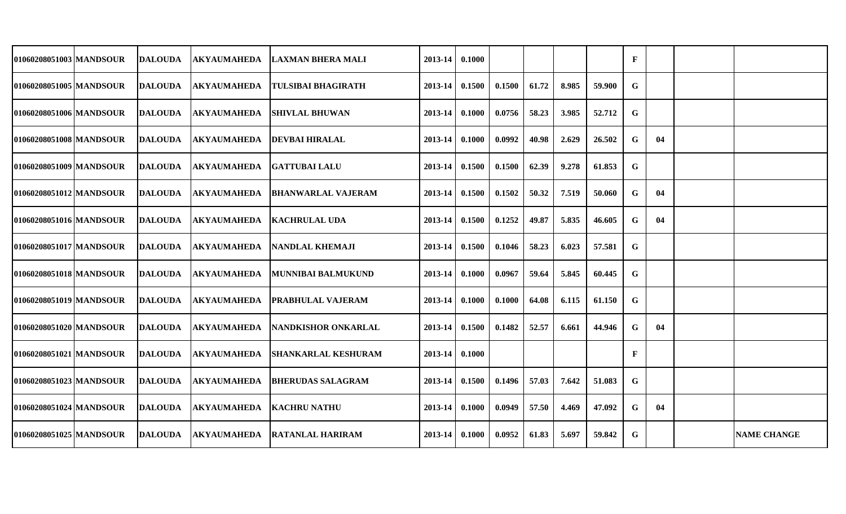| 01060208051003 MANDSOUR   | <b>DALOUDA</b> | <b>AKYAUMAHEDA</b> | <b>LAXMAN BHERA MALI</b>   | 2013-14 | 0.1000 |        |       |       |        | F |    |                    |
|---------------------------|----------------|--------------------|----------------------------|---------|--------|--------|-------|-------|--------|---|----|--------------------|
| 01060208051005 MANDSOUR   | <b>DALOUDA</b> | <b>AKYAUMAHEDA</b> | <b>TULSIBAI BHAGIRATH</b>  | 2013-14 | 0.1500 | 0.1500 | 61.72 | 8.985 | 59.900 | G |    |                    |
| 01060208051006 MANDSOUR   | <b>DALOUDA</b> | <b>AKYAUMAHEDA</b> | <b>SHIVLAL BHUWAN</b>      | 2013-14 | 0.1000 | 0.0756 | 58.23 | 3.985 | 52.712 | G |    |                    |
| 01060208051008 MANDSOUR   | <b>DALOUDA</b> | <b>AKYAUMAHEDA</b> | <b>DEVBAI HIRALAL</b>      | 2013-14 | 0.1000 | 0.0992 | 40.98 | 2.629 | 26.502 | G | 04 |                    |
| 01060208051009 MANDSOUR   | <b>DALOUDA</b> | <b>AKYAUMAHEDA</b> | <b>GATTUBAI LALU</b>       | 2013-14 | 0.1500 | 0.1500 | 62.39 | 9.278 | 61.853 | G |    |                    |
| 01060208051012 MANDSOUR   | <b>DALOUDA</b> | <b>AKYAUMAHEDA</b> | <b>BHANWARLAL VAJERAM</b>  | 2013-14 | 0.1500 | 0.1502 | 50.32 | 7.519 | 50.060 | G | 04 |                    |
| 01060208051016 MANDSOUR   | <b>DALOUDA</b> | AKYAUMAHEDA        | <b>KACHRULAL UDA</b>       | 2013-14 | 0.1500 | 0.1252 | 49.87 | 5.835 | 46.605 | G | 04 |                    |
| 01060208051017   MANDSOUR | <b>DALOUDA</b> | AKYAUMAHEDA        | <b>NANDLAL KHEMAJI</b>     | 2013-14 | 0.1500 | 0.1046 | 58.23 | 6.023 | 57.581 | G |    |                    |
| 01060208051018 MANDSOUR   | <b>DALOUDA</b> | <b>AKYAUMAHEDA</b> | MUNNIBAI BALMUKUND         | 2013-14 | 0.1000 | 0.0967 | 59.64 | 5.845 | 60.445 | G |    |                    |
| 01060208051019 MANDSOUR   | <b>DALOUDA</b> | <b>AKYAUMAHEDA</b> | <b>PRABHULAL VAJERAM</b>   | 2013-14 | 0.1000 | 0.1000 | 64.08 | 6.115 | 61.150 | G |    |                    |
| 01060208051020 MANDSOUR   | <b>DALOUDA</b> | AKYAUMAHEDA        | NANDKISHOR ONKARLAL        | 2013-14 | 0.1500 | 0.1482 | 52.57 | 6.661 | 44.946 | G | 04 |                    |
| 01060208051021 MANDSOUR   | <b>DALOUDA</b> | AKYAUMAHEDA        | <b>SHANKARLAL KESHURAM</b> | 2013-14 | 0.1000 |        |       |       |        | F |    |                    |
| 01060208051023 MANDSOUR   | <b>DALOUDA</b> | <b>AKYAUMAHEDA</b> | <b>BHERUDAS SALAGRAM</b>   | 2013-14 | 0.1500 | 0.1496 | 57.03 | 7.642 | 51.083 | G |    |                    |
| 01060208051024 MANDSOUR   | <b>DALOUDA</b> | AKYAUMAHEDA        | <b>KACHRU NATHU</b>        | 2013-14 | 0.1000 | 0.0949 | 57.50 | 4.469 | 47.092 | G | 04 |                    |
| 01060208051025 MANDSOUR   | <b>DALOUDA</b> | <b>AKYAUMAHEDA</b> | <b>RATANLAL HARIRAM</b>    | 2013-14 | 0.1000 | 0.0952 | 61.83 | 5.697 | 59.842 | G |    | <b>NAME CHANGE</b> |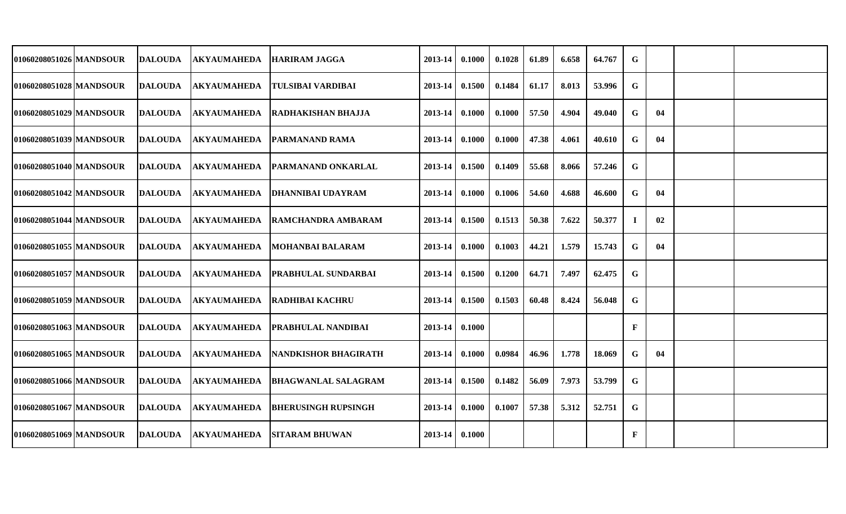| 01060208051026 MANDSOUR   | <b>DALOUDA</b> | <b>AKYAUMAHEDA</b> | <b>HARIRAM JAGGA</b>        | 2013-14 | 0.1000 | 0.1028 | 61.89 | 6.658 | 64.767 | G |    |  |
|---------------------------|----------------|--------------------|-----------------------------|---------|--------|--------|-------|-------|--------|---|----|--|
| 01060208051028 MANDSOUR   | <b>DALOUDA</b> | <b>AKYAUMAHEDA</b> | <b>TULSIBAI VARDIBAI</b>    | 2013-14 | 0.1500 | 0.1484 | 61.17 | 8.013 | 53.996 | G |    |  |
| 01060208051029 MANDSOUR   | <b>DALOUDA</b> | <b>AKYAUMAHEDA</b> | <b>RADHAKISHAN BHAJJA</b>   | 2013-14 | 0.1000 | 0.1000 | 57.50 | 4.904 | 49.040 | G | 04 |  |
| 01060208051039 MANDSOUR   | <b>DALOUDA</b> | <b>AKYAUMAHEDA</b> | <b>PARMANAND RAMA</b>       | 2013-14 | 0.1000 | 0.1000 | 47.38 | 4.061 | 40.610 | G | 04 |  |
| 01060208051040 MANDSOUR   | <b>DALOUDA</b> | <b>AKYAUMAHEDA</b> | <b>PARMANAND ONKARLAL</b>   | 2013-14 | 0.1500 | 0.1409 | 55.68 | 8.066 | 57.246 | G |    |  |
| 01060208051042 MANDSOUR   | <b>DALOUDA</b> | <b>AKYAUMAHEDA</b> | <b>DHANNIBAI UDAYRAM</b>    | 2013-14 | 0.1000 | 0.1006 | 54.60 | 4.688 | 46.600 | G | 04 |  |
| 01060208051044 MANDSOUR   | <b>DALOUDA</b> | AKYAUMAHEDA        | <b>RAMCHANDRA AMBARAM</b>   | 2013-14 | 0.1500 | 0.1513 | 50.38 | 7.622 | 50.377 |   | 02 |  |
| 01060208051055   MANDSOUR | <b>DALOUDA</b> | <b>AKYAUMAHEDA</b> | <b>MOHANBAI BALARAM</b>     | 2013-14 | 0.1000 | 0.1003 | 44.21 | 1.579 | 15.743 | G | 04 |  |
| 01060208051057 MANDSOUR   | <b>DALOUDA</b> | <b>AKYAUMAHEDA</b> | <b>PRABHULAL SUNDARBAI</b>  | 2013-14 | 0.1500 | 0.1200 | 64.71 | 7.497 | 62.475 | G |    |  |
| 01060208051059 MANDSOUR   | <b>DALOUDA</b> | <b>AKYAUMAHEDA</b> | <b>RADHIBAI KACHRU</b>      | 2013-14 | 0.1500 | 0.1503 | 60.48 | 8.424 | 56.048 | G |    |  |
| 01060208051063 MANDSOUR   | <b>DALOUDA</b> | AKYAUMAHEDA        | <b>PRABHULAL NANDIBAI</b>   | 2013-14 | 0.1000 |        |       |       |        | F |    |  |
| 01060208051065 MANDSOUR   | <b>DALOUDA</b> | AKYAUMAHEDA        | <b>NANDKISHOR BHAGIRATH</b> | 2013-14 | 0.1000 | 0.0984 | 46.96 | 1.778 | 18.069 | G | 04 |  |
| 01060208051066 MANDSOUR   | <b>DALOUDA</b> | <b>AKYAUMAHEDA</b> | <b>BHAGWANLAL SALAGRAM</b>  | 2013-14 | 0.1500 | 0.1482 | 56.09 | 7.973 | 53.799 | G |    |  |
| 01060208051067 MANDSOUR   | <b>DALOUDA</b> | AKYAUMAHEDA        | <b>BHERUSINGH RUPSINGH</b>  | 2013-14 | 0.1000 | 0.1007 | 57.38 | 5.312 | 52.751 | G |    |  |
| 01060208051069 MANDSOUR   | <b>DALOUDA</b> | <b>AKYAUMAHEDA</b> | <b>SITARAM BHUWAN</b>       | 2013-14 | 0.1000 |        |       |       |        | F |    |  |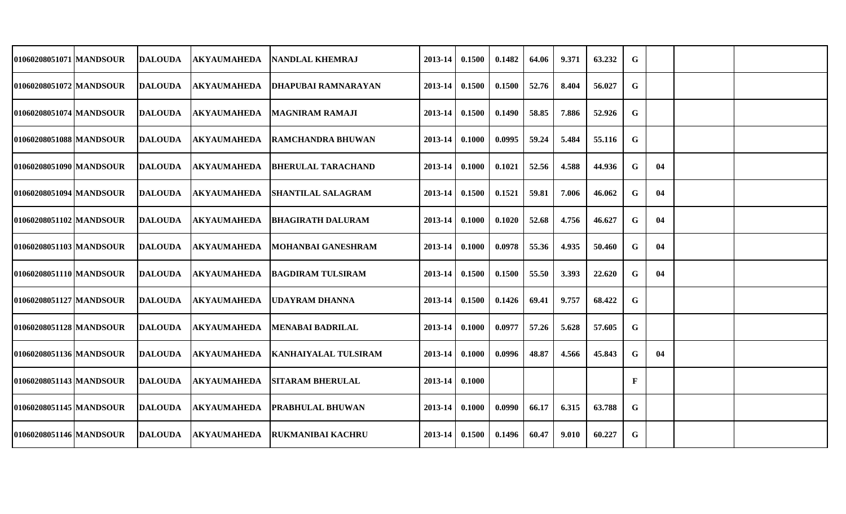| 01060208051071 MANDSOUR | <b>DALOUDA</b>  | <b>AKYAUMAHEDA</b> | <b>NANDLAL KHEMRAJ</b>      | 2013-14     | 0.1500 | 0.1482 | 64.06 | 9.371 | 63.232 | G            |    |  |
|-------------------------|-----------------|--------------------|-----------------------------|-------------|--------|--------|-------|-------|--------|--------------|----|--|
| 01060208051072 MANDSOUR | <b>DALOUDA</b>  | <b>AKYAUMAHEDA</b> | <b>DHAPUBAI RAMNARAYAN</b>  | 2013-14     | 0.1500 | 0.1500 | 52.76 | 8.404 | 56.027 | G            |    |  |
| 01060208051074 MANDSOUR | <b>DALOUDA</b>  | <b>AKYAUMAHEDA</b> | <b>MAGNIRAM RAMAJI</b>      | 2013-14     | 0.1500 | 0.1490 | 58.85 | 7.886 | 52.926 | G            |    |  |
| 01060208051088 MANDSOUR | <b>DALOUDA</b>  | <b>AKYAUMAHEDA</b> | <b>RAMCHANDRA BHUWAN</b>    | 2013-14     | 0.1000 | 0.0995 | 59.24 | 5.484 | 55.116 | G            |    |  |
| 01060208051090 MANDSOUR | <b>DALOUDA</b>  | <b>AKYAUMAHEDA</b> | <b>BHERULAL TARACHAND</b>   | $2013 - 14$ | 0.1000 | 0.1021 | 52.56 | 4.588 | 44.936 | G            | 04 |  |
| 01060208051094 MANDSOUR | <b>DALOUDA</b>  | <b>AKYAUMAHEDA</b> | <b>SHANTILAL SALAGRAM</b>   | $2013 - 14$ | 0.1500 | 0.1521 | 59.81 | 7.006 | 46.062 | G            | 04 |  |
| 01060208051102 MANDSOUR | <b>IDALOUDA</b> | <b>AKYAUMAHEDA</b> | <b>BHAGIRATH DALURAM</b>    | 2013-14     | 0.1000 | 0.1020 | 52.68 | 4.756 | 46.627 | G            | 04 |  |
| 01060208051103 MANDSOUR | <b>DALOUDA</b>  | <b>AKYAUMAHEDA</b> | <b>MOHANBAI GANESHRAM</b>   | 2013-14     | 0.1000 | 0.0978 | 55.36 | 4.935 | 50.460 | G            | 04 |  |
| 01060208051110 MANDSOUR | <b>DALOUDA</b>  | <b>AKYAUMAHEDA</b> | <b>BAGDIRAM TULSIRAM</b>    | 2013-14     | 0.1500 | 0.1500 | 55.50 | 3.393 | 22.620 | G            | 04 |  |
| 01060208051127 MANDSOUR | <b>DALOUDA</b>  | <b>AKYAUMAHEDA</b> | <b>UDAYRAM DHANNA</b>       | 2013-14     | 0.1500 | 0.1426 | 69.41 | 9.757 | 68.422 | G            |    |  |
| 01060208051128 MANDSOUR | <b>DALOUDA</b>  | <b>AKYAUMAHEDA</b> | <b>MENABAI BADRILAL</b>     | 2013-14     | 0.1000 | 0.0977 | 57.26 | 5.628 | 57.605 | G            |    |  |
| 01060208051136 MANDSOUR | <b>DALOUDA</b>  | <b>AKYAUMAHEDA</b> | <b>KANHAIYALAL TULSIRAM</b> | 2013-14     | 0.1000 | 0.0996 | 48.87 | 4.566 | 45.843 | G            | 04 |  |
| 01060208051143 MANDSOUR | <b>DALOUDA</b>  | <b>AKYAUMAHEDA</b> | <b>SITARAM BHERULAL</b>     | 2013-14     | 0.1000 |        |       |       |        | $\mathbf{F}$ |    |  |
| 01060208051145 MANDSOUR | <b>DALOUDA</b>  | <b>AKYAUMAHEDA</b> | <b>PRABHULAL BHUWAN</b>     | 2013-14     | 0.1000 | 0.0990 | 66.17 | 6.315 | 63.788 | G            |    |  |
| 01060208051146 MANDSOUR | <b>DALOUDA</b>  | <b>AKYAUMAHEDA</b> | <b>RUKMANIBAI KACHRU</b>    | 2013-14     | 0.1500 | 0.1496 | 60.47 | 9.010 | 60.227 | $\mathbf G$  |    |  |
|                         |                 |                    |                             |             |        |        |       |       |        |              |    |  |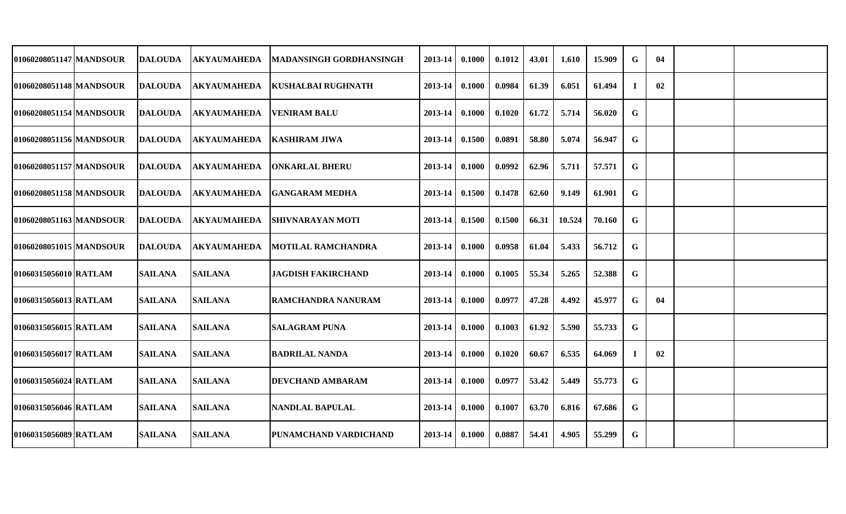| 01060208051147 MANDSOUR | <b>DALOUDA</b> | <b>AKYAUMAHEDA</b> | <b>MADANSINGH GORDHANSINGH</b> | 2013-14 | 0.1000 | 0.1012 | 43.01 | 1.610  | 15.909 | G           | 04 |  |
|-------------------------|----------------|--------------------|--------------------------------|---------|--------|--------|-------|--------|--------|-------------|----|--|
| 01060208051148 MANDSOUR | <b>DALOUDA</b> | <b>AKYAUMAHEDA</b> | <b>KUSHALBAI RUGHNATH</b>      | 2013-14 | 0.1000 | 0.0984 | 61.39 | 6.051  | 61.494 | Ι.          | 02 |  |
| 01060208051154 MANDSOUR | <b>DALOUDA</b> | <b>AKYAUMAHEDA</b> | <b>VENIRAM BALU</b>            | 2013-14 | 0.1000 | 0.1020 | 61.72 | 5.714  | 56.020 | G           |    |  |
| 01060208051156 MANDSOUR | <b>DALOUDA</b> | <b>AKYAUMAHEDA</b> | <b>KASHIRAM JIWA</b>           | 2013-14 | 0.1500 | 0.0891 | 58.80 | 5.074  | 56.947 | $\mathbf G$ |    |  |
| 01060208051157 MANDSOUR | <b>DALOUDA</b> | <b>AKYAUMAHEDA</b> | <b>ONKARLAL BHERU</b>          | 2013-14 | 0.1000 | 0.0992 | 62.96 | 5.711  | 57.571 | G           |    |  |
| 01060208051158 MANDSOUR | <b>DALOUDA</b> | <b>AKYAUMAHEDA</b> | <b>GANGARAM MEDHA</b>          | 2013-14 | 0.1500 | 0.1478 | 62.60 | 9.149  | 61.901 | G           |    |  |
| 01060208051163 MANDSOUR | <b>DALOUDA</b> | <b>AKYAUMAHEDA</b> | <b>SHIVNARAYAN MOTI</b>        | 2013-14 | 0.1500 | 0.1500 | 66.31 | 10.524 | 70.160 | G           |    |  |
| 01060208051015 MANDSOUR | <b>DALOUDA</b> | <b>AKYAUMAHEDA</b> | <b>MOTILAL RAMCHANDRA</b>      | 2013-14 | 0.1000 | 0.0958 | 61.04 | 5.433  | 56.712 | G           |    |  |
| 01060315056010 RATLAM   | <b>SAILANA</b> | <b>SAILANA</b>     | <b>JAGDISH FAKIRCHAND</b>      | 2013-14 | 0.1000 | 0.1005 | 55.34 | 5.265  | 52.388 | $\mathbf G$ |    |  |
| 01060315056013 RATLAM   | <b>SAILANA</b> | <b>SAILANA</b>     | <b>RAMCHANDRA NANURAM</b>      | 2013-14 | 0.1000 | 0.0977 | 47.28 | 4.492  | 45.977 | G           | 04 |  |
| 01060315056015 RATLAM   | <b>SAILANA</b> | <b>SAILANA</b>     | <b>SALAGRAM PUNA</b>           | 2013-14 | 0.1000 | 0.1003 | 61.92 | 5.590  | 55.733 | G           |    |  |
| 01060315056017 RATLAM   | <b>SAILANA</b> | <b>SAILANA</b>     | <b>BADRILAL NANDA</b>          | 2013-14 | 0.1000 | 0.1020 | 60.67 | 6.535  | 64.069 |             | 02 |  |
| 01060315056024 RATLAM   | <b>SAILANA</b> | <b>SAILANA</b>     | <b>DEVCHAND AMBARAM</b>        | 2013-14 | 0.1000 | 0.0977 | 53.42 | 5.449  | 55.773 | G           |    |  |
| 01060315056046 RATLAM   | <b>SAILANA</b> | <b>SAILANA</b>     | <b>NANDLAL BAPULAL</b>         | 2013-14 | 0.1000 | 0.1007 | 63.70 | 6.816  | 67.686 | G           |    |  |
| 01060315056089 RATLAM   | <b>SAILANA</b> | <b>SAILANA</b>     | <b>PUNAMCHAND VARDICHAND</b>   | 2013-14 | 0.1000 | 0.0887 | 54.41 | 4.905  | 55.299 | G           |    |  |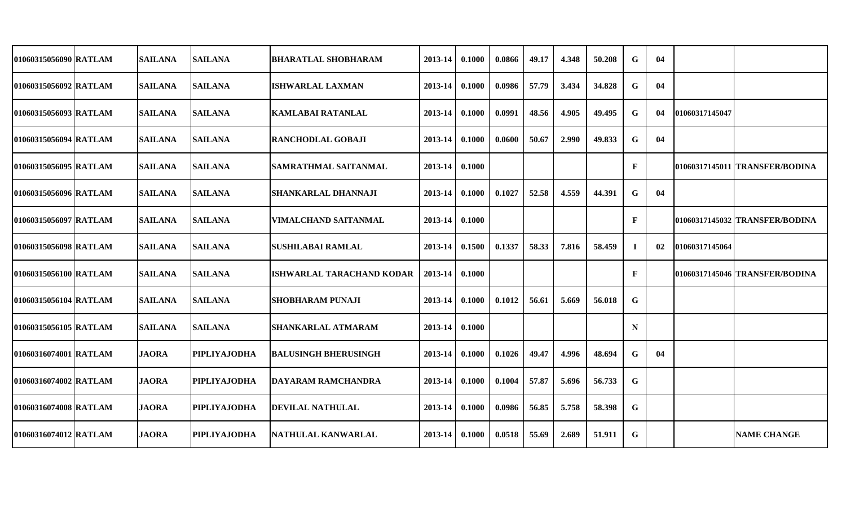| 01060315056090 RATLAM | <b>SAILANA</b> | <b>SAILANA</b>      | <b>BHARATLAL SHOBHARAM</b>  | 2013-14 | 0.1000 | 0.0866 | 49.17 | 4.348 | 50.208 | G           | 04 |                |                                |
|-----------------------|----------------|---------------------|-----------------------------|---------|--------|--------|-------|-------|--------|-------------|----|----------------|--------------------------------|
| 01060315056092 RATLAM | <b>SAILANA</b> | <b>SAILANA</b>      | <b>ISHWARLAL LAXMAN</b>     | 2013-14 | 0.1000 | 0.0986 | 57.79 | 3.434 | 34.828 | G           | 04 |                |                                |
| 01060315056093 RATLAM | <b>SAILANA</b> | <b>SAILANA</b>      | <b>KAMLABAI RATANLAL</b>    | 2013-14 | 0.1000 | 0.0991 | 48.56 | 4.905 | 49.495 | G           | 04 | 01060317145047 |                                |
| 01060315056094 RATLAM | <b>SAILANA</b> | <b>SAILANA</b>      | <b>RANCHODLAL GOBAJI</b>    | 2013-14 | 0.1000 | 0.0600 | 50.67 | 2.990 | 49.833 | G           | 04 |                |                                |
| 01060315056095 RATLAM | <b>SAILANA</b> | <b>SAILANA</b>      | <b>SAMRATHMAL SAITANMAL</b> | 2013-14 | 0.1000 |        |       |       |        | F           |    |                | 01060317145011 TRANSFER/BODINA |
| 01060315056096 RATLAM | <b>SAILANA</b> | <b>SAILANA</b>      | <b>SHANKARLAL DHANNAJI</b>  | 2013-14 | 0.1000 | 0.1027 | 52.58 | 4.559 | 44.391 | $\mathbf G$ | 04 |                |                                |
| 01060315056097 RATLAM | <b>SAILANA</b> | <b>SAILANA</b>      | VIMALCHAND SAITANMAL        | 2013-14 | 0.1000 |        |       |       |        | F           |    |                | 01060317145032 TRANSFER/BODINA |
| 01060315056098 RATLAM | <b>SAILANA</b> | <b>SAILANA</b>      | <b> SUSHILABAI RAMLAL</b>   | 2013-14 | 0.1500 | 0.1337 | 58.33 | 7.816 | 58.459 | Т.          | 02 | 01060317145064 |                                |
| 01060315056100 RATLAM | <b>SAILANA</b> | <b>SAILANA</b>      | ISHWARLAL TARACHAND KODAR   | 2013-14 | 0.1000 |        |       |       |        | F           |    |                | 01060317145046 TRANSFER/BODINA |
| 01060315056104 RATLAM | <b>SAILANA</b> | <b>SAILANA</b>      | <b>SHOBHARAM PUNAJI</b>     | 2013-14 | 0.1000 | 0.1012 | 56.61 | 5.669 | 56.018 | G           |    |                |                                |
| 01060315056105 RATLAM | <b>SAILANA</b> | <b>SAILANA</b>      | <b>SHANKARLAL ATMARAM</b>   | 2013-14 | 0.1000 |        |       |       |        | N           |    |                |                                |
| 01060316074001 RATLAM | <b>JAORA</b>   | <b>PIPLIYAJODHA</b> | <b>BALUSINGH BHERUSINGH</b> | 2013-14 | 0.1000 | 0.1026 | 49.47 | 4.996 | 48.694 | G           | 04 |                |                                |
| 01060316074002 RATLAM | <b>JAORA</b>   | <b>PIPLIYAJODHA</b> | DAYARAM RAMCHANDRA          | 2013-14 | 0.1000 | 0.1004 | 57.87 | 5.696 | 56.733 | G           |    |                |                                |
| 01060316074008 RATLAM | <b>JAORA</b>   | <b>PIPLIYAJODHA</b> | <b>DEVILAL NATHULAL</b>     | 2013-14 | 0.1000 | 0.0986 | 56.85 | 5.758 | 58.398 | G           |    |                |                                |
| 01060316074012 RATLAM | <b>JAORA</b>   | <b>PIPLIYAJODHA</b> | NATHULAL KANWARLAL          | 2013-14 | 0.1000 | 0.0518 | 55.69 | 2.689 | 51.911 | G           |    |                | <b>NAME CHANGE</b>             |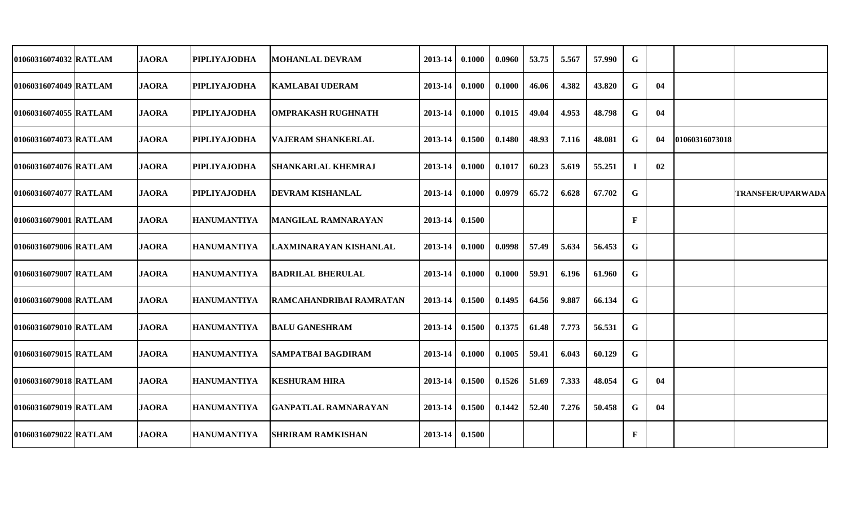| 01060316074032 RATLAM | <b>JAORA</b> | <b>PIPLIYAJODHA</b> | <b>MOHANLAL DEVRAM</b>      | 2013-14 | 0.1000 | 0.0960 | 53.75 | 5.567 | 57.990 | G  |    |                |                          |
|-----------------------|--------------|---------------------|-----------------------------|---------|--------|--------|-------|-------|--------|----|----|----------------|--------------------------|
| 01060316074049 RATLAM | <b>JAORA</b> | <b>PIPLIYAJODHA</b> | <b>KAMLABAI UDERAM</b>      | 2013-14 | 0.1000 | 0.1000 | 46.06 | 4.382 | 43.820 | G  | 04 |                |                          |
| 01060316074055 RATLAM | <b>JAORA</b> | <b>PIPLIYAJODHA</b> | <b>OMPRAKASH RUGHNATH</b>   | 2013-14 | 0.1000 | 0.1015 | 49.04 | 4.953 | 48.798 | G  | 04 |                |                          |
| 01060316074073 RATLAM | <b>JAORA</b> | <b>PIPLIYAJODHA</b> | <b>VAJERAM SHANKERLAL</b>   | 2013-14 | 0.1500 | 0.1480 | 48.93 | 7.116 | 48.081 | G  | 04 | 01060316073018 |                          |
| 01060316074076 RATLAM | <b>JAORA</b> | <b>PIPLIYAJODHA</b> | <b>SHANKARLAL KHEMRAJ</b>   | 2013-14 | 0.1000 | 0.1017 | 60.23 | 5.619 | 55.251 | -1 | 02 |                |                          |
| 01060316074077 RATLAM | <b>JAORA</b> | <b>PIPLIYAJODHA</b> | <b>DEVRAM KISHANLAL</b>     | 2013-14 | 0.1000 | 0.0979 | 65.72 | 6.628 | 67.702 | G  |    |                | <b>TRANSFER/UPARWADA</b> |
| 01060316079001 RATLAM | <b>JAORA</b> | <b>HANUMANTIYA</b>  | <b>MANGILAL RAMNARAYAN</b>  | 2013-14 | 0.1500 |        |       |       |        | F  |    |                |                          |
| 01060316079006 RATLAM | <b>JAORA</b> | <b>HANUMANTIYA</b>  | LAXMINARAYAN KISHANLAL      | 2013-14 | 0.1000 | 0.0998 | 57.49 | 5.634 | 56.453 | G  |    |                |                          |
| 01060316079007 RATLAM | <b>JAORA</b> | <b>HANUMANTIYA</b>  | <b>BADRILAL BHERULAL</b>    | 2013-14 | 0.1000 | 0.1000 | 59.91 | 6.196 | 61.960 | G  |    |                |                          |
| 01060316079008 RATLAM | <b>JAORA</b> | HANUMANTIYA         | RAMCAHANDRIBAI RAMRATAN     | 2013-14 | 0.1500 | 0.1495 | 64.56 | 9.887 | 66.134 | G  |    |                |                          |
| 01060316079010 RATLAM | <b>JAORA</b> | <b>HANUMANTIYA</b>  | <b>BALU GANESHRAM</b>       | 2013-14 | 0.1500 | 0.1375 | 61.48 | 7.773 | 56.531 | G  |    |                |                          |
| 01060316079015 RATLAM | <b>JAORA</b> | <b>HANUMANTIYA</b>  | <b>SAMPATBAI BAGDIRAM</b>   | 2013-14 | 0.1000 | 0.1005 | 59.41 | 6.043 | 60.129 | G  |    |                |                          |
| 01060316079018 RATLAM | <b>JAORA</b> | <b>HANUMANTIYA</b>  | <b>KESHURAM HIRA</b>        | 2013-14 | 0.1500 | 0.1526 | 51.69 | 7.333 | 48.054 | G  | 04 |                |                          |
| 01060316079019 RATLAM | <b>JAORA</b> | <b>HANUMANTIYA</b>  | <b>GANPATLAL RAMNARAYAN</b> | 2013-14 | 0.1500 | 0.1442 | 52.40 | 7.276 | 50.458 | G  | 04 |                |                          |
| 01060316079022 RATLAM | <b>JAORA</b> | <b>HANUMANTIYA</b>  | <b>SHRIRAM RAMKISHAN</b>    | 2013-14 | 0.1500 |        |       |       |        | F  |    |                |                          |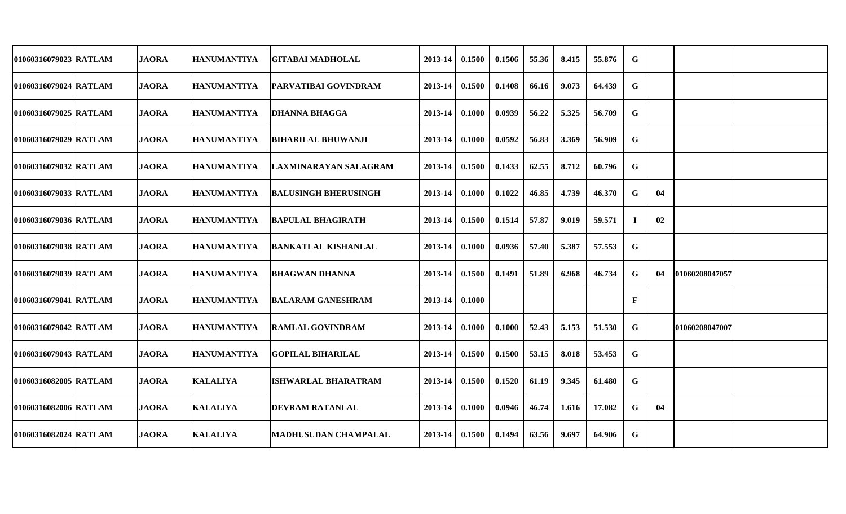| 01060316079023 RATLAM | <b>JAORA</b> | <b>HANUMANTIYA</b> | <b>GITABAI MADHOLAL</b>     | 2013-14 | 0.1500 | 0.1506 | 55.36 | 8.415 | 55.876 | G           |     |                |  |
|-----------------------|--------------|--------------------|-----------------------------|---------|--------|--------|-------|-------|--------|-------------|-----|----------------|--|
| 01060316079024 RATLAM | <b>JAORA</b> | <b>HANUMANTIYA</b> | <b>PARVATIBAI GOVINDRAM</b> | 2013-14 | 0.1500 | 0.1408 | 66.16 | 9.073 | 64.439 | $\mathbf G$ |     |                |  |
| 01060316079025 RATLAM | <b>JAORA</b> | <b>HANUMANTIYA</b> | <b>DHANNA BHAGGA</b>        | 2013-14 | 0.1000 | 0.0939 | 56.22 | 5.325 | 56.709 | G           |     |                |  |
| 01060316079029 RATLAM | <b>JAORA</b> | <b>HANUMANTIYA</b> | <b>BIHARILAL BHUWANJI</b>   | 2013-14 | 0.1000 | 0.0592 | 56.83 | 3.369 | 56.909 | G           |     |                |  |
| 01060316079032 RATLAM | <b>JAORA</b> | <b>HANUMANTIYA</b> | LAXMINARAYAN SALAGRAM       | 2013-14 | 0.1500 | 0.1433 | 62.55 | 8.712 | 60.796 | G           |     |                |  |
| 01060316079033 RATLAM | <b>JAORA</b> | HANUMANTIYA        | <b>BALUSINGH BHERUSINGH</b> | 2013-14 | 0.1000 | 0.1022 | 46.85 | 4.739 | 46.370 | G           | 04  |                |  |
| 01060316079036 RATLAM | <b>JAORA</b> | <b>HANUMANTIYA</b> | <b>BAPULAL BHAGIRATH</b>    | 2013-14 | 0.1500 | 0.1514 | 57.87 | 9.019 | 59.571 | 1           | 02  |                |  |
| 01060316079038 RATLAM | <b>JAORA</b> | <b>HANUMANTIYA</b> | <b>BANKATLAL KISHANLAL</b>  | 2013-14 | 0.1000 | 0.0936 | 57.40 | 5.387 | 57.553 | G           |     |                |  |
| 01060316079039 RATLAM | <b>JAORA</b> | <b>HANUMANTIYA</b> | <b>BHAGWAN DHANNA</b>       | 2013-14 | 0.1500 | 0.1491 | 51.89 | 6.968 | 46.734 | G           | -04 | 01060208047057 |  |
| 01060316079041 RATLAM | <b>JAORA</b> | <b>HANUMANTIYA</b> | <b>BALARAM GANESHRAM</b>    | 2013-14 | 0.1000 |        |       |       |        | F           |     |                |  |
| 01060316079042 RATLAM | <b>JAORA</b> | <b>HANUMANTIYA</b> | <b>RAMLAL GOVINDRAM</b>     | 2013-14 | 0.1000 | 0.1000 | 52.43 | 5.153 | 51.530 | G           |     | 01060208047007 |  |
| 01060316079043 RATLAM | <b>JAORA</b> | <b>HANUMANTIYA</b> | <b>GOPILAL BIHARILAL</b>    | 2013-14 | 0.1500 | 0.1500 | 53.15 | 8.018 | 53.453 | G           |     |                |  |
| 01060316082005 RATLAM | <b>JAORA</b> | <b>KALALIYA</b>    | <b>ISHWARLAL BHARATRAM</b>  | 2013-14 | 0.1500 | 0.1520 | 61.19 | 9.345 | 61.480 | G           |     |                |  |
| 01060316082006 RATLAM | <b>JAORA</b> | <b>KALALIYA</b>    | <b>DEVRAM RATANLAL</b>      | 2013-14 | 0.1000 | 0.0946 | 46.74 | 1.616 | 17.082 | G           | 04  |                |  |
| 01060316082024 RATLAM | <b>JAORA</b> | <b>KALALIYA</b>    | <b>MADHUSUDAN CHAMPALAL</b> | 2013-14 | 0.1500 | 0.1494 | 63.56 | 9.697 | 64.906 | G           |     |                |  |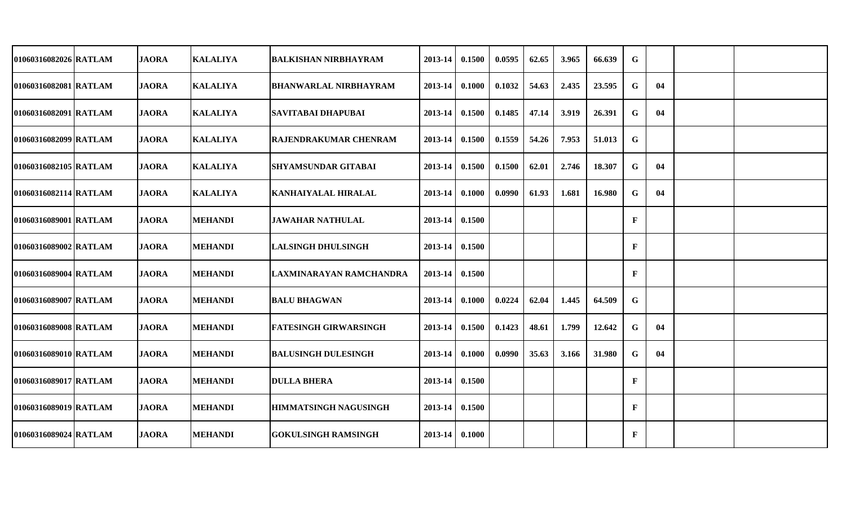| 01060316082026 RATLAM | <b>JAORA</b> | <b>KALALIYA</b> | <b>BALKISHAN NIRBHAYRAM</b>  | 2013-14          | 0.1500 | 0.0595 | 62.65 | 3.965 | 66.639 | $\mathbf G$  |    |  |
|-----------------------|--------------|-----------------|------------------------------|------------------|--------|--------|-------|-------|--------|--------------|----|--|
| 01060316082081 RATLAM | <b>JAORA</b> | <b>KALALIYA</b> | <b>BHANWARLAL NIRBHAYRAM</b> | 2013-14          | 0.1000 | 0.1032 | 54.63 | 2.435 | 23.595 | G            | 04 |  |
| 01060316082091 RATLAM | <b>JAORA</b> | <b>KALALIYA</b> | <b>SAVITABAI DHAPUBAI</b>    | 2013-14          | 0.1500 | 0.1485 | 47.14 | 3.919 | 26.391 | G            | 04 |  |
| 01060316082099 RATLAM | <b>JAORA</b> | <b>KALALIYA</b> | RAJENDRAKUMAR CHENRAM        | 2013-14          | 0.1500 | 0.1559 | 54.26 | 7.953 | 51.013 | G            |    |  |
| 01060316082105 RATLAM | <b>JAORA</b> | <b>KALALIYA</b> | <b>SHYAMSUNDAR GITABAI</b>   | 2013-14 0.1500   |        | 0.1500 | 62.01 | 2.746 | 18.307 | G            | 04 |  |
| 01060316082114 RATLAM | <b>JAORA</b> | <b>KALALIYA</b> | <b>KANHAIYALAL HIRALAL</b>   | $2013-14$ 0.1000 |        | 0.0990 | 61.93 | 1.681 | 16.980 | G            | 04 |  |
| 01060316089001 RATLAM | <b>JAORA</b> | <b>MEHANDI</b>  | <b>JAWAHAR NATHULAL</b>      | 2013-14 0.1500   |        |        |       |       |        | $\mathbf{F}$ |    |  |
| 01060316089002 RATLAM | <b>JAORA</b> | <b>MEHANDI</b>  | <b>LALSINGH DHULSINGH</b>    | 2013-14 0.1500   |        |        |       |       |        | $\mathbf{F}$ |    |  |
| 01060316089004 RATLAM | <b>JAORA</b> | <b>MEHANDI</b>  | LAXMINARAYAN RAMCHANDRA      | 2013-14 0.1500   |        |        |       |       |        | $\mathbf{F}$ |    |  |
| 01060316089007 RATLAM | <b>JAORA</b> | <b>MEHANDI</b>  | <b>BALU BHAGWAN</b>          | 2013-14          | 0.1000 | 0.0224 | 62.04 | 1.445 | 64.509 | G            |    |  |
| 01060316089008 RATLAM | <b>JAORA</b> | <b>MEHANDI</b>  | FATESINGH GIRWARSINGH        | 2013-14          | 0.1500 | 0.1423 | 48.61 | 1.799 | 12.642 | G            | 04 |  |
| 01060316089010 RATLAM | <b>JAORA</b> | <b>MEHANDI</b>  | <b>BALUSINGH DULESINGH</b>   | 2013-14          | 0.1000 | 0.0990 | 35.63 | 3.166 | 31.980 | G            | 04 |  |
| 01060316089017 RATLAM | <b>JAORA</b> | <b>MEHANDI</b>  | <b>DULLA BHERA</b>           | 2013-14 0.1500   |        |        |       |       |        | $\mathbf{F}$ |    |  |
| 01060316089019 RATLAM | <b>JAORA</b> | <b>MEHANDI</b>  | <b>HIMMATSINGH NAGUSINGH</b> | 2013-14 0.1500   |        |        |       |       |        | $\mathbf{F}$ |    |  |
| 01060316089024 RATLAM | <b>JAORA</b> | <b>MEHANDI</b>  | <b>GOKULSINGH RAMSINGH</b>   | $2013-14$ 0.1000 |        |        |       |       |        | $\mathbf{F}$ |    |  |
|                       |              |                 |                              |                  |        |        |       |       |        |              |    |  |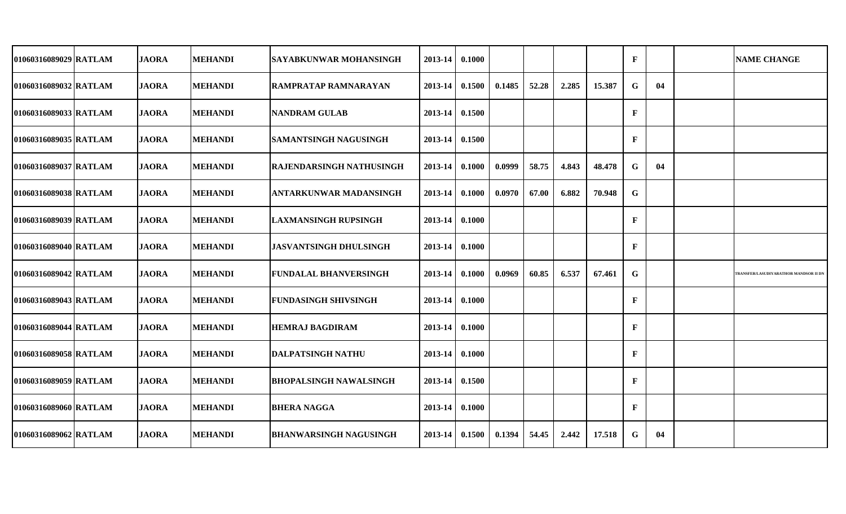| 01060316089029 RATLAM | <b>JAORA</b> | <b>MEHANDI</b> | SAYABKUNWAR MOHANSINGH          | 2013-14 | 0.1000 |        |       |       |        | F            |    | <b>NAME CHANGE</b>                           |
|-----------------------|--------------|----------------|---------------------------------|---------|--------|--------|-------|-------|--------|--------------|----|----------------------------------------------|
| 01060316089032 RATLAM | <b>JAORA</b> | <b>MEHANDI</b> | <b>RAMPRATAP RAMNARAYAN</b>     | 2013-14 | 0.1500 | 0.1485 | 52.28 | 2.285 | 15.387 | $\mathbf G$  | 04 |                                              |
| 01060316089033 RATLAM | <b>JAORA</b> | <b>MEHANDI</b> | <b>NANDRAM GULAB</b>            | 2013-14 | 0.1500 |        |       |       |        | $\mathbf F$  |    |                                              |
| 01060316089035 RATLAM | <b>JAORA</b> | <b>MEHANDI</b> | <b>SAMANTSINGH NAGUSINGH</b>    | 2013-14 | 0.1500 |        |       |       |        | F            |    |                                              |
| 01060316089037 RATLAM | <b>JAORA</b> | <b>MEHANDI</b> | <b>RAJENDARSINGH NATHUSINGH</b> | 2013-14 | 0.1000 | 0.0999 | 58.75 | 4.843 | 48.478 | G            | 04 |                                              |
| 01060316089038 RATLAM | <b>JAORA</b> | <b>MEHANDI</b> | ANTARKUNWAR MADANSINGH          | 2013-14 | 0.1000 | 0.0970 | 67.00 | 6.882 | 70.948 | $\mathbf G$  |    |                                              |
| 01060316089039 RATLAM | <b>JAORA</b> | <b>MEHANDI</b> | <b>LAXMANSINGH RUPSINGH</b>     | 2013-14 | 0.1000 |        |       |       |        | F            |    |                                              |
| 01060316089040 RATLAM | <b>JAORA</b> | <b>MEHANDI</b> | <b>JASVANTSINGH DHULSINGH</b>   | 2013-14 | 0.1000 |        |       |       |        | F            |    |                                              |
| 01060316089042 RATLAM | <b>JAORA</b> | <b>MEHANDI</b> | <b>FUNDALAL BHANVERSINGH</b>    | 2013-14 | 0.1000 | 0.0969 | 60.85 | 6.537 | 67.461 | $\mathbf G$  |    | <b>TRANSFER/LASUDIYARATHOR MANDSOR II DN</b> |
| 01060316089043 RATLAM | <b>JAORA</b> | MEHANDI        | <b>FUNDASINGH SHIVSINGH</b>     | 2013-14 | 0.1000 |        |       |       |        | F            |    |                                              |
| 01060316089044 RATLAM | <b>JAORA</b> | <b>MEHANDI</b> | <b>HEMRAJ BAGDIRAM</b>          | 2013-14 | 0.1000 |        |       |       |        | F            |    |                                              |
| 01060316089058 RATLAM | <b>JAORA</b> | <b>MEHANDI</b> | <b>DALPATSINGH NATHU</b>        | 2013-14 | 0.1000 |        |       |       |        | $\mathbf{F}$ |    |                                              |
| 01060316089059 RATLAM | <b>JAORA</b> | <b>MEHANDI</b> | <b>BHOPALSINGH NAWALSINGH</b>   | 2013-14 | 0.1500 |        |       |       |        | F            |    |                                              |
| 01060316089060 RATLAM | <b>JAORA</b> | <b>MEHANDI</b> | <b>BHERA NAGGA</b>              | 2013-14 | 0.1000 |        |       |       |        | F            |    |                                              |
| 01060316089062 RATLAM | <b>JAORA</b> | <b>MEHANDI</b> | <b>BHANWARSINGH NAGUSINGH</b>   | 2013-14 | 0.1500 | 0.1394 | 54.45 | 2.442 | 17.518 | G            | 04 |                                              |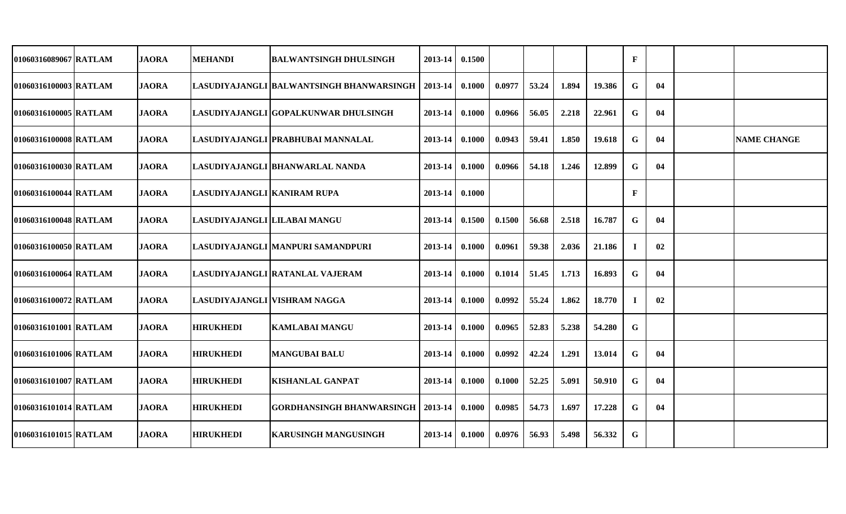| 01060316089067 RATLAM | <b>JAORA</b> | <b>MEHANDI</b>               | <b>BALWANTSINGH DHULSINGH</b>            | 2013-14 | 0.1500 |        |       |       |        | $\mathbf{F}$ |    |                    |
|-----------------------|--------------|------------------------------|------------------------------------------|---------|--------|--------|-------|-------|--------|--------------|----|--------------------|
| 01060316100003 RATLAM | <b>JAORA</b> |                              | LASUDIYAJANGLI BALWANTSINGH BHANWARSINGH | 2013-14 | 0.1000 | 0.0977 | 53.24 | 1.894 | 19.386 | G            | 04 |                    |
| 01060316100005 RATLAM | <b>JAORA</b> |                              | LASUDIYAJANGLI GOPALKUNWAR DHULSINGH     | 2013-14 | 0.1000 | 0.0966 | 56.05 | 2.218 | 22.961 | G            | 04 |                    |
| 01060316100008 RATLAM | <b>JAORA</b> |                              | LASUDIYAJANGLI PRABHUBAI MANNALAL        | 2013-14 | 0.1000 | 0.0943 | 59.41 | 1.850 | 19.618 | G            | 04 | <b>NAME CHANGE</b> |
| 01060316100030 RATLAM | <b>JAORA</b> |                              | LASUDIYAJANGLI BHANWARLAL NANDA          | 2013-14 | 0.1000 | 0.0966 | 54.18 | 1.246 | 12.899 | G            | 04 |                    |
| 01060316100044 RATLAM | <b>JAORA</b> | LASUDIYAJANGLI KANIRAM RUPA  |                                          | 2013-14 | 0.1000 |        |       |       |        | F            |    |                    |
| 01060316100048 RATLAM | <b>JAORA</b> | LASUDIYAJANGLI LILABAI MANGU |                                          | 2013-14 | 0.1500 | 0.1500 | 56.68 | 2.518 | 16.787 | G            | 04 |                    |
| 01060316100050 RATLAM | <b>JAORA</b> |                              | LASUDIYAJANGLI MANPURI SAMANDPURI        | 2013-14 | 0.1000 | 0.0961 | 59.38 | 2.036 | 21.186 |              | 02 |                    |
| 01060316100064 RATLAM | <b>JAORA</b> |                              | LASUDIYAJANGLI RATANLAL VAJERAM          | 2013-14 | 0.1000 | 0.1014 | 51.45 | 1.713 | 16.893 | G            | 04 |                    |
| 01060316100072 RATLAM | <b>JAORA</b> | LASUDIYAJANGLI VISHRAM NAGGA |                                          | 2013-14 | 0.1000 | 0.0992 | 55.24 | 1.862 | 18.770 | -1           | 02 |                    |
| 01060316101001 RATLAM | <b>JAORA</b> | <b>HIRUKHEDI</b>             | <b>KAMLABAI MANGU</b>                    | 2013-14 | 0.1000 | 0.0965 | 52.83 | 5.238 | 54.280 | G            |    |                    |
| 01060316101006 RATLAM | <b>JAORA</b> | <b>HIRUKHEDI</b>             | <b>MANGUBAI BALU</b>                     | 2013-14 | 0.1000 | 0.0992 | 42.24 | 1.291 | 13.014 | G            | 04 |                    |
| 01060316101007 RATLAM | <b>JAORA</b> | <b>HIRUKHEDI</b>             | <b>KISHANLAL GANPAT</b>                  | 2013-14 | 0.1000 | 0.1000 | 52.25 | 5.091 | 50.910 | G            | 04 |                    |
| 01060316101014 RATLAM | <b>JAORA</b> | <b>HIRUKHEDI</b>             | <b>GORDHANSINGH BHANWARSINGH</b>         | 2013-14 | 0.1000 | 0.0985 | 54.73 | 1.697 | 17.228 | G            | 04 |                    |
| 01060316101015 RATLAM | <b>JAORA</b> | <b>HIRUKHEDI</b>             | <b>KARUSINGH MANGUSINGH</b>              | 2013-14 | 0.1000 | 0.0976 | 56.93 | 5.498 | 56.332 | G            |    |                    |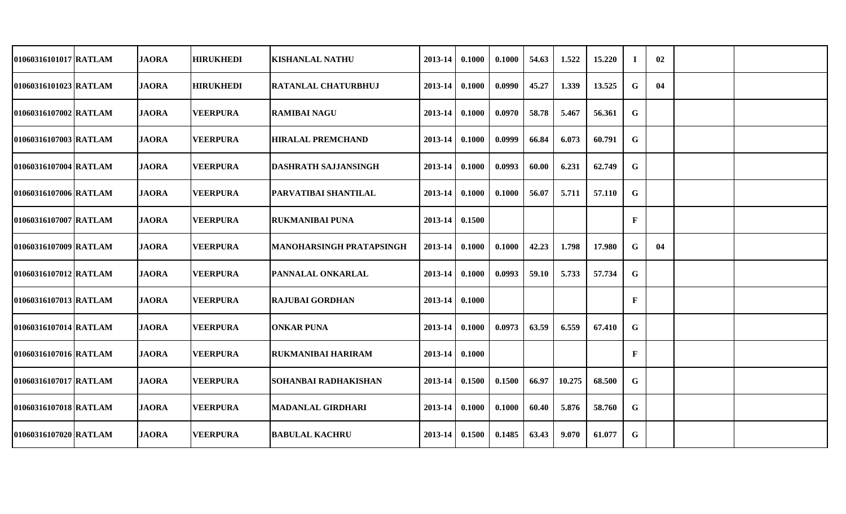| 01060316101017 RATLAM | <b>JAORA</b> | <b>HIRUKHEDI</b> | <b>KISHANLAL NATHU</b>          | 2013-14     | 0.1000 | 0.1000 | 54.63 | 1.522  | 15.220 | -1 | 02 |  |
|-----------------------|--------------|------------------|---------------------------------|-------------|--------|--------|-------|--------|--------|----|----|--|
| 01060316101023 RATLAM | <b>JAORA</b> | <b>HIRUKHEDI</b> | <b>RATANLAL CHATURBHUJ</b>      | 2013-14     | 0.1000 | 0.0990 | 45.27 | 1.339  | 13.525 | G  | 04 |  |
| 01060316107002 RATLAM | <b>JAORA</b> | <b>VEERPURA</b>  | <b>RAMIBAI NAGU</b>             | 2013-14     | 0.1000 | 0.0970 | 58.78 | 5.467  | 56.361 | G  |    |  |
| 01060316107003 RATLAM | <b>JAORA</b> | <b>VEERPURA</b>  | <b>HIRALAL PREMCHAND</b>        | 2013-14     | 0.1000 | 0.0999 | 66.84 | 6.073  | 60.791 | G  |    |  |
| 01060316107004 RATLAM | <b>JAORA</b> | <b>VEERPURA</b>  | <b>DASHRATH SAJJANSINGH</b>     | 2013-14     | 0.1000 | 0.0993 | 60.00 | 6.231  | 62.749 | G  |    |  |
| 01060316107006 RATLAM | <b>JAORA</b> | <b>VEERPURA</b>  | <b>PARVATIBAI SHANTILAL</b>     | $2013 - 14$ | 0.1000 | 0.1000 | 56.07 | 5.711  | 57.110 | G  |    |  |
| 01060316107007 RATLAM | <b>JAORA</b> | <b>VEERPURA</b>  | IRUKMANIBAI PUNA                | $2013 - 14$ | 0.1500 |        |       |        |        | F  |    |  |
| 01060316107009 RATLAM | <b>JAORA</b> | <b>VEERPURA</b>  | <b>MANOHARSINGH PRATAPSINGH</b> | $2013 - 14$ | 0.1000 | 0.1000 | 42.23 | 1.798  | 17.980 | G  | 04 |  |
| 01060316107012 RATLAM | <b>JAORA</b> | <b>VEERPURA</b>  | <b>PANNALAL ONKARLAL</b>        | 2013-14     | 0.1000 | 0.0993 | 59.10 | 5.733  | 57.734 | G  |    |  |
| 01060316107013 RATLAM | <b>JAORA</b> | <b>VEERPURA</b>  | <b>RAJUBAI GORDHAN</b>          | 2013-14     | 0.1000 |        |       |        |        | F  |    |  |
| 01060316107014 RATLAM | <b>JAORA</b> | <b>VEERPURA</b>  | <b>ONKAR PUNA</b>               | 2013-14     | 0.1000 | 0.0973 | 63.59 | 6.559  | 67.410 | G  |    |  |
| 01060316107016 RATLAM | <b>JAORA</b> | <b>VEERPURA</b>  | <b>RUKMANIBAI HARIRAM</b>       | 2013-14     | 0.1000 |        |       |        |        | F  |    |  |
| 01060316107017 RATLAM | <b>JAORA</b> | <b>VEERPURA</b>  | SOHANBAI RADHAKISHAN            | 2013-14     | 0.1500 | 0.1500 | 66.97 | 10.275 | 68.500 | G  |    |  |
| 01060316107018 RATLAM | <b>JAORA</b> | <b>VEERPURA</b>  | <b>MADANLAL GIRDHARI</b>        | 2013-14     | 0.1000 | 0.1000 | 60.40 | 5.876  | 58.760 | G  |    |  |
| 01060316107020 RATLAM | <b>JAORA</b> | <b>VEERPURA</b>  | <b>BABULAL KACHRU</b>           | $2013 - 14$ | 0.1500 | 0.1485 | 63.43 | 9.070  | 61.077 | G  |    |  |
|                       |              |                  |                                 |             |        |        |       |        |        |    |    |  |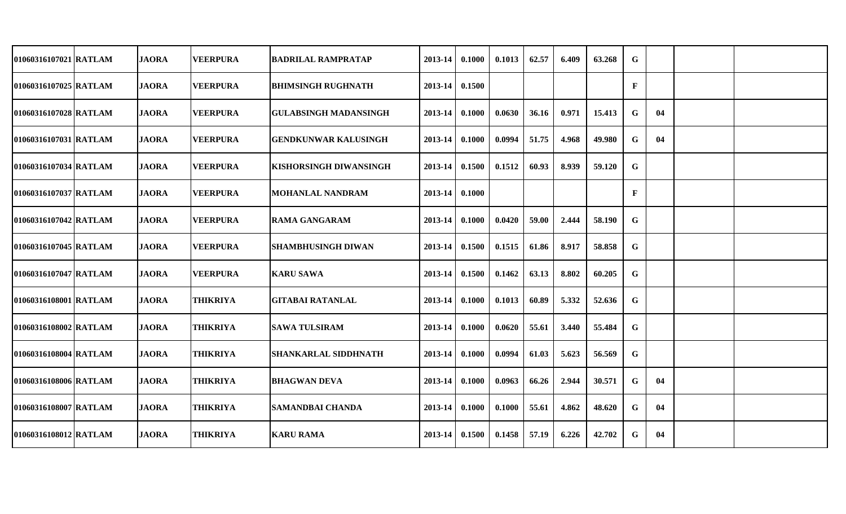| 01060316107021 RATLAM | <b>JAORA</b> | <b>VEERPURA</b> | <b>BADRILAL RAMPRATAP</b>     | 2013-14 | 0.1000 | 0.1013 | 62.57 | 6.409 | 63.268 | G           |    |  |
|-----------------------|--------------|-----------------|-------------------------------|---------|--------|--------|-------|-------|--------|-------------|----|--|
| 01060316107025 RATLAM | <b>JAORA</b> | <b>VEERPURA</b> | <b>BHIMSINGH RUGHNATH</b>     | 2013-14 | 0.1500 |        |       |       |        | $\mathbf F$ |    |  |
| 01060316107028 RATLAM | <b>JAORA</b> | <b>VEERPURA</b> | <b>GULABSINGH MADANSINGH</b>  | 2013-14 | 0.1000 | 0.0630 | 36.16 | 0.971 | 15.413 | G           | 04 |  |
| 01060316107031 RATLAM | <b>JAORA</b> | <b>VEERPURA</b> | <b>GENDKUNWAR KALUSINGH</b>   | 2013-14 | 0.1000 | 0.0994 | 51.75 | 4.968 | 49.980 | G           | 04 |  |
| 01060316107034 RATLAM | <b>JAORA</b> | <b>VEERPURA</b> | <b>KISHORSINGH DIWANSINGH</b> | 2013-14 | 0.1500 | 0.1512 | 60.93 | 8.939 | 59.120 | G           |    |  |
| 01060316107037 RATLAM | <b>JAORA</b> | <b>VEERPURA</b> | <b>MOHANLAL NANDRAM</b>       | 2013-14 | 0.1000 |        |       |       |        | F           |    |  |
| 01060316107042 RATLAM | <b>JAORA</b> | <b>VEERPURA</b> | <b>RAMA GANGARAM</b>          | 2013-14 | 0.1000 | 0.0420 | 59.00 | 2.444 | 58.190 | G           |    |  |
| 01060316107045 RATLAM | <b>JAORA</b> | <b>VEERPURA</b> | SHAMBHUSINGH DIWAN            | 2013-14 | 0.1500 | 0.1515 | 61.86 | 8.917 | 58.858 | G           |    |  |
| 01060316107047 RATLAM | <b>JAORA</b> | <b>VEERPURA</b> | <b>KARU SAWA</b>              | 2013-14 | 0.1500 | 0.1462 | 63.13 | 8.802 | 60.205 | G           |    |  |
| 01060316108001 RATLAM | <b>JAORA</b> | <b>THIKRIYA</b> | <b>GITABAI RATANLAL</b>       | 2013-14 | 0.1000 | 0.1013 | 60.89 | 5.332 | 52.636 | G           |    |  |
| 01060316108002 RATLAM | <b>JAORA</b> | <b>THIKRIYA</b> | <b>SAWA TULSIRAM</b>          | 2013-14 | 0.1000 | 0.0620 | 55.61 | 3.440 | 55.484 | G           |    |  |
| 01060316108004 RATLAM | <b>JAORA</b> | <b>THIKRIYA</b> | <b>SHANKARLAL SIDDHNATH</b>   | 2013-14 | 0.1000 | 0.0994 | 61.03 | 5.623 | 56.569 | G           |    |  |
| 01060316108006 RATLAM | <b>JAORA</b> | <b>THIKRIYA</b> | <b>BHAGWAN DEVA</b>           | 2013-14 | 0.1000 | 0.0963 | 66.26 | 2.944 | 30.571 | G           | 04 |  |
| 01060316108007 RATLAM | <b>JAORA</b> | <b>THIKRIYA</b> | <b>SAMANDBAI CHANDA</b>       | 2013-14 | 0.1000 | 0.1000 | 55.61 | 4.862 | 48.620 | G           | 04 |  |
| 01060316108012 RATLAM | <b>JAORA</b> | <b>THIKRIYA</b> | <b>KARU RAMA</b>              | 2013-14 | 0.1500 | 0.1458 | 57.19 | 6.226 | 42.702 | G           | 04 |  |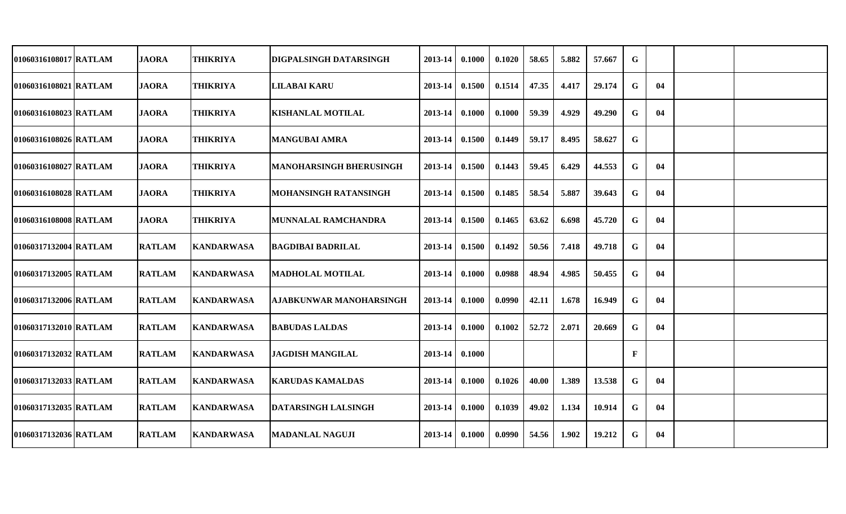| 01060316108017 RATLAM | <b>JAORA</b>  | <b>THIKRIYA</b>   | <b>DIGPALSINGH DATARSINGH</b> | 2013-14 | 0.1000 | 0.1020 | 58.65 | 5.882 | 57.667 | G |    |  |
|-----------------------|---------------|-------------------|-------------------------------|---------|--------|--------|-------|-------|--------|---|----|--|
| 01060316108021 RATLAM | <b>JAORA</b>  | <b>THIKRIYA</b>   | <b>LILABAI KARU</b>           | 2013-14 | 0.1500 | 0.1514 | 47.35 | 4.417 | 29.174 | G | 04 |  |
| 01060316108023 RATLAM | <b>JAORA</b>  | <b>THIKRIYA</b>   | <b>KISHANLAL MOTILAL</b>      | 2013-14 | 0.1000 | 0.1000 | 59.39 | 4.929 | 49.290 | G | 04 |  |
| 01060316108026 RATLAM | <b>JAORA</b>  | <b>THIKRIYA</b>   | <b>MANGUBAI AMRA</b>          | 2013-14 | 0.1500 | 0.1449 | 59.17 | 8.495 | 58.627 | G |    |  |
| 01060316108027 RATLAM | <b>JAORA</b>  | <b>THIKRIYA</b>   | MANOHARSINGH BHERUSINGH       | 2013-14 | 0.1500 | 0.1443 | 59.45 | 6.429 | 44.553 | G | 04 |  |
| 01060316108028 RATLAM | <b>JAORA</b>  | <b>THIKRIYA</b>   | <b>MOHANSINGH RATANSINGH</b>  | 2013-14 | 0.1500 | 0.1485 | 58.54 | 5.887 | 39.643 | G | 04 |  |
| 01060316108008 RATLAM | <b>JAORA</b>  | <b>THIKRIYA</b>   | MUNNALAL RAMCHANDRA           | 2013-14 | 0.1500 | 0.1465 | 63.62 | 6.698 | 45.720 | G | 04 |  |
| 01060317132004 RATLAM | <b>RATLAM</b> | <b>KANDARWASA</b> | <b>BAGDIBAI BADRILAL</b>      | 2013-14 | 0.1500 | 0.1492 | 50.56 | 7.418 | 49.718 | G | 04 |  |
| 01060317132005 RATLAM | <b>RATLAM</b> | <b>KANDARWASA</b> | <b>MADHOLAL MOTILAL</b>       | 2013-14 | 0.1000 | 0.0988 | 48.94 | 4.985 | 50.455 | G | 04 |  |
| 01060317132006 RATLAM | <b>RATLAM</b> | <b>KANDARWASA</b> | AJABKUNWAR MANOHARSINGH       | 2013-14 | 0.1000 | 0.0990 | 42.11 | 1.678 | 16.949 | G | 04 |  |
| 01060317132010 RATLAM | <b>RATLAM</b> | <b>KANDARWASA</b> | <b>BABUDAS LALDAS</b>         | 2013-14 | 0.1000 | 0.1002 | 52.72 | 2.071 | 20.669 | G | 04 |  |
| 01060317132032 RATLAM | <b>RATLAM</b> | <b>KANDARWASA</b> | <b>JAGDISH MANGILAL</b>       | 2013-14 | 0.1000 |        |       |       |        | F |    |  |
| 01060317132033 RATLAM | <b>RATLAM</b> | <b>KANDARWASA</b> | <b>KARUDAS KAMALDAS</b>       | 2013-14 | 0.1000 | 0.1026 | 40.00 | 1.389 | 13.538 | G | 04 |  |
| 01060317132035 RATLAM | <b>RATLAM</b> | <b>KANDARWASA</b> | <b>DATARSINGH LALSINGH</b>    | 2013-14 | 0.1000 | 0.1039 | 49.02 | 1.134 | 10.914 | G | 04 |  |
| 01060317132036 RATLAM | <b>RATLAM</b> | <b>KANDARWASA</b> | <b>MADANLAL NAGUJI</b>        | 2013-14 | 0.1000 | 0.0990 | 54.56 | 1.902 | 19.212 | G | 04 |  |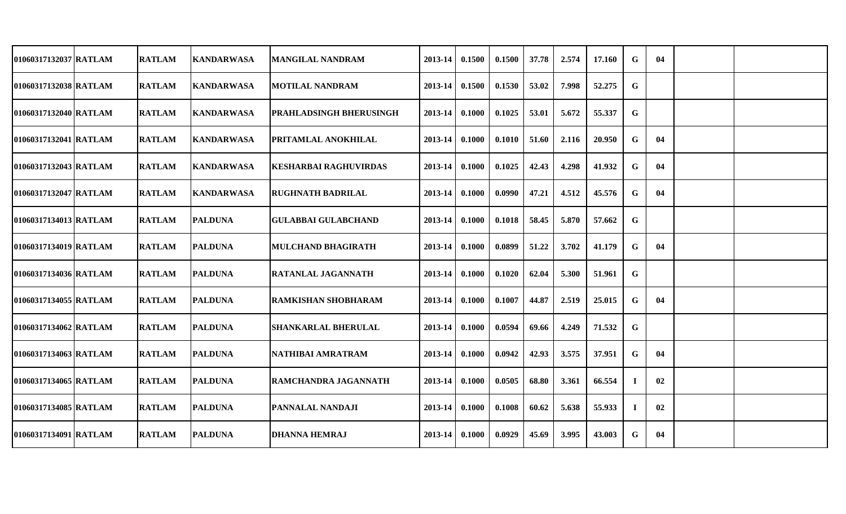| 01060317132037 RATLAM | <b>RATLAM</b> | <b>KANDARWASA</b> | IMANGILAL NANDRAM              | 2013-14 | 0.1500 | 0.1500 | 37.78 | 2.574 | 17.160 | G  | 04 |  |
|-----------------------|---------------|-------------------|--------------------------------|---------|--------|--------|-------|-------|--------|----|----|--|
| 01060317132038 RATLAM | <b>RATLAM</b> | <b>KANDARWASA</b> | <b>MOTILAL NANDRAM</b>         | 2013-14 | 0.1500 | 0.1530 | 53.02 | 7.998 | 52.275 | G  |    |  |
| 01060317132040 RATLAM | <b>RATLAM</b> | <b>KANDARWASA</b> | <b>PRAHLADSINGH BHERUSINGH</b> | 2013-14 | 0.1000 | 0.1025 | 53.01 | 5.672 | 55.337 | G  |    |  |
| 01060317132041 RATLAM | <b>RATLAM</b> | <b>KANDARWASA</b> | <b>PRITAMLAL ANOKHILAL</b>     | 2013-14 | 0.1000 | 0.1010 | 51.60 | 2.116 | 20.950 | G  | 04 |  |
| 01060317132043 RATLAM | <b>RATLAM</b> | <b>KANDARWASA</b> | <b>KESHARBAI RAGHUVIRDAS</b>   | 2013-14 | 0.1000 | 0.1025 | 42.43 | 4.298 | 41.932 | G  | 04 |  |
| 01060317132047 RATLAM | <b>RATLAM</b> | <b>KANDARWASA</b> | <b>RUGHNATH BADRILAL</b>       | 2013-14 | 0.1000 | 0.0990 | 47.21 | 4.512 | 45.576 | G  | 04 |  |
| 01060317134013 RATLAM | <b>RATLAM</b> | <b>PALDUNA</b>    | <b>GULABBAI GULABCHAND</b>     | 2013-14 | 0.1000 | 0.1018 | 58.45 | 5.870 | 57.662 | G  |    |  |
| 01060317134019 RATLAM | <b>RATLAM</b> | <b>PALDUNA</b>    | <b>MULCHAND BHAGIRATH</b>      | 2013-14 | 0.1000 | 0.0899 | 51.22 | 3.702 | 41.179 | G  | 04 |  |
| 01060317134036 RATLAM | <b>RATLAM</b> | <b>PALDUNA</b>    | <b>RATANLAL JAGANNATH</b>      | 2013-14 | 0.1000 | 0.1020 | 62.04 | 5.300 | 51.961 | G  |    |  |
| 01060317134055 RATLAM | <b>RATLAM</b> | <b>PALDUNA</b>    | <b>RAMKISHAN SHOBHARAM</b>     | 2013-14 | 0.1000 | 0.1007 | 44.87 | 2.519 | 25.015 | G  | 04 |  |
| 01060317134062 RATLAM | <b>RATLAM</b> | <b>PALDUNA</b>    | <b>SHANKARLAL BHERULAL</b>     | 2013-14 | 0.1000 | 0.0594 | 69.66 | 4.249 | 71.532 | G  |    |  |
| 01060317134063 RATLAM | <b>RATLAM</b> | <b>PALDUNA</b>    | NATHIBAI AMRATRAM              | 2013-14 | 0.1000 | 0.0942 | 42.93 | 3.575 | 37.951 | G  | 04 |  |
| 01060317134065 RATLAM | <b>RATLAM</b> | <b>PALDUNA</b>    | <b>RAMCHANDRA JAGANNATH</b>    | 2013-14 | 0.1000 | 0.0505 | 68.80 | 3.361 | 66.554 | -1 | 02 |  |
| 01060317134085 RATLAM | <b>RATLAM</b> | <b>PALDUNA</b>    | <b>PANNALAL NANDAJI</b>        | 2013-14 | 0.1000 | 0.1008 | 60.62 | 5.638 | 55.933 | Ι. | 02 |  |
| 01060317134091 RATLAM | <b>RATLAM</b> | <b>PALDUNA</b>    | <b>DHANNA HEMRAJ</b>           | 2013-14 | 0.1000 | 0.0929 | 45.69 | 3.995 | 43.003 | G  | 04 |  |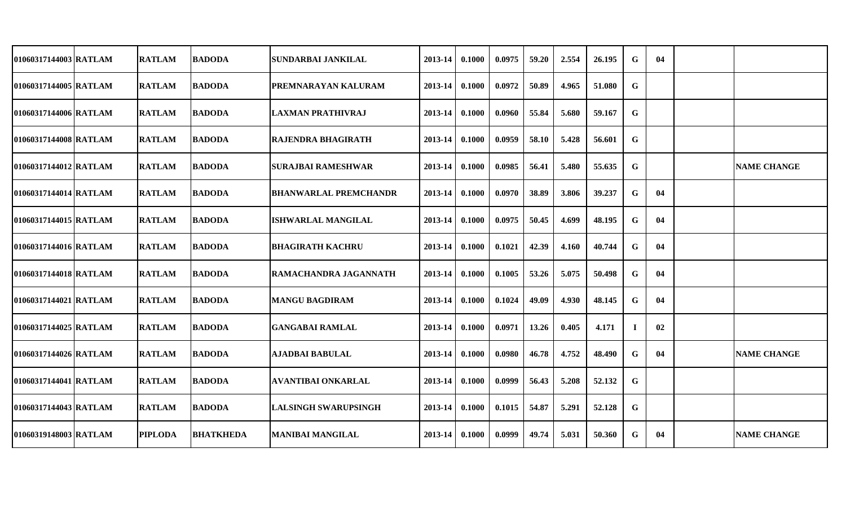| 01060317144003 RATLAM | <b>RATLAM</b>  | <b>BADODA</b>    | <b>SUNDARBAI JANKILAL</b>    | 2013-14 | 0.1000 | 0.0975 | 59.20 | 2.554 | 26.195 | G | 04 |                    |
|-----------------------|----------------|------------------|------------------------------|---------|--------|--------|-------|-------|--------|---|----|--------------------|
| 01060317144005 RATLAM | <b>RATLAM</b>  | <b>BADODA</b>    | PREMNARAYAN KALURAM          | 2013-14 | 0.1000 | 0.0972 | 50.89 | 4.965 | 51.080 | G |    |                    |
| 01060317144006 RATLAM | <b>RATLAM</b>  | <b>BADODA</b>    | <b>LAXMAN PRATHIVRAJ</b>     | 2013-14 | 0.1000 | 0.0960 | 55.84 | 5.680 | 59.167 | G |    |                    |
| 01060317144008 RATLAM | <b>RATLAM</b>  | <b>BADODA</b>    | <b>RAJENDRA BHAGIRATH</b>    | 2013-14 | 0.1000 | 0.0959 | 58.10 | 5.428 | 56.601 | G |    |                    |
| 01060317144012 RATLAM | <b>RATLAM</b>  | <b>BADODA</b>    | <b>SURAJBAI RAMESHWAR</b>    | 2013-14 | 0.1000 | 0.0985 | 56.41 | 5.480 | 55.635 | G |    | <b>NAME CHANGE</b> |
| 01060317144014 RATLAM | <b>RATLAM</b>  | <b>BADODA</b>    | <b>BHANWARLAL PREMCHANDR</b> | 2013-14 | 0.1000 | 0.0970 | 38.89 | 3.806 | 39.237 | G | 04 |                    |
| 01060317144015 RATLAM | <b>RATLAM</b>  | <b>BADODA</b>    | <b>ISHWARLAL MANGILAL</b>    | 2013-14 | 0.1000 | 0.0975 | 50.45 | 4.699 | 48.195 | G | 04 |                    |
| 01060317144016 RATLAM | <b>RATLAM</b>  | <b>BADODA</b>    | <b>BHAGIRATH KACHRU</b>      | 2013-14 | 0.1000 | 0.1021 | 42.39 | 4.160 | 40.744 | G | 04 |                    |
| 01060317144018 RATLAM | <b>RATLAM</b>  | <b>BADODA</b>    | RAMACHANDRA JAGANNATH        | 2013-14 | 0.1000 | 0.1005 | 53.26 | 5.075 | 50.498 | G | 04 |                    |
| 01060317144021 RATLAM | <b>RATLAM</b>  | <b>BADODA</b>    | <b>MANGU BAGDIRAM</b>        | 2013-14 | 0.1000 | 0.1024 | 49.09 | 4.930 | 48.145 | G | 04 |                    |
| 01060317144025 RATLAM | <b>RATLAM</b>  | <b>BADODA</b>    | <b>GANGABAI RAMLAL</b>       | 2013-14 | 0.1000 | 0.0971 | 13.26 | 0.405 | 4.171  |   | 02 |                    |
| 01060317144026 RATLAM | <b>RATLAM</b>  | <b>BADODA</b>    | <b>AJADBAI BABULAL</b>       | 2013-14 | 0.1000 | 0.0980 | 46.78 | 4.752 | 48.490 | G | 04 | <b>NAME CHANGE</b> |
| 01060317144041 RATLAM | <b>RATLAM</b>  | <b>BADODA</b>    | <b>AVANTIBAI ONKARLAL</b>    | 2013-14 | 0.1000 | 0.0999 | 56.43 | 5.208 | 52.132 | G |    |                    |
| 01060317144043 RATLAM | <b>RATLAM</b>  | <b>BADODA</b>    | <b>LALSINGH SWARUPSINGH</b>  | 2013-14 | 0.1000 | 0.1015 | 54.87 | 5.291 | 52.128 | G |    |                    |
| 01060319148003 RATLAM | <b>PIPLODA</b> | <b>BHATKHEDA</b> | <b>MANIBAI MANGILAL</b>      | 2013-14 | 0.1000 | 0.0999 | 49.74 | 5.031 | 50.360 | G | 04 | <b>NAME CHANGE</b> |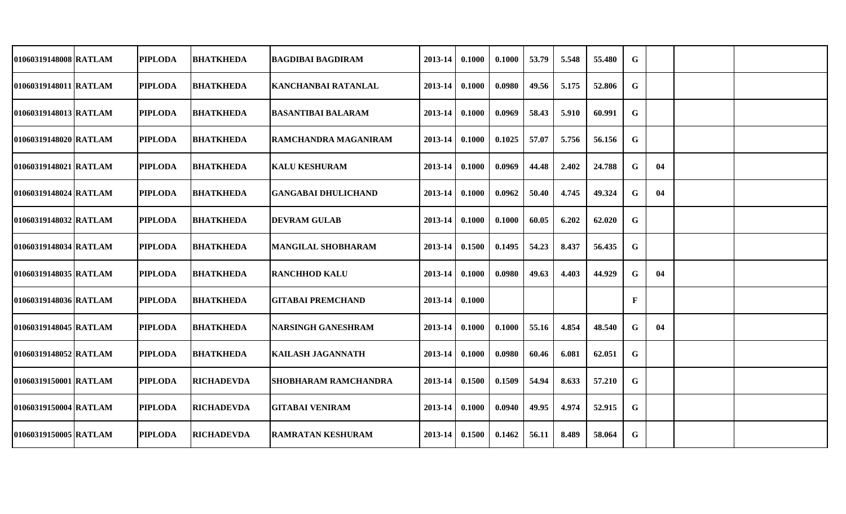| 01060319148008 RATLAM   | <b>PIPLODA</b> | <b>BHATKHEDA</b>  | <b>BAGDIBAI BAGDIRAM</b>    | 2013-14 | 0.1000 | 0.1000 | 53.79 | 5.548 | 55.480 | G           |    |  |
|-------------------------|----------------|-------------------|-----------------------------|---------|--------|--------|-------|-------|--------|-------------|----|--|
| 01060319148011 RATLAM   | <b>PIPLODA</b> | <b>BHATKHEDA</b>  | <b>KANCHANBAI RATANLAL</b>  | 2013-14 | 0.1000 | 0.0980 | 49.56 | 5.175 | 52.806 | $\mathbf G$ |    |  |
| 01060319148013 RATLAM   | <b>PIPLODA</b> | <b>BHATKHEDA</b>  | <b>BASANTIBAI BALARAM</b>   | 2013-14 | 0.1000 | 0.0969 | 58.43 | 5.910 | 60.991 | G           |    |  |
| 01060319148020 RATLAM   | <b>PIPLODA</b> | <b>BHATKHEDA</b>  | RAMCHANDRA MAGANIRAM        | 2013-14 | 0.1000 | 0.1025 | 57.07 | 5.756 | 56.156 | G           |    |  |
| 01060319148021 RATLAM   | <b>PIPLODA</b> | <b>BHATKHEDA</b>  | <b>KALU KESHURAM</b>        | 2013-14 | 0.1000 | 0.0969 | 44.48 | 2.402 | 24.788 | G           | 04 |  |
| 01060319148024 RATLAM   | <b>PIPLODA</b> | <b>BHATKHEDA</b>  | GANGABAI DHULICHAND         | 2013-14 | 0.1000 | 0.0962 | 50.40 | 4.745 | 49.324 | G           | 04 |  |
| 01060319148032 RATLAM   | <b>PIPLODA</b> | <b>BHATKHEDA</b>  | <b>DEVRAM GULAB</b>         | 2013-14 | 0.1000 | 0.1000 | 60.05 | 6.202 | 62.020 | G           |    |  |
| 01060319148034 RATLAM   | <b>PIPLODA</b> | <b>BHATKHEDA</b>  | <b>MANGILAL SHOBHARAM</b>   | 2013-14 | 0.1500 | 0.1495 | 54.23 | 8.437 | 56.435 | G           |    |  |
| 01060319148035 RATLAM   | <b>PIPLODA</b> | <b>BHATKHEDA</b>  | <b>RANCHHOD KALU</b>        | 2013-14 | 0.1000 | 0.0980 | 49.63 | 4.403 | 44.929 | G           | 04 |  |
| 01060319148036   RATLAM | <b>PIPLODA</b> | <b>BHATKHEDA</b>  | <b>GITABAI PREMCHAND</b>    | 2013-14 | 0.1000 |        |       |       |        | F           |    |  |
| 01060319148045 RATLAM   | <b>PIPLODA</b> | <b>BHATKHEDA</b>  | <b>NARSINGH GANESHRAM</b>   | 2013-14 | 0.1000 | 0.1000 | 55.16 | 4.854 | 48.540 | G           | 04 |  |
| 01060319148052 RATLAM   | <b>PIPLODA</b> | <b>BHATKHEDA</b>  | <b>KAILASH JAGANNATH</b>    | 2013-14 | 0.1000 | 0.0980 | 60.46 | 6.081 | 62.051 | G           |    |  |
| 01060319150001 RATLAM   | <b>PIPLODA</b> | <b>RICHADEVDA</b> | <b>SHOBHARAM RAMCHANDRA</b> | 2013-14 | 0.1500 | 0.1509 | 54.94 | 8.633 | 57.210 | G           |    |  |
| 01060319150004 RATLAM   | <b>PIPLODA</b> | <b>RICHADEVDA</b> | <b>GITABAI VENIRAM</b>      | 2013-14 | 0.1000 | 0.0940 | 49.95 | 4.974 | 52.915 | G           |    |  |
| 01060319150005 RATLAM   | <b>PIPLODA</b> | <b>RICHADEVDA</b> | <b>RAMRATAN KESHURAM</b>    | 2013-14 | 0.1500 | 0.1462 | 56.11 | 8.489 | 58.064 | G           |    |  |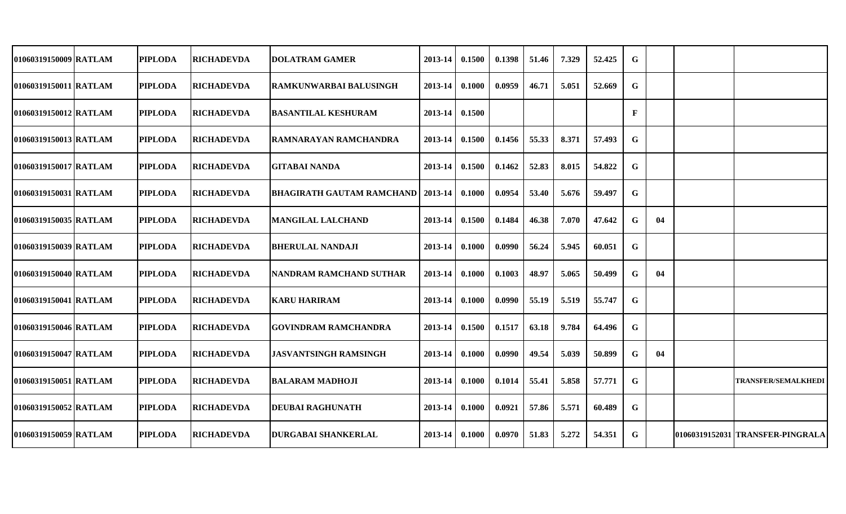| 01060319150009 RATLAM | <b>PIPLODA</b> |                                                                                                                                                                                                                                                                                                                         | 2013-14                                                                                                                                                                                           | 0.1500 | 0.1398                                                                                  | 51.46 | 7.329 | 52.425 | G            |    |                                  |
|-----------------------|----------------|-------------------------------------------------------------------------------------------------------------------------------------------------------------------------------------------------------------------------------------------------------------------------------------------------------------------------|---------------------------------------------------------------------------------------------------------------------------------------------------------------------------------------------------|--------|-----------------------------------------------------------------------------------------|-------|-------|--------|--------------|----|----------------------------------|
| 01060319150011 RATLAM | <b>PIPLODA</b> | RAMKUNWARBAI BALUSINGH                                                                                                                                                                                                                                                                                                  | 2013-14                                                                                                                                                                                           | 0.1000 | 0.0959                                                                                  | 46.71 | 5.051 | 52.669 | G            |    |                                  |
| 01060319150012 RATLAM | <b>PIPLODA</b> |                                                                                                                                                                                                                                                                                                                         | 2013-14                                                                                                                                                                                           | 0.1500 |                                                                                         |       |       |        | $\mathbf{F}$ |    |                                  |
| 01060319150013 RATLAM | <b>PIPLODA</b> | IRAMNARAYAN RAMCHANDRA                                                                                                                                                                                                                                                                                                  | 2013-14                                                                                                                                                                                           | 0.1500 | 0.1456                                                                                  | 55.33 | 8.371 | 57.493 | G            |    |                                  |
| 01060319150017 RATLAM | <b>PIPLODA</b> | <b>GITABAI NANDA</b>                                                                                                                                                                                                                                                                                                    |                                                                                                                                                                                                   |        | 0.1462                                                                                  | 52.83 | 8.015 | 54.822 | G            |    |                                  |
| 01060319150031 RATLAM | <b>PIPLODA</b> |                                                                                                                                                                                                                                                                                                                         |                                                                                                                                                                                                   |        | 0.0954                                                                                  | 53.40 | 5.676 | 59.497 | G            |    |                                  |
| 01060319150035 RATLAM | <b>PIPLODA</b> | <b>MANGILAL LALCHAND</b>                                                                                                                                                                                                                                                                                                | 2013-14                                                                                                                                                                                           | 0.1500 | 0.1484                                                                                  | 46.38 | 7.070 | 47.642 | G            | 04 |                                  |
| 01060319150039 RATLAM | <b>PIPLODA</b> | <b>BHERULAL NANDAJI</b>                                                                                                                                                                                                                                                                                                 | 2013-14                                                                                                                                                                                           | 0.1000 | 0.0990                                                                                  | 56.24 | 5.945 | 60.051 | G            |    |                                  |
| 01060319150040 RATLAM | <b>PIPLODA</b> | NANDRAM RAMCHAND SUTHAR                                                                                                                                                                                                                                                                                                 | 2013-14                                                                                                                                                                                           | 0.1000 | 0.1003                                                                                  | 48.97 | 5.065 | 50.499 | G            | 04 |                                  |
| 01060319150041 RATLAM | <b>PIPLODA</b> |                                                                                                                                                                                                                                                                                                                         | 2013-14                                                                                                                                                                                           | 0.1000 | 0.0990                                                                                  | 55.19 | 5.519 | 55.747 | G            |    |                                  |
| 01060319150046 RATLAM | <b>PIPLODA</b> | <b>GOVINDRAM RAMCHANDRA</b>                                                                                                                                                                                                                                                                                             | 2013-14                                                                                                                                                                                           | 0.1500 | 0.1517                                                                                  | 63.18 | 9.784 | 64.496 | G            |    |                                  |
| 01060319150047 RATLAM | <b>PIPLODA</b> | <b>JASVANTSINGH RAMSINGH</b>                                                                                                                                                                                                                                                                                            | 2013-14                                                                                                                                                                                           | 0.1000 | 0.0990                                                                                  | 49.54 | 5.039 | 50.899 | G            | 04 |                                  |
| 01060319150051 RATLAM | <b>PIPLODA</b> |                                                                                                                                                                                                                                                                                                                         |                                                                                                                                                                                                   | 0.1000 | 0.1014                                                                                  | 55.41 | 5.858 | 57.771 | G            |    | <b>TRANSFER/SEMALKHEDI</b>       |
| 01060319150052 RATLAM | <b>PIPLODA</b> |                                                                                                                                                                                                                                                                                                                         |                                                                                                                                                                                                   | 0.1000 | 0.0921                                                                                  | 57.86 | 5.571 | 60.489 | G            |    |                                  |
| 01060319150059 RATLAM | <b>PIPLODA</b> |                                                                                                                                                                                                                                                                                                                         |                                                                                                                                                                                                   |        | 0.0970                                                                                  | 51.83 | 5.272 | 54.351 | G            |    | 01060319152031 TRANSFER-PINGRALA |
|                       |                | <b>RICHADEVDA</b><br><b>RICHADEVDA</b><br><b>RICHADEVDA</b><br><b>RICHADEVDA</b><br><b>RICHADEVDA</b><br><b>RICHADEVDA</b><br><b>RICHADEVDA</b><br><b>RICHADEVDA</b><br><b>RICHADEVDA</b><br><b>RICHADEVDA</b><br><b>RICHADEVDA</b><br><b>RICHADEVDA</b><br><b>RICHADEVDA</b><br><b>RICHADEVDA</b><br><b>RICHADEVDA</b> | <b>DOLATRAM GAMER</b><br><b>BASANTILAL KESHURAM</b><br><b>BHAGIRATH GAUTAM RAMCHAND</b><br><b>KARU HARIRAM</b><br><b>BALARAM MADHOJI</b><br><b>DEUBAI RAGHUNATH</b><br><b>DURGABAI SHANKERLAL</b> |        | 2013-14 0.1500<br>$12013 - 1410.1000$<br>$2013 - 14$<br>$2013 - 14$<br>$2013-14$ 0.1000 |       |       |        |              |    |                                  |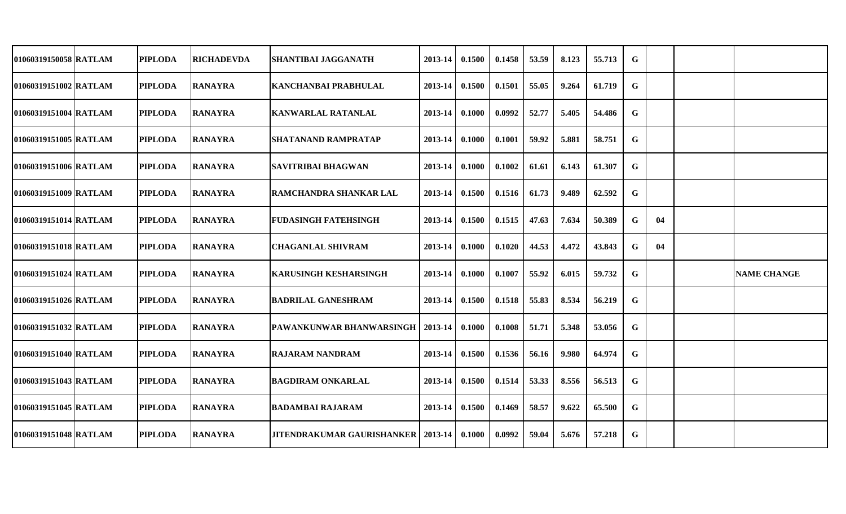| 01060319150058 RATLAM | <b>PIPLODA</b> | <b>RICHADEVDA</b> | SHANTIBAI JAGGANATH                         | 2013-14 | 0.1500 | 0.1458 | 53.59 | 8.123 | 55.713 | $\mathbf G$ |    |                    |
|-----------------------|----------------|-------------------|---------------------------------------------|---------|--------|--------|-------|-------|--------|-------------|----|--------------------|
| 01060319151002 RATLAM | <b>PIPLODA</b> | <b>RANAYRA</b>    | KANCHANBAI PRABHULAL                        | 2013-14 | 0.1500 | 0.1501 | 55.05 | 9.264 | 61.719 | $\mathbf G$ |    |                    |
| 01060319151004 RATLAM | <b>PIPLODA</b> | <b>RANAYRA</b>    | <b>KANWARLAL RATANLAL</b>                   | 2013-14 | 0.1000 | 0.0992 | 52.77 | 5.405 | 54.486 | $\mathbf G$ |    |                    |
| 01060319151005 RATLAM | <b>PIPLODA</b> | <b>RANAYRA</b>    | <b>SHATANAND RAMPRATAP</b>                  | 2013-14 | 0.1000 | 0.1001 | 59.92 | 5.881 | 58.751 | $\mathbf G$ |    |                    |
| 01060319151006 RATLAM | <b>PIPLODA</b> | <b>RANAYRA</b>    | <b>SAVITRIBAI BHAGWAN</b>                   | 2013-14 | 0.1000 | 0.1002 | 61.61 | 6.143 | 61.307 | $\mathbf G$ |    |                    |
| 01060319151009 RATLAM | <b>PIPLODA</b> | <b>RANAYRA</b>    | RAMCHANDRA SHANKAR LAL                      | 2013-14 | 0.1500 | 0.1516 | 61.73 | 9.489 | 62.592 | $\mathbf G$ |    |                    |
| 01060319151014 RATLAM | <b>PIPLODA</b> | <b>RANAYRA</b>    | <b>FUDASINGH FATEHSINGH</b>                 | 2013-14 | 0.1500 | 0.1515 | 47.63 | 7.634 | 50.389 | $\mathbf G$ | 04 |                    |
| 01060319151018 RATLAM | <b>PIPLODA</b> | <b>RANAYRA</b>    | <b>CHAGANLAL SHIVRAM</b>                    | 2013-14 | 0.1000 | 0.1020 | 44.53 | 4.472 | 43.843 | $\mathbf G$ | 04 |                    |
| 01060319151024 RATLAM | <b>PIPLODA</b> | <b>RANAYRA</b>    | <b>KARUSINGH KESHARSINGH</b>                | 2013-14 | 0.1000 | 0.1007 | 55.92 | 6.015 | 59.732 | $\mathbf G$ |    | <b>NAME CHANGE</b> |
| 01060319151026 RATLAM | <b>PIPLODA</b> | <b>RANAYRA</b>    | <b>BADRILAL GANESHRAM</b>                   | 2013-14 | 0.1500 | 0.1518 | 55.83 | 8.534 | 56.219 | $\mathbf G$ |    |                    |
| 01060319151032 RATLAM | <b>PIPLODA</b> | <b>RANAYRA</b>    | <b>PAWANKUNWAR BHANWARSINGH   2013-14</b>   |         | 0.1000 | 0.1008 | 51.71 | 5.348 | 53.056 | $\mathbf G$ |    |                    |
| 01060319151040 RATLAM | <b>PIPLODA</b> | <b>RANAYRA</b>    | <b>RAJARAM NANDRAM</b>                      | 2013-14 | 0.1500 | 0.1536 | 56.16 | 9.980 | 64.974 | $\mathbf G$ |    |                    |
| 01060319151043 RATLAM | <b>PIPLODA</b> | <b>RANAYRA</b>    | <b>BAGDIRAM ONKARLAL</b>                    | 2013-14 | 0.1500 | 0.1514 | 53.33 | 8.556 | 56.513 | $\mathbf G$ |    |                    |
| 01060319151045 RATLAM | <b>PIPLODA</b> | <b>RANAYRA</b>    | <b>BADAMBAI RAJARAM</b>                     | 2013-14 | 0.1500 | 0.1469 | 58.57 | 9.622 | 65.500 | $\mathbf G$ |    |                    |
| 01060319151048 RATLAM | <b>PIPLODA</b> | <b>RANAYRA</b>    | <b>JITENDRAKUMAR GAURISHANKER   2013-14</b> |         | 0.1000 | 0.0992 | 59.04 | 5.676 | 57.218 | ${\bf G}$   |    |                    |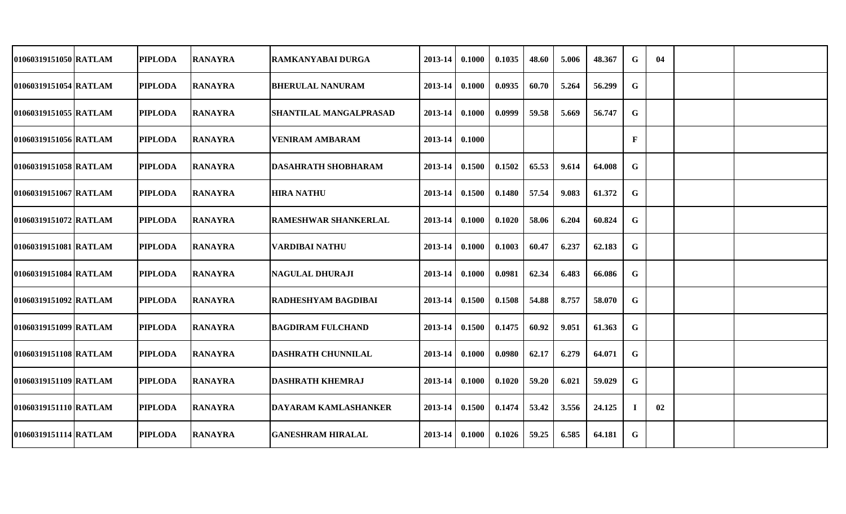| 01060319151050 RATLAM | <b>PIPLODA</b> | <b>RANAYRA</b> | RAMKANYABAI DURGA             | 2013-14          | 0.1000 | 0.1035 | 48.60 | 5.006 | 48.367 | $\mathbf G$ | 04 |  |
|-----------------------|----------------|----------------|-------------------------------|------------------|--------|--------|-------|-------|--------|-------------|----|--|
| 01060319151054 RATLAM | <b>PIPLODA</b> | <b>RANAYRA</b> | <b>BHERULAL NANURAM</b>       | 2013-14          | 0.1000 | 0.0935 | 60.70 | 5.264 | 56.299 | G           |    |  |
| 01060319151055 RATLAM | <b>PIPLODA</b> | <b>RANAYRA</b> | <b>SHANTILAL MANGALPRASAD</b> | 2013-14          | 0.1000 | 0.0999 | 59.58 | 5.669 | 56.747 | G           |    |  |
| 01060319151056 RATLAM | <b>PIPLODA</b> | <b>RANAYRA</b> | <b>VENIRAM AMBARAM</b>        | $2013 - 14$      | 0.1000 |        |       |       |        | F           |    |  |
| 01060319151058 RATLAM | <b>PIPLODA</b> | <b>RANAYRA</b> | <b>DASAHRATH SHOBHARAM</b>    | $2013 - 14$      | 0.1500 | 0.1502 | 65.53 | 9.614 | 64.008 | G           |    |  |
| 01060319151067 RATLAM | <b>PIPLODA</b> | <b>RANAYRA</b> | <b>HIRA NATHU</b>             | $2013-14$ 0.1500 |        | 0.1480 | 57.54 | 9.083 | 61.372 | G           |    |  |
| 01060319151072 RATLAM | <b>PIPLODA</b> | <b>RANAYRA</b> | IRAMESHWAR SHANKERLAL         | $2013 - 14$      | 0.1000 | 0.1020 | 58.06 | 6.204 | 60.824 | G           |    |  |
| 01060319151081 RATLAM | <b>PIPLODA</b> | <b>RANAYRA</b> | <b>VARDIBAI NATHU</b>         | 2013-14          | 0.1000 | 0.1003 | 60.47 | 6.237 | 62.183 | G           |    |  |
| 01060319151084 RATLAM | <b>PIPLODA</b> | <b>RANAYRA</b> | <b>NAGULAL DHURAJI</b>        | 2013-14          | 0.1000 | 0.0981 | 62.34 | 6.483 | 66.086 | G           |    |  |
| 01060319151092 RATLAM | <b>PIPLODA</b> | <b>RANAYRA</b> | <b>RADHESHYAM BAGDIBAI</b>    | 2013-14          | 0.1500 | 0.1508 | 54.88 | 8.757 | 58.070 | G           |    |  |
| 01060319151099 RATLAM | <b>PIPLODA</b> | <b>RANAYRA</b> | <b>BAGDIRAM FULCHAND</b>      | 2013-14          | 0.1500 | 0.1475 | 60.92 | 9.051 | 61.363 | G           |    |  |
| 01060319151108 RATLAM | <b>PIPLODA</b> | <b>RANAYRA</b> | <b>DASHRATH CHUNNILAL</b>     | 2013-14          | 0.1000 | 0.0980 | 62.17 | 6.279 | 64.071 | G           |    |  |
| 01060319151109 RATLAM | <b>PIPLODA</b> | <b>RANAYRA</b> | <b>DASHRATH KHEMRAJ</b>       | 2013-14          | 0.1000 | 0.1020 | 59.20 | 6.021 | 59.029 | G           |    |  |
| 01060319151110 RATLAM | <b>PIPLODA</b> | <b>RANAYRA</b> | <b>DAYARAM KAMLASHANKER</b>   | $2013 - 14$      | 0.1500 | 0.1474 | 53.42 | 3.556 | 24.125 | Т.          | 02 |  |
| 01060319151114 RATLAM | <b>PIPLODA</b> | <b>RANAYRA</b> | <b>GANESHRAM HIRALAL</b>      | $2013 - 14$      | 0.1000 | 0.1026 | 59.25 | 6.585 | 64.181 | G           |    |  |
|                       |                |                |                               |                  |        |        |       |       |        |             |    |  |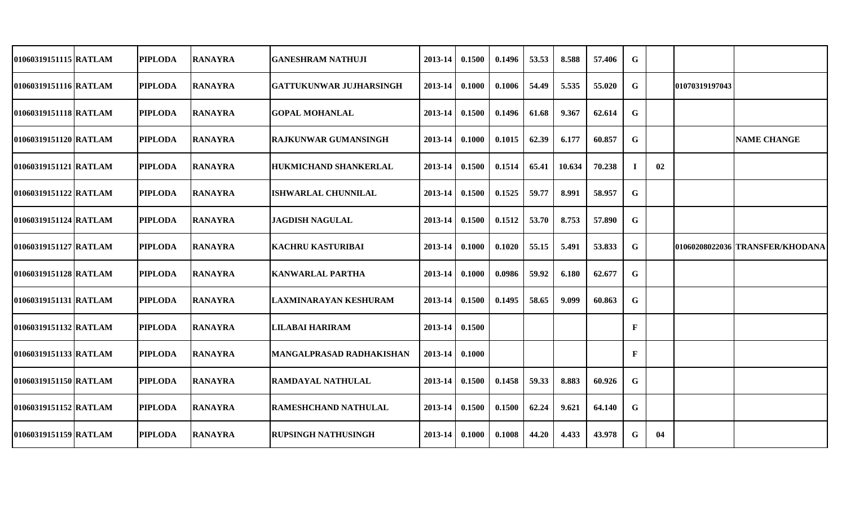| 01060319151115 RATLAM | <b>PIPLODA</b> | <b>RANAYRA</b> | <b>GANESHRAM NATHUJI</b>        | 2013-14     | 0.1500        | 0.1496 | 53.53 | 8.588  | 57.406 | G            |    |                |                                 |
|-----------------------|----------------|----------------|---------------------------------|-------------|---------------|--------|-------|--------|--------|--------------|----|----------------|---------------------------------|
| 01060319151116 RATLAM | <b>PIPLODA</b> | <b>RANAYRA</b> | GATTUKUNWAR JUJHARSINGH         | 2013-14     | 0.1000        | 0.1006 | 54.49 | 5.535  | 55.020 | G            |    | 01070319197043 |                                 |
| 01060319151118 RATLAM | <b>PIPLODA</b> | <b>RANAYRA</b> | <b>GOPAL MOHANLAL</b>           | 2013-14     | 0.1500        | 0.1496 | 61.68 | 9.367  | 62.614 | G            |    |                |                                 |
| 01060319151120 RATLAM | <b>PIPLODA</b> | <b>RANAYRA</b> | RAJKUNWAR GUMANSINGH            | 2013-14     | 0.1000        | 0.1015 | 62.39 | 6.177  | 60.857 | G            |    |                | <b>NAME CHANGE</b>              |
| 01060319151121 RATLAM | <b>PIPLODA</b> | <b>RANAYRA</b> | <b>HUKMICHAND SHANKERLAL</b>    | 2013-14     | 0.1500        | 0.1514 | 65.41 | 10.634 | 70.238 |              | 02 |                |                                 |
| 01060319151122 RATLAM | <b>PIPLODA</b> | <b>RANAYRA</b> | <b>ISHWARLAL CHUNNILAL</b>      | $2013 - 14$ | 0.1500        | 0.1525 | 59.77 | 8.991  | 58.957 | G            |    |                |                                 |
| 01060319151124 RATLAM | <b>PIPLODA</b> | <b>RANAYRA</b> | <b>JAGDISH NAGULAL</b>          | 2013-14     | 0.1500        | 0.1512 | 53.70 | 8.753  | 57.890 | G            |    |                |                                 |
| 01060319151127 RATLAM | <b>PIPLODA</b> | <b>RANAYRA</b> | <b>KACHRU KASTURIBAI</b>        | 2013-14     | 0.1000        | 0.1020 | 55.15 | 5.491  | 53.833 | G            |    |                | 01060208022036 TRANSFER/KHODANA |
| 01060319151128 RATLAM | <b>PIPLODA</b> | <b>RANAYRA</b> | <b>KANWARLAL PARTHA</b>         | 2013-14     | 0.1000        | 0.0986 | 59.92 | 6.180  | 62.677 | G            |    |                |                                 |
| 01060319151131 RATLAM | <b>PIPLODA</b> | <b>RANAYRA</b> | LAXMINARAYAN KESHURAM           | 2013-14     | 0.1500        | 0.1495 | 58.65 | 9.099  | 60.863 | G            |    |                |                                 |
| 01060319151132 RATLAM | <b>PIPLODA</b> | <b>RANAYRA</b> | LILABAI HARIRAM                 | 2013-14     | 0.1500        |        |       |        |        | $\mathbf{F}$ |    |                |                                 |
| 01060319151133 RATLAM | <b>PIPLODA</b> | <b>RANAYRA</b> | <b>MANGALPRASAD RADHAKISHAN</b> | 2013-14     | 0.1000        |        |       |        |        | F            |    |                |                                 |
| 01060319151150 RATLAM | <b>PIPLODA</b> | <b>RANAYRA</b> | <b>RAMDAYAL NATHULAL</b>        | $2013 - 14$ | 0.1500        | 0.1458 | 59.33 | 8.883  | 60.926 | G            |    |                |                                 |
| 01060319151152 RATLAM | <b>PIPLODA</b> | <b>RANAYRA</b> | <b>RAMESHCHAND NATHULAL</b>     | 2013-14     | 0.1500        | 0.1500 | 62.24 | 9.621  | 64.140 | G            |    |                |                                 |
| 01060319151159 RATLAM | <b>PIPLODA</b> | <b>RANAYRA</b> | <b>RUPSINGH NATHUSINGH</b>      | $2013 - 14$ | $\bm{0.1000}$ | 0.1008 | 44.20 | 4.433  | 43.978 | G            | 04 |                |                                 |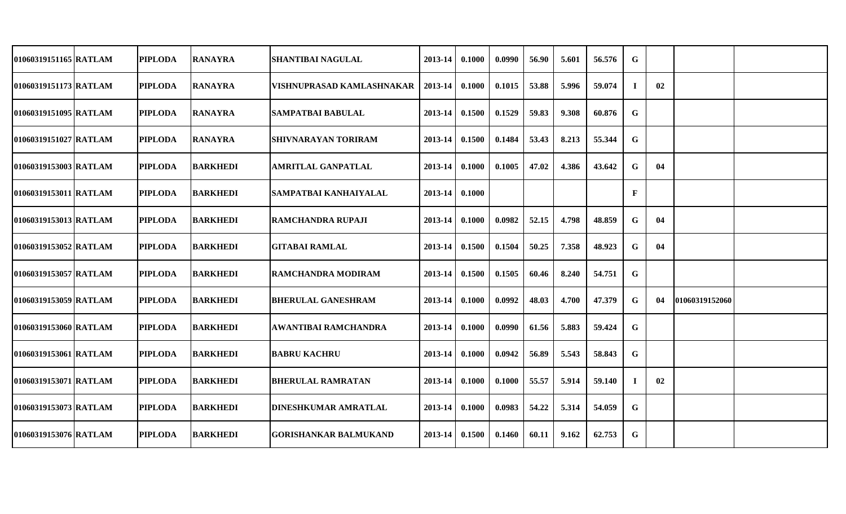| 01060319151165 RATLAM |                                                                                                                                                                                                                                                                            | SHANTIBAI NAGULAL                                                                                                                                                                                                                                                                     | 2013-14                                                                                                                                  | 0.1000 | 0.0990 | 56.90 | 5.601 | 56.576 | G  |    |                |
|-----------------------|----------------------------------------------------------------------------------------------------------------------------------------------------------------------------------------------------------------------------------------------------------------------------|---------------------------------------------------------------------------------------------------------------------------------------------------------------------------------------------------------------------------------------------------------------------------------------|------------------------------------------------------------------------------------------------------------------------------------------|--------|--------|-------|-------|--------|----|----|----------------|
| 01060319151173 RATLAM |                                                                                                                                                                                                                                                                            | VISHNUPRASAD KAMLASHNAKAR                                                                                                                                                                                                                                                             | 2013-14                                                                                                                                  | 0.1000 | 0.1015 | 53.88 | 5.996 | 59.074 | Ι. | 02 |                |
| 01060319151095 RATLAM |                                                                                                                                                                                                                                                                            |                                                                                                                                                                                                                                                                                       | 2013-14                                                                                                                                  | 0.1500 | 0.1529 | 59.83 | 9.308 | 60.876 | G  |    |                |
| 01060319151027 RATLAM |                                                                                                                                                                                                                                                                            | <b>SHIVNARAYAN TORIRAM</b>                                                                                                                                                                                                                                                            | 2013-14                                                                                                                                  | 0.1500 | 0.1484 | 53.43 | 8.213 | 55.344 | G  |    |                |
| 01060319153003 RATLAM |                                                                                                                                                                                                                                                                            | <b>AMRITLAL GANPATLAL</b>                                                                                                                                                                                                                                                             | 2013-14                                                                                                                                  | 0.1000 | 0.1005 | 47.02 | 4.386 | 43.642 | G  | 04 |                |
| 01060319153011 RATLAM |                                                                                                                                                                                                                                                                            |                                                                                                                                                                                                                                                                                       | 2013-14                                                                                                                                  | 0.1000 |        |       |       |        | F  |    |                |
| 01060319153013 RATLAM |                                                                                                                                                                                                                                                                            |                                                                                                                                                                                                                                                                                       | 2013-14                                                                                                                                  | 0.1000 | 0.0982 | 52.15 | 4.798 | 48.859 | G  | 04 |                |
| 01060319153052 RATLAM |                                                                                                                                                                                                                                                                            | GITABAI RAMLAL                                                                                                                                                                                                                                                                        | 2013-14                                                                                                                                  | 0.1500 | 0.1504 | 50.25 | 7.358 | 48.923 | G  | 04 |                |
| 01060319153057 RATLAM |                                                                                                                                                                                                                                                                            |                                                                                                                                                                                                                                                                                       | 2013-14                                                                                                                                  | 0.1500 | 0.1505 | 60.46 | 8.240 | 54.751 | G  |    |                |
| 01060319153059 RATLAM |                                                                                                                                                                                                                                                                            |                                                                                                                                                                                                                                                                                       | 2013-14                                                                                                                                  | 0.1000 | 0.0992 | 48.03 | 4.700 | 47.379 | G  | 04 |                |
| 01060319153060 RATLAM |                                                                                                                                                                                                                                                                            | AWANTIBAI RAMCHANDRA                                                                                                                                                                                                                                                                  | 2013-14                                                                                                                                  | 0.1000 | 0.0990 | 61.56 | 5.883 | 59.424 | G  |    |                |
| 01060319153061 RATLAM |                                                                                                                                                                                                                                                                            | <b>BABRU KACHRU</b>                                                                                                                                                                                                                                                                   | 2013-14                                                                                                                                  | 0.1000 | 0.0942 | 56.89 | 5.543 | 58.843 | G  |    |                |
| 01060319153071 RATLAM |                                                                                                                                                                                                                                                                            | <b>BHERULAL RAMRATAN</b>                                                                                                                                                                                                                                                              | 2013-14                                                                                                                                  | 0.1000 | 0.1000 | 55.57 | 5.914 | 59.140 |    | 02 |                |
| 01060319153073 RATLAM |                                                                                                                                                                                                                                                                            | <b>DINESHKUMAR AMRATLAL</b>                                                                                                                                                                                                                                                           | 2013-14                                                                                                                                  | 0.1000 | 0.0983 | 54.22 | 5.314 | 54.059 | G  |    |                |
| 01060319153076 RATLAM |                                                                                                                                                                                                                                                                            | <b>GORISHANKAR BALMUKAND</b>                                                                                                                                                                                                                                                          | 2013-14                                                                                                                                  | 0.1500 | 0.1460 | 60.11 | 9.162 | 62.753 | G  |    |                |
|                       | <b>PIPLODA</b><br><b>PIPLODA</b><br><b>PIPLODA</b><br><b>PIPLODA</b><br><b>PIPLODA</b><br><b>PIPLODA</b><br><b>PIPLODA</b><br><b>PIPLODA</b><br><b>PIPLODA</b><br><b>PIPLODA</b><br><b>PIPLODA</b><br><b>PIPLODA</b><br><b>PIPLODA</b><br><b>PIPLODA</b><br><b>PIPLODA</b> | <b>RANAYRA</b><br><b>RANAYRA</b><br><b>RANAYRA</b><br><b>RANAYRA</b><br><b>BARKHEDI</b><br><b>BARKHEDI</b><br><b>BARKHEDI</b><br><b>BARKHEDI</b><br><b>BARKHEDI</b><br><b>BARKHEDI</b><br><b>BARKHEDI</b><br><b>BARKHEDI</b><br><b>BARKHEDI</b><br><b>BARKHEDI</b><br><b>BARKHEDI</b> | <b>SAMPATBAI BABULAL</b><br> SAMPATBAI KANHAIYALAL<br><b>RAMCHANDRA RUPAJI</b><br><b>RAMCHANDRA MODIRAM</b><br><b>BHERULAL GANESHRAM</b> |        |        |       |       |        |    |    | 01060319152060 |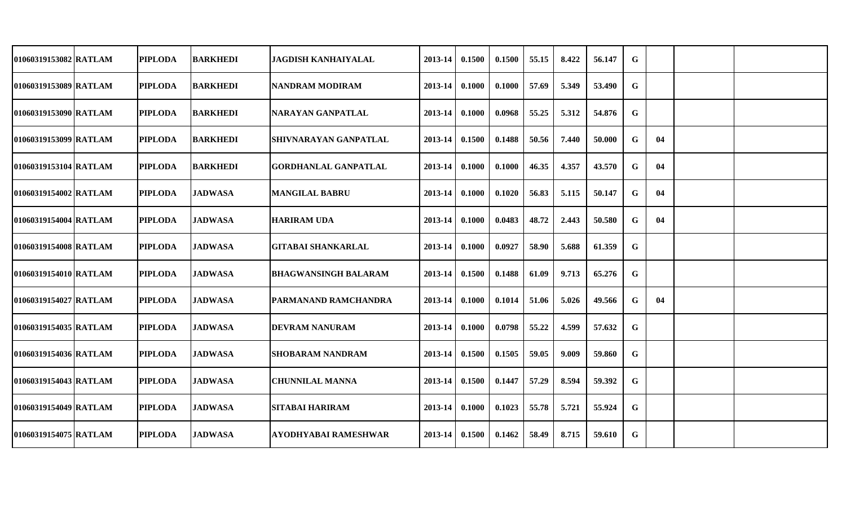| 01060319153082 RATLAM | <b>PIPLODA</b> | <b>BARKHEDI</b> | JAGDISH KANHAIYALAL         | 2013-14          | 0.1500 | 0.1500 | 55.15 | 8.422 | 56.147 | G |    |  |
|-----------------------|----------------|-----------------|-----------------------------|------------------|--------|--------|-------|-------|--------|---|----|--|
| 01060319153089 RATLAM | <b>PIPLODA</b> | <b>BARKHEDI</b> | INANDRAM MODIRAM            | 2013-14          | 0.1000 | 0.1000 | 57.69 | 5.349 | 53.490 | G |    |  |
| 01060319153090 RATLAM | <b>PIPLODA</b> | <b>BARKHEDI</b> | NARAYAN GANPATLAL           | 2013-14          | 0.1000 | 0.0968 | 55.25 | 5.312 | 54.876 | G |    |  |
| 01060319153099 RATLAM | <b>PIPLODA</b> | <b>BARKHEDI</b> | SHIVNARAYAN GANPATLAL       | $2013 - 14$      | 0.1500 | 0.1488 | 50.56 | 7.440 | 50.000 | G | 04 |  |
| 01060319153104 RATLAM | <b>PIPLODA</b> | <b>BARKHEDI</b> | <b>GORDHANLAL GANPATLAL</b> | 2013-14          | 0.1000 | 0.1000 | 46.35 | 4.357 | 43.570 | G | 04 |  |
| 01060319154002 RATLAM | <b>PIPLODA</b> | <b>JADWASA</b>  | <b>MANGILAL BABRU</b>       | $2013-14$ 0.1000 |        | 0.1020 | 56.83 | 5.115 | 50.147 | G | 04 |  |
| 01060319154004 RATLAM | <b>PIPLODA</b> | <b>JADWASA</b>  | <b>HARIRAM UDA</b>          | $2013 - 14$      | 0.1000 | 0.0483 | 48.72 | 2.443 | 50.580 | G | 04 |  |
| 01060319154008 RATLAM | <b>PIPLODA</b> | <b>JADWASA</b>  | <b>GITABAI SHANKARLAL</b>   | $2013 - 14$      | 0.1000 | 0.0927 | 58.90 | 5.688 | 61.359 | G |    |  |
| 01060319154010 RATLAM | <b>PIPLODA</b> | <b>JADWASA</b>  | <b>BHAGWANSINGH BALARAM</b> | 2013-14          | 0.1500 | 0.1488 | 61.09 | 9.713 | 65.276 | G |    |  |
| 01060319154027 RATLAM | <b>PIPLODA</b> | <b>JADWASA</b>  | <b>PARMANAND RAMCHANDRA</b> | 2013-14          | 0.1000 | 0.1014 | 51.06 | 5.026 | 49.566 | G | 04 |  |
| 01060319154035 RATLAM | <b>PIPLODA</b> | <b>JADWASA</b>  | <b>DEVRAM NANURAM</b>       | 2013-14          | 0.1000 | 0.0798 | 55.22 | 4.599 | 57.632 | G |    |  |
| 01060319154036 RATLAM | <b>PIPLODA</b> | <b>JADWASA</b>  | <b>SHOBARAM NANDRAM</b>     | 2013-14          | 0.1500 | 0.1505 | 59.05 | 9.009 | 59.860 | G |    |  |
| 01060319154043 RATLAM | <b>PIPLODA</b> | <b>JADWASA</b>  | <b>CHUNNILAL MANNA</b>      | $2013 - 14$      | 0.1500 | 0.1447 | 57.29 | 8.594 | 59.392 | G |    |  |
| 01060319154049 RATLAM | <b>PIPLODA</b> | <b>JADWASA</b>  | <b>SITABAI HARIRAM</b>      | $2013 - 14$      | 0.1000 | 0.1023 | 55.78 | 5.721 | 55.924 | G |    |  |
| 01060319154075 RATLAM | <b>PIPLODA</b> | <b>JADWASA</b>  | <b>AYODHYABAI RAMESHWAR</b> | $2013 - 14$      | 0.1500 | 0.1462 | 58.49 | 8.715 | 59.610 | G |    |  |
|                       |                |                 |                             |                  |        |        |       |       |        |   |    |  |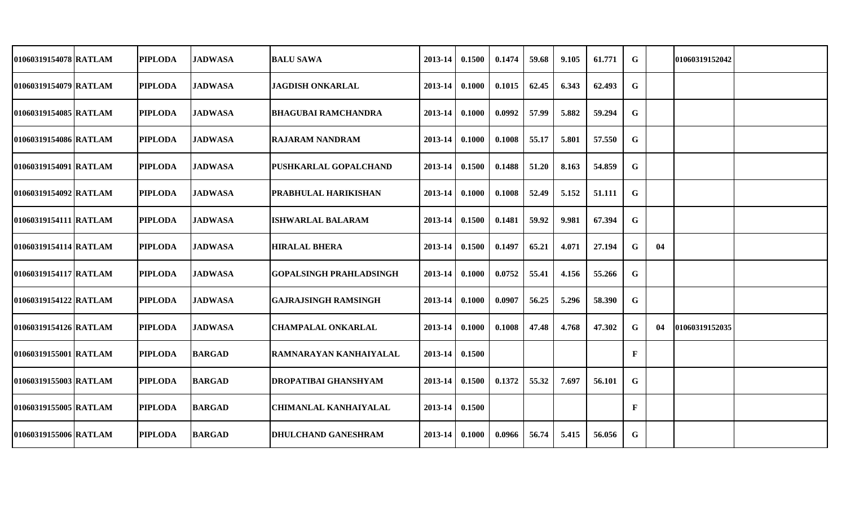| 01060319154078 RATLAM | <b>PIPLODA</b> | <b>JADWASA</b> | IBALU SAWA                     | 2013-14          | 0.1500 | 0.1474 | 59.68 | 9.105 | 61.771 | G            |    | 101060319152042 |  |
|-----------------------|----------------|----------------|--------------------------------|------------------|--------|--------|-------|-------|--------|--------------|----|-----------------|--|
| 01060319154079 RATLAM | <b>PIPLODA</b> | <b>JADWASA</b> | <b>JAGDISH ONKARLAL</b>        | 2013-14          | 0.1000 | 0.1015 | 62.45 | 6.343 | 62.493 | G            |    |                 |  |
| 01060319154085 RATLAM | <b>PIPLODA</b> | <b>JADWASA</b> | <b>BHAGUBAI RAMCHANDRA</b>     | 2013-14          | 0.1000 | 0.0992 | 57.99 | 5.882 | 59.294 | G            |    |                 |  |
| 01060319154086 RATLAM | <b>PIPLODA</b> | <b>JADWASA</b> | IRAJARAM NANDRAM               | $2013 - 14$      | 0.1000 | 0.1008 | 55.17 | 5.801 | 57.550 | G            |    |                 |  |
| 01060319154091 RATLAM | <b>PIPLODA</b> | <b>JADWASA</b> | PUSHKARLAL GOPALCHAND          | $2013 - 14$      | 0.1500 | 0.1488 | 51.20 | 8.163 | 54.859 | $\mathbf G$  |    |                 |  |
| 01060319154092 RATLAM | <b>PIPLODA</b> | <b>JADWASA</b> | <b>PRABHULAL HARIKISHAN</b>    | $2013-14$ 0.1000 |        | 0.1008 | 52.49 | 5.152 | 51.111 | G            |    |                 |  |
| 01060319154111 RATLAM | <b>PIPLODA</b> | <b>JADWASA</b> | <b>ISHWARLAL BALARAM</b>       | $2013-14$ 0.1500 |        | 0.1481 | 59.92 | 9.981 | 67.394 | G            |    |                 |  |
| 01060319154114 RATLAM | <b>PIPLODA</b> | <b>JADWASA</b> | <b>HIRALAL BHERA</b>           | $2013 - 14$      | 0.1500 | 0.1497 | 65.21 | 4.071 | 27.194 | G            | 04 |                 |  |
| 01060319154117 RATLAM | <b>PIPLODA</b> | <b>JADWASA</b> | <b>GOPALSINGH PRAHLADSINGH</b> | $2013 - 14$      | 0.1000 | 0.0752 | 55.41 | 4.156 | 55.266 | G            |    |                 |  |
| 01060319154122 RATLAM | <b>PIPLODA</b> | <b>JADWASA</b> | GAJRAJSINGH RAMSINGH           | $2013 - 14$      | 0.1000 | 0.0907 | 56.25 | 5.296 | 58.390 | G            |    |                 |  |
| 01060319154126 RATLAM | <b>PIPLODA</b> | <b>JADWASA</b> | <b>CHAMPALAL ONKARLAL</b>      | 2013-14          | 0.1000 | 0.1008 | 47.48 | 4.768 | 47.302 | G            | 04 | 01060319152035  |  |
| 01060319155001 RATLAM | <b>PIPLODA</b> | <b>BARGAD</b>  | RAMNARAYAN KANHAIYALAL         | $2013 - 14$      | 0.1500 |        |       |       |        | $\mathbf{F}$ |    |                 |  |
| 01060319155003 RATLAM | <b>PIPLODA</b> | <b>BARGAD</b>  | <b>DROPATIBAI GHANSHYAM</b>    | $2013-14$ 0.1500 |        | 0.1372 | 55.32 | 7.697 | 56.101 | G            |    |                 |  |
| 01060319155005 RATLAM | <b>PIPLODA</b> | <b>BARGAD</b>  | <b>CHIMANLAL KANHAIYALAL</b>   | $2013-14$ 0.1500 |        |        |       |       |        | $\mathbf{F}$ |    |                 |  |
| 01060319155006 RATLAM | <b>PIPLODA</b> | <b>BARGAD</b>  | <b>DHULCHAND GANESHRAM</b>     | $2013-14$ 0.1000 |        | 0.0966 | 56.74 | 5.415 | 56.056 | G            |    |                 |  |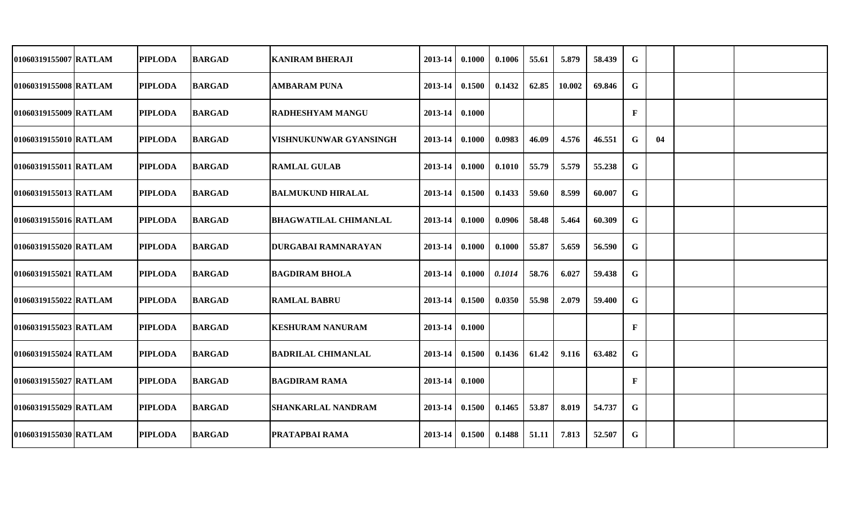| 01060319155007 RATLAM | <b>PIPLODA</b> | <b>BARGAD</b> | KANIRAM BHERAJI              | 2013-14          | 0.1000 | 0.1006 | 55.61 | 5.879  | 58.439 | $\mathbf G$ |    |  |
|-----------------------|----------------|---------------|------------------------------|------------------|--------|--------|-------|--------|--------|-------------|----|--|
| 01060319155008 RATLAM | <b>PIPLODA</b> | <b>BARGAD</b> | <b>AMBARAM PUNA</b>          | 2013-14          | 0.1500 | 0.1432 | 62.85 | 10.002 | 69.846 | G           |    |  |
| 01060319155009 RATLAM | <b>PIPLODA</b> | <b>BARGAD</b> | <b>RADHESHYAM MANGU</b>      | 2013-14          | 0.1000 |        |       |        |        | F           |    |  |
| 01060319155010 RATLAM | <b>PIPLODA</b> | <b>BARGAD</b> | VISHNUKUNWAR GYANSINGH       | $2013 - 14$      | 0.1000 | 0.0983 | 46.09 | 4.576  | 46.551 | G           | 04 |  |
| 01060319155011 RATLAM | <b>PIPLODA</b> | <b>BARGAD</b> | <b>RAMLAL GULAB</b>          | 2013-14          | 0.1000 | 0.1010 | 55.79 | 5.579  | 55.238 | G           |    |  |
| 01060319155013 RATLAM | <b>PIPLODA</b> | <b>BARGAD</b> | <b>BALMUKUND HIRALAL</b>     | $2013-14$ 0.1500 |        | 0.1433 | 59.60 | 8.599  | 60.007 | G           |    |  |
| 01060319155016 RATLAM | <b>PIPLODA</b> | <b>BARGAD</b> | <b>BHAGWATILAL CHIMANLAL</b> | $2013 - 14$      | 0.1000 | 0.0906 | 58.48 | 5.464  | 60.309 | G           |    |  |
| 01060319155020 RATLAM | <b>PIPLODA</b> | <b>BARGAD</b> | <b>DURGABAI RAMNARAYAN</b>   | 2013-14          | 0.1000 | 0.1000 | 55.87 | 5.659  | 56.590 | G           |    |  |
| 01060319155021 RATLAM | <b>PIPLODA</b> | <b>BARGAD</b> | <b>BAGDIRAM BHOLA</b>        | 2013-14          | 0.1000 | 0.1014 | 58.76 | 6.027  | 59.438 | G           |    |  |
| 01060319155022 RATLAM | <b>PIPLODA</b> | <b>BARGAD</b> | <b>RAMLAL BABRU</b>          | 2013-14          | 0.1500 | 0.0350 | 55.98 | 2.079  | 59.400 | G           |    |  |
| 01060319155023 RATLAM | <b>PIPLODA</b> | <b>BARGAD</b> | <b>KESHURAM NANURAM</b>      | 2013-14          | 0.1000 |        |       |        |        | F           |    |  |
| 01060319155024 RATLAM | <b>PIPLODA</b> | <b>BARGAD</b> | <b>BADRILAL CHIMANLAL</b>    | 2013-14          | 0.1500 | 0.1436 | 61.42 | 9.116  | 63.482 | G           |    |  |
| 01060319155027 RATLAM | <b>PIPLODA</b> | <b>BARGAD</b> | <b>BAGDIRAM RAMA</b>         | $2013 - 14$      | 0.1000 |        |       |        |        | F           |    |  |
| 01060319155029 RATLAM | <b>PIPLODA</b> | <b>BARGAD</b> | <b>SHANKARLAL NANDRAM</b>    | $2013 - 14$      | 0.1500 | 0.1465 | 53.87 | 8.019  | 54.737 | G           |    |  |
| 01060319155030 RATLAM | <b>PIPLODA</b> | <b>BARGAD</b> | <b>PRATAPBAI RAMA</b>        | $2013 - 14$      | 0.1500 | 0.1488 | 51.11 | 7.813  | 52.507 | G           |    |  |
|                       |                |               |                              |                  |        |        |       |        |        |             |    |  |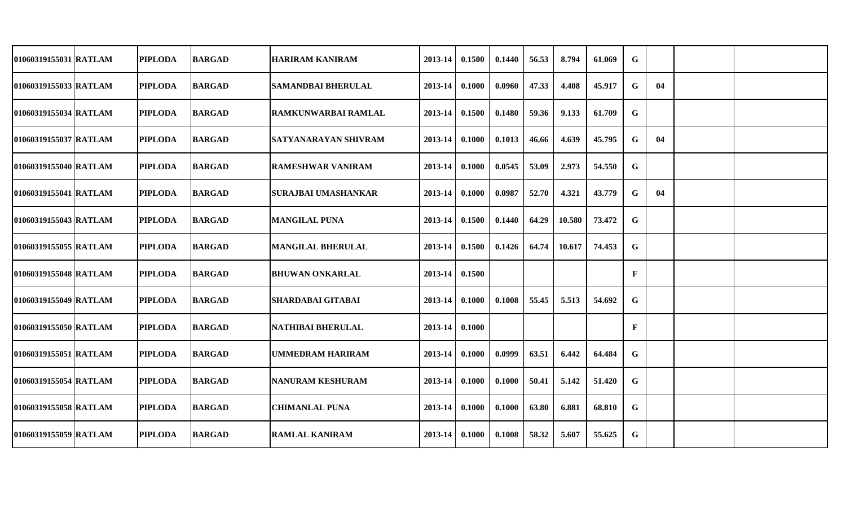| 01060319155031 RATLAM   | <b>PIPLODA</b> | <b>BARGAD</b> | <b>HARIRAM KANIRAM</b>      | 2013-14 | 0.1500 | 0.1440 | 56.53 | 8.794  | 61.069 | G           |    |  |
|-------------------------|----------------|---------------|-----------------------------|---------|--------|--------|-------|--------|--------|-------------|----|--|
| 01060319155033 RATLAM   | <b>PIPLODA</b> | <b>BARGAD</b> | <b>SAMANDBAI BHERULAL</b>   | 2013-14 | 0.1000 | 0.0960 | 47.33 | 4.408  | 45.917 | G           | 04 |  |
| 01060319155034 RATLAM   | <b>PIPLODA</b> | <b>BARGAD</b> | <b>RAMKUNWARBAI RAMLAL</b>  | 2013-14 | 0.1500 | 0.1480 | 59.36 | 9.133  | 61.709 | G           |    |  |
| 01060319155037 RATLAM   | <b>PIPLODA</b> | <b>BARGAD</b> | <b>SATYANARAYAN SHIVRAM</b> | 2013-14 | 0.1000 | 0.1013 | 46.66 | 4.639  | 45.795 | G           | 04 |  |
| 01060319155040 RATLAM   | <b>PIPLODA</b> | <b>BARGAD</b> | <b>RAMESHWAR VANIRAM</b>    | 2013-14 | 0.1000 | 0.0545 | 53.09 | 2.973  | 54.550 | G           |    |  |
| 01060319155041 RATLAM   | <b>PIPLODA</b> | <b>BARGAD</b> | <b>SURAJBAI UMASHANKAR</b>  | 2013-14 | 0.1000 | 0.0987 | 52.70 | 4.321  | 43.779 | G           | 04 |  |
| 01060319155043 RATLAM   | <b>PIPLODA</b> | <b>BARGAD</b> | <b>MANGILAL PUNA</b>        | 2013-14 | 0.1500 | 0.1440 | 64.29 | 10.580 | 73.472 | G           |    |  |
| 01060319155055 RATLAM   | <b>PIPLODA</b> | <b>BARGAD</b> | <b>MANGILAL BHERULAL</b>    | 2013-14 | 0.1500 | 0.1426 | 64.74 | 10.617 | 74.453 | G           |    |  |
| 01060319155048 RATLAM   | <b>PIPLODA</b> | <b>BARGAD</b> | <b>BHUWAN ONKARLAL</b>      | 2013-14 | 0.1500 |        |       |        |        | $\mathbf F$ |    |  |
| 01060319155049   RATLAM | <b>PIPLODA</b> | <b>BARGAD</b> | SHARDABAI GITABAI           | 2013-14 | 0.1000 | 0.1008 | 55.45 | 5.513  | 54.692 | G           |    |  |
| 01060319155050 RATLAM   | <b>PIPLODA</b> | <b>BARGAD</b> | <b>NATHIBAI BHERULAL</b>    | 2013-14 | 0.1000 |        |       |        |        | F           |    |  |
| 01060319155051 RATLAM   | <b>PIPLODA</b> | <b>BARGAD</b> | UMMEDRAM HARIRAM            | 2013-14 | 0.1000 | 0.0999 | 63.51 | 6.442  | 64.484 | G           |    |  |
| 01060319155054 RATLAM   | <b>PIPLODA</b> | <b>BARGAD</b> | <b>NANURAM KESHURAM</b>     | 2013-14 | 0.1000 | 0.1000 | 50.41 | 5.142  | 51.420 | G           |    |  |
| 01060319155058 RATLAM   | <b>PIPLODA</b> | <b>BARGAD</b> | <b>CHIMANLAL PUNA</b>       | 2013-14 | 0.1000 | 0.1000 | 63.80 | 6.881  | 68.810 | G           |    |  |
| 01060319155059 RATLAM   | <b>PIPLODA</b> | <b>BARGAD</b> | <b>RAMLAL KANIRAM</b>       | 2013-14 | 0.1000 | 0.1008 | 58.32 | 5.607  | 55.625 | G           |    |  |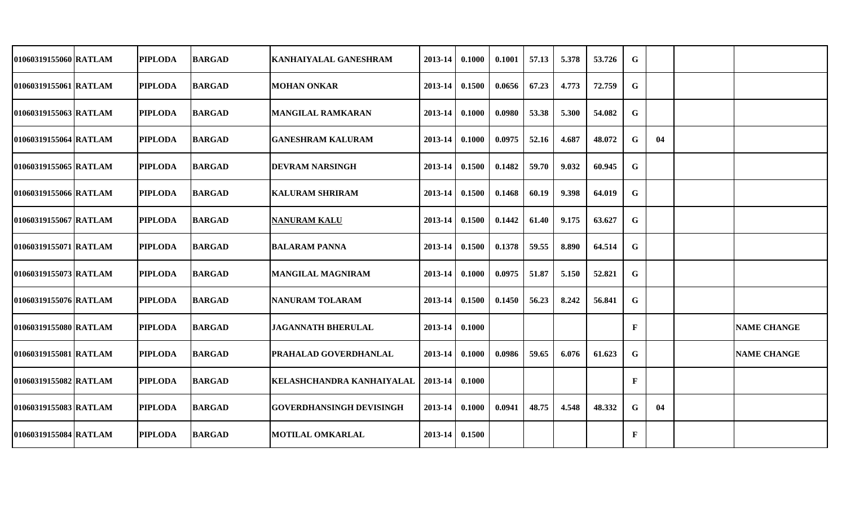| 01060319155060 RATLAM | <b>PIPLODA</b> | <b>BARGAD</b> | <b>KANHAIYALAL GANESHRAM</b>     | 2013-14 | 0.1000 | 0.1001 | 57.13 | 5.378 | 53.726 | G           |    |                    |
|-----------------------|----------------|---------------|----------------------------------|---------|--------|--------|-------|-------|--------|-------------|----|--------------------|
| 01060319155061 RATLAM | <b>PIPLODA</b> | <b>BARGAD</b> | <b>MOHAN ONKAR</b>               | 2013-14 | 0.1500 | 0.0656 | 67.23 | 4.773 | 72.759 | G           |    |                    |
| 01060319155063 RATLAM | <b>PIPLODA</b> | <b>BARGAD</b> | <b>MANGILAL RAMKARAN</b>         | 2013-14 | 0.1000 | 0.0980 | 53.38 | 5.300 | 54.082 | G           |    |                    |
| 01060319155064 RATLAM | <b>PIPLODA</b> | <b>BARGAD</b> | <b>GANESHRAM KALURAM</b>         | 2013-14 | 0.1000 | 0.0975 | 52.16 | 4.687 | 48.072 | G           | 04 |                    |
| 01060319155065 RATLAM | <b>PIPLODA</b> | <b>BARGAD</b> | <b>DEVRAM NARSINGH</b>           | 2013-14 | 0.1500 | 0.1482 | 59.70 | 9.032 | 60.945 | G           |    |                    |
| 01060319155066 RATLAM | <b>PIPLODA</b> | <b>BARGAD</b> | <b>KALURAM SHRIRAM</b>           | 2013-14 | 0.1500 | 0.1468 | 60.19 | 9.398 | 64.019 | G           |    |                    |
| 01060319155067 RATLAM | <b>PIPLODA</b> | <b>BARGAD</b> | <b>NANURAM KALU</b>              | 2013-14 | 0.1500 | 0.1442 | 61.40 | 9.175 | 63.627 | G           |    |                    |
| 01060319155071 RATLAM | <b>PIPLODA</b> | <b>BARGAD</b> | <b>BALARAM PANNA</b>             | 2013-14 | 0.1500 | 0.1378 | 59.55 | 8.890 | 64.514 | G           |    |                    |
| 01060319155073 RATLAM | <b>PIPLODA</b> | <b>BARGAD</b> | <b>MANGILAL MAGNIRAM</b>         | 2013-14 | 0.1000 | 0.0975 | 51.87 | 5.150 | 52.821 | G           |    |                    |
| 01060319155076 RATLAM | <b>PIPLODA</b> | <b>BARGAD</b> | <b>NANURAM TOLARAM</b>           | 2013-14 | 0.1500 | 0.1450 | 56.23 | 8.242 | 56.841 | $\mathbf G$ |    |                    |
| 01060319155080 RATLAM | <b>PIPLODA</b> | <b>BARGAD</b> | <b>JAGANNATH BHERULAL</b>        | 2013-14 | 0.1000 |        |       |       |        | F           |    | <b>NAME CHANGE</b> |
| 01060319155081 RATLAM | <b>PIPLODA</b> | <b>BARGAD</b> | <b>PRAHALAD GOVERDHANLAL</b>     | 2013-14 | 0.1000 | 0.0986 | 59.65 | 6.076 | 61.623 | G           |    | <b>NAME CHANGE</b> |
| 01060319155082 RATLAM | <b>PIPLODA</b> | <b>BARGAD</b> | <b>KELASHCHANDRA KANHAIYALAL</b> | 2013-14 | 0.1000 |        |       |       |        | F           |    |                    |
| 01060319155083 RATLAM | <b>PIPLODA</b> | <b>BARGAD</b> | GOVERDHANSINGH DEVISINGH         | 2013-14 | 0.1000 | 0.0941 | 48.75 | 4.548 | 48.332 | G           | 04 |                    |
| 01060319155084 RATLAM | <b>PIPLODA</b> | <b>BARGAD</b> | <b>MOTILAL OMKARLAL</b>          | 2013-14 | 0.1500 |        |       |       |        | F           |    |                    |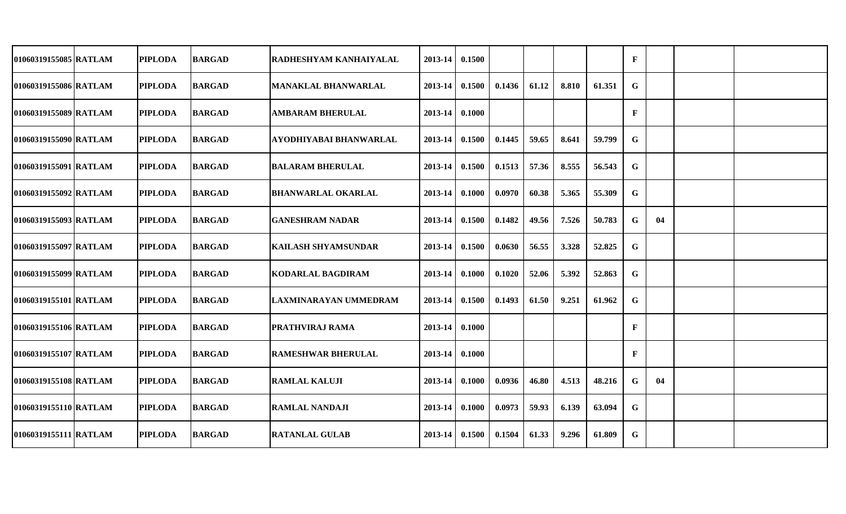| 01060319155085 RATLAM | <b>PIPLODA</b> | <b>BARGAD</b> | <b>RADHESHYAM KANHAIYALAL</b> | 2013-14 | 0.1500 |        |       |       |        | $\mathbf F$ |    |  |
|-----------------------|----------------|---------------|-------------------------------|---------|--------|--------|-------|-------|--------|-------------|----|--|
| 01060319155086 RATLAM | <b>PIPLODA</b> | <b>BARGAD</b> | <b>MANAKLAL BHANWARLAL</b>    | 2013-14 | 0.1500 | 0.1436 | 61.12 | 8.810 | 61.351 | G           |    |  |
| 01060319155089 RATLAM | <b>PIPLODA</b> | <b>BARGAD</b> | <b>AMBARAM BHERULAL</b>       | 2013-14 | 0.1000 |        |       |       |        | F           |    |  |
| 01060319155090 RATLAM | <b>PIPLODA</b> | <b>BARGAD</b> | <b>AYODHIYABAI BHANWARLAL</b> | 2013-14 | 0.1500 | 0.1445 | 59.65 | 8.641 | 59.799 | G           |    |  |
| 01060319155091 RATLAM | <b>PIPLODA</b> | <b>BARGAD</b> | <b>BALARAM BHERULAL</b>       | 2013-14 | 0.1500 | 0.1513 | 57.36 | 8.555 | 56.543 | G           |    |  |
| 01060319155092 RATLAM | <b>PIPLODA</b> | <b>BARGAD</b> | <b>BHANWARLAL OKARLAL</b>     | 2013-14 | 0.1000 | 0.0970 | 60.38 | 5.365 | 55.309 | G           |    |  |
| 01060319155093 RATLAM | <b>PIPLODA</b> | <b>BARGAD</b> | <b>GANESHRAM NADAR</b>        | 2013-14 | 0.1500 | 0.1482 | 49.56 | 7.526 | 50.783 | G           | 04 |  |
| 01060319155097 RATLAM | <b>PIPLODA</b> | <b>BARGAD</b> | <b>KAILASH SHYAMSUNDAR</b>    | 2013-14 | 0.1500 | 0.0630 | 56.55 | 3.328 | 52.825 | G           |    |  |
| 01060319155099 RATLAM | <b>PIPLODA</b> | <b>BARGAD</b> | <b>KODARLAL BAGDIRAM</b>      | 2013-14 | 0.1000 | 0.1020 | 52.06 | 5.392 | 52.863 | G           |    |  |
| 01060319155101 RATLAM | <b>PIPLODA</b> | <b>BARGAD</b> | LAXMINARAYAN UMMEDRAM         | 2013-14 | 0.1500 | 0.1493 | 61.50 | 9.251 | 61.962 | G           |    |  |
| 01060319155106 RATLAM | <b>PIPLODA</b> | <b>BARGAD</b> | <b>PRATHVIRAJ RAMA</b>        | 2013-14 | 0.1000 |        |       |       |        | F           |    |  |
| 01060319155107 RATLAM | <b>PIPLODA</b> | <b>BARGAD</b> | <b>RAMESHWAR BHERULAL</b>     | 2013-14 | 0.1000 |        |       |       |        | F           |    |  |
| 01060319155108 RATLAM | <b>PIPLODA</b> | <b>BARGAD</b> | <b>RAMLAL KALUJI</b>          | 2013-14 | 0.1000 | 0.0936 | 46.80 | 4.513 | 48.216 | G           | 04 |  |
| 01060319155110 RATLAM | <b>PIPLODA</b> | <b>BARGAD</b> | <b>RAMLAL NANDAJI</b>         | 2013-14 | 0.1000 | 0.0973 | 59.93 | 6.139 | 63.094 | G           |    |  |
| 01060319155111 RATLAM | <b>PIPLODA</b> | <b>BARGAD</b> | <b>RATANLAL GULAB</b>         | 2013-14 | 0.1500 | 0.1504 | 61.33 | 9.296 | 61.809 | G           |    |  |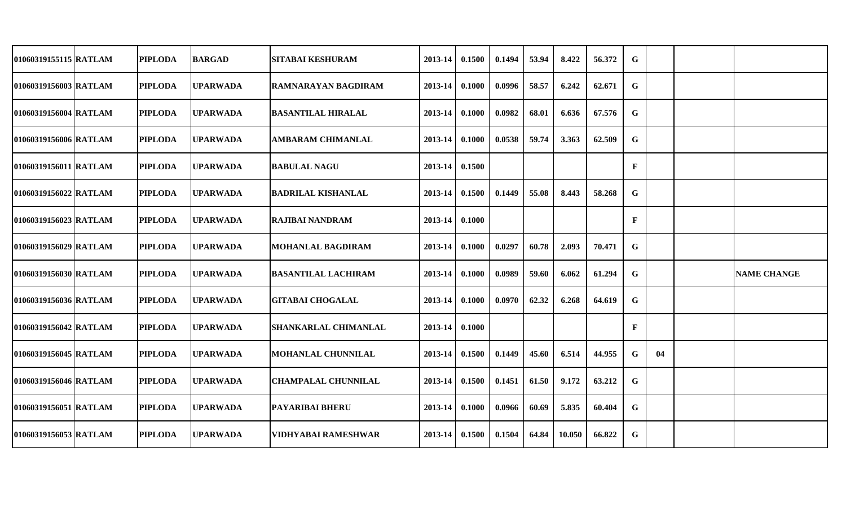| 01060319155115 RATLAM | <b>PIPLODA</b> |                |                                                                                                                                                                                                                                                                                         | 2013-14                                                                                                                                                                                                                                           | 0.1500 | 0.1494                                                                                                                      | 53.94 | 8.422  | 56.372 | G            |    |                    |
|-----------------------|----------------|----------------|-----------------------------------------------------------------------------------------------------------------------------------------------------------------------------------------------------------------------------------------------------------------------------------------|---------------------------------------------------------------------------------------------------------------------------------------------------------------------------------------------------------------------------------------------------|--------|-----------------------------------------------------------------------------------------------------------------------------|-------|--------|--------|--------------|----|--------------------|
| 01060319156003 RATLAM | <b>PIPLODA</b> |                | IRAMNARAYAN BAGDIRAM                                                                                                                                                                                                                                                                    | 2013-14                                                                                                                                                                                                                                           | 0.1000 | 0.0996                                                                                                                      | 58.57 | 6.242  | 62.671 | G            |    |                    |
| 01060319156004 RATLAM | <b>PIPLODA</b> |                |                                                                                                                                                                                                                                                                                         | 2013-14                                                                                                                                                                                                                                           | 0.1000 | 0.0982                                                                                                                      | 68.01 | 6.636  | 67.576 | G            |    |                    |
| 01060319156006 RATLAM | <b>PIPLODA</b> |                | <b>AMBARAM CHIMANLAL</b>                                                                                                                                                                                                                                                                | 2013-14                                                                                                                                                                                                                                           | 0.1000 | 0.0538                                                                                                                      | 59.74 | 3.363  | 62.509 | G            |    |                    |
| 01060319156011 RATLAM |                |                |                                                                                                                                                                                                                                                                                         |                                                                                                                                                                                                                                                   |        |                                                                                                                             |       |        |        | $\mathbf{F}$ |    |                    |
| 01060319156022 RATLAM | <b>PIPLODA</b> |                |                                                                                                                                                                                                                                                                                         |                                                                                                                                                                                                                                                   |        | 0.1449                                                                                                                      | 55.08 | 8.443  | 58.268 | G            |    |                    |
| 01060319156023 RATLAM | <b>PIPLODA</b> |                |                                                                                                                                                                                                                                                                                         |                                                                                                                                                                                                                                                   |        |                                                                                                                             |       |        |        | $\mathbf F$  |    |                    |
| 01060319156029 RATLAM | <b>PIPLODA</b> |                |                                                                                                                                                                                                                                                                                         |                                                                                                                                                                                                                                                   | 0.1000 | 0.0297                                                                                                                      | 60.78 | 2.093  | 70.471 | G            |    |                    |
| 01060319156030 RATLAM | <b>PIPLODA</b> |                |                                                                                                                                                                                                                                                                                         | $2013 - 14$                                                                                                                                                                                                                                       | 0.1000 | 0.0989                                                                                                                      | 59.60 | 6.062  | 61.294 | G            |    | <b>NAME CHANGE</b> |
| 01060319156036 RATLAM | <b>PIPLODA</b> |                |                                                                                                                                                                                                                                                                                         | 2013-14                                                                                                                                                                                                                                           | 0.1000 | 0.0970                                                                                                                      | 62.32 | 6.268  | 64.619 | G            |    |                    |
| 01060319156042 RATLAM | <b>PIPLODA</b> |                | <b>SHANKARLAL CHIMANLAL</b>                                                                                                                                                                                                                                                             | 2013-14                                                                                                                                                                                                                                           | 0.1000 |                                                                                                                             |       |        |        | $\mathbf{F}$ |    |                    |
| 01060319156045 RATLAM | <b>PIPLODA</b> |                | <b>MOHANLAL CHUNNILAL</b>                                                                                                                                                                                                                                                               | 2013-14                                                                                                                                                                                                                                           | 0.1500 | 0.1449                                                                                                                      | 45.60 | 6.514  | 44.955 | G            | 04 |                    |
| 01060319156046 RATLAM | <b>PIPLODA</b> |                | <b>CHAMPALAL CHUNNILAL</b>                                                                                                                                                                                                                                                              |                                                                                                                                                                                                                                                   |        | 0.1451                                                                                                                      | 61.50 | 9.172  | 63.212 | G            |    |                    |
| 01060319156051 RATLAM | <b>PIPLODA</b> |                |                                                                                                                                                                                                                                                                                         |                                                                                                                                                                                                                                                   |        | 0.0966                                                                                                                      | 60.69 | 5.835  | 60.404 | G            |    |                    |
| 01060319156053 RATLAM | <b>PIPLODA</b> |                | <b>VIDHYABAI RAMESHWAR</b>                                                                                                                                                                                                                                                              |                                                                                                                                                                                                                                                   |        | 0.1504                                                                                                                      | 64.84 | 10.050 | 66.822 | $\mathbf G$  |    |                    |
|                       |                | <b>PIPLODA</b> | <b>BARGAD</b><br><b>UPARWADA</b><br><b>UPARWADA</b><br><b>UPARWADA</b><br><b>UPARWADA</b><br><b>UPARWADA</b><br><b>UPARWADA</b><br><b>UPARWADA</b><br><b>UPARWADA</b><br><b>UPARWADA</b><br><b>UPARWADA</b><br><b>UPARWADA</b><br><b>UPARWADA</b><br><b>UPARWADA</b><br><b>UPARWADA</b> | <b>SITABAI KESHURAM</b><br><b>BASANTILAL HIRALAL</b><br><b>BABULAL NAGU</b><br><b>BADRILAL KISHANLAL</b><br><b>RAJIBAI NANDRAM</b><br><b>MOHANLAL BAGDIRAM</b><br><b>BASANTILAL LACHIRAM</b><br><b>GITABAI CHOGALAL</b><br><b>PAYARIBAI BHERU</b> |        | 2013-14 0.1500<br>$2013-14$ 0.1500<br>2013-14 0.1000<br>$2013 - 14$<br>2013-14 0.1500<br>2013-14 0.1000<br>$2013-14$ 0.1500 |       |        |        |              |    |                    |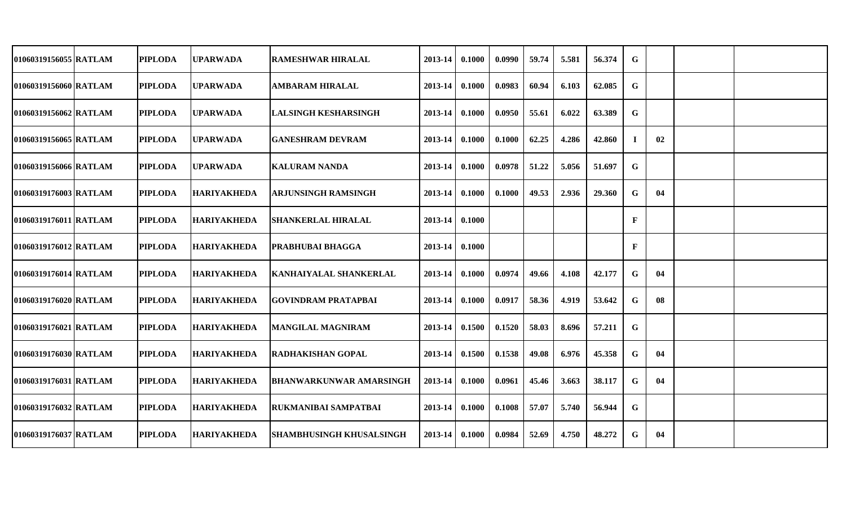| 01060319156055 RATLAM | <b>PIPLODA</b> | <b>UPARWADA</b>    | <b>RAMESHWAR HIRALAL</b>        | 2013-14     | 0.1000 | 0.0990 | 59.74 | 5.581 | 56.374 | G            |    |  |
|-----------------------|----------------|--------------------|---------------------------------|-------------|--------|--------|-------|-------|--------|--------------|----|--|
| 01060319156060 RATLAM | <b>PIPLODA</b> | <b>UPARWADA</b>    | <b>AMBARAM HIRALAL</b>          | 2013-14     | 0.1000 | 0.0983 | 60.94 | 6.103 | 62.085 | G            |    |  |
| 01060319156062 RATLAM | <b>PIPLODA</b> | <b>UPARWADA</b>    | <b>LALSINGH KESHARSINGH</b>     | 2013-14     | 0.1000 | 0.0950 | 55.61 | 6.022 | 63.389 | G            |    |  |
| 01060319156065 RATLAM | <b>PIPLODA</b> | <b>UPARWADA</b>    | <b>GANESHRAM DEVRAM</b>         | 2013-14     | 0.1000 | 0.1000 | 62.25 | 4.286 | 42.860 | $\mathbf{I}$ | 02 |  |
| 01060319156066 RATLAM | <b>PIPLODA</b> | <b>UPARWADA</b>    | <b>KALURAM NANDA</b>            | 2013-14     | 0.1000 | 0.0978 | 51.22 | 5.056 | 51.697 | G            |    |  |
| 01060319176003 RATLAM | <b>PIPLODA</b> | <b>HARIYAKHEDA</b> | <b>ARJUNSINGH RAMSINGH</b>      | 2013-14     | 0.1000 | 0.1000 | 49.53 | 2.936 | 29.360 | G            | 04 |  |
| 01060319176011 RATLAM | <b>PIPLODA</b> | <b>HARIYAKHEDA</b> | <b>SHANKERLAL HIRALAL</b>       | 2013-14     | 0.1000 |        |       |       |        | F            |    |  |
| 01060319176012 RATLAM | <b>PIPLODA</b> | <b>HARIYAKHEDA</b> | <b>PRABHUBAI BHAGGA</b>         | 2013-14     | 0.1000 |        |       |       |        | F            |    |  |
| 01060319176014 RATLAM | <b>PIPLODA</b> | <b>HARIYAKHEDA</b> | <b>KANHAIYALAL SHANKERLAL</b>   | 2013-14     | 0.1000 | 0.0974 | 49.66 | 4.108 | 42.177 | G            | 04 |  |
| 01060319176020 RATLAM | <b>PIPLODA</b> | <b>HARIYAKHEDA</b> | <b>GOVINDRAM PRATAPBAI</b>      | 2013-14     | 0.1000 | 0.0917 | 58.36 | 4.919 | 53.642 | G            | 08 |  |
| 01060319176021 RATLAM | <b>PIPLODA</b> | <b>HARIYAKHEDA</b> | <b>MANGILAL MAGNIRAM</b>        | 2013-14     | 0.1500 | 0.1520 | 58.03 | 8.696 | 57.211 | G            |    |  |
| 01060319176030 RATLAM | <b>PIPLODA</b> | <b>HARIYAKHEDA</b> | <b>RADHAKISHAN GOPAL</b>        | 2013-14     | 0.1500 | 0.1538 | 49.08 | 6.976 | 45.358 | G            | 04 |  |
| 01060319176031 RATLAM | <b>PIPLODA</b> | <b>HARIYAKHEDA</b> | <b>BHANWARKUNWAR AMARSINGH</b>  | 2013-14     | 0.1000 | 0.0961 | 45.46 | 3.663 | 38.117 | G            | 04 |  |
| 01060319176032 RATLAM | <b>PIPLODA</b> | <b>HARIYAKHEDA</b> | <b>RUKMANIBAI SAMPATBAI</b>     | 2013-14     | 0.1000 | 0.1008 | 57.07 | 5.740 | 56.944 | G            |    |  |
| 01060319176037 RATLAM | <b>PIPLODA</b> | <b>HARIYAKHEDA</b> | <b>SHAMBHUSINGH KHUSALSINGH</b> | $2013 - 14$ | 0.1000 | 0.0984 | 52.69 | 4.750 | 48.272 | G            | 04 |  |